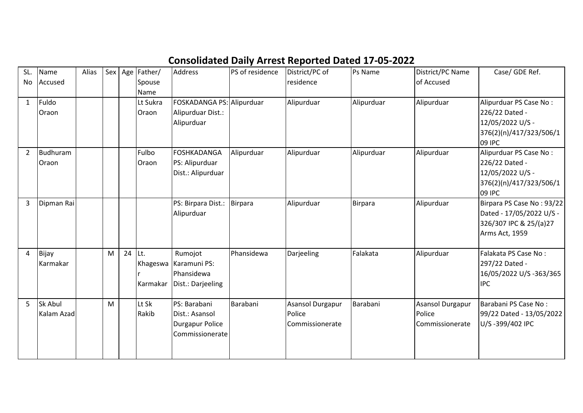## **Consolidated Daily Arrest Reported Dated 17-05-2022**

| SL.<br>No      | Name<br>Accused       | Alias |   |        | Sex Age Father/<br>Spouse<br><b>Name</b> | <b>Address</b>                                                              | PS of residence | District/PC of<br>residence                   | Ps Name    | District/PC Name<br>of Accused                       | Case/ GDE Ref.                                                                                    |
|----------------|-----------------------|-------|---|--------|------------------------------------------|-----------------------------------------------------------------------------|-----------------|-----------------------------------------------|------------|------------------------------------------------------|---------------------------------------------------------------------------------------------------|
| $\mathbf{1}$   | Fuldo<br>Oraon        |       |   |        | Lt Sukra<br>Oraon                        | FOSKADANGA PS: Alipurduar<br>Alipurduar Dist.:<br>Alipurduar                |                 | Alipurduar                                    | Alipurduar | Alipurduar                                           | Alipurduar PS Case No:<br>226/22 Dated -<br>12/05/2022 U/S -<br>376(2)(n)/417/323/506/1<br>09 IPC |
| $\overline{2}$ | Budhuram<br>Oraon     |       |   |        | Fulbo<br>Oraon                           | <b>FOSHKADANGA</b><br>PS: Alipurduar<br>Dist.: Alipurduar                   | Alipurduar      | Alipurduar                                    | Alipurduar | Alipurduar                                           | Alipurduar PS Case No:<br>226/22 Dated -<br>12/05/2022 U/S -<br>376(2)(n)/417/323/506/1<br>09 IPC |
| 3              | Dipman Rai            |       |   |        |                                          | PS: Birpara Dist.:<br>Alipurduar                                            | Birpara         | Alipurduar                                    | Birpara    | Alipurduar                                           | Birpara PS Case No: 93/22<br>Dated - 17/05/2022 U/S -<br>326/307 IPC & 25/(a)27<br>Arms Act, 1959 |
| 4              | Bijay<br>Karmakar     |       | M | 24 Lt. | Karmakar                                 | Rumojot<br>Khageswa Karamuni PS:<br>Phansidewa<br>Dist.: Darjeeling         | Phansidewa      | Darjeeling                                    | Falakata   | Alipurduar                                           | Falakata PS Case No:<br>297/22 Dated -<br>16/05/2022 U/S -363/365<br><b>IPC</b>                   |
| 5              | Sk Abul<br>Kalam Azad |       | M |        | Lt Sk<br>Rakib                           | PS: Barabani<br>Dist.: Asansol<br><b>Durgapur Police</b><br>Commissionerate | Barabani        | Asansol Durgapur<br>Police<br>Commissionerate | Barabani   | <b>Asansol Durgapur</b><br>Police<br>Commissionerate | Barabani PS Case No:<br>99/22 Dated - 13/05/2022  <br>U/S-399/402 IPC                             |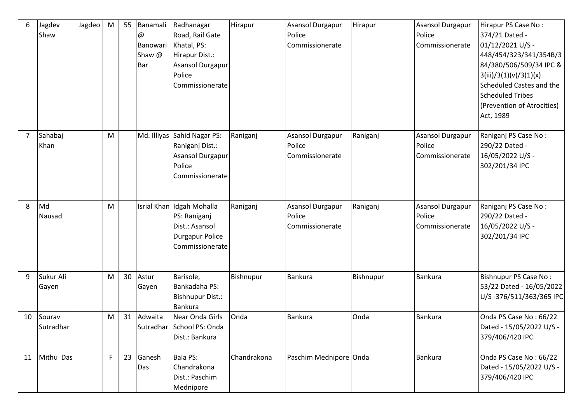| 6              | Jagdev<br>Shaw      | Jagdeo | ${\sf M}$ | 55 | Banamali<br>@<br>Banowari<br>Shaw @<br>Bar | Radhanagar<br>Road, Rail Gate<br>Khatal, PS:<br>Hirapur Dist.:<br>Asansol Durgapur<br>Police<br>Commissionerate | Hirapur     | Asansol Durgapur<br>Police<br>Commissionerate | Hirapur   | <b>Asansol Durgapur</b><br>Police<br>Commissionerate | Hirapur PS Case No:<br>374/21 Dated -<br>01/12/2021 U/S -<br>448/454/323/341/354B/3<br>84/380/506/509/34 IPC &<br>3(iii)/3(1)(v)/3(1)(x)<br>Scheduled Castes and the<br><b>Scheduled Tribes</b><br>(Prevention of Atrocities)<br>Act, 1989 |
|----------------|---------------------|--------|-----------|----|--------------------------------------------|-----------------------------------------------------------------------------------------------------------------|-------------|-----------------------------------------------|-----------|------------------------------------------------------|--------------------------------------------------------------------------------------------------------------------------------------------------------------------------------------------------------------------------------------------|
| $\overline{7}$ | Sahabaj<br>Khan     |        | ${\sf M}$ |    |                                            | Md. Illiyas Sahid Nagar PS:<br>Raniganj Dist.:<br>Asansol Durgapur<br>Police<br>Commissionerate                 | Raniganj    | Asansol Durgapur<br>Police<br>Commissionerate | Raniganj  | Asansol Durgapur<br>Police<br>Commissionerate        | Raniganj PS Case No:<br>290/22 Dated -<br>16/05/2022 U/S -<br>302/201/34 IPC                                                                                                                                                               |
| 8              | Md<br>Nausad        |        | M         |    |                                            | Isrial Khan Idgah Mohalla<br>PS: Raniganj<br>Dist.: Asansol<br><b>Durgapur Police</b><br>Commissionerate        | Raniganj    | Asansol Durgapur<br>Police<br>Commissionerate | Raniganj  | Asansol Durgapur<br>Police<br>Commissionerate        | Raniganj PS Case No:<br>290/22 Dated -<br>16/05/2022 U/S -<br>302/201/34 IPC                                                                                                                                                               |
| 9              | Sukur Ali<br>Gayen  |        | M         | 30 | Astur<br>Gayen                             | Barisole,<br>Bankadaha PS:<br><b>Bishnupur Dist.:</b><br>Bankura                                                | Bishnupur   | Bankura                                       | Bishnupur | <b>Bankura</b>                                       | <b>Bishnupur PS Case No:</b><br>53/22 Dated - 16/05/2022<br>U/S-376/511/363/365 IPC                                                                                                                                                        |
| 10             | Sourav<br>Sutradhar |        | M         | 31 | Adwaita                                    | Near Onda Girls<br>Sutradhar School PS: Onda<br>Dist.: Bankura                                                  | Onda        | <b>Bankura</b>                                | Onda      | <b>Bankura</b>                                       | Onda PS Case No: 66/22<br>Dated - 15/05/2022 U/S -<br>379/406/420 IPC                                                                                                                                                                      |
| 11             | Mithu Das           |        | F         | 23 | Ganesh<br>Das                              | <b>Bala PS:</b><br>Chandrakona<br>Dist.: Paschim<br>Mednipore                                                   | Chandrakona | Paschim Mednipore Onda                        |           | <b>Bankura</b>                                       | Onda PS Case No: 66/22<br>Dated - 15/05/2022 U/S -<br>379/406/420 IPC                                                                                                                                                                      |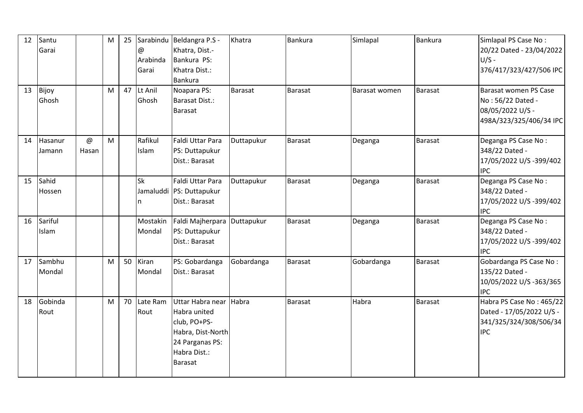| 12 | Santu<br>Garai    |            | M | 25 | $\omega$<br>Arabinda<br>Garai | Sarabindu Beldangra P.S -<br>Khatra, Dist.-<br>Bankura PS:<br>Khatra Dist.:<br>Bankura                                     | Khatra         | Bankura        | Simlapal      | <b>Bankura</b> | Simlapal PS Case No:<br>20/22 Dated - 23/04/2022<br>$U/S -$<br>376/417/323/427/506 IPC       |
|----|-------------------|------------|---|----|-------------------------------|----------------------------------------------------------------------------------------------------------------------------|----------------|----------------|---------------|----------------|----------------------------------------------------------------------------------------------|
| 13 | Bijoy<br>Ghosh    |            | M |    | 47 Lt Anil<br>Ghosh           | Noapara PS:<br>Barasat Dist.:<br>Barasat                                                                                   | <b>Barasat</b> | Barasat        | Barasat women | <b>Barasat</b> | Barasat women PS Case<br>No: 56/22 Dated -<br>08/05/2022 U/S -<br>498A/323/325/406/34 IPC    |
| 14 | Hasanur<br>Jamann | @<br>Hasan | M |    | Rafikul<br>Islam              | Faldi Uttar Para<br>PS: Duttapukur<br>Dist.: Barasat                                                                       | Duttapukur     | Barasat        | Deganga       | Barasat        | Deganga PS Case No:<br>348/22 Dated -<br>17/05/2022 U/S-399/402<br><b>IPC</b>                |
| 15 | Sahid<br>Hossen   |            |   |    | <b>Sk</b><br>n                | Faldi Uttar Para<br>Jamaluddi   PS: Duttapukur<br>Dist.: Barasat                                                           | Duttapukur     | Barasat        | Deganga       | <b>Barasat</b> | Deganga PS Case No:<br>348/22 Dated -<br>17/05/2022 U/S -399/402<br><b>IPC</b>               |
| 16 | Sariful<br>Islam  |            |   |    | Mostakin<br>Mondal            | Faldi Majherpara Duttapukur<br>PS: Duttapukur<br>Dist.: Barasat                                                            |                | <b>Barasat</b> | Deganga       | Barasat        | Deganga PS Case No:<br>348/22 Dated -<br>17/05/2022 U/S -399/402<br><b>IPC</b>               |
| 17 | Sambhu<br>Mondal  |            | M | 50 | Kiran<br>Mondal               | PS: Gobardanga<br>Dist.: Barasat                                                                                           | Gobardanga     | <b>Barasat</b> | Gobardanga    | <b>Barasat</b> | Gobardanga PS Case No:<br>135/22 Dated -<br>10/05/2022 U/S -363/365<br><b>IPC</b>            |
| 18 | Gobinda<br>Rout   |            | M | 70 | Late Ram<br>Rout              | Uttar Habra near<br>Habra united<br>club, PO+PS-<br>Habra, Dist-North<br>24 Parganas PS:<br>Habra Dist.:<br><b>Barasat</b> | Habra          | <b>Barasat</b> | Habra         | Barasat        | Habra PS Case No: 465/22<br>Dated - 17/05/2022 U/S -<br>341/325/324/308/506/34<br><b>IPC</b> |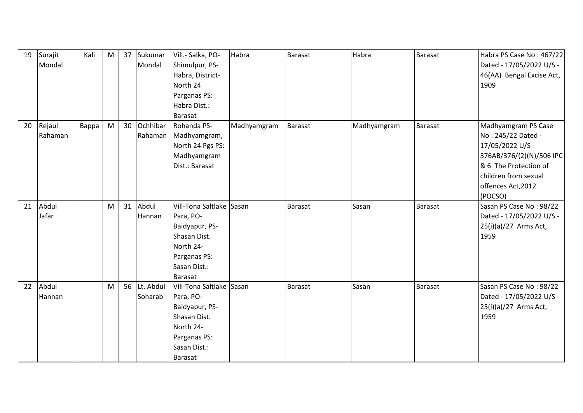| 19 | Surajit | Kali  | M | 37 | Sukumar      | Vill .- Salka, PO-       | Habra       | Barasat        | Habra       | Barasat        | Habra PS Case No: 467/22  |
|----|---------|-------|---|----|--------------|--------------------------|-------------|----------------|-------------|----------------|---------------------------|
|    | Mondal  |       |   |    | Mondal       | Shimulpur, PS-           |             |                |             |                | Dated - 17/05/2022 U/S -  |
|    |         |       |   |    |              | Habra, District-         |             |                |             |                | 46(AA) Bengal Excise Act, |
|    |         |       |   |    |              | North 24                 |             |                |             |                | 1909                      |
|    |         |       |   |    |              | Parganas PS:             |             |                |             |                |                           |
|    |         |       |   |    |              | Habra Dist.:             |             |                |             |                |                           |
|    |         |       |   |    |              | Barasat                  |             |                |             |                |                           |
| 20 | Rejaul  | Bappa | M |    | 30 Ochhibar  | Rohanda PS-              | Madhyamgram | <b>Barasat</b> | Madhyamgram | <b>Barasat</b> | Madhyamgram PS Case       |
|    | Rahaman |       |   |    | Rahaman      | Madhyamgram,             |             |                |             |                | No: 245/22 Dated -        |
|    |         |       |   |    |              | North 24 Pgs PS:         |             |                |             |                | 17/05/2022 U/S -          |
|    |         |       |   |    |              | Madhyamgram              |             |                |             |                | 376AB/376/(2)(N)/506 IPC  |
|    |         |       |   |    |              | Dist.: Barasat           |             |                |             |                | & 6 The Protection of     |
|    |         |       |   |    |              |                          |             |                |             |                | children from sexual      |
|    |         |       |   |    |              |                          |             |                |             |                | offences Act, 2012        |
|    |         |       |   |    |              |                          |             |                |             |                | (POCSO)                   |
| 21 | Abdul   |       | M | 31 | Abdul        | Vill-Tona Saltlake       | Sasan       | Barasat        | Sasan       | <b>Barasat</b> | Sasan PS Case No: 98/22   |
|    | Jafar   |       |   |    | Hannan       | Para, PO-                |             |                |             |                | Dated - 17/05/2022 U/S -  |
|    |         |       |   |    |              | Baidyapur, PS-           |             |                |             |                | 25(i)(a)/27 Arms Act,     |
|    |         |       |   |    |              | Shasan Dist.             |             |                |             |                | 1959                      |
|    |         |       |   |    |              | North 24-                |             |                |             |                |                           |
|    |         |       |   |    |              | Parganas PS:             |             |                |             |                |                           |
|    |         |       |   |    |              | Sasan Dist.:             |             |                |             |                |                           |
|    |         |       |   |    |              | Barasat                  |             |                |             |                |                           |
| 22 | Abdul   |       | M |    | 56 Lt. Abdul | Vill-Tona Saltlake Sasan |             | Barasat        | Sasan       | <b>Barasat</b> | Sasan PS Case No: 98/22   |
|    | Hannan  |       |   |    | Soharab      | Para, PO-                |             |                |             |                | Dated - 17/05/2022 U/S -  |
|    |         |       |   |    |              | Baidyapur, PS-           |             |                |             |                | 25(i)(a)/27 Arms Act,     |
|    |         |       |   |    |              | Shasan Dist.             |             |                |             |                | 1959                      |
|    |         |       |   |    |              | North 24-                |             |                |             |                |                           |
|    |         |       |   |    |              | Parganas PS:             |             |                |             |                |                           |
|    |         |       |   |    |              | Sasan Dist.:             |             |                |             |                |                           |
|    |         |       |   |    |              | Barasat                  |             |                |             |                |                           |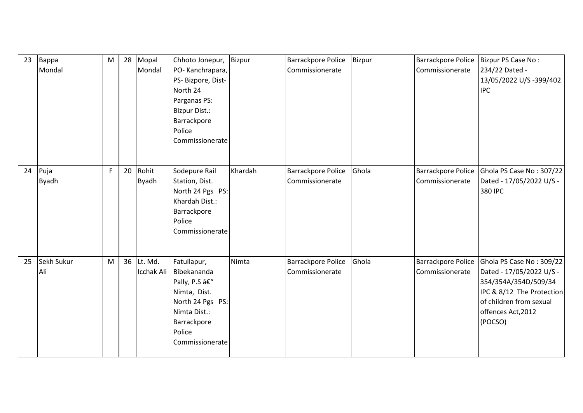| 23 | Bappa<br>Mondal   | M |    | 28 Mopal<br>Mondal              | Chhoto Jonepur,<br>PO-Kanchrapara,<br>PS- Bizpore, Dist-<br>North 24<br>Parganas PS:<br><b>Bizpur Dist.:</b><br>Barrackpore<br>Police<br>Commissionerate | <b>Bizpur</b> | Barrackpore Police<br>Commissionerate        | <b>Bizpur</b> | <b>Barrackpore Police</b><br>Commissionerate | Bizpur PS Case No:<br>234/22 Dated -<br>13/05/2022 U/S -399/402<br><b>IPC</b>                                                                                         |
|----|-------------------|---|----|---------------------------------|----------------------------------------------------------------------------------------------------------------------------------------------------------|---------------|----------------------------------------------|---------------|----------------------------------------------|-----------------------------------------------------------------------------------------------------------------------------------------------------------------------|
| 24 | Puja<br>Byadh     | F | 20 | Rohit<br><b>Byadh</b>           | Sodepure Rail<br>Station, Dist.<br>North 24 Pgs PS:<br>Khardah Dist.:<br>Barrackpore<br>Police<br>Commissionerate                                        | Khardah       | Barrackpore Police<br>Commissionerate        | Ghola         | <b>Barrackpore Police</b><br>Commissionerate | Ghola PS Case No: 307/22<br>Dated - 17/05/2022 U/S -<br>380 IPC                                                                                                       |
| 25 | Sekh Sukur<br>Ali | M |    | 36 Lt. Md.<br><b>Icchak Ali</b> | Fatullapur,<br>Bibekananda<br>Pally, P.S –<br>Nimta, Dist.<br>North 24 Pgs PS:<br>Nimta Dist.:<br>Barrackpore<br>Police<br>Commissionerate               | Nimta         | <b>Barrackpore Police</b><br>Commissionerate | Ghola         | <b>Barrackpore Police</b><br>Commissionerate | Ghola PS Case No: 309/22<br>Dated - 17/05/2022 U/S -<br>354/354A/354D/509/34<br>IPC & 8/12 The Protection<br>of children from sexual<br>offences Act, 2012<br>(POCSO) |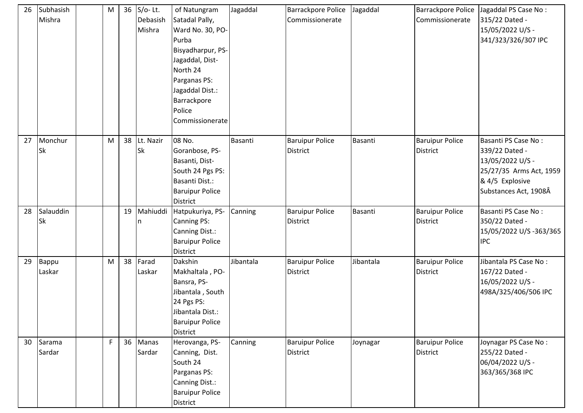| 26 | Subhasish<br>Mishra    | M |    | 36 S/o-Lt.<br>Debasish<br>Mishra | of Natungram<br>Satadal Pally,<br>Ward No. 30, PO-<br>Purba<br>Bisyadharpur, PS-<br>Jagaddal, Dist-<br>North 24<br>Parganas PS:<br>Jagaddal Dist.:<br>Barrackpore<br>Police<br>Commissionerate | Jagaddal       | Barrackpore Police<br>Commissionerate     | Jagaddal  | Barrackpore Police<br>Commissionerate     | Jagaddal PS Case No:<br>315/22 Dated -<br>15/05/2022 U/S -<br>341/323/326/307 IPC                                                |
|----|------------------------|---|----|----------------------------------|------------------------------------------------------------------------------------------------------------------------------------------------------------------------------------------------|----------------|-------------------------------------------|-----------|-------------------------------------------|----------------------------------------------------------------------------------------------------------------------------------|
| 27 | Monchur<br>Sk          | M | 38 | Lt. Nazir<br><b>Sk</b>           | 08 No.<br>Goranbose, PS-<br>Basanti, Dist-<br>South 24 Pgs PS:<br>Basanti Dist.:<br><b>Baruipur Police</b><br><b>District</b>                                                                  | <b>Basanti</b> | <b>Baruipur Police</b><br>District        | Basanti   | <b>Baruipur Police</b><br><b>District</b> | Basanti PS Case No:<br>339/22 Dated -<br>13/05/2022 U/S -<br>25/27/35 Arms Act, 1959<br>& 4/5 Explosive<br>Substances Act, 1908Â |
| 28 | Salauddin<br>Sk        |   |    | 19 Mahiuddi<br>ın                | Hatpukuriya, PS-<br><b>Canning PS:</b><br>Canning Dist.:<br><b>Baruipur Police</b><br><b>District</b>                                                                                          | Canning        | <b>Baruipur Police</b><br><b>District</b> | Basanti   | <b>Baruipur Police</b><br><b>District</b> | Basanti PS Case No:<br>350/22 Dated -<br>15/05/2022 U/S -363/365<br><b>IPC</b>                                                   |
| 29 | <b>Bappu</b><br>Laskar | M |    | 38 Farad<br>Laskar               | Dakshin<br>Makhaltala, PO-<br>Bansra, PS-<br>Jibantala, South<br>24 Pgs PS:<br>Jibantala Dist.:<br><b>Baruipur Police</b><br>District                                                          | Jibantala      | <b>Baruipur Police</b><br><b>District</b> | Jibantala | <b>Baruipur Police</b><br><b>District</b> | Jibantala PS Case No:<br>167/22 Dated -<br>16/05/2022 U/S -<br>498A/325/406/506 IPC                                              |
| 30 | Sarama<br>Sardar       | F |    | 36 Manas<br>Sardar               | Herovanga, PS-<br>Canning, Dist.<br>South 24<br>Parganas PS:<br>Canning Dist.:<br><b>Baruipur Police</b><br>District                                                                           | Canning        | <b>Baruipur Police</b><br><b>District</b> | Joynagar  | <b>Baruipur Police</b><br><b>District</b> | Joynagar PS Case No:<br>255/22 Dated -<br>06/04/2022 U/S -<br>363/365/368 IPC                                                    |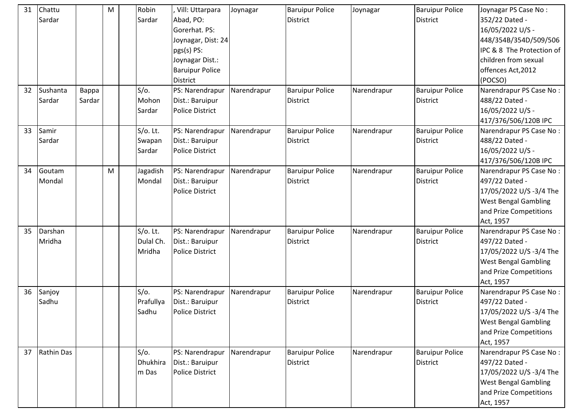| 31 | Chattu<br>Sardar   |                 | M | Robin<br>Sardar                     | Vill: Uttarpara<br>Abad, PO:<br>Gorerhat. PS:<br>Joynagar, Dist: 24<br>pgs(s) PS:<br>Joynagar Dist.:<br><b>Baruipur Police</b><br>District | Joynagar    | <b>Baruipur Police</b><br><b>District</b> | Joynagar    | <b>Baruipur Police</b><br><b>District</b> | Joynagar PS Case No:<br>352/22 Dated -<br>16/05/2022 U/S -<br>448/354B/354D/509/506<br>IPC & 8 The Protection of<br>children from sexual<br>offences Act, 2012<br>(POCSO) |
|----|--------------------|-----------------|---|-------------------------------------|--------------------------------------------------------------------------------------------------------------------------------------------|-------------|-------------------------------------------|-------------|-------------------------------------------|---------------------------------------------------------------------------------------------------------------------------------------------------------------------------|
| 32 | Sushanta<br>Sardar | Bappa<br>Sardar |   | S/O.<br>Mohon<br>Sardar             | PS: Narendrapur<br>Dist.: Baruipur<br><b>Police District</b>                                                                               | Narendrapur | <b>Baruipur Police</b><br><b>District</b> | Narendrapur | <b>Baruipur Police</b><br><b>District</b> | Narendrapur PS Case No:<br>488/22 Dated -<br>16/05/2022 U/S -<br>417/376/506/120B IPC                                                                                     |
| 33 | Samir<br>Sardar    |                 |   | $S/O$ . Lt.<br>Swapan<br>Sardar     | PS: Narendrapur<br>Dist.: Baruipur<br><b>Police District</b>                                                                               | Narendrapur | <b>Baruipur Police</b><br><b>District</b> | Narendrapur | <b>Baruipur Police</b><br><b>District</b> | Narendrapur PS Case No:<br>488/22 Dated -<br>16/05/2022 U/S -<br>417/376/506/120B IPC                                                                                     |
| 34 | Goutam<br>Mondal   |                 | M | Jagadish<br>Mondal                  | PS: Narendrapur<br>Dist.: Baruipur<br><b>Police District</b>                                                                               | Narendrapur | <b>Baruipur Police</b><br><b>District</b> | Narendrapur | <b>Baruipur Police</b><br><b>District</b> | Narendrapur PS Case No:<br>497/22 Dated -<br>17/05/2022 U/S -3/4 The<br><b>West Bengal Gambling</b><br>and Prize Competitions<br>Act, 1957                                |
| 35 | Darshan<br>Mridha  |                 |   | $S/O$ . Lt.<br>Dulal Ch.<br>Mridha  | PS: Narendrapur<br>Dist.: Baruipur<br><b>Police District</b>                                                                               | Narendrapur | <b>Baruipur Police</b><br><b>District</b> | Narendrapur | <b>Baruipur Police</b><br><b>District</b> | Narendrapur PS Case No:<br>497/22 Dated -<br>17/05/2022 U/S -3/4 The<br><b>West Bengal Gambling</b><br>and Prize Competitions<br>Act, 1957                                |
| 36 | Sanjoy<br>Sadhu    |                 |   | S/O.<br>Prafullya<br>Sadhu          | PS: Narendrapur<br>Dist.: Baruipur<br><b>Police District</b>                                                                               | Narendrapur | <b>Baruipur Police</b><br>District        | Narendrapur | <b>Baruipur Police</b><br><b>District</b> | Narendrapur PS Case No:<br>497/22 Dated -<br>17/05/2022 U/S -3/4 The<br><b>West Bengal Gambling</b><br>and Prize Competitions<br>Act, 1957                                |
| 37 | Rathin Das         |                 |   | $S/O$ .<br><b>Dhukhira</b><br>m Das | PS: Narendrapur<br>Dist.: Baruipur<br><b>Police District</b>                                                                               | Narendrapur | <b>Baruipur Police</b><br><b>District</b> | Narendrapur | <b>Baruipur Police</b><br><b>District</b> | Narendrapur PS Case No:<br>497/22 Dated -<br>17/05/2022 U/S -3/4 The<br><b>West Bengal Gambling</b><br>and Prize Competitions<br>Act, 1957                                |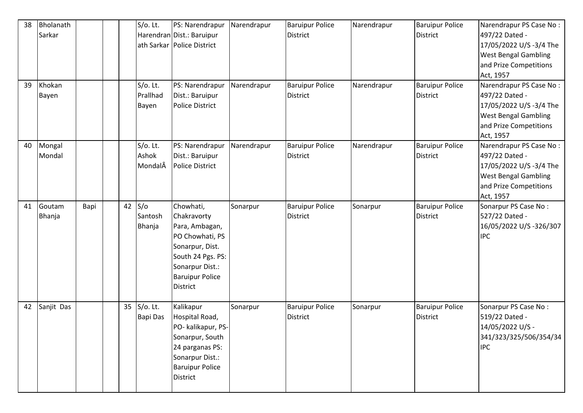| 38<br>39 | Bholanath<br>Sarkar<br>Khokan<br>Bayen |      | $S/O$ . Lt.<br>$S/O$ . Lt.<br>Prallhad | PS: Narendrapur<br>Harendran Dist.: Baruipur<br>ath Sarkar   Police District<br>PS: Narendrapur<br>Dist.: Baruipur                                                    | Narendrapur<br>Narendrapur | <b>Baruipur Police</b><br>District<br><b>Baruipur Police</b><br>District | Narendrapur<br>Narendrapur | <b>Baruipur Police</b><br><b>District</b><br><b>Baruipur Police</b><br><b>District</b> | Narendrapur PS Case No:<br>497/22 Dated -<br>17/05/2022 U/S -3/4 The<br><b>West Bengal Gambling</b><br>and Prize Competitions<br>Act, 1957<br>Narendrapur PS Case No:<br>497/22 Dated - |
|----------|----------------------------------------|------|----------------------------------------|-----------------------------------------------------------------------------------------------------------------------------------------------------------------------|----------------------------|--------------------------------------------------------------------------|----------------------------|----------------------------------------------------------------------------------------|-----------------------------------------------------------------------------------------------------------------------------------------------------------------------------------------|
|          |                                        |      | Bayen                                  | Police District                                                                                                                                                       |                            |                                                                          |                            |                                                                                        | 17/05/2022 U/S -3/4 The<br><b>West Bengal Gambling</b><br>and Prize Competitions<br>Act, 1957                                                                                           |
| 40       | Mongal<br>Mondal                       |      | $S/O$ . Lt.<br>Ashok<br>MondalÂ        | PS: Narendrapur<br>Dist.: Baruipur<br>Police District                                                                                                                 | Narendrapur                | <b>Baruipur Police</b><br>District                                       | Narendrapur                | <b>Baruipur Police</b><br><b>District</b>                                              | Narendrapur PS Case No:<br>497/22 Dated -<br>17/05/2022 U/S -3/4 The<br><b>West Bengal Gambling</b><br>and Prize Competitions<br>Act, 1957                                              |
| 41       | Goutam<br>Bhanja                       | Bapi | $42$ S/o<br>Santosh<br>Bhanja          | Chowhati,<br>Chakravorty<br>Para, Ambagan,<br>PO Chowhati, PS<br>Sonarpur, Dist.<br>South 24 Pgs. PS:<br>Sonarpur Dist.:<br><b>Baruipur Police</b><br><b>District</b> | Sonarpur                   | <b>Baruipur Police</b><br>District                                       | Sonarpur                   | <b>Baruipur Police</b><br>District                                                     | Sonarpur PS Case No:<br>527/22 Dated -<br>16/05/2022 U/S-326/307<br><b>IPC</b>                                                                                                          |
| 42       | Sanjit Das                             |      | 35 S/o. Lt.<br><b>Bapi Das</b>         | Kalikapur<br>Hospital Road,<br>PO- kalikapur, PS-<br>Sonarpur, South<br>24 parganas PS:<br>Sonarpur Dist.:<br><b>Baruipur Police</b><br><b>District</b>               | Sonarpur                   | <b>Baruipur Police</b><br>District                                       | Sonarpur                   | <b>Baruipur Police</b><br>District                                                     | Sonarpur PS Case No:<br>519/22 Dated -<br>14/05/2022 U/S -<br>341/323/325/506/354/34<br><b>IPC</b>                                                                                      |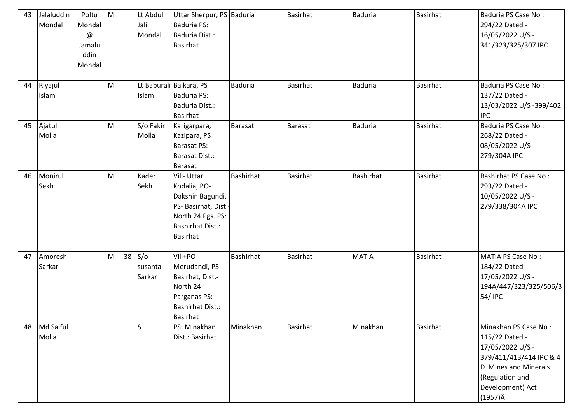| 43 | Jalaluddin<br>Mondal | Poltu<br>Mondal<br>@<br>Jamalu<br>ddin<br>Mondal | M | Lt Abdul<br>Jalil<br>Mondal    | Uttar Sherpur, PS Baduria<br><b>Baduria PS:</b><br>Baduria Dist.:<br><b>Basirhat</b>                                                      |                  | <b>Basirhat</b> | <b>Baduria</b> | Basirhat        | Baduria PS Case No:<br>294/22 Dated -<br>16/05/2022 U/S -<br>341/323/325/307 IPC                                                                                        |
|----|----------------------|--------------------------------------------------|---|--------------------------------|-------------------------------------------------------------------------------------------------------------------------------------------|------------------|-----------------|----------------|-----------------|-------------------------------------------------------------------------------------------------------------------------------------------------------------------------|
| 44 | Riyajul<br>Islam     |                                                  | M | Islam                          | Lt Baburali Baikara, PS<br>Baduria PS:<br>Baduria Dist.:<br>Basirhat                                                                      | <b>Baduria</b>   | <b>Basirhat</b> | <b>Baduria</b> | <b>Basirhat</b> | Baduria PS Case No:<br>137/22 Dated -<br>13/03/2022 U/S -399/402<br><b>IPC</b>                                                                                          |
| 45 | Ajatul<br>Molla      |                                                  | M | S/o Fakir<br>Molla             | Karigarpara,<br>Kazipara, PS<br><b>Barasat PS:</b><br>Barasat Dist.:<br><b>Barasat</b>                                                    | <b>Barasat</b>   | <b>Barasat</b>  | <b>Baduria</b> | <b>Basirhat</b> | Baduria PS Case No:<br>268/22 Dated -<br>08/05/2022 U/S -<br>279/304A IPC                                                                                               |
| 46 | Monirul<br>Sekh      |                                                  | M | Kader<br>Sekh                  | Vill-Uttar<br>Kodalia, PO-<br>Dakshin Bagundi,<br>PS- Basirhat, Dist.-<br>North 24 Pgs. PS:<br><b>Bashirhat Dist.:</b><br><b>Basirhat</b> | <b>Bashirhat</b> | <b>Basirhat</b> | Bashirhat      | Basirhat        | <b>Bashirhat PS Case No:</b><br>293/22 Dated -<br>10/05/2022 U/S -<br>279/338/304A IPC                                                                                  |
| 47 | Amoresh<br>Sarkar    |                                                  | M | $38$ S/o-<br>susanta<br>Sarkar | Vill+PO-<br>Merudandi, PS-<br>Basirhat, Dist.-<br>North 24<br>Parganas PS:<br><b>Bashirhat Dist.:</b><br><b>Basirhat</b>                  | <b>Bashirhat</b> | <b>Basirhat</b> | <b>MATIA</b>   | <b>Basirhat</b> | <b>MATIA PS Case No:</b><br>184/22 Dated -<br>17/05/2022 U/S -<br>194A/447/323/325/506/3<br>54/ IPC                                                                     |
| 48 | Md Saiful<br>Molla   |                                                  |   | ls                             | PS: Minakhan<br>Dist.: Basirhat                                                                                                           | Minakhan         | <b>Basirhat</b> | Minakhan       | <b>Basirhat</b> | Minakhan PS Case No:<br>115/22 Dated -<br>17/05/2022 U/S -<br>379/411/413/414 IPC & 4<br>D Mines and Minerals<br>(Regulation and<br>Development) Act<br>$(1957)\hat{A}$ |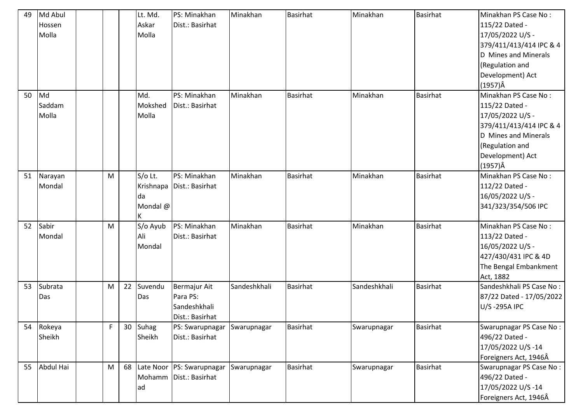| 49 | Md Abul   |   |        | Lt. Md.  | PS: Minakhan                 | Minakhan     | <b>Basirhat</b> | Minakhan     | <b>Basirhat</b> | Minakhan PS Case No:     |
|----|-----------|---|--------|----------|------------------------------|--------------|-----------------|--------------|-----------------|--------------------------|
|    | Hossen    |   |        | Askar    | Dist.: Basirhat              |              |                 |              |                 | 115/22 Dated -           |
|    | Molla     |   |        | Molla    |                              |              |                 |              |                 | 17/05/2022 U/S -         |
|    |           |   |        |          |                              |              |                 |              |                 | 379/411/413/414 IPC & 4  |
|    |           |   |        |          |                              |              |                 |              |                 | D Mines and Minerals     |
|    |           |   |        |          |                              |              |                 |              |                 | (Regulation and          |
|    |           |   |        |          |                              |              |                 |              |                 | Development) Act         |
|    |           |   |        |          |                              |              |                 |              |                 | $(1957)\hat{A}$          |
| 50 | Md        |   |        | Md.      | PS: Minakhan                 | Minakhan     | <b>Basirhat</b> | Minakhan     | <b>Basirhat</b> | Minakhan PS Case No:     |
|    | Saddam    |   |        | Mokshed  | Dist.: Basirhat              |              |                 |              |                 | 115/22 Dated -           |
|    | Molla     |   |        | Molla    |                              |              |                 |              |                 | 17/05/2022 U/S -         |
|    |           |   |        |          |                              |              |                 |              |                 | 379/411/413/414 IPC & 4  |
|    |           |   |        |          |                              |              |                 |              |                 | D Mines and Minerals     |
|    |           |   |        |          |                              |              |                 |              |                 | (Regulation and          |
|    |           |   |        |          |                              |              |                 |              |                 | Development) Act         |
|    |           |   |        |          |                              |              |                 |              |                 | $(1957)\hat{A}$          |
| 51 | Narayan   | M |        | S/o Lt.  | PS: Minakhan                 | Minakhan     | <b>Basirhat</b> | Minakhan     | <b>Basirhat</b> | Minakhan PS Case No:     |
|    | Mondal    |   |        |          | Krishnapa   Dist.: Basirhat  |              |                 |              |                 | 112/22 Dated -           |
|    |           |   |        | da       |                              |              |                 |              |                 | 16/05/2022 U/S -         |
|    |           |   |        | Mondal @ |                              |              |                 |              |                 | 341/323/354/506 IPC      |
|    |           |   |        |          |                              |              |                 |              |                 |                          |
| 52 | Sabir     | M |        | S/o Ayub | PS: Minakhan                 | Minakhan     | <b>Basirhat</b> | Minakhan     | <b>Basirhat</b> | Minakhan PS Case No:     |
|    | Mondal    |   |        | Ali      | Dist.: Basirhat              |              |                 |              |                 | 113/22 Dated -           |
|    |           |   |        | Mondal   |                              |              |                 |              |                 | 16/05/2022 U/S -         |
|    |           |   |        |          |                              |              |                 |              |                 | 427/430/431 IPC & 4D     |
|    |           |   |        |          |                              |              |                 |              |                 | The Bengal Embankment    |
|    |           |   |        |          |                              |              |                 |              |                 | Act, 1882                |
| 53 | Subrata   | M | 22     | Suvendu  | <b>Bermajur Ait</b>          | Sandeshkhali | <b>Basirhat</b> | Sandeshkhali | <b>Basirhat</b> | Sandeshkhali PS Case No: |
|    | Das       |   |        | Das      | Para PS:                     |              |                 |              |                 | 87/22 Dated - 17/05/2022 |
|    |           |   |        |          | Sandeshkhali                 |              |                 |              |                 | U/S-295A IPC             |
|    |           |   |        |          | Dist.: Basirhat              |              |                 |              |                 |                          |
| 54 | Rokeya    | F | $30-1$ | Suhag    | PS: Swarupnagar              | Swarupnagar  | <b>Basirhat</b> | Swarupnagar  | <b>Basirhat</b> | Swarupnagar PS Case No:  |
|    | Sheikh    |   |        | Sheikh   | Dist.: Basirhat              |              |                 |              |                 | 496/22 Dated -           |
|    |           |   |        |          |                              |              |                 |              |                 | 17/05/2022 U/S-14        |
|    |           |   |        |          |                              |              |                 |              |                 | Foreigners Act, 1946Â    |
| 55 | Abdul Hai | M |        |          | 68 Late Noor PS: Swarupnagar | Swarupnagar  | <b>Basirhat</b> | Swarupnagar  | <b>Basirhat</b> | Swarupnagar PS Case No:  |
|    |           |   |        |          | Mohamm Dist.: Basirhat       |              |                 |              |                 | 496/22 Dated -           |
|    |           |   |        | lad      |                              |              |                 |              |                 | 17/05/2022 U/S-14        |
|    |           |   |        |          |                              |              |                 |              |                 | Foreigners Act, 1946Â    |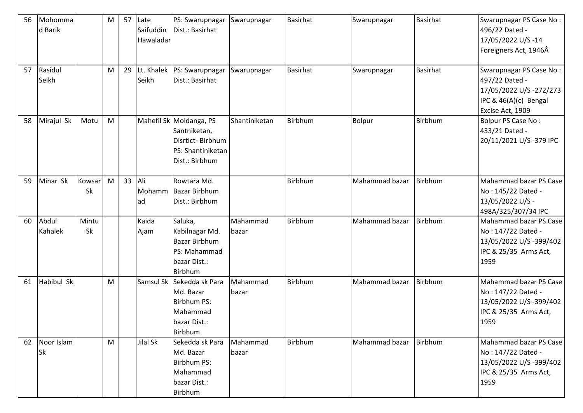| 56 | Mohomma<br>d Barik |              | M         | 57 | Late<br>Saifuddin<br>Hawaladar | PS: Swarupnagar<br>Dist.: Basirhat                                                                  | Swarupnagar       | <b>Basirhat</b> | Swarupnagar    | <b>Basirhat</b> | Swarupnagar PS Case No:<br>496/22 Dated -<br>17/05/2022 U/S-14<br>Foreigners Act, 1946Â                          |
|----|--------------------|--------------|-----------|----|--------------------------------|-----------------------------------------------------------------------------------------------------|-------------------|-----------------|----------------|-----------------|------------------------------------------------------------------------------------------------------------------|
| 57 | Rasidul<br>Seikh   |              | M         | 29 | Lt. Khalek<br>Seikh            | PS: Swarupnagar<br>Dist.: Basirhat                                                                  | Swarupnagar       | <b>Basirhat</b> | Swarupnagar    | <b>Basirhat</b> | Swarupnagar PS Case No:<br>497/22 Dated -<br>17/05/2022 U/S-272/273<br>IPC & 46(A)(c) Bengal<br>Excise Act, 1909 |
| 58 | Mirajul Sk         | Motu         | ${\sf M}$ |    |                                | Mahefil Sk Moldanga, PS<br>Santniketan,<br>Disrtict-Birbhum<br>PS: Shantiniketan<br>Dist.: Birbhum  | Shantiniketan     | Birbhum         | Bolpur         | Birbhum         | <b>Bolpur PS Case No:</b><br>433/21 Dated -<br>20/11/2021 U/S-379 IPC                                            |
| 59 | Minar Sk           | Kowsar<br>Sk | M         | 33 | Ali<br>ad                      | Rowtara Md.<br>Mohamm Bazar Birbhum<br>Dist.: Birbhum                                               |                   | Birbhum         | Mahammad bazar | Birbhum         | Mahammad bazar PS Case<br>No: 145/22 Dated -<br>13/05/2022 U/S -<br>498A/325/307/34 IPC                          |
| 60 | Abdul<br>Kahalek   | Mintu<br>Sk  |           |    | Kaida<br>Ajam                  | Saluka,<br>Kabilnagar Md.<br><b>Bazar Birbhum</b><br>PS: Mahammad<br>bazar Dist.:<br>Birbhum        | Mahammad<br>bazar | Birbhum         | Mahammad bazar | Birbhum         | Mahammad bazar PS Case<br>No: 147/22 Dated -<br>13/05/2022 U/S-399/402<br>IPC & 25/35 Arms Act,<br>1959          |
| 61 | Habibul Sk         |              | M         |    |                                | Samsul Sk Sekedda sk Para<br>Md. Bazar<br><b>Birbhum PS:</b><br>Mahammad<br>bazar Dist.:<br>Birbhum | Mahammad<br>bazar | Birbhum         | Mahammad bazar | Birbhum         | Mahammad bazar PS Case<br>No: 147/22 Dated -<br>13/05/2022 U/S -399/402<br>IPC & 25/35 Arms Act,<br>1959         |
| 62 | Noor Islam<br>Sk   |              | M         |    | Jilal Sk                       | Sekedda sk Para<br>Md. Bazar<br><b>Birbhum PS:</b><br>Mahammad<br>bazar Dist.:<br>Birbhum           | Mahammad<br>bazar | Birbhum         | Mahammad bazar | <b>Birbhum</b>  | Mahammad bazar PS Case<br>No: 147/22 Dated -<br>13/05/2022 U/S -399/402<br>IPC & 25/35 Arms Act,<br>1959         |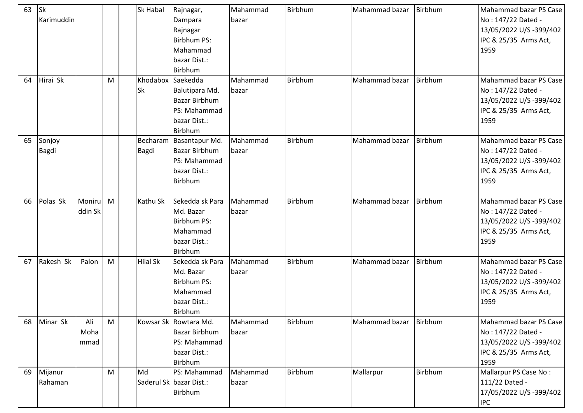| 63 | Sk<br>Karimuddin   |                     |   | Sk Habal                       | Rajnagar,<br>Dampara<br>Rajnagar<br><b>Birbhum PS:</b><br>Mahammad<br>bazar Dist.:<br>Birbhum | Mahammad<br>bazar | Birbhum        | Mahammad bazar Birbhum |         | Mahammad bazar PS Case<br>No: 147/22 Dated -<br>13/05/2022 U/S -399/402<br>IPC & 25/35 Arms Act,<br>1959 |
|----|--------------------|---------------------|---|--------------------------------|-----------------------------------------------------------------------------------------------|-------------------|----------------|------------------------|---------|----------------------------------------------------------------------------------------------------------|
| 64 | Hirai Sk           |                     | M | Khodabox Saekedda<br><b>Sk</b> | Balutipara Md.<br><b>Bazar Birbhum</b><br>PS: Mahammad<br>bazar Dist.:<br>Birbhum             | Mahammad<br>bazar | <b>Birbhum</b> | Mahammad bazar         | Birbhum | Mahammad bazar PS Case<br>No: 147/22 Dated -<br>13/05/2022 U/S -399/402<br>IPC & 25/35 Arms Act,<br>1959 |
| 65 | Sonjoy<br>Bagdi    |                     |   | <b>Bagdi</b>                   | Becharam Basantapur Md.<br><b>Bazar Birbhum</b><br>PS: Mahammad<br>bazar Dist.:<br>Birbhum    | Mahammad<br>bazar | Birbhum        | Mahammad bazar         | Birbhum | Mahammad bazar PS Case<br>No: 147/22 Dated -<br>13/05/2022 U/S -399/402<br>IPC & 25/35 Arms Act,<br>1959 |
| 66 | Polas Sk           | Moniru<br>ddin Sk   | M | Kathu Sk                       | Sekedda sk Para<br>Md. Bazar<br><b>Birbhum PS:</b><br>Mahammad<br>bazar Dist.:<br>Birbhum     | Mahammad<br>bazar | Birbhum        | Mahammad bazar         | Birbhum | Mahammad bazar PS Case<br>No: 147/22 Dated -<br>13/05/2022 U/S -399/402<br>IPC & 25/35 Arms Act,<br>1959 |
| 67 | Rakesh Sk          | Palon               | M | <b>Hilal Sk</b>                | Sekedda sk Para<br>Md. Bazar<br><b>Birbhum PS:</b><br>Mahammad<br>bazar Dist.:<br>Birbhum     | Mahammad<br>bazar | Birbhum        | Mahammad bazar         | Birbhum | Mahammad bazar PS Case<br>No: 147/22 Dated -<br>13/05/2022 U/S -399/402<br>IPC & 25/35 Arms Act,<br>1959 |
| 68 | Minar Sk           | Ali<br>Moha<br>mmad | M |                                | Kowsar Sk Rowtara Md.<br><b>Bazar Birbhum</b><br>PS: Mahammad<br>bazar Dist.:<br>Birbhum      | Mahammad<br>bazar | Birbhum        | Mahammad bazar Birbhum |         | Mahammad bazar PS Case<br>No: 147/22 Dated -<br>13/05/2022 U/S -399/402<br>IPC & 25/35 Arms Act,<br>1959 |
| 69 | Mijanur<br>Rahaman |                     | M | Md                             | PS: Mahammad<br>Saderul Sk bazar Dist.:<br>Birbhum                                            | Mahammad<br>bazar | Birbhum        | Mallarpur              | Birbhum | Mallarpur PS Case No:<br>111/22 Dated -<br>17/05/2022 U/S -399/402<br><b>IPC</b>                         |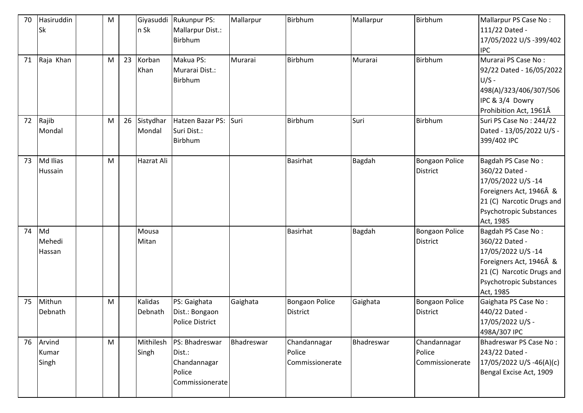| 70 | Hasiruddin<br>Sk         | M |    | Giyasuddi<br>n Sk   | <b>Rukunpur PS:</b><br>Mallarpur Dist.:<br>Birbhum                    | Mallarpur  | Birbhum                                   | Mallarpur  | Birbhum                                   | Mallarpur PS Case No:<br>111/22 Dated -<br>17/05/2022 U/S -399/402<br><b>IPC</b>                                                                          |
|----|--------------------------|---|----|---------------------|-----------------------------------------------------------------------|------------|-------------------------------------------|------------|-------------------------------------------|-----------------------------------------------------------------------------------------------------------------------------------------------------------|
| 71 | Raja Khan                | M | 23 | Korban<br>Khan      | Makua PS:<br>Murarai Dist.:<br>Birbhum                                | Murarai    | <b>Birbhum</b>                            | Murarai    | Birbhum                                   | Murarai PS Case No:<br>92/22 Dated - 16/05/2022<br>$U/S -$<br>498(A)/323/406/307/506<br>IPC & 3/4 Dowry<br>Prohibition Act, 1961Â                         |
| 72 | Rajib<br>Mondal          | M | 26 | Sistydhar<br>Mondal | Hatzen Bazar PS:<br>Suri Dist.:<br>Birbhum                            | Suri       | Birbhum                                   | Suri       | Birbhum                                   | Suri PS Case No: 244/22<br>Dated - 13/05/2022 U/S -<br>399/402 IPC                                                                                        |
| 73 | Md Ilias<br>Hussain      | M |    | Hazrat Ali          |                                                                       |            | <b>Basirhat</b>                           | Bagdah     | <b>Bongaon Police</b><br><b>District</b>  | Bagdah PS Case No:<br>360/22 Dated -<br>17/05/2022 U/S-14<br>Foreigners Act, 1946Â &<br>21 (C) Narcotic Drugs and<br>Psychotropic Substances<br>Act, 1985 |
| 74 | Md<br>Mehedi<br>Hassan   |   |    | Mousa<br>Mitan      |                                                                       |            | <b>Basirhat</b>                           | Bagdah     | <b>Bongaon Police</b><br><b>District</b>  | Bagdah PS Case No:<br>360/22 Dated -<br>17/05/2022 U/S-14<br>Foreigners Act, 1946Â &<br>21 (C) Narcotic Drugs and<br>Psychotropic Substances<br>Act, 1985 |
| 75 | Mithun<br>Debnath        | M |    | Kalidas<br>Debnath  | PS: Gaighata<br>Dist.: Bongaon<br><b>Police District</b>              | Gaighata   | <b>Bongaon Police</b><br><b>District</b>  | Gaighata   | <b>Bongaon Police</b><br><b>District</b>  | Gaighata PS Case No:<br>440/22 Dated -<br>17/05/2022 U/S -<br>498A/307 IPC                                                                                |
| 76 | Arvind<br>Kumar<br>Singh | M |    | Mithilesh<br>Singh  | PS: Bhadreswar<br>Dist.:<br>Chandannagar<br>Police<br>Commissionerate | Bhadreswar | Chandannagar<br>Police<br>Commissionerate | Bhadreswar | Chandannagar<br>Police<br>Commissionerate | Bhadreswar PS Case No:<br>243/22 Dated -<br>17/05/2022 U/S -46(A)(c)<br>Bengal Excise Act, 1909                                                           |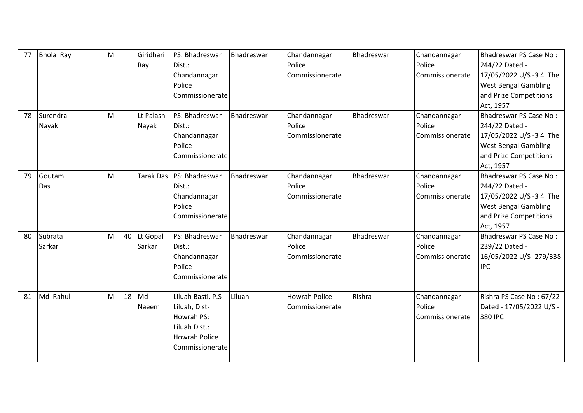| 77 | Bhola Ray         | M |    | Giridhari<br>Ray   | PS: Bhadreswar<br>Dist.:<br>Chandannagar<br>Police<br>Commissionerate                                         | Bhadreswar | Chandannagar<br>Police<br>Commissionerate | Bhadreswar        | Chandannagar<br>Police<br>Commissionerate | Bhadreswar PS Case No:<br>244/22 Dated -<br>17/05/2022 U/S -3 4 The<br><b>West Bengal Gambling</b><br>and Prize Competitions<br>Act, 1957 |
|----|-------------------|---|----|--------------------|---------------------------------------------------------------------------------------------------------------|------------|-------------------------------------------|-------------------|-------------------------------------------|-------------------------------------------------------------------------------------------------------------------------------------------|
| 78 | Surendra<br>Nayak | M |    | Lt Palash<br>Nayak | PS: Bhadreswar<br>Dist.:<br>Chandannagar<br>Police<br>Commissionerate                                         | Bhadreswar | Chandannagar<br>Police<br>Commissionerate | Bhadreswar        | Chandannagar<br>Police<br>Commissionerate | Bhadreswar PS Case No:<br>244/22 Dated -<br>17/05/2022 U/S -3 4 The<br><b>West Bengal Gambling</b><br>and Prize Competitions<br>Act, 1957 |
| 79 | Goutam<br>Das     | M |    | Tarak Das          | PS: Bhadreswar<br>Dist.:<br>Chandannagar<br>Police<br>Commissionerate                                         | Bhadreswar | Chandannagar<br>Police<br>Commissionerate | <b>Bhadreswar</b> | Chandannagar<br>Police<br>Commissionerate | Bhadreswar PS Case No:<br>244/22 Dated -<br>17/05/2022 U/S -3 4 The<br><b>West Bengal Gambling</b><br>and Prize Competitions<br>Act, 1957 |
| 80 | Subrata<br>Sarkar | M | 40 | Lt Gopal<br>Sarkar | PS: Bhadreswar<br>Dist.:<br>Chandannagar<br>Police<br>Commissionerate                                         | Bhadreswar | Chandannagar<br>Police<br>Commissionerate | Bhadreswar        | Chandannagar<br>Police<br>Commissionerate | Bhadreswar PS Case No:<br>239/22 Dated -<br>16/05/2022 U/S-279/338<br><b>IPC</b>                                                          |
| 81 | Md Rahul          | M | 18 | Md<br>Naeem        | Liluah Basti, P.S-<br>Liluah, Dist-<br>Howrah PS:<br>Liluah Dist.:<br><b>Howrah Police</b><br>Commissionerate | Liluah     | <b>Howrah Police</b><br>Commissionerate   | Rishra            | Chandannagar<br>Police<br>Commissionerate | Rishra PS Case No: 67/22<br>Dated - 17/05/2022 U/S -<br>380 IPC                                                                           |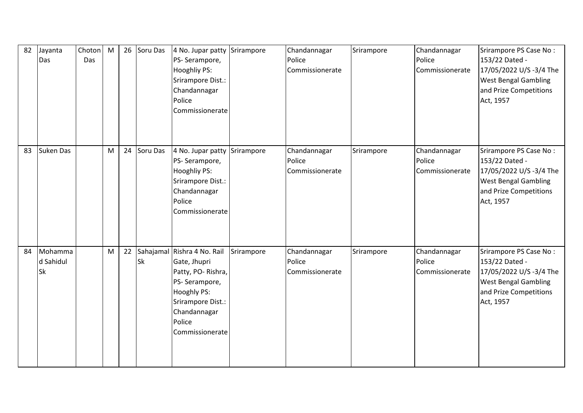| 82 | Jayanta<br>Das             | Choton<br>Das | M |    | 26 Soru Das | 4 No. Jupar patty Srirampore<br>PS-Serampore,<br><b>Hooghliy PS:</b><br>Srirampore Dist.:<br>Chandannagar<br>Police<br>Commissionerate                             |            | Chandannagar<br>Police<br>Commissionerate | Srirampore | Chandannagar<br>Police<br>Commissionerate | Srirampore PS Case No:<br>153/22 Dated -<br>17/05/2022 U/S -3/4 The<br><b>West Bengal Gambling</b><br>and Prize Competitions<br>Act, 1957 |
|----|----------------------------|---------------|---|----|-------------|--------------------------------------------------------------------------------------------------------------------------------------------------------------------|------------|-------------------------------------------|------------|-------------------------------------------|-------------------------------------------------------------------------------------------------------------------------------------------|
| 83 | <b>Suken Das</b>           |               | M |    | 24 Soru Das | 4 No. Jupar patty Srirampore<br>PS-Serampore,<br><b>Hooghliy PS:</b><br>Srirampore Dist.:<br>Chandannagar<br>Police<br>Commissionerate                             |            | Chandannagar<br>Police<br>Commissionerate | Srirampore | Chandannagar<br>Police<br>Commissionerate | Srirampore PS Case No:<br>153/22 Dated -<br>17/05/2022 U/S -3/4 The<br><b>West Bengal Gambling</b><br>and Prize Competitions<br>Act, 1957 |
| 84 | Mohamma<br>d Sahidul<br>Sk |               | M | 22 | <b>Sk</b>   | Sahajamal Rishra 4 No. Rail<br>Gate, Jhupri<br>Patty, PO-Rishra,<br>PS-Serampore,<br>Hooghly PS:<br>Srirampore Dist.:<br>Chandannagar<br>Police<br>Commissionerate | Srirampore | Chandannagar<br>Police<br>Commissionerate | Srirampore | Chandannagar<br>Police<br>Commissionerate | Srirampore PS Case No:<br>153/22 Dated -<br>17/05/2022 U/S -3/4 The<br><b>West Bengal Gambling</b><br>and Prize Competitions<br>Act, 1957 |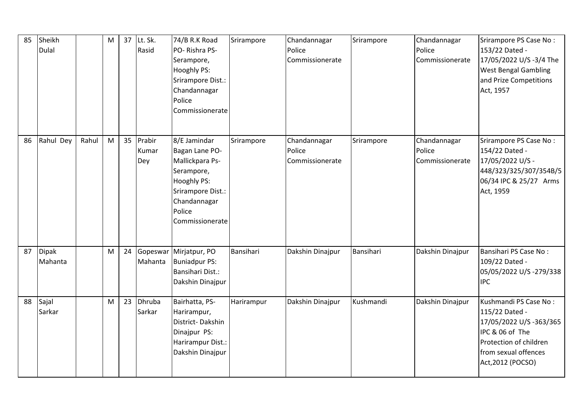| 85 | Sheikh<br>Dulal         |       | M | 37 | Lt. Sk.<br>Rasid        | 74/B R.K Road<br>PO-Rishra PS-<br>Serampore,<br>Hooghly PS:<br>Srirampore Dist.:<br>Chandannagar<br>Police<br>Commissionerate                    | Srirampore | Chandannagar<br>Police<br>Commissionerate | Srirampore | Chandannagar<br>Police<br>Commissionerate | Srirampore PS Case No:<br>153/22 Dated -<br>17/05/2022 U/S -3/4 The<br><b>West Bengal Gambling</b><br>and Prize Competitions<br>Act, 1957                    |
|----|-------------------------|-------|---|----|-------------------------|--------------------------------------------------------------------------------------------------------------------------------------------------|------------|-------------------------------------------|------------|-------------------------------------------|--------------------------------------------------------------------------------------------------------------------------------------------------------------|
| 86 | Rahul Dey               | Rahul | M | 35 | Prabir<br>Kumar<br>Dey  | 8/E Jamindar<br>Bagan Lane PO-<br>Mallickpara Ps-<br>Serampore,<br>Hooghly PS:<br>Srirampore Dist.:<br>Chandannagar<br>Police<br>Commissionerate | Srirampore | Chandannagar<br>Police<br>Commissionerate | Srirampore | Chandannagar<br>Police<br>Commissionerate | Srirampore PS Case No:<br>154/22 Dated -<br>17/05/2022 U/S -<br>448/323/325/307/354B/5<br>06/34 IPC & 25/27 Arms<br>Act, 1959                                |
| 87 | <b>Dipak</b><br>Mahanta |       | M |    | 24 Gopeswar<br>Mahanta  | Mirjatpur, PO<br><b>Buniadpur PS:</b><br><b>Bansihari Dist.:</b><br>Dakshin Dinajpur                                                             | Bansihari  | Dakshin Dinajpur                          | Bansihari  | Dakshin Dinajpur                          | Bansihari PS Case No:<br>109/22 Dated -<br>05/05/2022 U/S -279/338<br><b>IPC</b>                                                                             |
| 88 | Sajal<br>Sarkar         |       | M | 23 | <b>Dhruba</b><br>Sarkar | Bairhatta, PS-<br>Harirampur,<br>District-Dakshin<br>Dinajpur PS:<br>Harirampur Dist.:<br>Dakshin Dinajpur                                       | Harirampur | Dakshin Dinajpur                          | Kushmandi  | Dakshin Dinajpur                          | Kushmandi PS Case No:<br>115/22 Dated -<br>17/05/2022 U/S -363/365<br>IPC & 06 of The<br>Protection of children<br>from sexual offences<br>Act, 2012 (POCSO) |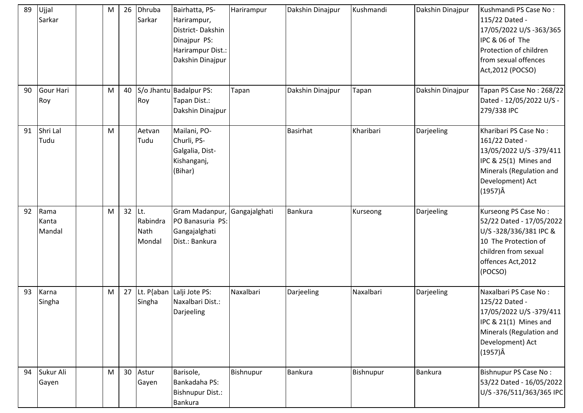| 89 | Ujjal<br>Sarkar         | M | 26 | Dhruba<br>Sarkar                  | Bairhatta, PS-<br>Harirampur,<br>District-Dakshin<br>Dinajpur PS:<br>Harirampur Dist.:<br>Dakshin Dinajpur | Harirampur    | Dakshin Dinajpur | Kushmandi | Dakshin Dinajpur | Kushmandi PS Case No:<br>115/22 Dated -<br>17/05/2022 U/S -363/365<br>IPC & 06 of The<br>Protection of children<br>from sexual offences<br>Act, 2012 (POCSO)   |
|----|-------------------------|---|----|-----------------------------------|------------------------------------------------------------------------------------------------------------|---------------|------------------|-----------|------------------|----------------------------------------------------------------------------------------------------------------------------------------------------------------|
| 90 | Gour Hari<br>Roy        | M | 40 | Roy                               | S/o Jhantu Badalpur PS:<br>Tapan Dist.:<br>Dakshin Dinajpur                                                | Tapan         | Dakshin Dinajpur | Tapan     | Dakshin Dinajpur | Tapan PS Case No: 268/22<br>Dated - 12/05/2022 U/S -<br>279/338 IPC                                                                                            |
| 91 | Shri Lal<br>Tudu        | M |    | Aetvan<br>Tudu                    | Mailani, PO-<br>Churli, PS-<br>Galgalia, Dist-<br>Kishanganj,<br>(Bihar)                                   |               | <b>Basirhat</b>  | Kharibari | Darjeeling       | Kharibari PS Case No:<br>161/22 Dated -<br>13/05/2022 U/S-379/411<br>IPC & 25(1) Mines and<br>Minerals (Regulation and<br>Development) Act<br>$(1957)\hat{A}$  |
| 92 | Rama<br>Kanta<br>Mandal | M | 32 | Lt.<br>Rabindra<br>Nath<br>Mondal | Gram Madanpur,<br>PO Banasuria PS:<br>Gangajalghati<br>Dist.: Bankura                                      | Gangajalghati | <b>Bankura</b>   | Kurseong  | Darjeeling       | Kurseong PS Case No:<br>52/22 Dated - 17/05/2022<br>U/S-328/336/381 IPC &<br>10 The Protection of<br>children from sexual<br>offences Act, 2012<br>(POCSO)     |
| 93 | Karna<br>Singha         | M | 27 | Singha                            | Lt. P{aban   Lalji Jote PS:<br>Naxalbari Dist.:<br>Darjeeling                                              | Naxalbari     | Darjeeling       | Naxalbari | Darjeeling       | Naxalbari PS Case No:<br>125/22 Dated -<br>17/05/2022 U/S -379/411<br>IPC & 21(1) Mines and<br>Minerals (Regulation and<br>Development) Act<br>$(1957)\hat{A}$ |
| 94 | Sukur Ali<br>Gayen      | M | 30 | Astur<br>Gayen                    | Barisole,<br>Bankadaha PS:<br><b>Bishnupur Dist.:</b><br>Bankura                                           | Bishnupur     | Bankura          | Bishnupur | Bankura          | Bishnupur PS Case No:<br>53/22 Dated - 16/05/2022<br>U/S-376/511/363/365 IPC                                                                                   |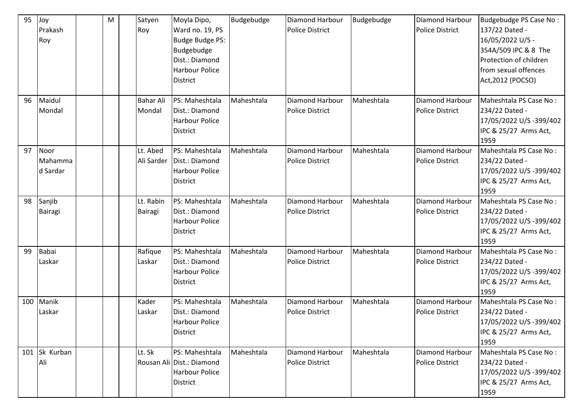| 95  | Joy<br>Prakash<br>Roy       | M | Satyen<br>Roy               | Moyla Dipo,<br>Ward no. 19, PS<br><b>Budge Budge PS:</b><br>Budgebudge<br>Dist.: Diamond<br><b>Harbour Police</b><br><b>District</b> | Budgebudge | Diamond Harbour<br><b>Police District</b>        | Budgebudge | Diamond Harbour<br><b>Police District</b>        | Budgebudge PS Case No:<br>137/22 Dated -<br>16/05/2022 U/S -<br>354A/509 IPC & 8 The<br>Protection of children<br>from sexual offences<br>Act, 2012 (POCSO) |
|-----|-----------------------------|---|-----------------------------|--------------------------------------------------------------------------------------------------------------------------------------|------------|--------------------------------------------------|------------|--------------------------------------------------|-------------------------------------------------------------------------------------------------------------------------------------------------------------|
| 96  | Maidul<br>Mondal            |   | <b>Bahar Ali</b><br>Mondal  | PS: Maheshtala<br>Dist.: Diamond<br><b>Harbour Police</b><br><b>District</b>                                                         | Maheshtala | Diamond Harbour<br><b>Police District</b>        | Maheshtala | Diamond Harbour<br><b>Police District</b>        | Maheshtala PS Case No:<br>234/22 Dated -<br>17/05/2022 U/S -399/402<br>IPC & 25/27 Arms Act,<br>1959                                                        |
| 97  | Noor<br>Mahamma<br>d Sardar |   | Lt. Abed<br>Ali Sarder      | PS: Maheshtala<br>Dist.: Diamond<br><b>Harbour Police</b><br>District                                                                | Maheshtala | Diamond Harbour<br><b>Police District</b>        | Maheshtala | Diamond Harbour<br><b>Police District</b>        | Maheshtala PS Case No:<br>234/22 Dated -<br>17/05/2022 U/S -399/402<br>IPC & 25/27 Arms Act,<br>1959                                                        |
| 98  | Sanjib<br><b>Bairagi</b>    |   | Lt. Rabin<br><b>Bairagi</b> | PS: Maheshtala<br>Dist.: Diamond<br><b>Harbour Police</b><br><b>District</b>                                                         | Maheshtala | <b>Diamond Harbour</b><br><b>Police District</b> | Maheshtala | Diamond Harbour<br><b>Police District</b>        | Maheshtala PS Case No:<br>234/22 Dated -<br>17/05/2022 U/S -399/402<br>IPC & 25/27 Arms Act,<br>1959                                                        |
| 99  | <b>Babai</b><br>Laskar      |   | Rafique<br>Laskar           | PS: Maheshtala<br>Dist.: Diamond<br><b>Harbour Police</b><br><b>District</b>                                                         | Maheshtala | Diamond Harbour<br><b>Police District</b>        | Maheshtala | Diamond Harbour<br><b>Police District</b>        | Maheshtala PS Case No:<br>234/22 Dated -<br>17/05/2022 U/S -399/402<br>IPC & 25/27 Arms Act,<br>1959                                                        |
| 100 | Manik<br>Laskar             |   | Kader<br>Laskar             | PS: Maheshtala<br>Dist.: Diamond<br>Harbour Police<br><b>District</b>                                                                | Maheshtala | Diamond Harbour<br><b>Police District</b>        | Maheshtala | <b>Diamond Harbour</b><br><b>Police District</b> | Maheshtala PS Case No:<br>234/22 Dated -<br>17/05/2022 U/S -399/402<br>IPC & 25/27 Arms Act,<br>1959                                                        |
| 101 | Sk Kurban<br>Ali            |   | Lt. Sk                      | PS: Maheshtala<br>Rousan Ali Dist.: Diamond<br><b>Harbour Police</b><br><b>District</b>                                              | Maheshtala | Diamond Harbour<br><b>Police District</b>        | Maheshtala | Diamond Harbour<br><b>Police District</b>        | Maheshtala PS Case No:<br>234/22 Dated -<br>17/05/2022 U/S -399/402<br>IPC & 25/27 Arms Act,<br>1959                                                        |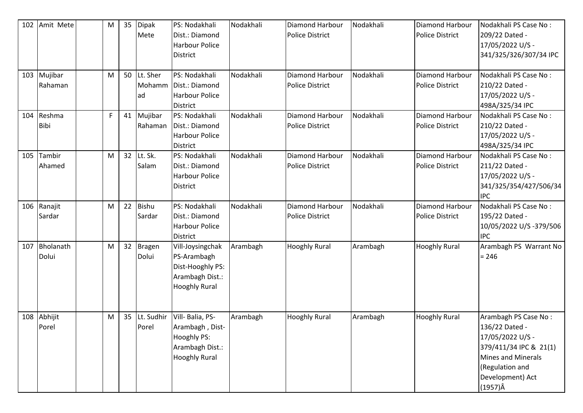| 102 | Amit Mete          | M | 35 | <b>Dipak</b><br>Mete         | PS: Nodakhali<br>Dist.: Diamond<br><b>Harbour Police</b><br><b>District</b>                    | Nodakhali | <b>Diamond Harbour</b><br><b>Police District</b> | Nodakhali | Diamond Harbour<br><b>Police District</b>        | Nodakhali PS Case No:<br>209/22 Dated -<br>17/05/2022 U/S -<br>341/325/326/307/34 IPC                                                                                       |
|-----|--------------------|---|----|------------------------------|------------------------------------------------------------------------------------------------|-----------|--------------------------------------------------|-----------|--------------------------------------------------|-----------------------------------------------------------------------------------------------------------------------------------------------------------------------------|
| 103 | Mujibar<br>Rahaman | M |    | 50 Lt. Sher<br>Mohamm<br>lad | PS: Nodakhali<br>Dist.: Diamond<br><b>Harbour Police</b><br>District                           | Nodakhali | Diamond Harbour<br><b>Police District</b>        | Nodakhali | Diamond Harbour<br><b>Police District</b>        | Nodakhali PS Case No:<br>210/22 Dated -<br>17/05/2022 U/S -<br>498A/325/34 IPC                                                                                              |
| 104 | Reshma<br>Bibi     | F | 41 | Mujibar<br>Rahaman           | PS: Nodakhali<br>Dist.: Diamond<br><b>Harbour Police</b><br><b>District</b>                    | Nodakhali | <b>Diamond Harbour</b><br><b>Police District</b> | Nodakhali | <b>Diamond Harbour</b><br><b>Police District</b> | Nodakhali PS Case No:<br>210/22 Dated -<br>17/05/2022 U/S -<br>498A/325/34 IPC                                                                                              |
| 105 | Tambir<br>Ahamed   | M | 32 | Lt. Sk.<br>Salam             | PS: Nodakhali<br>Dist.: Diamond<br><b>Harbour Police</b><br><b>District</b>                    | Nodakhali | Diamond Harbour<br><b>Police District</b>        | Nodakhali | Diamond Harbour<br><b>Police District</b>        | Nodakhali PS Case No:<br>211/22 Dated -<br>17/05/2022 U/S -<br>341/325/354/427/506/34<br><b>IPC</b>                                                                         |
| 106 | Ranajit<br>Sardar  | M | 22 | <b>Bishu</b><br>Sardar       | PS: Nodakhali<br>Dist.: Diamond<br><b>Harbour Police</b><br><b>District</b>                    | Nodakhali | Diamond Harbour<br><b>Police District</b>        | Nodakhali | <b>Diamond Harbour</b><br><b>Police District</b> | Nodakhali PS Case No:<br>195/22 Dated -<br>10/05/2022 U/S-379/506<br><b>IPC</b>                                                                                             |
| 107 | Bholanath<br>Dolui | M |    | 32 Bragen<br>Dolui           | Vill-Joysingchak<br>PS-Arambagh<br>Dist-Hooghly PS:<br>Arambagh Dist.:<br><b>Hooghly Rural</b> | Arambagh  | <b>Hooghly Rural</b>                             | Arambagh  | <b>Hooghly Rural</b>                             | Arambagh PS Warrant No<br>$= 246$                                                                                                                                           |
| 108 | Abhijit<br>Porel   | M | 35 | Lt. Sudhir<br>Porel          | Vill- Balia, PS-<br>Arambagh, Dist-<br>Hooghly PS:<br>Arambagh Dist.:<br><b>Hooghly Rural</b>  | Arambagh  | <b>Hooghly Rural</b>                             | Arambagh  | <b>Hooghly Rural</b>                             | Arambagh PS Case No:<br>136/22 Dated -<br>17/05/2022 U/S -<br>379/411/34 IPC & 21(1)<br><b>Mines and Minerals</b><br>(Regulation and<br>Development) Act<br>$(1957)\hat{A}$ |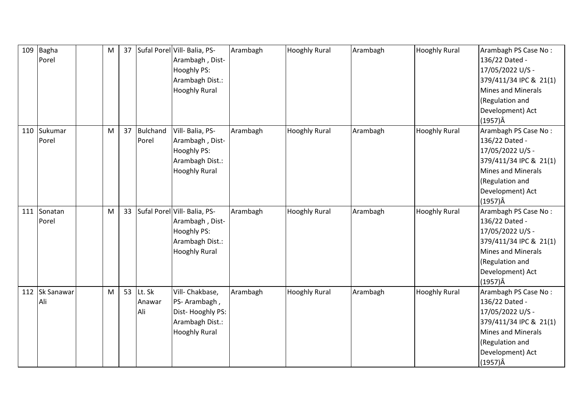| 109 | <b>Bagha</b><br>Porel | M | 37 |                            | Sufal Porel Vill- Balia, PS-<br>Arambagh, Dist-<br><b>Hooghly PS:</b><br>Arambagh Dist.:<br><b>Hooghly Rural</b>    | Arambagh | <b>Hooghly Rural</b> | Arambagh | <b>Hooghly Rural</b> | Arambagh PS Case No:<br>136/22 Dated -<br>17/05/2022 U/S -<br>379/411/34 IPC & 21(1)<br><b>Mines and Minerals</b><br>(Regulation and<br>Development) Act<br>$(1957)\hat{A}$ |
|-----|-----------------------|---|----|----------------------------|---------------------------------------------------------------------------------------------------------------------|----------|----------------------|----------|----------------------|-----------------------------------------------------------------------------------------------------------------------------------------------------------------------------|
| 110 | Sukumar<br>Porel      | M | 37 | Bulchand<br>Porel          | Vill- Balia, PS-<br>Arambagh, Dist-<br><b>Hooghly PS:</b><br>Arambagh Dist.:<br><b>Hooghly Rural</b>                | Arambagh | <b>Hooghly Rural</b> | Arambagh | <b>Hooghly Rural</b> | Arambagh PS Case No:<br>136/22 Dated -<br>17/05/2022 U/S -<br>379/411/34 IPC & 21(1)<br><b>Mines and Minerals</b><br>(Regulation and<br>Development) Act<br>$(1957)\hat{A}$ |
| 111 | Sonatan<br>Porel      | M |    |                            | 33 Sufal Porel Vill- Balia, PS-<br>Arambagh, Dist-<br><b>Hooghly PS:</b><br>Arambagh Dist.:<br><b>Hooghly Rural</b> | Arambagh | <b>Hooghly Rural</b> | Arambagh | <b>Hooghly Rural</b> | Arambagh PS Case No:<br>136/22 Dated -<br>17/05/2022 U/S -<br>379/411/34 IPC & 21(1)<br><b>Mines and Minerals</b><br>(Regulation and<br>Development) Act<br>(1957)Â         |
| 112 | Sk Sanawar<br>Ali     | M |    | 53 Lt. Sk<br>Anawar<br>Ali | Vill- Chakbase,<br>PS-Arambagh,<br>Dist-Hooghly PS:<br>Arambagh Dist.:<br><b>Hooghly Rural</b>                      | Arambagh | <b>Hooghly Rural</b> | Arambagh | <b>Hooghly Rural</b> | Arambagh PS Case No:<br>136/22 Dated -<br>17/05/2022 U/S -<br>379/411/34 IPC & 21(1)<br><b>Mines and Minerals</b><br>(Regulation and<br>Development) Act<br>$(1957)\hat{A}$ |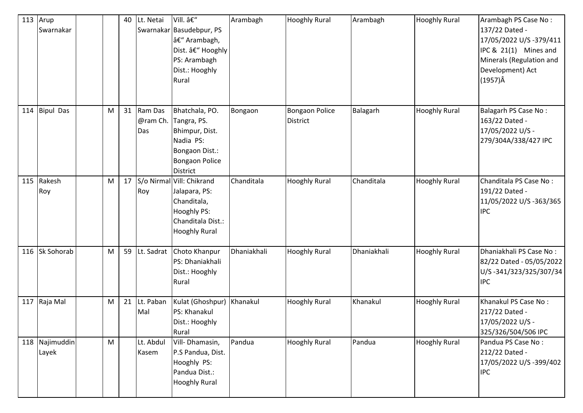| $113$ Arup | Swarnakar               |   | 40 | Lt. Netai                     | Vill. –<br>Swarnakar Basudebpur, PS<br>– Arambagh,<br>Dist. – Hooghly<br>PS: Arambagh<br>Dist.: Hooghly<br>Rural           | Arambagh    | <b>Hooghly Rural</b>                     | Arambagh    | <b>Hooghly Rural</b> | Arambagh PS Case No:<br>137/22 Dated -<br>17/05/2022 U/S-379/411<br>IPC & 21(1) Mines and<br>Minerals (Regulation and<br>Development) Act<br>$(1957)\hat{A}$ |
|------------|-------------------------|---|----|-------------------------------|----------------------------------------------------------------------------------------------------------------------------|-------------|------------------------------------------|-------------|----------------------|--------------------------------------------------------------------------------------------------------------------------------------------------------------|
|            | 114 Bipul Das           | M |    | 31 Ram Das<br>@ram Ch.<br>Das | Bhatchala, PO.<br>Tangra, PS.<br>Bhimpur, Dist.<br>Nadia PS:<br>Bongaon Dist.:<br><b>Bongaon Police</b><br><b>District</b> | Bongaon     | <b>Bongaon Police</b><br><b>District</b> | Balagarh    | <b>Hooghly Rural</b> | <b>Balagarh PS Case No:</b><br>163/22 Dated -<br>17/05/2022 U/S -<br>279/304A/338/427 IPC                                                                    |
|            | 115 Rakesh<br>Roy       | M | 17 | Roy                           | S/o Nirmal Vill: Chikrand<br>Jalapara, PS:<br>Chanditala,<br>Hooghly PS:<br>Chanditala Dist.:<br><b>Hooghly Rural</b>      | Chanditala  | <b>Hooghly Rural</b>                     | Chanditala  | <b>Hooghly Rural</b> | Chanditala PS Case No:<br>191/22 Dated -<br>11/05/2022 U/S -363/365<br><b>IPC</b>                                                                            |
|            | 116 Sk Sohorab          | M |    | 59 Lt. Sadrat                 | Choto Khanpur<br>PS: Dhaniakhali<br>Dist.: Hooghly<br>Rural                                                                | Dhaniakhali | <b>Hooghly Rural</b>                     | Dhaniakhali | <b>Hooghly Rural</b> | Dhaniakhali PS Case No:<br>82/22 Dated - 05/05/2022<br>U/S-341/323/325/307/34<br><b>IPC</b>                                                                  |
|            | 117 Raja Mal            | M |    | 21 Lt. Paban<br>Mal           | Kulat (Ghoshpur)<br>PS: Khanakul<br>Dist.: Hooghly<br>Rural                                                                | Khanakul    | <b>Hooghly Rural</b>                     | Khanakul    | <b>Hooghly Rural</b> | Khanakul PS Case No:<br>217/22 Dated -<br>17/05/2022 U/S -<br>325/326/504/506 IPC                                                                            |
|            | 118 Najimuddin<br>Layek | M |    | Lt. Abdul<br>Kasem            | Vill-Dhamasin,<br>P.S Pandua, Dist.<br>Hooghly PS:<br>Pandua Dist.:<br><b>Hooghly Rural</b>                                | Pandua      | <b>Hooghly Rural</b>                     | Pandua      | <b>Hooghly Rural</b> | Pandua PS Case No:<br>212/22 Dated -<br>17/05/2022 U/S -399/402<br><b>IPC</b>                                                                                |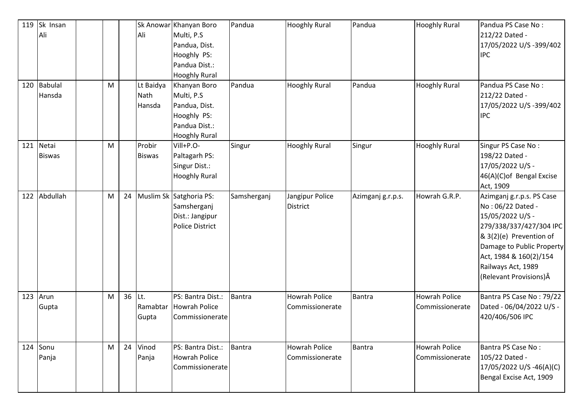| 119<br>120 | Sk Insan<br>Ali<br><b>Babulal</b><br>Hansda | M |        | Ali<br>Lt Baidya<br>Nath | Sk Anowar Khanyan Boro<br>Multi, P.S.<br>Pandua, Dist.<br>Hooghly PS:<br>Pandua Dist.:<br><b>Hooghly Rural</b><br>Khanyan Boro<br>Multi, P.S. | Pandua<br>Pandua | <b>Hooghly Rural</b><br><b>Hooghly Rural</b> | Pandua<br>Pandua  | <b>Hooghly Rural</b><br><b>Hooghly Rural</b> | Pandua PS Case No:<br>212/22 Dated -<br>17/05/2022 U/S-399/402<br><b>IPC</b><br>Pandua PS Case No:<br>212/22 Dated -                                                                                                             |
|------------|---------------------------------------------|---|--------|--------------------------|-----------------------------------------------------------------------------------------------------------------------------------------------|------------------|----------------------------------------------|-------------------|----------------------------------------------|----------------------------------------------------------------------------------------------------------------------------------------------------------------------------------------------------------------------------------|
|            |                                             |   |        | Hansda                   | Pandua, Dist.<br>Hooghly PS:<br>Pandua Dist.:<br><b>Hooghly Rural</b>                                                                         |                  |                                              |                   |                                              | 17/05/2022 U/S -399/402<br><b>IPC</b>                                                                                                                                                                                            |
| 121        | Netai<br><b>Biswas</b>                      | M |        | Probir<br><b>Biswas</b>  | Vill+P.O-<br>Paltagarh PS:<br>Singur Dist.:<br><b>Hooghly Rural</b>                                                                           | Singur           | <b>Hooghly Rural</b>                         | Singur            | <b>Hooghly Rural</b>                         | Singur PS Case No:<br>198/22 Dated -<br>17/05/2022 U/S -<br>46(A)(C) of Bengal Excise<br>Act, 1909                                                                                                                               |
| 122        | Abdullah                                    | M |        |                          | 24 Muslim Sk Satghoria PS:<br>Samsherganj<br>Dist.: Jangipur<br><b>Police District</b>                                                        | Samsherganj      | Jangipur Police<br><b>District</b>           | Azimganj g.r.p.s. | Howrah G.R.P.                                | Azimganj g.r.p.s. PS Case<br>No: 06/22 Dated -<br>15/05/2022 U/S -<br>279/338/337/427/304 IPC<br>& 3(2)(e) Prevention of<br>Damage to Public Property<br>Act, 1984 & 160(2)/154<br>Railways Act, 1989<br>(Relevant Provisions) Â |
| 123        | Arun<br>Gupta                               | M | 36 Lt. | Ramabtar<br>Gupta        | PS: Bantra Dist.:<br><b>Howrah Police</b><br>Commissionerate                                                                                  | Bantra           | <b>Howrah Police</b><br>Commissionerate      | <b>Bantra</b>     | <b>Howrah Police</b><br>Commissionerate      | Bantra PS Case No: 79/22<br>Dated - 06/04/2022 U/S -<br>420/406/506 IPC                                                                                                                                                          |
| 124        | Sonu<br>Panja                               | M |        | 24 Vinod<br>Panja        | PS: Bantra Dist.:<br><b>Howrah Police</b><br>Commissionerate                                                                                  | Bantra           | <b>Howrah Police</b><br>Commissionerate      | <b>Bantra</b>     | <b>Howrah Police</b><br>Commissionerate      | Bantra PS Case No:<br>105/22 Dated -<br>17/05/2022 U/S -46(A)(C)<br>Bengal Excise Act, 1909                                                                                                                                      |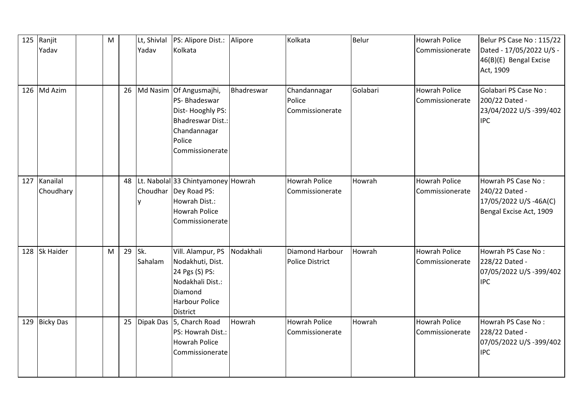| 125 | Ranjit<br>Yadav       | M |        | Yadav   | Lt, Shivlal   PS: Alipore Dist.:<br>Kolkata                                                                                          | Alipore    | Kolkata                                   | <b>Belur</b> | <b>Howrah Police</b><br>Commissionerate | Belur PS Case No: 115/22<br>Dated - 17/05/2022 U/S -<br>46(B)(E) Bengal Excise<br>Act, 1909 |
|-----|-----------------------|---|--------|---------|--------------------------------------------------------------------------------------------------------------------------------------|------------|-------------------------------------------|--------------|-----------------------------------------|---------------------------------------------------------------------------------------------|
| 126 | Md Azim               |   | 26     |         | Md Nasim Of Angusmajhi,<br>PS-Bhadeswar<br>Dist-Hooghly PS:<br><b>Bhadreswar Dist.:</b><br>Chandannagar<br>Police<br>Commissionerate | Bhadreswar | Chandannagar<br>Police<br>Commissionerate | Golabari     | <b>Howrah Police</b><br>Commissionerate | Golabari PS Case No:<br>200/22 Dated -<br>23/04/2022 U/S-399/402<br><b>IPC</b>              |
| 127 | Kanailal<br>Choudhary |   | 48     |         | Lt. Nabolal 33 Chintyamoney Howrah<br>Choudhar Dey Road PS:<br>Howrah Dist.:<br><b>Howrah Police</b><br>Commissionerate              |            | <b>Howrah Police</b><br>Commissionerate   | Howrah       | <b>Howrah Police</b><br>Commissionerate | Howrah PS Case No:<br>240/22 Dated -<br>17/05/2022 U/S -46A(C)<br>Bengal Excise Act, 1909   |
| 128 | <b>Sk Haider</b>      | M | 29 Sk. | Sahalam | Vill. Alampur, PS<br>Nodakhuti, Dist.<br>24 Pgs (S) PS:<br>Nodakhali Dist.:<br>Diamond<br><b>Harbour Police</b><br><b>District</b>   | Nodakhali  | Diamond Harbour<br><b>Police District</b> | Howrah       | <b>Howrah Police</b><br>Commissionerate | Howrah PS Case No:<br>228/22 Dated -<br>07/05/2022 U/S-399/402<br><b>IPC</b>                |
| 129 | <b>Bicky Das</b>      |   |        |         | 25   Dipak Das   5, Charch Road<br>PS: Howrah Dist.:<br><b>Howrah Police</b><br>Commissionerate                                      | Howrah     | <b>Howrah Police</b><br>Commissionerate   | Howrah       | <b>Howrah Police</b><br>Commissionerate | Howrah PS Case No:<br>228/22 Dated -<br>07/05/2022 U/S-399/402<br><b>IPC</b>                |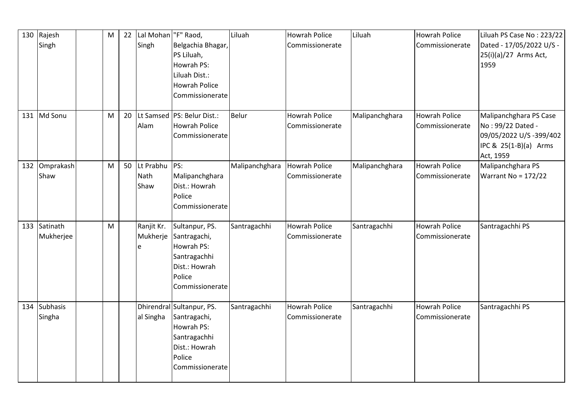|     | 130 Rajesh<br>Singh       | M         | 22 | Lal Mohan  "F" Raod,<br>Singh | Belgachia Bhagar,<br>PS Liluah,<br>Howrah PS:<br>Liluah Dist.:<br><b>Howrah Police</b><br>Commissionerate             | Liluah         | <b>Howrah Police</b><br>Commissionerate | Liluah         | <b>Howrah Police</b><br>Commissionerate | Liluah PS Case No: 223/22<br>Dated - 17/05/2022 U/S -<br>25(i)(a)/27 Arms Act,<br>1959                       |
|-----|---------------------------|-----------|----|-------------------------------|-----------------------------------------------------------------------------------------------------------------------|----------------|-----------------------------------------|----------------|-----------------------------------------|--------------------------------------------------------------------------------------------------------------|
|     | 131 Md Sonu               | M         | 20 | Alam                          | Lt Samsed   PS: Belur Dist.:<br>Howrah Police<br>Commissionerate                                                      | Belur          | <b>Howrah Police</b><br>Commissionerate | Malipanchghara | <b>Howrah Police</b><br>Commissionerate | Malipanchghara PS Case<br>No: 99/22 Dated -<br>09/05/2022 U/S -399/402<br>IPC & 25(1-B)(a) Arms<br>Act, 1959 |
| 132 | Omprakash<br>Shaw         | M         | 50 | Lt Prabhu<br>Nath<br>Shaw     | PS:<br>Malipanchghara<br>Dist.: Howrah<br>Police<br>Commissionerate                                                   | Malipanchghara | <b>Howrah Police</b><br>Commissionerate | Malipanchghara | <b>Howrah Police</b><br>Commissionerate | Malipanchghara PS<br>Warrant No = $172/22$                                                                   |
|     | 133 Satinath<br>Mukherjee | ${\sf M}$ |    | Ranjit Kr.<br>Mukherje<br>e   | Sultanpur, PS.<br>Santragachi,<br>Howrah PS:<br>Santragachhi<br>Dist.: Howrah<br>Police<br>Commissionerate            | Santragachhi   | <b>Howrah Police</b><br>Commissionerate | Santragachhi   | <b>Howrah Police</b><br>Commissionerate | Santragachhi PS                                                                                              |
|     | 134 Subhasis<br>Singha    |           |    | al Singha                     | Dhirendral Sultanpur, PS.<br>Santragachi,<br>Howrah PS:<br>Santragachhi<br>Dist.: Howrah<br>Police<br>Commissionerate | Santragachhi   | <b>Howrah Police</b><br>Commissionerate | Santragachhi   | Howrah Police<br>Commissionerate        | Santragachhi PS                                                                                              |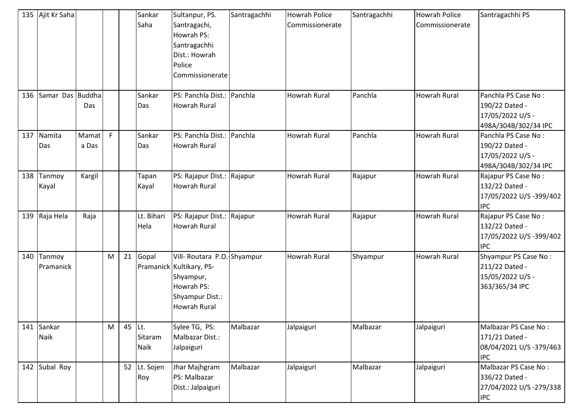|     | 135 Ajit Kr Saha    |                |   |        | Sankar<br>Saha      | Sultanpur, PS.<br>Santragachi,<br>Howrah PS:<br>Santragachhi<br>Dist.: Howrah<br>Police<br>Commissionerate                   | Santragachhi | <b>Howrah Police</b><br>Commissionerate | Santragachhi | <b>Howrah Police</b><br>Commissionerate | Santragachhi PS                                                                   |
|-----|---------------------|----------------|---|--------|---------------------|------------------------------------------------------------------------------------------------------------------------------|--------------|-----------------------------------------|--------------|-----------------------------------------|-----------------------------------------------------------------------------------|
| 136 | Samar Das Buddha    | Das            |   |        | Sankar<br>Das       | PS: Panchla Dist.: Panchla<br><b>Howrah Rural</b>                                                                            |              | <b>Howrah Rural</b>                     | Panchla      | <b>Howrah Rural</b>                     | Panchla PS Case No:<br>190/22 Dated -<br>17/05/2022 U/S -<br>498A/304B/302/34 IPC |
| 137 | Namita<br>Das       | Mamat<br>a Das | F |        | Sankar<br>Das       | PS: Panchla Dist.: Panchla<br><b>Howrah Rural</b>                                                                            |              | <b>Howrah Rural</b>                     | Panchla      | <b>Howrah Rural</b>                     | Panchla PS Case No:<br>190/22 Dated -<br>17/05/2022 U/S -<br>498A/304B/302/34 IPC |
| 138 | Tanmoy<br>Kayal     | Kargil         |   |        | Tapan<br>Kayal      | PS: Rajapur Dist.:<br><b>Howrah Rural</b>                                                                                    | Rajapur      | <b>Howrah Rural</b>                     | Rajapur      | <b>Howrah Rural</b>                     | Rajapur PS Case No:<br>132/22 Dated -<br>17/05/2022 U/S -399/402<br><b>IPC</b>    |
|     | 139 Raja Hela       | Raja           |   |        | Lt. Bihari<br>Hela  | PS: Rajapur Dist.: Rajapur<br><b>Howrah Rural</b>                                                                            |              | <b>Howrah Rural</b>                     | Rajapur      | <b>Howrah Rural</b>                     | Rajapur PS Case No:<br>132/22 Dated -<br>17/05/2022 U/S -399/402<br><b>IPC</b>    |
| 140 | Tanmoy<br>Pramanick |                | M |        | 21 Gopal            | Vill- Routara P.O. Shyampur<br>Pramanick Kultikary, PS-<br>Shyampur,<br>Howrah PS:<br>Shyampur Dist.:<br><b>Howrah Rural</b> |              | <b>Howrah Rural</b>                     | Shyampur     | <b>Howrah Rural</b>                     | Shyampur PS Case No:<br>211/22 Dated -<br>15/05/2022 U/S -<br>363/365/34 IPC      |
| 141 | Sankar<br>Naik      |                | M | 45 Lt. | Sitaram<br>Naik     | Sylee TG, PS:<br>Malbazar Dist.:<br>Jalpaiguri                                                                               | Malbazar     | Jalpaiguri                              | Malbazar     | Jalpaiguri                              | Malbazar PS Case No:<br>171/21 Dated -<br>08/04/2021 U/S-379/463<br><b>IPC</b>    |
|     | 142 Subal Roy       |                |   |        | 52 Lt. Sojen<br>Roy | Jhar Majhgram<br>PS: Malbazar<br>Dist.: Jalpaiguri                                                                           | Malbazar     | Jalpaiguri                              | Malbazar     | Jalpaiguri                              | Malbazar PS Case No:<br>336/22 Dated -<br>27/04/2022 U/S-279/338<br><b>IPC</b>    |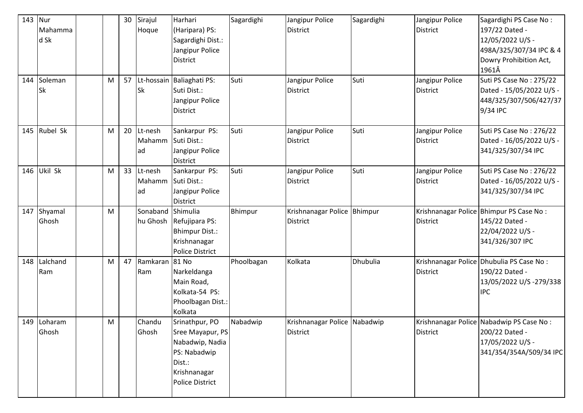| 143 | Nur<br>Mahamma<br>d Sk<br>144 Soleman<br><b>Sk</b> | M | 30<br>57 | Sirajul<br>Hoque<br><b>Sk</b> | Harhari<br>(Haripara) PS:<br>Sagardighi Dist.:<br>Jangipur Police<br><b>District</b><br>Lt-hossain Baliaghati PS:<br>Suti Dist.:<br>Jangipur Police<br><b>District</b> | Sagardighi<br>Suti | Jangipur Police<br><b>District</b><br>Jangipur Police<br><b>District</b> | Sagardighi<br>Suti | Jangipur Police<br><b>District</b><br>Jangipur Police<br><b>District</b> | Sagardighi PS Case No:<br>197/22 Dated -<br>12/05/2022 U/S -<br>498A/325/307/34 IPC & 4<br>Dowry Prohibition Act,<br>1961Â<br>Suti PS Case No: 275/22<br>Dated - 15/05/2022 U/S -<br>448/325/307/506/427/37<br>9/34 IPC |
|-----|----------------------------------------------------|---|----------|-------------------------------|------------------------------------------------------------------------------------------------------------------------------------------------------------------------|--------------------|--------------------------------------------------------------------------|--------------------|--------------------------------------------------------------------------|-------------------------------------------------------------------------------------------------------------------------------------------------------------------------------------------------------------------------|
|     | 145 Rubel Sk                                       | M | 20       | Lt-nesh<br>Mahamm<br>lad      | Sankarpur PS:<br>Suti Dist.:<br>Jangipur Police<br><b>District</b>                                                                                                     | Suti               | Jangipur Police<br><b>District</b>                                       | Suti               | Jangipur Police<br><b>District</b>                                       | Suti PS Case No: 276/22<br>Dated - 16/05/2022 U/S -<br>341/325/307/34 IPC                                                                                                                                               |
| 146 | Ukil Sk                                            | M |          | 33 Lt-nesh<br>Mahamm<br>lad   | Sankarpur PS:<br>Suti Dist.:<br>Jangipur Police<br>District                                                                                                            | Suti               | Jangipur Police<br><b>District</b>                                       | Suti               | Jangipur Police<br><b>District</b>                                       | Suti PS Case No: 276/22<br>Dated - 16/05/2022 U/S -<br>341/325/307/34 IPC                                                                                                                                               |
| 147 | Shyamal<br>Ghosh                                   | M |          | Sonaband<br>hu Ghosh          | Shimulia<br>Refujipara PS:<br><b>Bhimpur Dist.:</b><br>Krishnanagar<br><b>Police District</b>                                                                          | Bhimpur            | Krishnanagar Police Bhimpur<br><b>District</b>                           |                    | <b>District</b>                                                          | Krishnanagar Police Bhimpur PS Case No:<br>145/22 Dated -<br>22/04/2022 U/S -<br>341/326/307 IPC                                                                                                                        |
| 148 | Lalchand<br>Ram                                    | M | 47       | Ramkaran 81 No<br>Ram         | Narkeldanga<br>Main Road,<br>Kolkata-54 PS:<br>Phoolbagan Dist.:<br>Kolkata                                                                                            | Phoolbagan         | Kolkata                                                                  | Dhubulia           | <b>District</b>                                                          | Krishnanagar Police Dhubulia PS Case No:<br>190/22 Dated -<br>13/05/2022 U/S -279/338<br><b>IPC</b>                                                                                                                     |
|     | 149 Loharam<br>Ghosh                               | M |          | Chandu<br>Ghosh               | Srinathpur, PO<br>Sree Mayapur, PS<br>Nabadwip, Nadia<br>PS: Nabadwip<br>Dist.:<br>Krishnanagar<br><b>Police District</b>                                              | Nabadwip           | Krishnanagar Police Nabadwip<br><b>District</b>                          |                    | <b>District</b>                                                          | Krishnanagar Police Nabadwip PS Case No:<br>200/22 Dated -<br>17/05/2022 U/S -<br>341/354/354A/509/34 IPC                                                                                                               |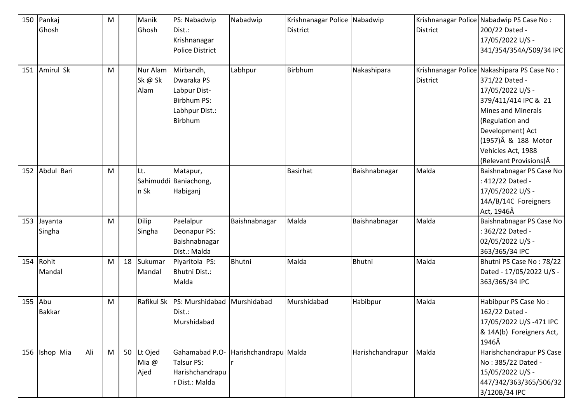| 150 | Pankaj        |     | ${\sf M}$ |    | Manik      | PS: Nabadwip           | Nabadwip              | Krishnanagar Police Nabadwip |                  |                 | Krishnanagar Police Nabadwip PS Case No:    |
|-----|---------------|-----|-----------|----|------------|------------------------|-----------------------|------------------------------|------------------|-----------------|---------------------------------------------|
|     | Ghosh         |     |           |    | Ghosh      | Dist.:                 |                       | <b>District</b>              |                  | <b>District</b> | 200/22 Dated -                              |
|     |               |     |           |    |            | Krishnanagar           |                       |                              |                  |                 | 17/05/2022 U/S -                            |
|     |               |     |           |    |            | <b>Police District</b> |                       |                              |                  |                 | 341/354/354A/509/34 IPC                     |
|     |               |     |           |    |            |                        |                       |                              |                  |                 |                                             |
| 151 | Amirul Sk     |     | M         |    | Nur Alam   | Mirbandh,              | Labhpur               | Birbhum                      | Nakashipara      |                 | Krishnanagar Police Nakashipara PS Case No: |
|     |               |     |           |    | Sk @ Sk    | Dwaraka PS             |                       |                              |                  | <b>District</b> | 371/22 Dated -                              |
|     |               |     |           |    | Alam       | Labpur Dist-           |                       |                              |                  |                 | 17/05/2022 U/S -                            |
|     |               |     |           |    |            | <b>Birbhum PS:</b>     |                       |                              |                  |                 | 379/411/414 IPC & 21                        |
|     |               |     |           |    |            | Labhpur Dist.:         |                       |                              |                  |                 | <b>Mines and Minerals</b>                   |
|     |               |     |           |    |            | Birbhum                |                       |                              |                  |                 | (Regulation and                             |
|     |               |     |           |    |            |                        |                       |                              |                  |                 | Development) Act                            |
|     |               |     |           |    |            |                        |                       |                              |                  |                 | (1957)Â & 188 Motor                         |
|     |               |     |           |    |            |                        |                       |                              |                  |                 | Vehicles Act, 1988                          |
|     |               |     |           |    |            |                        |                       |                              |                  |                 | (Relevant Provisions) Â                     |
| 152 | Abdul Bari    |     | M         |    | Lt.        | Matapur,               |                       | <b>Basirhat</b>              | Baishnabnagar    | Malda           | Baishnabnagar PS Case No                    |
|     |               |     |           |    |            | Sahimuddi Baniachong,  |                       |                              |                  |                 | : 412/22 Dated -                            |
|     |               |     |           |    | n Sk       | Habiganj               |                       |                              |                  |                 | 17/05/2022 U/S -                            |
|     |               |     |           |    |            |                        |                       |                              |                  |                 | 14A/B/14C Foreigners                        |
|     |               |     |           |    |            |                        |                       |                              |                  |                 | Act, 1946Â                                  |
| 153 | Jayanta       |     | M         |    | Dilip      | Paelalpur              | Baishnabnagar         | Malda                        | Baishnabnagar    | Malda           | Baishnabnagar PS Case No                    |
|     | Singha        |     |           |    | Singha     | Deonapur PS:           |                       |                              |                  |                 | : 362/22 Dated -                            |
|     |               |     |           |    |            | Baishnabnagar          |                       |                              |                  |                 | 02/05/2022 U/S -                            |
|     |               |     |           |    |            | Dist.: Malda           |                       |                              |                  |                 | 363/365/34 IPC                              |
| 154 | Rohit         |     | M         | 18 | Sukumar    | Piyaritola PS:         | Bhutni                | Malda                        | <b>Bhutni</b>    | Malda           | Bhutni PS Case No: 78/22                    |
|     | Mandal        |     |           |    | Mandal     | Bhutni Dist.:          |                       |                              |                  |                 | Dated - 17/05/2022 U/S -                    |
|     |               |     |           |    |            | Malda                  |                       |                              |                  |                 | 363/365/34 IPC                              |
|     |               |     |           |    |            |                        |                       |                              |                  |                 |                                             |
| 155 | Abu           |     | M         |    | Rafikul Sk | PS: Murshidabad        | Murshidabad           | Murshidabad                  | Habibpur         | Malda           | Habibpur PS Case No:                        |
|     | <b>Bakkar</b> |     |           |    |            | Dist.:                 |                       |                              |                  |                 | 162/22 Dated -                              |
|     |               |     |           |    |            | Murshidabad            |                       |                              |                  |                 | 17/05/2022 U/S-471 IPC                      |
|     |               |     |           |    |            |                        |                       |                              |                  |                 | & 14A(b) Foreigners Act,                    |
|     |               |     |           |    |            |                        |                       |                              |                  |                 | 1946Â                                       |
|     | 156 Ishop Mia | Ali | M         | 50 | Lt Ojed    | Gahamabad P.O-         | Harishchandrapu Malda |                              | Harishchandrapur | Malda           | Harishchandrapur PS Case                    |
|     |               |     |           |    | Mia @      | <b>Talsur PS:</b>      |                       |                              |                  |                 | No: 385/22 Dated -                          |
|     |               |     |           |    | Ajed       | Harishchandrapu        |                       |                              |                  |                 | 15/05/2022 U/S -                            |
|     |               |     |           |    |            | r Dist.: Malda         |                       |                              |                  |                 | 447/342/363/365/506/32                      |
|     |               |     |           |    |            |                        |                       |                              |                  |                 | 3/120B/34 IPC                               |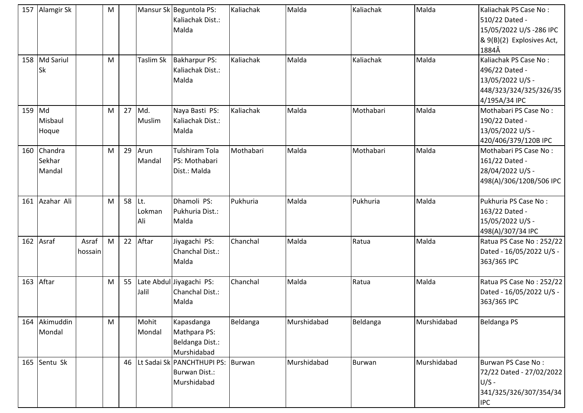|     | 157 Alamgir Sk              |                  | M         |        |                 | Mansur Sk Beguntola PS:<br>Kaliachak Dist.:<br>Malda                     | Kaliachak | Malda       | Kaliachak | Malda       | Kaliachak PS Case No:<br>510/22 Dated -<br>15/05/2022 U/S -286 IPC<br>& 9(B)(2) Explosives Act,<br>1884Â |
|-----|-----------------------------|------------------|-----------|--------|-----------------|--------------------------------------------------------------------------|-----------|-------------|-----------|-------------|----------------------------------------------------------------------------------------------------------|
|     | 158 Md Sariul<br>Sk         |                  | M         |        | Taslim Sk       | <b>Bakharpur PS:</b><br>Kaliachak Dist.:<br>Malda                        | Kaliachak | Malda       | Kaliachak | Malda       | Kaliachak PS Case No:<br>496/22 Dated -<br>13/05/2022 U/S -<br>448/323/324/325/326/35<br>4/195A/34 IPC   |
| 159 | Md<br>Misbaul<br>Hoque      |                  | M         | 27     | Md.<br>Muslim   | Naya Basti PS:<br>Kaliachak Dist.:<br>Malda                              | Kaliachak | Malda       | Mothabari | Malda       | Mothabari PS Case No:<br>190/22 Dated -<br>13/05/2022 U/S -<br>420/406/379/120B IPC                      |
| 160 | Chandra<br>Sekhar<br>Mandal |                  | M         | 29     | Arun<br>Mandal  | <b>Tulshiram Tola</b><br>PS: Mothabari<br>Dist.: Malda                   | Mothabari | Malda       | Mothabari | Malda       | Mothabari PS Case No:<br>161/22 Dated -<br>28/04/2022 U/S -<br>498(A)/306/120B/506 IPC                   |
| 161 | Azahar Ali                  |                  | M         | 58 Lt. | Lokman<br>Ali   | Dhamoli PS:<br>Pukhuria Dist.:<br>Malda                                  | Pukhuria  | Malda       | Pukhuria  | Malda       | Pukhuria PS Case No:<br>163/22 Dated -<br>15/05/2022 U/S -<br>498(A)/307/34 IPC                          |
| 162 | Asraf                       | Asraf<br>hossain | M         |        | 22 Aftar        | Jiyagachi PS:<br>Chanchal Dist.:<br>Malda                                | Chanchal  | Malda       | Ratua     | Malda       | Ratua PS Case No: 252/22<br>Dated - 16/05/2022 U/S -<br>363/365 IPC                                      |
| 163 | Aftar                       |                  | M         | 55     | Jalil           | Late Abdul Jiyagachi PS:<br>Chanchal Dist.:<br>Malda                     | Chanchal  | Malda       | Ratua     | Malda       | Ratua PS Case No: 252/22<br>Dated - 16/05/2022 U/S -<br>363/365 IPC                                      |
|     | 164 Akimuddin<br>Mondal     |                  | ${\sf M}$ |        | Mohit<br>Mondal | Kapasdanga<br>Mathpara PS:<br>Beldanga Dist.:<br>Murshidabad             | Beldanga  | Murshidabad | Beldanga  | Murshidabad | <b>Beldanga PS</b>                                                                                       |
|     | 165 Sentu Sk                |                  |           | 46     |                 | Lt Sadai Sk PANCHTHUPI PS: Burwan<br><b>Burwan Dist.:</b><br>Murshidabad |           | Murshidabad | Burwan    | Murshidabad | Burwan PS Case No:<br>72/22 Dated - 27/02/2022<br>$U/S -$<br>341/325/326/307/354/34<br><b>IPC</b>        |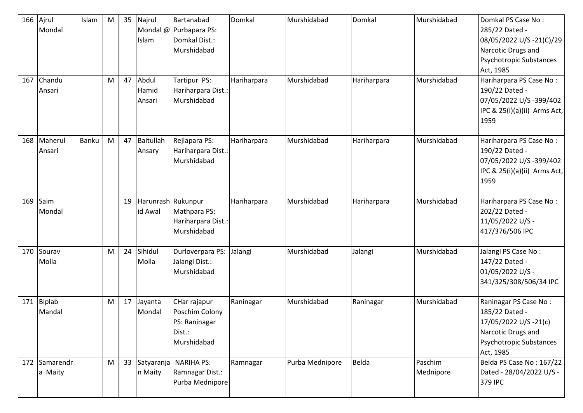| 166<br>167 | Ajrul<br>Mondal<br>Chandu<br>Ansari | Islam | M<br>M | 35<br>47 | Najrul<br>Islam<br>Abdul<br>Hamid<br>Ansari | Bartanabad<br>Mondal @ Purbapara PS:<br>Domkal Dist.:<br>Murshidabad<br>Tartipur PS:<br>Hariharpara Dist.:<br>Murshidabad | Domkal<br>Hariharpara | Murshidabad<br>Murshidabad | Domkal<br>Hariharpara | Murshidabad<br>Murshidabad | Domkal PS Case No:<br>285/22 Dated -<br>08/05/2022 U/S -21(C)/29<br>Narcotic Drugs and<br>Psychotropic Substances<br>Act, 1985<br>Hariharpara PS Case No:<br>190/22 Dated -<br>07/05/2022 U/S -399/402<br>IPC & 25(i)(a)(ii) Arms Act,<br>1959 |
|------------|-------------------------------------|-------|--------|----------|---------------------------------------------|---------------------------------------------------------------------------------------------------------------------------|-----------------------|----------------------------|-----------------------|----------------------------|------------------------------------------------------------------------------------------------------------------------------------------------------------------------------------------------------------------------------------------------|
| 168        | Maherul<br>Ansari                   | Banku | M      | 47       | Baitullah<br>Ansary                         | Rejlapara PS:<br>Hariharpara Dist.:<br>Murshidabad                                                                        | Hariharpara           | Murshidabad                | Hariharpara           | Murshidabad                | Hariharpara PS Case No:<br>190/22 Dated -<br>07/05/2022 U/S -399/402<br>IPC & 25(i)(a)(ii) Arms Act,<br>1959                                                                                                                                   |
| 169        | Saim<br>Mondal                      |       |        | 19       | Harunrash Rukunpur<br>id Awal               | Mathpara PS:<br>Hariharpara Dist.:<br>Murshidabad                                                                         | Hariharpara           | Murshidabad                | Hariharpara           | Murshidabad                | Hariharpara PS Case No:<br>202/22 Dated -<br>11/05/2022 U/S -<br>417/376/506 IPC                                                                                                                                                               |
|            | 170 Sourav<br>Molla                 |       | M      | 24       | Sihidul<br>Molla                            | Durloverpara PS:<br>Jalangi Dist.:<br>Murshidabad                                                                         | Jalangi               | Murshidabad                | Jalangi               | Murshidabad                | Jalangi PS Case No:<br>147/22 Dated -<br>01/05/2022 U/S -<br>341/325/308/506/34 IPC                                                                                                                                                            |
| 171        | <b>Biplab</b><br>Mandal             |       | M      | 17       | Jayanta<br>Mondal                           | CHar rajapur<br>Poschim Colony<br>PS: Raninagar<br>Dist.:<br>Murshidabad                                                  | Raninagar             | Murshidabad                | Raninagar             | Murshidabad                | Raninagar PS Case No:<br>185/22 Dated -<br>17/05/2022 U/S -21(c)<br>Narcotic Drugs and<br>Psychotropic Substances<br>Act, 1985                                                                                                                 |
|            | 172 Samarendr<br>a Maity            |       | M      |          | n Maity                                     | 33 Satyaranja NARIHA PS:<br>Ramnagar Dist.:<br>Purba Mednipore                                                            | Ramnagar              | Purba Mednipore            | Belda                 | Paschim<br>Mednipore       | Belda PS Case No: 167/22<br>Dated - 28/04/2022 U/S -<br>379 IPC                                                                                                                                                                                |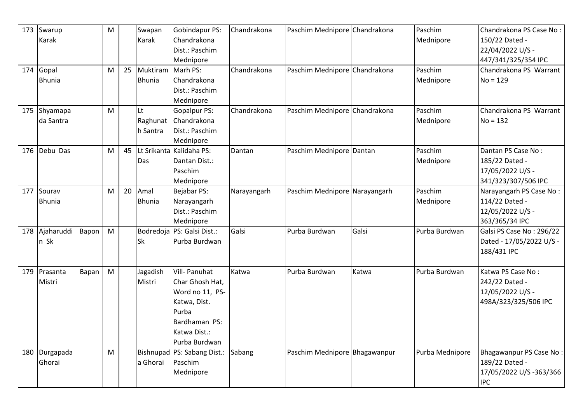| 173 | Swarup        |       | M |    | Swapan        | Gobindapur PS:                | Chandrakona | Paschim Mednipore Chandrakona |       | Paschim         | Chandrakona PS Case No:  |
|-----|---------------|-------|---|----|---------------|-------------------------------|-------------|-------------------------------|-------|-----------------|--------------------------|
|     | Karak         |       |   |    | Karak         | Chandrakona                   |             |                               |       | Mednipore       | 150/22 Dated -           |
|     |               |       |   |    |               | Dist.: Paschim                |             |                               |       |                 | 22/04/2022 U/S -         |
|     |               |       |   |    |               | Mednipore                     |             |                               |       |                 | 447/341/325/354 IPC      |
| 174 | Gopal         |       | M | 25 | Muktiram      | Marh PS:                      | Chandrakona | Paschim Mednipore Chandrakona |       | Paschim         | Chandrakona PS Warrant   |
|     | <b>Bhunia</b> |       |   |    | <b>Bhunia</b> | Chandrakona                   |             |                               |       | Mednipore       | $No = 129$               |
|     |               |       |   |    |               | Dist.: Paschim                |             |                               |       |                 |                          |
|     |               |       |   |    |               | Mednipore                     |             |                               |       |                 |                          |
| 175 | Shyamapa      |       | M |    | lLt           | Gopalpur PS:                  | Chandrakona | Paschim Mednipore Chandrakona |       | Paschim         | Chandrakona PS Warrant   |
|     | da Santra     |       |   |    | Raghunat      | Chandrakona                   |             |                               |       | Mednipore       | $No = 132$               |
|     |               |       |   |    | h Santra      | Dist.: Paschim                |             |                               |       |                 |                          |
|     |               |       |   |    |               | Mednipore                     |             |                               |       |                 |                          |
| 176 | Debu Das      |       | M | 45 |               | Lt Srikanta Kalidaha PS:      | Dantan      | Paschim Mednipore Dantan      |       | Paschim         | Dantan PS Case No:       |
|     |               |       |   |    | Das           | Dantan Dist.:                 |             |                               |       | Mednipore       | 185/22 Dated -           |
|     |               |       |   |    |               | Paschim                       |             |                               |       |                 | 17/05/2022 U/S -         |
|     |               |       |   |    |               | Mednipore                     |             |                               |       |                 | 341/323/307/506 IPC      |
| 177 | Sourav        |       | M | 20 | Amal          | Bejabar PS:                   | Narayangarh | Paschim Mednipore Narayangarh |       | Paschim         | Narayangarh PS Case No:  |
|     | <b>Bhunia</b> |       |   |    | <b>Bhunia</b> | Narayangarh                   |             |                               |       | Mednipore       | 114/22 Dated -           |
|     |               |       |   |    |               | Dist.: Paschim                |             |                               |       |                 | 12/05/2022 U/S -         |
|     |               |       |   |    |               | Mednipore                     |             |                               |       |                 | 363/365/34 IPC           |
| 178 | Ajaharuddi    | Bapon | M |    |               | Bodredoja PS: Galsi Dist.:    | Galsi       | Purba Burdwan                 | Galsi | Purba Burdwan   | Galsi PS Case No: 296/22 |
|     | n Sk          |       |   |    | <b>Sk</b>     | Purba Burdwan                 |             |                               |       |                 | Dated - 17/05/2022 U/S - |
|     |               |       |   |    |               |                               |             |                               |       |                 | 188/431 IPC              |
|     |               |       |   |    |               |                               |             |                               |       |                 |                          |
| 179 | Prasanta      | Bapan | M |    | Jagadish      | Vill- Panuhat                 | Katwa       | Purba Burdwan                 | Katwa | Purba Burdwan   | Katwa PS Case No:        |
|     | Mistri        |       |   |    | Mistri        | Char Ghosh Hat,               |             |                               |       |                 | 242/22 Dated -           |
|     |               |       |   |    |               | Word no 11, PS-               |             |                               |       |                 | 12/05/2022 U/S -         |
|     |               |       |   |    |               | Katwa, Dist.                  |             |                               |       |                 | 498A/323/325/506 IPC     |
|     |               |       |   |    |               | Purba                         |             |                               |       |                 |                          |
|     |               |       |   |    |               | Bardhaman PS:                 |             |                               |       |                 |                          |
|     |               |       |   |    |               | Katwa Dist.:                  |             |                               |       |                 |                          |
|     |               |       |   |    |               | Purba Burdwan                 |             |                               |       |                 |                          |
|     | 180 Durgapada |       | M |    |               | Bishnupad   PS: Sabang Dist.: | Sabang      | Paschim Mednipore Bhagawanpur |       | Purba Mednipore | Bhagawanpur PS Case No:  |
|     | Ghorai        |       |   |    | a Ghorai      | Paschim                       |             |                               |       |                 | 189/22 Dated -           |
|     |               |       |   |    |               | Mednipore                     |             |                               |       |                 | 17/05/2022 U/S -363/366  |
|     |               |       |   |    |               |                               |             |                               |       |                 | <b>IPC</b>               |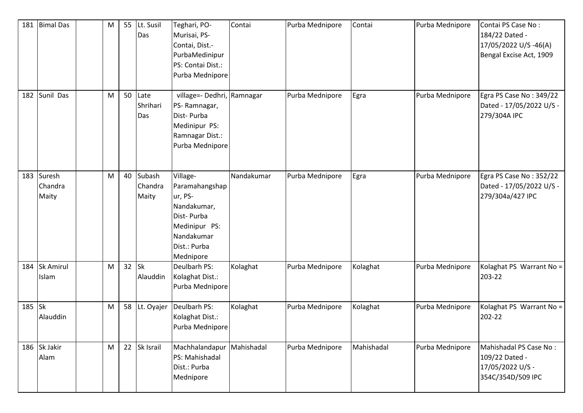| 181    | <b>Bimal Das</b>               | M | 55      | Lt. Susil<br>Das              | Teghari, PO-<br>Murisai, PS-<br>Contai, Dist.-<br>PurbaMedinipur<br>PS: Contai Dist.:<br>Purba Mednipore                       | Contai     | Purba Mednipore | Contai     | Purba Mednipore | Contai PS Case No:<br>184/22 Dated -<br>17/05/2022 U/S -46(A)<br>Bengal Excise Act, 1909 |
|--------|--------------------------------|---|---------|-------------------------------|--------------------------------------------------------------------------------------------------------------------------------|------------|-----------------|------------|-----------------|------------------------------------------------------------------------------------------|
| 182    | Sunil Das                      | M | 50      | Late<br>Shrihari<br>Das       | village=- Dedhri, Ramnagar<br>PS-Ramnagar,<br>Dist-Purba<br>Medinipur PS:<br>Ramnagar Dist.:<br>Purba Mednipore                |            | Purba Mednipore | Egra       | Purba Mednipore | Egra PS Case No: 349/22<br>Dated - 17/05/2022 U/S -<br>279/304A IPC                      |
|        | 183 Suresh<br>Chandra<br>Maity | M |         | 40 Subash<br>Chandra<br>Maity | Village-<br>Paramahangshap<br>ur, PS-<br>Nandakumar,<br>Dist-Purba<br>Medinipur PS:<br>Nandakumar<br>Dist.: Purba<br>Mednipore | Nandakumar | Purba Mednipore | Egra       | Purba Mednipore | Egra PS Case No: 352/22<br>Dated - 17/05/2022 U/S -<br>279/304a/427 IPC                  |
| 184    | <b>Sk Amirul</b><br>Islam      | M | $32$ Sk | Alauddin                      | Deulbarh PS:<br>Kolaghat Dist.:<br>Purba Mednipore                                                                             | Kolaghat   | Purba Mednipore | Kolaghat   | Purba Mednipore | Kolaghat PS Warrant No =<br>203-22                                                       |
| 185 Sk | Alauddin                       | M |         | 58 Lt. Oyajer                 | Deulbarh PS:<br>Kolaghat Dist.:<br>Purba Mednipore                                                                             | Kolaghat   | Purba Mednipore | Kolaghat   | Purba Mednipore | Kolaghat PS Warrant No =<br>202-22                                                       |
|        | 186 Sk Jakir<br>Alam           | M |         | 22 Sk Israil                  | Machhalandapur<br>PS: Mahishadal<br>Dist.: Purba<br>Mednipore                                                                  | Mahishadal | Purba Mednipore | Mahishadal | Purba Mednipore | Mahishadal PS Case No:<br>109/22 Dated -<br>17/05/2022 U/S -<br>354C/354D/509 IPC        |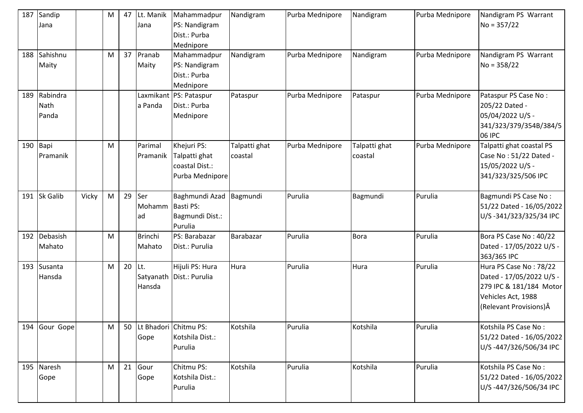| 187 | Sandip<br>Jana            |       | M | 47       | Lt. Manik<br>Jana        | Mahammadpur<br>PS: Nandigram<br>Dist.: Purba<br>Mednipore         | Nandigram                | Purba Mednipore | Nandigram                | Purba Mednipore | Nandigram PS Warrant<br>$No = 357/22$                                                                                          |
|-----|---------------------------|-------|---|----------|--------------------------|-------------------------------------------------------------------|--------------------------|-----------------|--------------------------|-----------------|--------------------------------------------------------------------------------------------------------------------------------|
| 188 | Sahishnu<br>Maity         |       | M | 37       | Pranab<br>Maity          | Mahammadpur<br>PS: Nandigram<br>Dist.: Purba<br>Mednipore         | Nandigram                | Purba Mednipore | Nandigram                | Purba Mednipore | Nandigram PS Warrant<br>$No = 358/22$                                                                                          |
| 189 | Rabindra<br>Nath<br>Panda |       |   |          | a Panda                  | Laxmikant PS: Pataspur<br>Dist.: Purba<br>Mednipore               | Pataspur                 | Purba Mednipore | Pataspur                 | Purba Mednipore | Pataspur PS Case No:<br>205/22 Dated -<br>05/04/2022 U/S -<br>341/323/379/354B/384/5<br>06 IPC                                 |
| 190 | Bapi<br>Pramanik          |       | M |          | Parimal<br>Pramanik      | Khejuri PS:<br>Talpatti ghat<br>coastal Dist.:<br>Purba Mednipore | Talpatti ghat<br>coastal | Purba Mednipore | Talpatti ghat<br>coastal | Purba Mednipore | Talpatti ghat coastal PS<br>Case No: 51/22 Dated -<br>15/05/2022 U/S -<br>341/323/325/506 IPC                                  |
|     | 191 Sk Galib              | Vicky | M | 29       | Ser<br>Mohamm<br>ad      | Baghmundi Azad<br>Basti PS:<br>Bagmundi Dist.:<br>Purulia         | Bagmundi                 | Purulia         | Bagmundi                 | Purulia         | Bagmundi PS Case No:<br>51/22 Dated - 16/05/2022<br>U/S-341/323/325/34 IPC                                                     |
| 192 | Debasish<br>Mahato        |       | M |          | <b>Brinchi</b><br>Mahato | PS: Barabazar<br>Dist.: Purulia                                   | Barabazar                | Purulia         | <b>Bora</b>              | Purulia         | Bora PS Case No: 40/22<br>Dated - 17/05/2022 U/S -<br>363/365 IPC                                                              |
|     | 193 Susanta<br>Hansda     |       | M | $20$ Lt. | Hansda                   | Hijuli PS: Hura<br>Satyanath   Dist.: Purulia                     | Hura                     | Purulia         | Hura                     | Purulia         | Hura PS Case No: 78/22<br>Dated - 17/05/2022 U/S -<br>279 IPC & 181/184 Motor<br>Vehicles Act, 1988<br>(Relevant Provisions) Â |
| 194 | Gour Gope                 |       | M |          | Gope                     | 50   Lt Bhadori   Chitmu PS:<br>Kotshila Dist.:<br>Purulia        | Kotshila                 | Purulia         | Kotshila                 | Purulia         | Kotshila PS Case No:<br>51/22 Dated - 16/05/2022<br>U/S-447/326/506/34 IPC                                                     |
| 195 | Naresh<br>Gope            |       | M | 21       | Gour<br>Gope             | Chitmu PS:<br>Kotshila Dist.:<br>Purulia                          | Kotshila                 | Purulia         | Kotshila                 | Purulia         | Kotshila PS Case No:<br>51/22 Dated - 16/05/2022<br>U/S-447/326/506/34 IPC                                                     |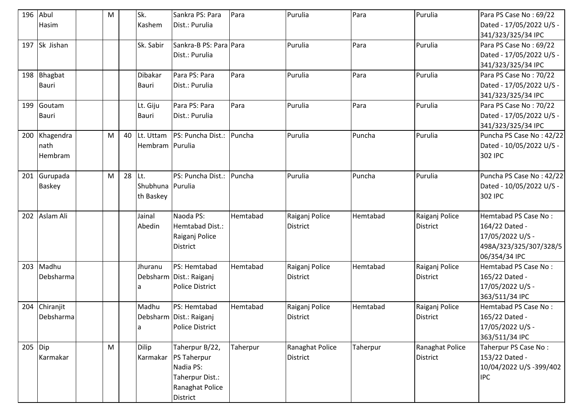| 196 Abul  |               | M         |        | Sk.              | Sankra PS: Para           | Para     | Purulia         | Para     | Purulia         | Para PS Case No: 69/22   |
|-----------|---------------|-----------|--------|------------------|---------------------------|----------|-----------------|----------|-----------------|--------------------------|
|           | <b>Hasim</b>  |           |        | Kashem           | Dist.: Purulia            |          |                 |          |                 | Dated - 17/05/2022 U/S - |
|           |               |           |        |                  |                           |          |                 |          |                 | 341/323/325/34 IPC       |
|           | 197 Sk Jishan |           |        | Sk. Sabir        | Sankra-B PS: Para Para    |          | Purulia         | Para     | Purulia         | Para PS Case No: 69/22   |
|           |               |           |        |                  | Dist.: Purulia            |          |                 |          |                 | Dated - 17/05/2022 U/S - |
|           |               |           |        |                  |                           |          |                 |          |                 | 341/323/325/34 IPC       |
|           | 198 Bhagbat   |           |        | <b>Dibakar</b>   | Para PS: Para             | Para     | Purulia         | Para     | Purulia         | Para PS Case No: 70/22   |
|           | <b>Bauri</b>  |           |        | Bauri            | Dist.: Purulia            |          |                 |          |                 | Dated - 17/05/2022 U/S - |
|           |               |           |        |                  |                           |          |                 |          |                 | 341/323/325/34 IPC       |
| 199       | Goutam        |           |        | Lt. Giju         | Para PS: Para             | Para     | Purulia         | Para     | Purulia         | Para PS Case No: 70/22   |
|           | Bauri         |           |        | <b>Bauri</b>     | Dist.: Purulia            |          |                 |          |                 | Dated - 17/05/2022 U/S - |
|           |               |           |        |                  |                           |          |                 |          |                 | 341/323/325/34 IPC       |
| 200       | Khagendra     | M         | 40     | Lt. Uttam        | PS: Puncha Dist.:         | Puncha   | Purulia         | Puncha   | Purulia         | Puncha PS Case No: 42/22 |
|           | nath          |           |        | Hembram Purulia  |                           |          |                 |          |                 | Dated - 10/05/2022 U/S - |
|           | Hembram       |           |        |                  |                           |          |                 |          |                 | 302 IPC                  |
|           |               |           |        |                  |                           |          |                 |          |                 |                          |
| 201       | Gurupada      | M         | 28 Lt. |                  | PS: Puncha Dist.:         | Puncha   | Purulia         | Puncha   | Purulia         | Puncha PS Case No: 42/22 |
|           | <b>Baskey</b> |           |        | Shubhuna Purulia |                           |          |                 |          |                 | Dated - 10/05/2022 U/S - |
|           |               |           |        | th Baskey        |                           |          |                 |          |                 | 302 IPC                  |
|           |               |           |        |                  |                           |          |                 |          |                 |                          |
|           | 202 Aslam Ali |           |        | Jainal           | Naoda PS:                 | Hemtabad | Raiganj Police  | Hemtabad | Raiganj Police  | Hemtabad PS Case No:     |
|           |               |           |        | Abedin           | Hemtabad Dist.:           |          | <b>District</b> |          | <b>District</b> | 164/22 Dated -           |
|           |               |           |        |                  | Raiganj Police            |          |                 |          |                 | 17/05/2022 U/S -         |
|           |               |           |        |                  | <b>District</b>           |          |                 |          |                 | 498A/323/325/307/328/5   |
|           |               |           |        |                  |                           |          |                 |          |                 | 06/354/34 IPC            |
| 203       | Madhu         |           |        | Jhuranu          | PS: Hemtabad              | Hemtabad | Raiganj Police  | Hemtabad | Raiganj Police  | Hemtabad PS Case No:     |
|           | Debsharma     |           |        |                  | Debsharm   Dist.: Raiganj |          | <b>District</b> |          | <b>District</b> | 165/22 Dated -           |
|           |               |           |        | la               | <b>Police District</b>    |          |                 |          |                 | 17/05/2022 U/S -         |
|           |               |           |        |                  |                           |          |                 |          |                 | 363/511/34 IPC           |
| 204       | Chiranjit     |           |        | Madhu            | PS: Hemtabad              | Hemtabad | Raiganj Police  | Hemtabad | Raiganj Police  | Hemtabad PS Case No:     |
|           | Debsharma     |           |        |                  | Debsharm   Dist.: Raiganj |          | <b>District</b> |          | <b>District</b> | 165/22 Dated -           |
|           |               |           |        | la               | <b>Police District</b>    |          |                 |          |                 | 17/05/2022 U/S -         |
|           |               |           |        |                  |                           |          |                 |          |                 | 363/511/34 IPC           |
| $205$ Dip |               | ${\sf M}$ |        | <b>Dilip</b>     | Taherpur B/22,            | Taherpur | Ranaghat Police | Taherpur | Ranaghat Police | Taherpur PS Case No:     |
|           | Karmakar      |           |        | Karmakar         | <b>PS Taherpur</b>        |          | <b>District</b> |          | <b>District</b> | 153/22 Dated -           |
|           |               |           |        |                  | Nadia PS:                 |          |                 |          |                 | 10/04/2022 U/S -399/402  |
|           |               |           |        |                  | Taherpur Dist.:           |          |                 |          |                 | <b>IPC</b>               |
|           |               |           |        |                  | Ranaghat Police           |          |                 |          |                 |                          |
|           |               |           |        |                  | District                  |          |                 |          |                 |                          |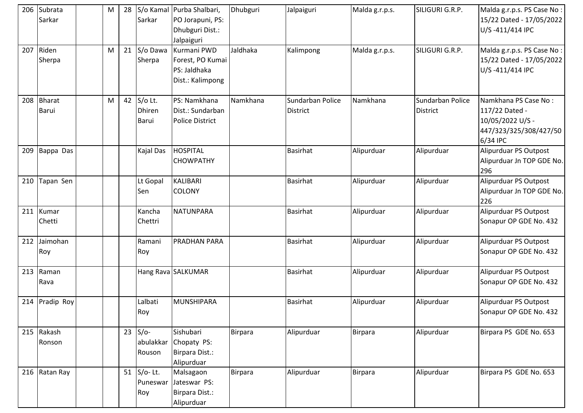|     | 206 Subrata<br>Sarkar  | M | 28 | Sarkar                            | S/o Kamal Purba Shalbari,<br>PO Jorapuni, PS:<br>Dhubguri Dist.:<br>Jalpaiguri | Dhubguri       | Jalpaiguri                          | Malda g.r.p.s. | SILIGURI G.R.P.                     | Malda g.r.p.s. PS Case No:<br>15/22 Dated - 17/05/2022<br>U/S-411/414 IPC                        |
|-----|------------------------|---|----|-----------------------------------|--------------------------------------------------------------------------------|----------------|-------------------------------------|----------------|-------------------------------------|--------------------------------------------------------------------------------------------------|
| 207 | Riden<br>Sherpa        | M |    | 21 S/o Dawa<br>Sherpa             | Kurmani PWD<br>Forest, PO Kumai<br>PS: Jaldhaka<br>Dist.: Kalimpong            | Jaldhaka       | Kalimpong                           | Malda g.r.p.s. | SILIGURI G.R.P.                     | Malda g.r.p.s. PS Case No:<br>15/22 Dated - 17/05/2022<br>U/S-411/414 IPC                        |
| 208 | <b>Bharat</b><br>Barui | M | 42 | S/o Lt.<br><b>Dhiren</b><br>Barui | PS: Namkhana<br>Dist.: Sundarban<br><b>Police District</b>                     | Namkhana       | Sundarban Police<br><b>District</b> | Namkhana       | Sundarban Police<br><b>District</b> | Namkhana PS Case No:<br>117/22 Dated -<br>10/05/2022 U/S -<br>447/323/325/308/427/50<br>6/34 IPC |
| 209 | Bappa Das              |   |    | Kajal Das                         | HOSPITAL<br><b>CHOWPATHY</b>                                                   |                | <b>Basirhat</b>                     | Alipurduar     | Alipurduar                          | Alipurduar PS Outpost<br>Alipurduar Jn TOP GDE No.<br>296                                        |
| 210 | Tapan Sen              |   |    | Lt Gopal<br>Sen                   | <b>KALIBARI</b><br><b>COLONY</b>                                               |                | <b>Basirhat</b>                     | Alipurduar     | Alipurduar                          | Alipurduar PS Outpost<br>Alipurduar Jn TOP GDE No.<br>226                                        |
| 211 | Kumar<br>Chetti        |   |    | Kancha<br>Chettri                 | <b>NATUNPARA</b>                                                               |                | Basirhat                            | Alipurduar     | Alipurduar                          | Alipurduar PS Outpost<br>Sonapur OP GDE No. 432                                                  |
| 212 | Jaimohan<br>Roy        |   |    | Ramani<br>Roy                     | <b>PRADHAN PARA</b>                                                            |                | <b>Basirhat</b>                     | Alipurduar     | Alipurduar                          | Alipurduar PS Outpost<br>Sonapur OP GDE No. 432                                                  |
| 213 | Raman<br>Rava          |   |    |                                   | Hang Rava SALKUMAR                                                             |                | <b>Basirhat</b>                     | Alipurduar     | Alipurduar                          | Alipurduar PS Outpost<br>Sonapur OP GDE No. 432                                                  |
| 214 | Pradip Roy             |   |    | Lalbati<br>Roy                    | <b>MUNSHIPARA</b>                                                              |                | <b>Basirhat</b>                     | Alipurduar     | Alipurduar                          | Alipurduar PS Outpost<br>Sonapur OP GDE No. 432                                                  |
| 215 | Rakash<br>Ronson       |   |    | $23$ S/o-<br>abulakkar<br>Rouson  | Sishubari<br>Chopaty PS:<br>Birpara Dist.:<br>Alipurduar                       | <b>Birpara</b> | Alipurduar                          | Birpara        | Alipurduar                          | Birpara PS GDE No. 653                                                                           |
|     | 216 Ratan Ray          |   |    | 51 $S/O-$ Lt.<br>Puneswar<br>Roy  | Malsagaon<br>Jateswar PS:<br>Birpara Dist.:<br>Alipurduar                      | <b>Birpara</b> | Alipurduar                          | <b>Birpara</b> | Alipurduar                          | Birpara PS GDE No. 653                                                                           |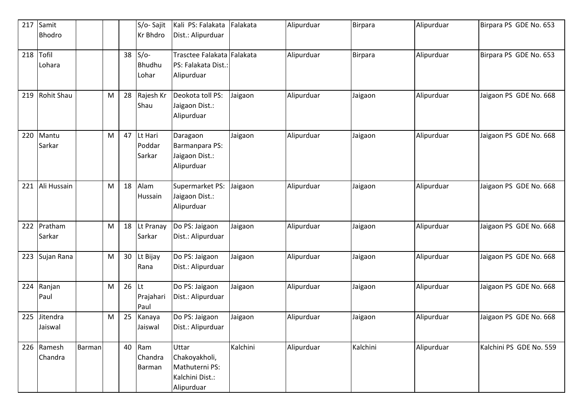| 217 | Samit<br><b>Bhodro</b> |        |   |    | S/o-Sajit<br><b>Kr Bhdro</b>     | Kali PS: Falakata<br>Dist.: Alipurduar                                    | Falakata | Alipurduar | <b>Birpara</b> | Alipurduar | Birpara PS GDE No. 653  |
|-----|------------------------|--------|---|----|----------------------------------|---------------------------------------------------------------------------|----------|------------|----------------|------------|-------------------------|
| 218 | Tofil<br>Lohara        |        |   | 38 | $S/O-$<br><b>Bhudhu</b><br>Lohar | Trasctee Falakata Falakata<br>PS: Falakata Dist.:<br>Alipurduar           |          | Alipurduar | Birpara        | Alipurduar | Birpara PS GDE No. 653  |
| 219 | <b>Rohit Shau</b>      |        | M | 28 | Rajesh Kr<br>Shau                | Deokota toll PS:<br>Jaigaon Dist.:<br>Alipurduar                          | Jaigaon  | Alipurduar | Jaigaon        | Alipurduar | Jaigaon PS GDE No. 668  |
| 220 | Mantu<br>Sarkar        |        | M | 47 | Lt Hari<br>Poddar<br>Sarkar      | Daragaon<br>Barmanpara PS:<br>Jaigaon Dist.:<br>Alipurduar                | Jaigaon  | Alipurduar | Jaigaon        | Alipurduar | Jaigaon PS GDE No. 668  |
| 221 | Ali Hussain            |        | M | 18 | Alam<br>Hussain                  | Supermarket PS:<br>Jaigaon Dist.:<br>Alipurduar                           | Jaigaon  | Alipurduar | Jaigaon        | Alipurduar | Jaigaon PS GDE No. 668  |
| 222 | Pratham<br>Sarkar      |        | M | 18 | Lt Pranay<br>Sarkar              | Do PS: Jaigaon<br>Dist.: Alipurduar                                       | Jaigaon  | Alipurduar | Jaigaon        | Alipurduar | Jaigaon PS GDE No. 668  |
| 223 | Sujan Rana             |        | M | 30 | Lt Bijay<br>Rana                 | Do PS: Jaigaon<br>Dist.: Alipurduar                                       | Jaigaon  | Alipurduar | Jaigaon        | Alipurduar | Jaigaon PS GDE No. 668  |
| 224 | Ranjan<br>Paul         |        | M | 26 | lLt<br>Prajahari<br>Paul         | Do PS: Jaigaon<br>Dist.: Alipurduar                                       | Jaigaon  | Alipurduar | Jaigaon        | Alipurduar | Jaigaon PS GDE No. 668  |
| 225 | Jitendra<br>Jaiswal    |        | M | 25 | Kanaya<br>Jaiswal                | Do PS: Jaigaon<br>Dist.: Alipurduar                                       | Jaigaon  | Alipurduar | Jaigaon        | Alipurduar | Jaigaon PS GDE No. 668  |
|     | 226 Ramesh<br>Chandra  | Barman |   |    | 40 Ram<br>Chandra<br>Barman      | Uttar<br>Chakoyakholi,<br>Mathuterni PS:<br>Kalchini Dist.:<br>Alipurduar | Kalchini | Alipurduar | Kalchini       | Alipurduar | Kalchini PS GDE No. 559 |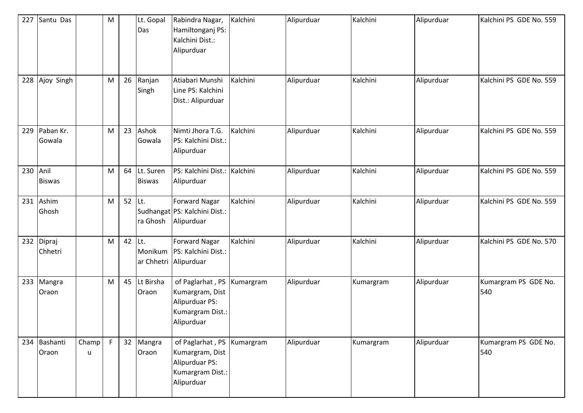| 227 | Santu Das             |            | M |                | Lt. Gopal<br>Das              | Rabindra Nagar,<br>Hamiltonganj PS:<br>Kalchini Dist.:<br>Alipurduar                    | Kalchini  | Alipurduar | Kalchini  | Alipurduar | Kalchini PS GDE No. 559     |
|-----|-----------------------|------------|---|----------------|-------------------------------|-----------------------------------------------------------------------------------------|-----------|------------|-----------|------------|-----------------------------|
| 228 | Ajoy Singh            |            | M | 26             | Ranjan<br>Singh               | Atiabari Munshi<br>Line PS: Kalchini<br>Dist.: Alipurduar                               | Kalchini  | Alipurduar | Kalchini  | Alipurduar | Kalchini PS GDE No. 559     |
| 229 | Paban Kr.<br>Gowala   |            | M | 23             | Ashok<br>Gowala               | Nimti Jhora T.G.<br>PS: Kalchini Dist.:<br>Alipurduar                                   | Kalchini  | Alipurduar | Kalchini  | Alipurduar | Kalchini PS GDE No. 559     |
| 230 | Anil<br><b>Biswas</b> |            | M |                | 64 Lt. Suren<br><b>Biswas</b> | PS: Kalchini Dist.: Kalchini<br>Alipurduar                                              |           | Alipurduar | Kalchini  | Alipurduar | Kalchini PS GDE No. 559     |
| 231 | Ashim<br>Ghosh        |            | M | 52 $\vert$ Lt. | ra Ghosh                      | <b>Forward Nagar</b><br>Sudhangat PS: Kalchini Dist.:<br>Alipurduar                     | Kalchini  | Alipurduar | Kalchini  | Alipurduar | Kalchini PS GDE No. 559     |
| 232 | Dipraj<br>Chhetri     |            | M | 42 Lt.         | Monikum<br>ar Chhetri         | <b>Forward Nagar</b><br>PS: Kalchini Dist.:<br>Alipurduar                               | Kalchini  | Alipurduar | Kalchini  | Alipurduar | Kalchini PS GDE No. 570     |
| 233 | Mangra<br>Oraon       |            | M | 45             | Lt Birsha<br>Oraon            | of Paglarhat, PS<br>Kumargram, Dist<br>Alipurduar PS:<br>Kumargram Dist.:<br>Alipurduar | Kumargram | Alipurduar | Kumargram | Alipurduar | Kumargram PS GDE No.<br>540 |
|     | 234 Bashanti<br>Oraon | Champ<br>u | F |                | 32 Mangra<br>Oraon            | of Paglarhat, PS<br>Kumargram, Dist<br>Alipurduar PS:<br>Kumargram Dist.:<br>Alipurduar | Kumargram | Alipurduar | Kumargram | Alipurduar | Kumargram PS GDE No.<br>540 |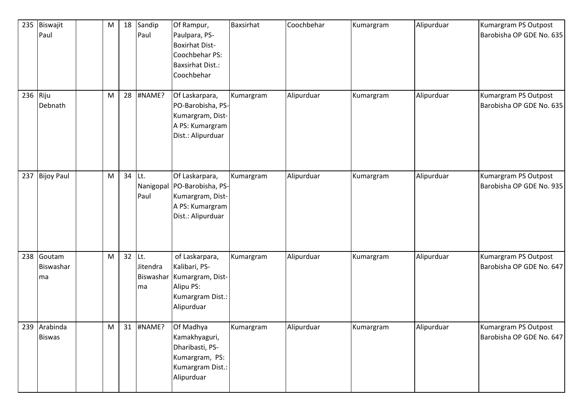| 235      | Biswajit<br>Paul              | M | 18     | Sandip<br>Paul              | Of Rampur,<br>Paulpara, PS-<br><b>Boxirhat Dist-</b><br>Coochbehar PS:<br><b>Baxsirhat Dist.:</b><br>Coochbehar | <b>Baxsirhat</b> | Coochbehar | Kumargram | Alipurduar | Kumargram PS Outpost<br>Barobisha OP GDE No. 635 |
|----------|-------------------------------|---|--------|-----------------------------|-----------------------------------------------------------------------------------------------------------------|------------------|------------|-----------|------------|--------------------------------------------------|
| 236 Riju | Debnath                       | M |        | 28 #NAME?                   | Of Laskarpara,<br>PO-Barobisha, PS-<br>Kumargram, Dist-<br>A PS: Kumargram<br>Dist.: Alipurduar                 | Kumargram        | Alipurduar | Kumargram | Alipurduar | Kumargram PS Outpost<br>Barobisha OP GDE No. 635 |
| 237      | <b>Bijoy Paul</b>             | M | 34 Lt. | Nanigopal<br>Paul           | Of Laskarpara,<br>PO-Barobisha, PS-<br>Kumargram, Dist-<br>A PS: Kumargram<br>Dist.: Alipurduar                 | Kumargram        | Alipurduar | Kumargram | Alipurduar | Kumargram PS Outpost<br>Barobisha OP GDE No. 935 |
| 238      | Goutam<br>Biswashar<br>ma     | M | 32 Lt. | Jitendra<br>Biswashar<br>ma | of Laskarpara,<br>Kalibari, PS-<br>Kumargram, Dist-<br>Alipu PS:<br>Kumargram Dist.:<br>Alipurduar              | Kumargram        | Alipurduar | Kumargram | Alipurduar | Kumargram PS Outpost<br>Barobisha OP GDE No. 647 |
|          | 239 Arabinda<br><b>Biswas</b> | M |        | 31 #NAME?                   | Of Madhya<br>Kamakhyaguri,<br>Dharibasti, PS-<br>Kumargram, PS:<br>Kumargram Dist.:<br>Alipurduar               | Kumargram        | Alipurduar | Kumargram | Alipurduar | Kumargram PS Outpost<br>Barobisha OP GDE No. 647 |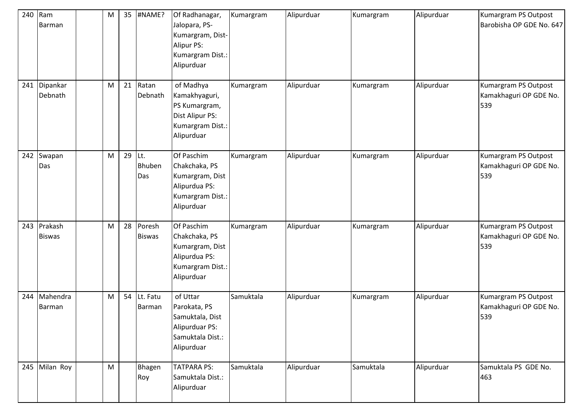| 240 | Ram<br>Barman                | M | 35 | #NAME?                  | Of Radhanagar,<br>Jalopara, PS-<br>Kumargram, Dist-<br><b>Alipur PS:</b><br>Kumargram Dist.:<br>Alipurduar | Kumargram | Alipurduar | Kumargram | Alipurduar | Kumargram PS Outpost<br>Barobisha OP GDE No. 647      |
|-----|------------------------------|---|----|-------------------------|------------------------------------------------------------------------------------------------------------|-----------|------------|-----------|------------|-------------------------------------------------------|
| 241 | Dipankar<br>Debnath          | M | 21 | Ratan<br>Debnath        | of Madhya<br>Kamakhyaguri,<br>PS Kumargram,<br>Dist Alipur PS:<br>Kumargram Dist.:<br>Alipurduar           | Kumargram | Alipurduar | Kumargram | Alipurduar | Kumargram PS Outpost<br>Kamakhaguri OP GDE No.<br>539 |
| 242 | Swapan<br>Das                | M | 29 | lLt.<br>Bhuben<br>Das   | Of Paschim<br>Chakchaka, PS<br>Kumargram, Dist<br>Alipurdua PS:<br>Kumargram Dist.:<br>Alipurduar          | Kumargram | Alipurduar | Kumargram | Alipurduar | Kumargram PS Outpost<br>Kamakhaguri OP GDE No.<br>539 |
|     | 243 Prakash<br><b>Biswas</b> | M | 28 | Poresh<br><b>Biswas</b> | Of Paschim<br>Chakchaka, PS<br>Kumargram, Dist<br>Alipurdua PS:<br>Kumargram Dist.:<br>Alipurduar          | Kumargram | Alipurduar | Kumargram | Alipurduar | Kumargram PS Outpost<br>Kamakhaguri OP GDE No.<br>539 |
| 244 | Mahendra<br><b>Barman</b>    | M | 54 | Lt. Fatu<br>Barman      | of Uttar<br>Parokata, PS<br>Samuktala, Dist<br>Alipurduar PS:<br>Samuktala Dist.:<br>Alipurduar            | Samuktala | Alipurduar | Kumargram | Alipurduar | Kumargram PS Outpost<br>Kamakhaguri OP GDE No.<br>539 |
|     | 245 Milan Roy                | M |    | Bhagen<br>Roy           | <b>TATPARA PS:</b><br>Samuktala Dist.:<br>Alipurduar                                                       | Samuktala | Alipurduar | Samuktala | Alipurduar | Samuktala PS GDE No.<br>463                           |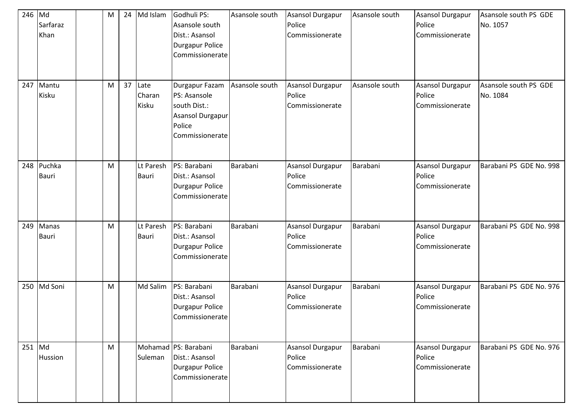| 246 Md   | Sarfaraz<br>Khan | M | 24 | Md Islam                  | Godhuli PS:<br>Asansole south<br>Dist.: Asansol<br><b>Durgapur Police</b><br>Commissionerate    | Asansole south | <b>Asansol Durgapur</b><br>Police<br>Commissionerate | Asansole south | <b>Asansol Durgapur</b><br>Police<br>Commissionerate | Asansole south PS GDE<br>No. 1057 |
|----------|------------------|---|----|---------------------------|-------------------------------------------------------------------------------------------------|----------------|------------------------------------------------------|----------------|------------------------------------------------------|-----------------------------------|
| 247      | Mantu<br>Kisku   | M | 37 | Late<br>Charan<br>Kisku   | Durgapur Fazam<br>PS: Asansole<br>south Dist.:<br>Asansol Durgapur<br>Police<br>Commissionerate | Asansole south | Asansol Durgapur<br>Police<br>Commissionerate        | Asansole south | <b>Asansol Durgapur</b><br>Police<br>Commissionerate | Asansole south PS GDE<br>No. 1084 |
| 248      | Puchka<br>Bauri  | M |    | Lt Paresh<br><b>Bauri</b> | PS: Barabani<br>Dist.: Asansol<br><b>Durgapur Police</b><br>Commissionerate                     | Barabani       | Asansol Durgapur<br>Police<br>Commissionerate        | Barabani       | <b>Asansol Durgapur</b><br>Police<br>Commissionerate | Barabani PS GDE No. 998           |
| 249      | Manas<br>Bauri   | M |    | Lt Paresh<br>Bauri        | PS: Barabani<br>Dist.: Asansol<br><b>Durgapur Police</b><br>Commissionerate                     | Barabani       | Asansol Durgapur<br>Police<br>Commissionerate        | Barabani       | Asansol Durgapur<br>Police<br>Commissionerate        | Barabani PS GDE No. 998           |
| 250      | Md Soni          | M |    | Md Salim                  | PS: Barabani<br>Dist.: Asansol<br><b>Durgapur Police</b><br>Commissionerate                     | Barabani       | Asansol Durgapur<br>Police<br>Commissionerate        | Barabani       | Asansol Durgapur<br>Police<br>Commissionerate        | Barabani PS GDE No. 976           |
| $251$ Md | Hussion          | M |    | Suleman                   | Mohamad PS: Barabani<br>Dist.: Asansol<br>Durgapur Police<br>Commissionerate                    | Barabani       | Asansol Durgapur<br>Police<br>Commissionerate        | Barabani       | <b>Asansol Durgapur</b><br>Police<br>Commissionerate | Barabani PS GDE No. 976           |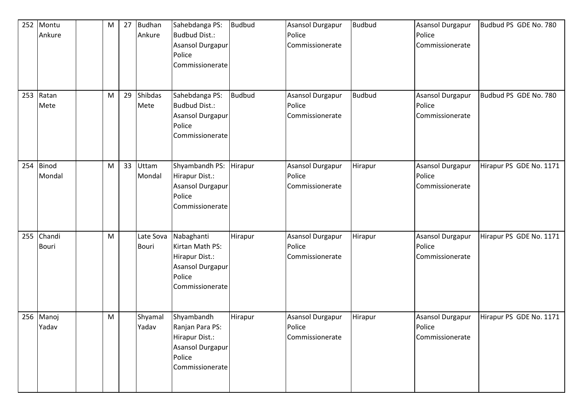| 252 | Montu<br>Ankure        | M | 27 | <b>Budhan</b><br>Ankure | Sahebdanga PS:<br>Budbud Dist.:<br>Asansol Durgapur<br>Police<br>Commissionerate                 | <b>Budbud</b> | Asansol Durgapur<br>Police<br>Commissionerate        | <b>Budbud</b> | Asansol Durgapur<br>Police<br>Commissionerate        | Budbud PS GDE No. 780   |
|-----|------------------------|---|----|-------------------------|--------------------------------------------------------------------------------------------------|---------------|------------------------------------------------------|---------------|------------------------------------------------------|-------------------------|
| 253 | Ratan<br>Mete          | M | 29 | Shibdas<br>Mete         | Sahebdanga PS:<br>Budbud Dist.:<br>Asansol Durgapur<br>Police<br>Commissionerate                 | <b>Budbud</b> | <b>Asansol Durgapur</b><br>Police<br>Commissionerate | <b>Budbud</b> | Asansol Durgapur<br>Police<br>Commissionerate        | Budbud PS GDE No. 780   |
| 254 | <b>Binod</b><br>Mondal | M | 33 | Uttam<br>Mondal         | Shyambandh PS:<br>Hirapur Dist.:<br>Asansol Durgapur<br>Police<br>Commissionerate                | Hirapur       | <b>Asansol Durgapur</b><br>Police<br>Commissionerate | Hirapur       | Asansol Durgapur<br>Police<br>Commissionerate        | Hirapur PS GDE No. 1171 |
| 255 | Chandi<br><b>Bouri</b> | M |    | Late Sova<br>Bouri      | Nabaghanti<br>Kirtan Math PS:<br>Hirapur Dist.:<br>Asansol Durgapur<br>Police<br>Commissionerate | Hirapur       | <b>Asansol Durgapur</b><br>Police<br>Commissionerate | Hirapur       | <b>Asansol Durgapur</b><br>Police<br>Commissionerate | Hirapur PS GDE No. 1171 |
|     | 256 Manoj<br>Yadav     | M |    | Shyamal<br>Yadav        | Shyambandh<br>Ranjan Para PS:<br>Hirapur Dist.:<br>Asansol Durgapur<br>Police<br>Commissionerate | Hirapur       | Asansol Durgapur<br>Police<br>Commissionerate        | Hirapur       | <b>Asansol Durgapur</b><br>Police<br>Commissionerate | Hirapur PS GDE No. 1171 |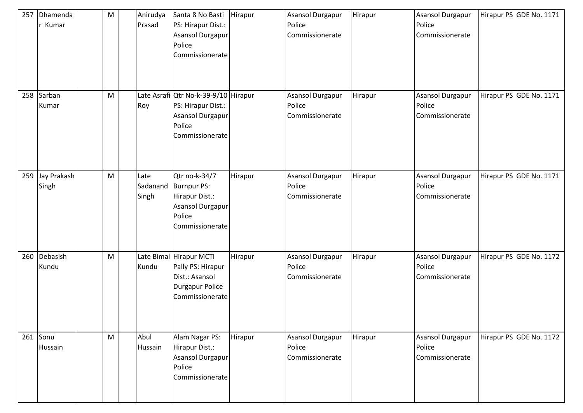| 257 | Dhamenda<br>Kumar    | ${\sf M}$ | Anirudya<br>Prasad        | Santa 8 No Basti<br>PS: Hirapur Dist.:<br><b>Asansol Durgapur</b><br>Police<br>Commissionerate                | Hirapur | <b>Asansol Durgapur</b><br>Police<br>Commissionerate | Hirapur | Asansol Durgapur<br>Police<br>Commissionerate | Hirapur PS GDE No. 1171 |
|-----|----------------------|-----------|---------------------------|---------------------------------------------------------------------------------------------------------------|---------|------------------------------------------------------|---------|-----------------------------------------------|-------------------------|
|     | 258 Sarban<br>Kumar  | M         | Roy                       | Late Asrafi Qtr No-k-39-9/10 Hirapur<br>PS: Hirapur Dist.:<br>Asansol Durgapur<br>Police<br>Commissionerate   |         | <b>Asansol Durgapur</b><br>Police<br>Commissionerate | Hirapur | Asansol Durgapur<br>Police<br>Commissionerate | Hirapur PS GDE No. 1171 |
| 259 | Jay Prakash<br>Singh | ${\sf M}$ | Late<br>Sadanand<br>Singh | Qtr no-k-34/7<br><b>Burnpur PS:</b><br>Hirapur Dist.:<br><b>Asansol Durgapur</b><br>Police<br>Commissionerate | Hirapur | Asansol Durgapur<br>Police<br>Commissionerate        | Hirapur | Asansol Durgapur<br>Police<br>Commissionerate | Hirapur PS GDE No. 1171 |
| 260 | Debasish<br>Kundu    | ${\sf M}$ | Kundu                     | Late Bimal Hirapur MCTI<br>Pally PS: Hirapur<br>Dist.: Asansol<br><b>Durgapur Police</b><br>Commissionerate   | Hirapur | <b>Asansol Durgapur</b><br>Police<br>Commissionerate | Hirapur | Asansol Durgapur<br>Police<br>Commissionerate | Hirapur PS GDE No. 1172 |
|     | 261 Sonu<br>Hussain  | M         | Abul<br>Hussain           | Alam Nagar PS:<br>Hirapur Dist.:<br>Asansol Durgapur<br>Police<br>Commissionerate                             | Hirapur | Asansol Durgapur<br>Police<br>Commissionerate        | Hirapur | Asansol Durgapur<br>Police<br>Commissionerate | Hirapur PS GDE No. 1172 |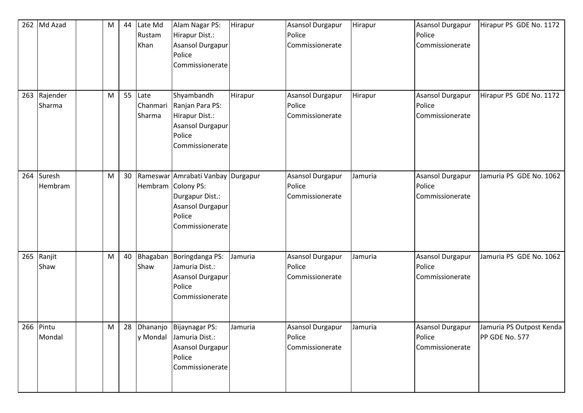|     | 262 Md Azad         | M | 44              | Late Md<br>Rustam<br>Khan  | Alam Nagar PS:<br>Hirapur Dist.:<br>Asansol Durgapur<br>Police<br>Commissionerate                                                  | Hirapur | <b>Asansol Durgapur</b><br>Police<br>Commissionerate | Hirapur | <b>Asansol Durgapur</b><br>Police<br>Commissionerate | Hirapur PS GDE No. 1172                    |
|-----|---------------------|---|-----------------|----------------------------|------------------------------------------------------------------------------------------------------------------------------------|---------|------------------------------------------------------|---------|------------------------------------------------------|--------------------------------------------|
| 263 | Rajender<br>Sharma  | M | 55              | Late<br>Chanmari<br>Sharma | Shyambandh<br>Ranjan Para PS:<br>Hirapur Dist.:<br>Asansol Durgapur<br>Police<br>Commissionerate                                   | Hirapur | Asansol Durgapur<br>Police<br>Commissionerate        | Hirapur | <b>Asansol Durgapur</b><br>Police<br>Commissionerate | Hirapur PS GDE No. 1172                    |
| 264 | Suresh<br>Hembram   | M | 30 <sub>o</sub> |                            | Rameswar Amrabati Vanbay Durgapur<br>Hembram Colony PS:<br>Durgapur Dist.:<br><b>Asansol Durgapur</b><br>Police<br>Commissionerate |         | Asansol Durgapur<br>Police<br>Commissionerate        | Jamuria | <b>Asansol Durgapur</b><br>Police<br>Commissionerate | Jamuria PS GDE No. 1062                    |
| 265 | Ranjit<br>Shaw      | M | 40              | Shaw                       | Bhagaban Boringdanga PS:<br>Jamuria Dist.:<br>Asansol Durgapur<br>Police<br>Commissionerate                                        | Jamuria | Asansol Durgapur<br>Police<br>Commissionerate        | Jamuria | <b>Asansol Durgapur</b><br>Police<br>Commissionerate | Jamuria PS GDE No. 1062                    |
|     | 266 Pintu<br>Mondal | M |                 |                            | 28 Dhananjo Bijaynagar PS:<br>y Mondal Jamuria Dist.:<br>Asansol Durgapur<br>Police<br>Commissionerate                             | Jamuria | <b>Asansol Durgapur</b><br>Police<br>Commissionerate | Jamuria | Asansol Durgapur<br>Police<br>Commissionerate        | Jamuria PS Outpost Kenda<br>PP GDE No. 577 |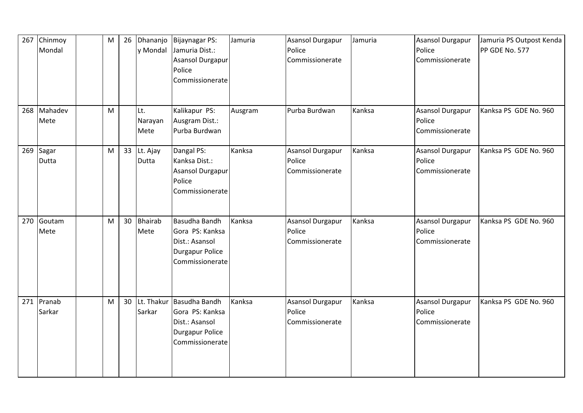| 267 | Chinmoy<br>Mondal | M | 26 | y Mondal               | Dhananjo Bijaynagar PS:<br>Jamuria Dist.:<br>Asansol Durgapur<br>Police<br>Commissionerate      | Jamuria | <b>Asansol Durgapur</b><br>Police<br>Commissionerate | Jamuria | <b>Asansol Durgapur</b><br>Police<br>Commissionerate | Jamuria PS Outpost Kenda<br>PP GDE No. 577 |
|-----|-------------------|---|----|------------------------|-------------------------------------------------------------------------------------------------|---------|------------------------------------------------------|---------|------------------------------------------------------|--------------------------------------------|
| 268 | Mahadev<br>Mete   | M |    | Lt.<br>Narayan<br>Mete | Kalikapur PS:<br>Ausgram Dist.:<br>Purba Burdwan                                                | Ausgram | Purba Burdwan                                        | Kanksa  | <b>Asansol Durgapur</b><br>Police<br>Commissionerate | Kanksa PS GDE No. 960                      |
| 269 | Sagar<br>Dutta    | M |    | 33 Lt. Ajay<br>Dutta   | Dangal PS:<br>Kanksa Dist.:<br>Asansol Durgapur<br>Police<br>Commissionerate                    | Kanksa  | Asansol Durgapur<br>Police<br>Commissionerate        | Kanksa  | <b>Asansol Durgapur</b><br>Police<br>Commissionerate | Kanksa PS GDE No. 960                      |
| 270 | Goutam<br>Mete    | M | 30 | Bhairab<br>Mete        | Basudha Bandh<br>Gora PS: Kanksa<br>Dist.: Asansol<br><b>Durgapur Police</b><br>Commissionerate | Kanksa  | Asansol Durgapur<br>Police<br>Commissionerate        | Kanksa  | <b>Asansol Durgapur</b><br>Police<br>Commissionerate | Kanksa PS GDE No. 960                      |
| 271 | Pranab<br>Sarkar  | M | 30 | Lt. Thakur<br>Sarkar   | Basudha Bandh<br>Gora PS: Kanksa<br>Dist.: Asansol<br><b>Durgapur Police</b><br>Commissionerate | Kanksa  | Asansol Durgapur<br>Police<br>Commissionerate        | Kanksa  | Asansol Durgapur<br>Police<br>Commissionerate        | Kanksa PS GDE No. 960                      |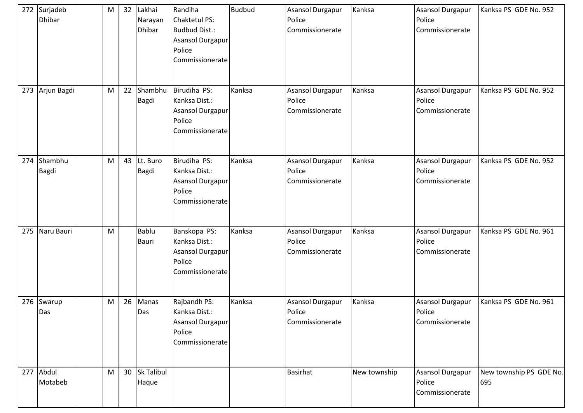| 272 | Surjadeb<br><b>Dhibar</b> | M | 32 | Lakhai<br>Narayan<br><b>Dhibar</b> | Randiha<br>Chaktetul PS:<br><b>Budbud Dist.:</b><br>Asansol Durgapur<br>Police<br>Commissionerate | <b>Budbud</b> | Asansol Durgapur<br>Police<br>Commissionerate        | Kanksa       | <b>Asansol Durgapur</b><br>Police<br>Commissionerate | Kanksa PS GDE No. 952          |
|-----|---------------------------|---|----|------------------------------------|---------------------------------------------------------------------------------------------------|---------------|------------------------------------------------------|--------------|------------------------------------------------------|--------------------------------|
| 273 | Arjun Bagdi               | M | 22 | Shambhu<br><b>Bagdi</b>            | Birudiha PS:<br>Kanksa Dist.:<br>Asansol Durgapur<br>Police<br>Commissionerate                    | Kanksa        | Asansol Durgapur<br>Police<br>Commissionerate        | Kanksa       | <b>Asansol Durgapur</b><br>Police<br>Commissionerate | Kanksa PS GDE No. 952          |
| 274 | Shambhu<br><b>Bagdi</b>   | M |    | 43 Lt. Buro<br><b>Bagdi</b>        | Birudiha PS:<br>Kanksa Dist.:<br>Asansol Durgapur<br>Police<br>Commissionerate                    | Kanksa        | <b>Asansol Durgapur</b><br>Police<br>Commissionerate | Kanksa       | <b>Asansol Durgapur</b><br>Police<br>Commissionerate | Kanksa PS GDE No. 952          |
| 275 | Naru Bauri                | M |    | <b>Bablu</b><br><b>Bauri</b>       | Banskopa PS:<br>Kanksa Dist.:<br>Asansol Durgapur<br>Police<br>Commissionerate                    | Kanksa        | <b>Asansol Durgapur</b><br>Police<br>Commissionerate | Kanksa       | Asansol Durgapur<br>Police<br>Commissionerate        | Kanksa PS GDE No. 961          |
|     | 276 Swarup<br>Das         | M | 26 | Manas<br>Das                       | Rajbandh PS:<br>Kanksa Dist.:<br><b>Asansol Durgapur</b><br>Police<br>Commissionerate             | Kanksa        | Asansol Durgapur<br>Police<br>Commissionerate        | Kanksa       | Asansol Durgapur<br>Police<br>Commissionerate        | Kanksa PS GDE No. 961          |
|     | 277 Abdul<br>Motabeb      | M |    | 30 Sk Talibul<br>Haque             |                                                                                                   |               | Basirhat                                             | New township | <b>Asansol Durgapur</b><br>Police<br>Commissionerate | New township PS GDE No.<br>695 |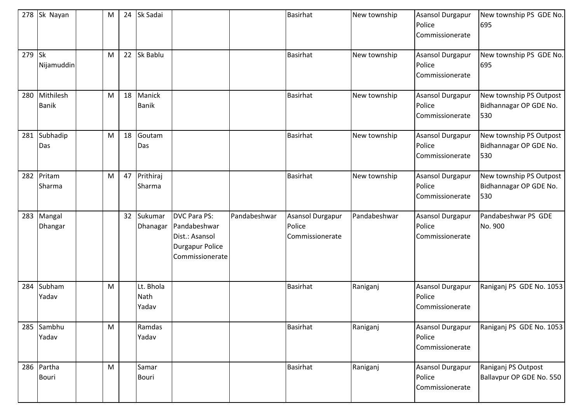|        | 278 Sk Nayan              | M | 24 | Sk Sadai                   |                                                                                                    |              | <b>Basirhat</b>                                      | New township | Asansol Durgapur<br>Police<br>Commissionerate        | New township PS GDE No.<br>695                           |
|--------|---------------------------|---|----|----------------------------|----------------------------------------------------------------------------------------------------|--------------|------------------------------------------------------|--------------|------------------------------------------------------|----------------------------------------------------------|
| 279 Sk | Nijamuddin                | M |    | 22 Sk Bablu                |                                                                                                    |              | <b>Basirhat</b>                                      | New township | <b>Asansol Durgapur</b><br>Police<br>Commissionerate | New township PS GDE No.<br>695                           |
| 280    | Mithilesh<br><b>Banik</b> | M | 18 | Manick<br><b>Banik</b>     |                                                                                                    |              | <b>Basirhat</b>                                      | New township | <b>Asansol Durgapur</b><br>Police<br>Commissionerate | New township PS Outpost<br>Bidhannagar OP GDE No.<br>530 |
| 281    | Subhadip<br>Das           | M | 18 | Goutam<br>Das              |                                                                                                    |              | <b>Basirhat</b>                                      | New township | <b>Asansol Durgapur</b><br>Police<br>Commissionerate | New township PS Outpost<br>Bidhannagar OP GDE No.<br>530 |
|        | 282 Pritam<br>Sharma      | M |    | 47 Prithiraj<br>Sharma     |                                                                                                    |              | <b>Basirhat</b>                                      | New township | Asansol Durgapur<br>Police<br>Commissionerate        | New township PS Outpost<br>Bidhannagar OP GDE No.<br>530 |
|        | 283 Mangal<br>Dhangar     |   |    | 32 Sukumar<br>Dhanagar     | <b>DVC Para PS:</b><br>Pandabeshwar<br>Dist.: Asansol<br><b>Durgapur Police</b><br>Commissionerate | Pandabeshwar | <b>Asansol Durgapur</b><br>Police<br>Commissionerate | Pandabeshwar | Asansol Durgapur<br>Police<br>Commissionerate        | Pandabeshwar PS GDE<br>No. 900                           |
| 284    | Subham<br>Yadav           | M |    | Lt. Bhola<br>Nath<br>Yadav |                                                                                                    |              | <b>Basirhat</b>                                      | Raniganj     | <b>Asansol Durgapur</b><br>Police<br>Commissionerate | Raniganj PS GDE No. 1053                                 |
|        | 285 Sambhu<br>Yadav       | M |    | Ramdas<br>Yadav            |                                                                                                    |              | <b>Basirhat</b>                                      | Raniganj     | Asansol Durgapur<br>Police<br>Commissionerate        | Raniganj PS GDE No. 1053                                 |
|        | 286 Partha<br>Bouri       | M |    | Samar<br><b>Bouri</b>      |                                                                                                    |              | <b>Basirhat</b>                                      | Raniganj     | Asansol Durgapur<br>Police<br>Commissionerate        | Raniganj PS Outpost<br>Ballavpur OP GDE No. 550          |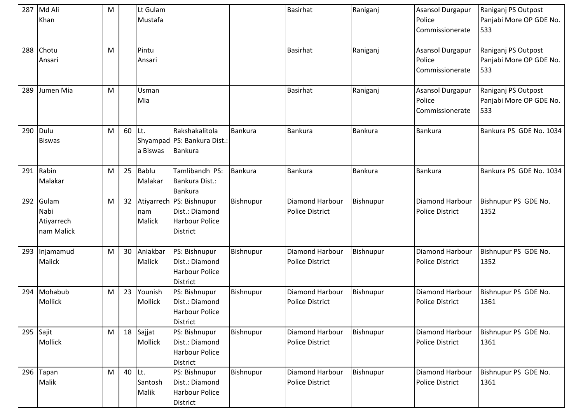|     | 287 Md Ali<br>Khan                        | M |    | Lt Gulam<br>Mustafa     |                                                                                          |                | <b>Basirhat</b>                           | Raniganj       | <b>Asansol Durgapur</b><br>Police<br>Commissionerate | Raniganj PS Outpost<br>Panjabi More OP GDE No.<br>533 |
|-----|-------------------------------------------|---|----|-------------------------|------------------------------------------------------------------------------------------|----------------|-------------------------------------------|----------------|------------------------------------------------------|-------------------------------------------------------|
| 288 | Chotu<br>Ansari                           | M |    | Pintu<br>Ansari         |                                                                                          |                | <b>Basirhat</b>                           | Raniganj       | <b>Asansol Durgapur</b><br>Police<br>Commissionerate | Raniganj PS Outpost<br>Panjabi More OP GDE No.<br>533 |
| 289 | Jumen Mia                                 | M |    | Usman<br>Mia            |                                                                                          |                | <b>Basirhat</b>                           | Raniganj       | <b>Asansol Durgapur</b><br>Police<br>Commissionerate | Raniganj PS Outpost<br>Panjabi More OP GDE No.<br>533 |
| 290 | Dulu<br><b>Biswas</b>                     | M | 60 | Lt.<br>a Biswas         | Rakshakalitola<br>Shyampad PS: Bankura Dist.:<br>Bankura                                 | <b>Bankura</b> | <b>Bankura</b>                            | <b>Bankura</b> | <b>Bankura</b>                                       | Bankura PS GDE No. 1034                               |
|     | 291 Rabin<br>Malakar                      | M | 25 | <b>Bablu</b><br>Malakar | Tamlibandh PS:<br>Bankura Dist.:<br><b>Bankura</b>                                       | <b>Bankura</b> | Bankura                                   | <b>Bankura</b> | <b>Bankura</b>                                       | Bankura PS GDE No. 1034                               |
| 292 | Gulam<br>Nabi<br>Atiyarrech<br>nam Malick | M | 32 | nam<br>Malick           | Atiyarrech   PS: Bishnupur<br>Dist.: Diamond<br><b>Harbour Police</b><br><b>District</b> | Bishnupur      | Diamond Harbour<br><b>Police District</b> | Bishnupur      | Diamond Harbour<br><b>Police District</b>            | Bishnupur PS GDE No.<br>1352                          |
| 293 | Injamamud<br>Malick                       | M | 30 | Aniakbar<br>Malick      | PS: Bishnupur<br>Dist.: Diamond<br><b>Harbour Police</b><br><b>District</b>              | Bishnupur      | Diamond Harbour<br><b>Police District</b> | Bishnupur      | <b>Diamond Harbour</b><br><b>Police District</b>     | Bishnupur PS GDE No.<br>1352                          |
| 294 | Mohabub<br>Mollick                        | M | 23 | Younish<br>Mollick      | PS: Bishnupur<br>Dist.: Diamond<br><b>Harbour Police</b><br>District                     | Bishnupur      | Diamond Harbour<br><b>Police District</b> | Bishnupur      | Diamond Harbour<br><b>Police District</b>            | Bishnupur PS GDE No.<br>1361                          |
|     | 295 Sajit<br>Mollick                      | M | 18 | Sajjat<br>Mollick       | PS: Bishnupur<br>Dist.: Diamond<br><b>Harbour Police</b><br><b>District</b>              | Bishnupur      | Diamond Harbour<br><b>Police District</b> | Bishnupur      | Diamond Harbour<br><b>Police District</b>            | Bishnupur PS GDE No.<br>1361                          |
|     | 296 Tapan<br>Malik                        | M | 40 | Lt.<br>Santosh<br>Malik | PS: Bishnupur<br>Dist.: Diamond<br><b>Harbour Police</b><br>District                     | Bishnupur      | Diamond Harbour<br><b>Police District</b> | Bishnupur      | Diamond Harbour<br><b>Police District</b>            | Bishnupur PS GDE No.<br>1361                          |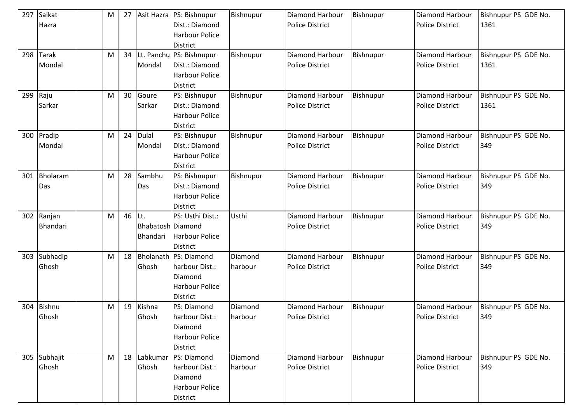| 297 | Saikat<br>Hazra | М         | 27 |                   | Asit Hazra   PS: Bishnupur<br>Dist.: Diamond | Bishnupur | <b>Diamond Harbour</b><br><b>Police District</b> | Bishnupur | Diamond Harbour<br><b>Police District</b> | Bishnupur PS GDE No.<br>1361 |
|-----|-----------------|-----------|----|-------------------|----------------------------------------------|-----------|--------------------------------------------------|-----------|-------------------------------------------|------------------------------|
|     |                 |           |    |                   | <b>Harbour Police</b><br>District            |           |                                                  |           |                                           |                              |
| 298 | <b>Tarak</b>    | M         | 34 |                   | Lt. Panchu PS: Bishnupur                     | Bishnupur | Diamond Harbour                                  | Bishnupur | <b>Diamond Harbour</b>                    | Bishnupur PS GDE No.         |
|     | Mondal          |           |    | Mondal            | Dist.: Diamond                               |           | <b>Police District</b>                           |           | <b>Police District</b>                    | 1361                         |
|     |                 |           |    |                   | <b>Harbour Police</b>                        |           |                                                  |           |                                           |                              |
|     |                 |           |    |                   | District                                     |           |                                                  |           |                                           |                              |
| 299 | Raju            | M         | 30 | Goure             | PS: Bishnupur                                | Bishnupur | Diamond Harbour                                  | Bishnupur | Diamond Harbour                           | Bishnupur PS GDE No.         |
|     | Sarkar          |           |    | Sarkar            | Dist.: Diamond                               |           | <b>Police District</b>                           |           | <b>Police District</b>                    | 1361                         |
|     |                 |           |    |                   | <b>Harbour Police</b>                        |           |                                                  |           |                                           |                              |
|     |                 |           |    |                   | District                                     |           |                                                  |           |                                           |                              |
| 300 | Pradip          | M         | 24 | <b>Dulal</b>      | PS: Bishnupur                                | Bishnupur | Diamond Harbour                                  | Bishnupur | Diamond Harbour                           | Bishnupur PS GDE No.         |
|     | Mondal          |           |    | Mondal            | Dist.: Diamond                               |           | <b>Police District</b>                           |           | <b>Police District</b>                    | 349                          |
|     |                 |           |    |                   | <b>Harbour Police</b>                        |           |                                                  |           |                                           |                              |
|     |                 |           |    |                   | District                                     |           |                                                  |           |                                           |                              |
| 301 | Bholaram        | M         | 28 | Sambhu            | PS: Bishnupur                                | Bishnupur | Diamond Harbour                                  | Bishnupur | <b>Diamond Harbour</b>                    | Bishnupur PS GDE No.         |
|     | Das             |           |    | Das               | Dist.: Diamond                               |           | <b>Police District</b>                           |           | <b>Police District</b>                    | 349                          |
|     |                 |           |    |                   | <b>Harbour Police</b>                        |           |                                                  |           |                                           |                              |
|     |                 |           |    |                   | <b>District</b>                              |           |                                                  |           |                                           |                              |
| 302 | Ranjan          | M         | 46 | ILt.              | PS: Usthi Dist.:                             | Usthi     | Diamond Harbour                                  | Bishnupur | Diamond Harbour                           | Bishnupur PS GDE No.         |
|     | Bhandari        |           |    | Bhabatosh Diamond |                                              |           | <b>Police District</b>                           |           | <b>Police District</b>                    | 349                          |
|     |                 |           |    | Bhandari          | <b>Harbour Police</b>                        |           |                                                  |           |                                           |                              |
|     |                 |           |    |                   | District                                     |           |                                                  |           |                                           |                              |
| 303 | Subhadip        | M         | 18 |                   | Bholanath PS: Diamond                        | Diamond   | Diamond Harbour                                  | Bishnupur | Diamond Harbour                           | Bishnupur PS GDE No.         |
|     | Ghosh           |           |    | Ghosh             | harbour Dist.:                               | harbour   | <b>Police District</b>                           |           | <b>Police District</b>                    | 349                          |
|     |                 |           |    |                   | Diamond                                      |           |                                                  |           |                                           |                              |
|     |                 |           |    |                   | <b>Harbour Police</b>                        |           |                                                  |           |                                           |                              |
|     |                 |           |    |                   | District                                     |           |                                                  |           |                                           |                              |
| 304 | <b>Bishnu</b>   | M         | 19 | Kishna            | PS: Diamond                                  | Diamond   | Diamond Harbour                                  | Bishnupur | Diamond Harbour                           | Bishnupur PS GDE No.         |
|     | Ghosh           |           |    | Ghosh             | harbour Dist.:                               | harbour   | <b>Police District</b>                           |           | <b>Police District</b>                    | 349                          |
|     |                 |           |    |                   | Diamond                                      |           |                                                  |           |                                           |                              |
|     |                 |           |    |                   | <b>Harbour Police</b>                        |           |                                                  |           |                                           |                              |
|     |                 |           |    |                   | District                                     |           |                                                  |           |                                           |                              |
|     | 305 Subhajit    | ${\sf M}$ |    | 18 Labkumar       | PS: Diamond                                  | Diamond   | Diamond Harbour                                  | Bishnupur | Diamond Harbour                           | Bishnupur PS GDE No.         |
|     | Ghosh           |           |    | Ghosh             | harbour Dist.:                               | harbour   | <b>Police District</b>                           |           | <b>Police District</b>                    | 349                          |
|     |                 |           |    |                   | Diamond                                      |           |                                                  |           |                                           |                              |
|     |                 |           |    |                   | <b>Harbour Police</b>                        |           |                                                  |           |                                           |                              |
|     |                 |           |    |                   | District                                     |           |                                                  |           |                                           |                              |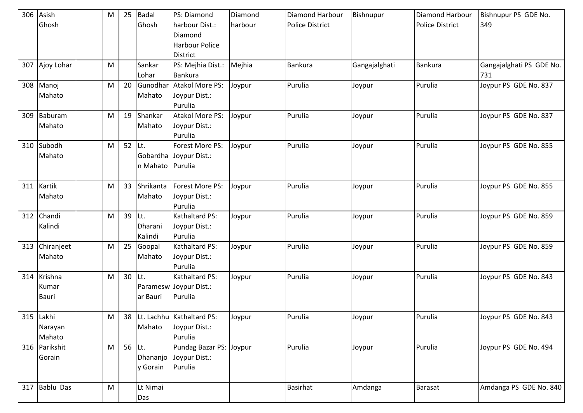| 306 | Asish            | M | 25              | <b>Badal</b>     | PS: Diamond                    | Diamond | Diamond Harbour        | Bishnupur     | Diamond Harbour        | Bishnupur PS GDE No.     |
|-----|------------------|---|-----------------|------------------|--------------------------------|---------|------------------------|---------------|------------------------|--------------------------|
|     | Ghosh            |   |                 | Ghosh            | harbour Dist.:                 | harbour | <b>Police District</b> |               | <b>Police District</b> | 349                      |
|     |                  |   |                 |                  | Diamond                        |         |                        |               |                        |                          |
|     |                  |   |                 |                  | <b>Harbour Police</b>          |         |                        |               |                        |                          |
|     |                  |   |                 |                  | <b>District</b>                |         |                        |               |                        |                          |
|     | 307 Ajoy Lohar   | M |                 | Sankar           | PS: Mejhia Dist.:              | Mejhia  | Bankura                | Gangajalghati | Bankura                | Gangajalghati PS GDE No. |
|     |                  |   |                 | Lohar            | Bankura                        |         |                        |               |                        | 731                      |
| 308 | Manoj            | M | 20              | Gunodhar         | Atakol More PS:                | Joypur  | Purulia                | Joypur        | Purulia                | Joypur PS GDE No. 837    |
|     | Mahato           |   |                 | Mahato           | Joypur Dist.:                  |         |                        |               |                        |                          |
|     |                  |   |                 |                  | Purulia                        |         |                        |               |                        |                          |
| 309 | Baburam          | M | 19              | Shankar          | <b>Atakol More PS:</b>         | Joypur  | Purulia                | Joypur        | Purulia                | Joypur PS GDE No. 837    |
|     | Mahato           |   |                 | Mahato           | Joypur Dist.:                  |         |                        |               |                        |                          |
|     |                  |   |                 |                  | Purulia                        |         |                        |               |                        |                          |
|     | 310 Subodh       | M | 52 Lt.          |                  | Forest More PS:                | Joypur  | Purulia                | Joypur        | Purulia                | Joypur PS GDE No. 855    |
|     | Mahato           |   |                 |                  | Gobardha Joypur Dist.:         |         |                        |               |                        |                          |
|     |                  |   |                 | n Mahato Purulia |                                |         |                        |               |                        |                          |
|     |                  |   |                 |                  |                                |         |                        |               |                        |                          |
| 311 | Kartik           | M |                 | 33 Shrikanta     | Forest More PS:                | Joypur  | Purulia                | Joypur        | Purulia                | Joypur PS GDE No. 855    |
|     | Mahato           |   |                 | Mahato           | Joypur Dist.:                  |         |                        |               |                        |                          |
|     |                  |   |                 |                  | Purulia                        |         |                        |               |                        |                          |
| 312 | Chandi           | M | 39 Lt.          |                  | Kathaltard PS:                 | Joypur  | Purulia                | Joypur        | Purulia                | Joypur PS GDE No. 859    |
|     | Kalindi          |   |                 | Dharani          | Joypur Dist.:                  |         |                        |               |                        |                          |
|     |                  |   |                 | Kalindi          | Purulia                        |         |                        |               |                        |                          |
| 313 | Chiranjeet       | M |                 | 25 Goopal        | Kathaltard PS:                 | Joypur  | Purulia                | Joypur        | Purulia                | Joypur PS GDE No. 859    |
|     | Mahato           |   |                 | Mahato           | Joypur Dist.:                  |         |                        |               |                        |                          |
|     |                  |   |                 |                  | Purulia                        |         |                        |               |                        |                          |
| 314 | Krishna          | M | 30 <sup>°</sup> | ILt.             | Kathaltard PS:                 | Joypur  | Purulia                | Joypur        | Purulia                | Joypur PS GDE No. 843    |
|     | Kumar            |   |                 |                  | Paramesw Joypur Dist.:         |         |                        |               |                        |                          |
|     | <b>Bauri</b>     |   |                 | ar Bauri         | Purulia                        |         |                        |               |                        |                          |
|     |                  |   |                 |                  |                                |         |                        |               |                        |                          |
|     | 315 Lakhi        | M |                 |                  | 38 Lt. Lachhu   Kathaltard PS: | Joypur  | Purulia                | Joypur        | Purulia                | Joypur PS GDE No. 843    |
|     | Narayan          |   |                 | Mahato           | Joypur Dist.:                  |         |                        |               |                        |                          |
|     | Mahato           |   |                 |                  | Purulia                        |         |                        |               |                        |                          |
|     | 316 Parikshit    | M | 56 $\vert$ Lt.  |                  | Pundag Bazar PS: Joypur        |         | Purulia                | Joypur        | Purulia                | Joypur PS GDE No. 494    |
|     | Gorain           |   |                 | Dhananjo         | Joypur Dist.:                  |         |                        |               |                        |                          |
|     |                  |   |                 | y Gorain         | Purulia                        |         |                        |               |                        |                          |
|     |                  |   |                 |                  |                                |         |                        |               |                        |                          |
| 317 | <b>Bablu Das</b> | M |                 | Lt Nimai         |                                |         | <b>Basirhat</b>        | Amdanga       | <b>Barasat</b>         | Amdanga PS GDE No. 840   |
|     |                  |   |                 | Das              |                                |         |                        |               |                        |                          |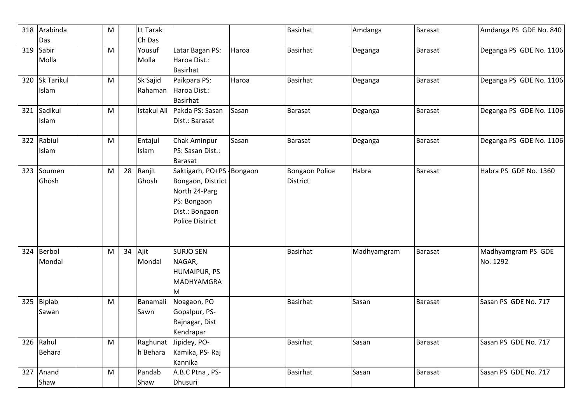| 318 | Arabinda          | M |    | Lt Tarak |                             |       | <b>Basirhat</b>       | Amdanga     | <b>Barasat</b> | Amdanga PS GDE No. 840  |
|-----|-------------------|---|----|----------|-----------------------------|-------|-----------------------|-------------|----------------|-------------------------|
|     | Das               |   |    | Ch Das   |                             |       |                       |             |                |                         |
| 319 | Sabir             | M |    | Yousuf   | Latar Bagan PS:             | Haroa | <b>Basirhat</b>       | Deganga     | Barasat        | Deganga PS GDE No. 1106 |
|     | Molla             |   |    | Molla    | Haroa Dist.:                |       |                       |             |                |                         |
|     |                   |   |    |          | <b>Basirhat</b>             |       |                       |             |                |                         |
| 320 | <b>Sk Tarikul</b> | M |    | Sk Sajid | Paikpara PS:                | Haroa | <b>Basirhat</b>       | Deganga     | Barasat        | Deganga PS GDE No. 1106 |
|     | Islam             |   |    | Rahaman  | Haroa Dist.:                |       |                       |             |                |                         |
|     |                   |   |    |          | <b>Basirhat</b>             |       |                       |             |                |                         |
|     | 321 Sadikul       | M |    |          | Istakul Ali Pakda PS: Sasan | Sasan | <b>Barasat</b>        | Deganga     | Barasat        | Deganga PS GDE No. 1106 |
|     | Islam             |   |    |          | Dist.: Barasat              |       |                       |             |                |                         |
|     |                   |   |    |          |                             |       |                       |             |                |                         |
|     | 322 Rabiul        | M |    | Entajul  | Chak Aminpur                | Sasan | <b>Barasat</b>        | Deganga     | Barasat        | Deganga PS GDE No. 1106 |
|     | Islam             |   |    | Islam    | PS: Sasan Dist.:            |       |                       |             |                |                         |
|     |                   |   |    |          | Barasat                     |       |                       |             |                |                         |
| 323 | Soumen            | M | 28 | Ranjit   | Saktigarh, PO+PS - Bongaon  |       | <b>Bongaon Police</b> | Habra       | Barasat        | Habra PS GDE No. 1360   |
|     | Ghosh             |   |    | Ghosh    | Bongaon, District           |       | <b>District</b>       |             |                |                         |
|     |                   |   |    |          | North 24-Parg               |       |                       |             |                |                         |
|     |                   |   |    |          | PS: Bongaon                 |       |                       |             |                |                         |
|     |                   |   |    |          | Dist.: Bongaon              |       |                       |             |                |                         |
|     |                   |   |    |          | <b>Police District</b>      |       |                       |             |                |                         |
|     |                   |   |    |          |                             |       |                       |             |                |                         |
|     |                   |   |    |          |                             |       |                       |             |                |                         |
| 324 | Berbol            | M |    | 34 Ajit  | <b>SURJO SEN</b>            |       | <b>Basirhat</b>       | Madhyamgram | Barasat        | Madhyamgram PS GDE      |
|     | Mondal            |   |    | Mondal   | NAGAR,                      |       |                       |             |                | No. 1292                |
|     |                   |   |    |          | <b>HUMAIPUR, PS</b>         |       |                       |             |                |                         |
|     |                   |   |    |          | <b>MADHYAMGRA</b>           |       |                       |             |                |                         |
|     |                   |   |    |          | M                           |       |                       |             |                |                         |
| 325 | <b>Biplab</b>     | M |    | Banamali | Noagaon, PO                 |       | <b>Basirhat</b>       | Sasan       | Barasat        | Sasan PS GDE No. 717    |
|     | Sawan             |   |    | Sawn     | Gopalpur, PS-               |       |                       |             |                |                         |
|     |                   |   |    |          | Rajnagar, Dist              |       |                       |             |                |                         |
|     |                   |   |    |          | Kendrapar                   |       |                       |             |                |                         |
|     | 326 Rahul         | M |    |          | Raghunat Jipidey, PO-       |       | Basirhat              | Sasan       | <b>Barasat</b> | Sasan PS GDE No. 717    |
|     | <b>Behara</b>     |   |    | h Behara | Kamika, PS-Raj              |       |                       |             |                |                         |
|     |                   |   |    |          | Kannika                     |       |                       |             |                |                         |
|     | 327 Anand         | M |    | Pandab   | A.B.C Ptna, PS-             |       | <b>Basirhat</b>       | Sasan       | Barasat        | Sasan PS GDE No. 717    |
|     | Shaw              |   |    | Shaw     | Dhusuri                     |       |                       |             |                |                         |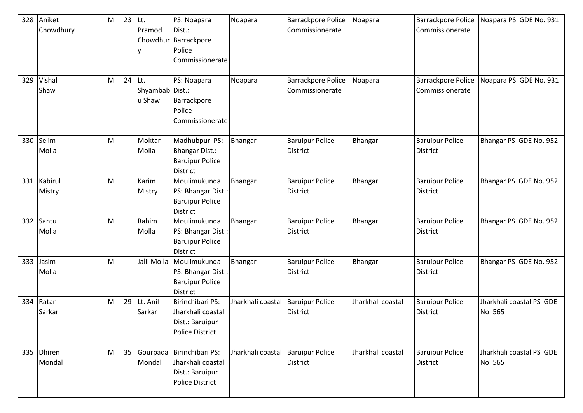| 328 | Aniket                  | M         | 23     | Lt.                       | PS: Noapara                                                                        | Noapara           | <b>Barrackpore Police</b>                    | Noapara           | Barrackpore Police                        | Noapara PS GDE No. 931              |
|-----|-------------------------|-----------|--------|---------------------------|------------------------------------------------------------------------------------|-------------------|----------------------------------------------|-------------------|-------------------------------------------|-------------------------------------|
|     | Chowdhury               |           |        | Pramod<br>ly              | Dist.:<br>Chowdhur Barrackpore<br>Police                                           |                   | Commissionerate                              |                   | Commissionerate                           |                                     |
|     |                         |           |        |                           | Commissionerate                                                                    |                   |                                              |                   |                                           |                                     |
| 329 | Vishal<br>Shaw          | M         | 24 Lt. | Shyambab Dist.:<br>u Shaw | PS: Noapara<br>Barrackpore<br>Police<br>Commissionerate                            | Noapara           | <b>Barrackpore Police</b><br>Commissionerate | Noapara           | Barrackpore Police<br>Commissionerate     | Noapara PS GDE No. 931              |
| 330 | Selim<br>Molla          | M         |        | Moktar<br>Molla           | Madhubpur PS:<br>Bhangar Dist.:<br><b>Baruipur Police</b><br><b>District</b>       | Bhangar           | <b>Baruipur Police</b><br><b>District</b>    | Bhangar           | <b>Baruipur Police</b><br><b>District</b> | Bhangar PS GDE No. 952              |
| 331 | Kabirul<br>Mistry       | ${\sf M}$ |        | Karim<br>Mistry           | Moulimukunda<br>PS: Bhangar Dist.:<br><b>Baruipur Police</b><br><b>District</b>    | Bhangar           | <b>Baruipur Police</b><br><b>District</b>    | <b>Bhangar</b>    | <b>Baruipur Police</b><br><b>District</b> | Bhangar PS GDE No. 952              |
| 332 | Santu<br>Molla          | M         |        | Rahim<br>Molla            | Moulimukunda<br>PS: Bhangar Dist.:<br><b>Baruipur Police</b><br><b>District</b>    | Bhangar           | <b>Baruipur Police</b><br><b>District</b>    | Bhangar           | <b>Baruipur Police</b><br><b>District</b> | Bhangar PS GDE No. 952              |
| 333 | Jasim<br>Molla          | M         |        | Jalil Molla               | Moulimukunda<br>PS: Bhangar Dist.:<br><b>Baruipur Police</b><br>District           | Bhangar           | <b>Baruipur Police</b><br><b>District</b>    | Bhangar           | <b>Baruipur Police</b><br>District        | Bhangar PS GDE No. 952              |
| 334 | Ratan<br>Sarkar         | M         | 29     | Lt. Anil<br>Sarkar        | Birinchibari PS:<br>Jharkhali coastal<br>Dist.: Baruipur<br>Police District        | Jharkhali coastal | <b>Baruipur Police</b><br><b>District</b>    | Jharkhali coastal | <b>Baruipur Police</b><br><b>District</b> | Jharkhali coastal PS GDE<br>No. 565 |
| 335 | <b>Dhiren</b><br>Mondal | M         |        | 35 Gourpada<br>Mondal     | Birinchibari PS:<br>Jharkhali coastal<br>Dist.: Baruipur<br><b>Police District</b> | Jharkhali coastal | <b>Baruipur Police</b><br><b>District</b>    | Jharkhali coastal | <b>Baruipur Police</b><br><b>District</b> | Jharkhali coastal PS GDE<br>No. 565 |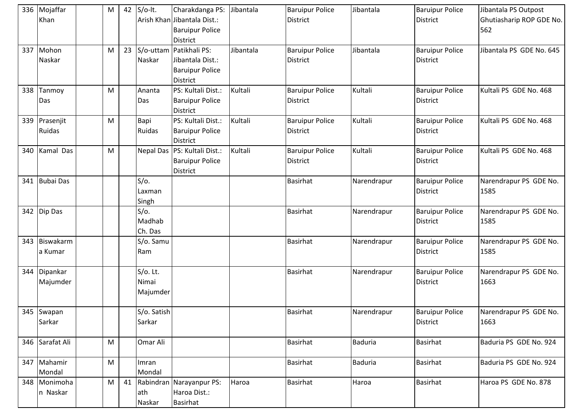|     | 336 Mojaffar<br>Khan     | M         | 42 | $S/O-It.$                        | Charakdanga PS:<br>Arish Khan Jibantala Dist.:<br><b>Baruipur Police</b><br><b>District</b> | Jibantala | <b>Baruipur Police</b><br><b>District</b> | Jibantala      | <b>Baruipur Police</b><br><b>District</b> | Jibantala PS Outpost<br>Ghutiasharip ROP GDE No.<br>562 |
|-----|--------------------------|-----------|----|----------------------------------|---------------------------------------------------------------------------------------------|-----------|-------------------------------------------|----------------|-------------------------------------------|---------------------------------------------------------|
| 337 | Mohon<br>Naskar          | M         | 23 | Naskar                           | S/o-uttam Patikhali PS:<br>Jibantala Dist.:<br><b>Baruipur Police</b><br>District           | Jibantala | <b>Baruipur Police</b><br>District        | Jibantala      | <b>Baruipur Police</b><br><b>District</b> | Jibantala PS GDE No. 645                                |
| 338 | Tanmoy<br>Das            | ${\sf M}$ |    | Ananta<br>Das                    | PS: Kultali Dist.:<br><b>Baruipur Police</b><br>District                                    | Kultali   | <b>Baruipur Police</b><br><b>District</b> | Kultali        | <b>Baruipur Police</b><br><b>District</b> | Kultali PS GDE No. 468                                  |
|     | 339 Prasenjit<br>Ruidas  | M         |    | Bapi<br>Ruidas                   | PS: Kultali Dist.:<br><b>Baruipur Police</b><br><b>District</b>                             | Kultali   | <b>Baruipur Police</b><br>District        | Kultali        | <b>Baruipur Police</b><br><b>District</b> | Kultali PS GDE No. 468                                  |
| 340 | Kamal Das                | M         |    |                                  | Nepal Das   PS: Kultali Dist.:<br><b>Baruipur Police</b><br><b>District</b>                 | Kultali   | <b>Baruipur Police</b><br>District        | Kultali        | <b>Baruipur Police</b><br><b>District</b> | Kultali PS GDE No. 468                                  |
| 341 | <b>Bubai Das</b>         |           |    | S/O.<br>Laxman<br>Singh          |                                                                                             |           | <b>Basirhat</b>                           | Narendrapur    | <b>Baruipur Police</b><br><b>District</b> | Narendrapur PS GDE No.<br>1585                          |
| 342 | Dip Das                  |           |    | $S/O$ .<br>Madhab<br>Ch. Das     |                                                                                             |           | <b>Basirhat</b>                           | Narendrapur    | <b>Baruipur Police</b><br><b>District</b> | Narendrapur PS GDE No.<br>1585                          |
| 343 | Biswakarm<br>a Kumar     |           |    | S/o. Samu<br>Ram                 |                                                                                             |           | <b>Basirhat</b>                           | Narendrapur    | <b>Baruipur Police</b><br><b>District</b> | Narendrapur PS GDE No.<br>1585                          |
| 344 | Dipankar<br>Majumder     |           |    | $S/O$ . Lt.<br>Nimai<br>Majumder |                                                                                             |           | <b>Basirhat</b>                           | Narendrapur    | <b>Baruipur Police</b><br><b>District</b> | Narendrapur PS GDE No.<br>1663                          |
|     | 345 Swapan<br>Sarkar     |           |    | S/o. Satish<br>Sarkar            |                                                                                             |           | <b>Basirhat</b>                           | Narendrapur    | <b>Baruipur Police</b><br><b>District</b> | Narendrapur PS GDE No.<br>1663                          |
| 346 | Sarafat Ali              | M         |    | Omar Ali                         |                                                                                             |           | <b>Basirhat</b>                           | <b>Baduria</b> | Basirhat                                  | Baduria PS GDE No. 924                                  |
|     | 347 Mahamir<br>Mondal    | ${\sf M}$ |    | Imran<br>Mondal                  |                                                                                             |           | <b>Basirhat</b>                           | Baduria        | <b>Basirhat</b>                           | Baduria PS GDE No. 924                                  |
|     | 348 Monimoha<br>n Naskar | M         | 41 | ath<br>Naskar                    | Rabindran Narayanpur PS:<br>Haroa Dist.:<br>Basirhat                                        | Haroa     | Basirhat                                  | Haroa          | <b>Basirhat</b>                           | Haroa PS GDE No. 878                                    |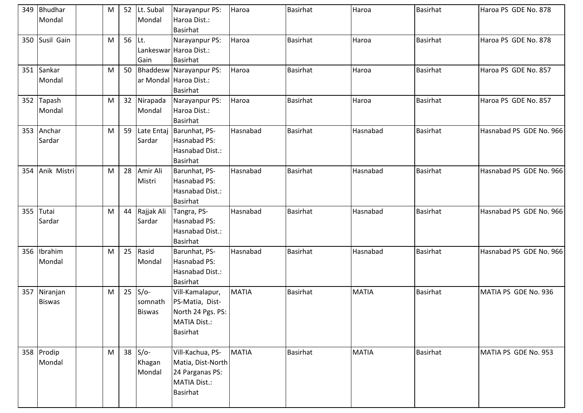|     | 349 Bhudhar<br>Mondal     | M         |        | 52 Lt. Subal<br>Mondal                | Narayanpur PS:<br>Haroa Dist.:<br><b>Basirhat</b>                                                 | Haroa        | <b>Basirhat</b> | Haroa        | <b>Basirhat</b> | Haroa PS GDE No. 878    |
|-----|---------------------------|-----------|--------|---------------------------------------|---------------------------------------------------------------------------------------------------|--------------|-----------------|--------------|-----------------|-------------------------|
| 350 | Susil Gain                | M         | 56 Lt. | Gain                                  | Narayanpur PS:<br>Lankeswar Haroa Dist.:<br><b>Basirhat</b>                                       | Haroa        | <b>Basirhat</b> | Haroa        | <b>Basirhat</b> | Haroa PS GDE No. 878    |
| 351 | Sankar<br>Mondal          | ${\sf M}$ | 50     |                                       | Bhaddesw Narayanpur PS:<br>ar Mondal Haroa Dist.:<br><b>Basirhat</b>                              | Haroa        | <b>Basirhat</b> | Haroa        | <b>Basirhat</b> | Haroa PS GDE No. 857    |
|     | 352 Tapash<br>Mondal      | M         |        | 32 Nirapada<br>Mondal                 | Narayanpur PS:<br>Haroa Dist.:<br><b>Basirhat</b>                                                 | Haroa        | <b>Basirhat</b> | Haroa        | <b>Basirhat</b> | Haroa PS GDE No. 857    |
|     | 353 Anchar<br>Sardar      | M         | 59     | Late Entaj<br>Sardar                  | Barunhat, PS-<br>Hasnabad PS:<br>Hasnabad Dist.:<br><b>Basirhat</b>                               | Hasnabad     | <b>Basirhat</b> | Hasnabad     | <b>Basirhat</b> | Hasnabad PS GDE No. 966 |
|     | 354 Anik Mistri           | M         |        | 28 Amir Ali<br>Mistri                 | Barunhat, PS-<br>Hasnabad PS:<br>Hasnabad Dist.:<br><b>Basirhat</b>                               | Hasnabad     | <b>Basirhat</b> | Hasnabad     | <b>Basirhat</b> | Hasnabad PS GDE No. 966 |
| 355 | Tutai<br>Sardar           | M         |        | 44 Rajjak Ali<br>Sardar               | Tangra, PS-<br>Hasnabad PS:<br>Hasnabad Dist.:<br>Basirhat                                        | Hasnabad     | Basirhat        | Hasnabad     | <b>Basirhat</b> | Hasnabad PS GDE No. 966 |
|     | 356 Ibrahim<br>Mondal     | M         | 25     | Rasid<br>Mondal                       | Barunhat, PS-<br>Hasnabad PS:<br>Hasnabad Dist.:<br>Basirhat                                      | Hasnabad     | <b>Basirhat</b> | Hasnabad     | <b>Basirhat</b> | Hasnabad PS GDE No. 966 |
| 357 | Niranjan<br><b>Biswas</b> | M         |        | $25$ S/o-<br>somnath<br><b>Biswas</b> | Vill-Kamalapur,<br>PS-Matia, Dist-<br>North 24 Pgs. PS:<br><b>MATIA Dist.:</b><br><b>Basirhat</b> | <b>MATIA</b> | <b>Basirhat</b> | <b>MATIA</b> | <b>Basirhat</b> | MATIA PS GDE No. 936    |
|     | 358 Prodip<br>Mondal      | M         |        | $38$ S/o-<br>Khagan<br>Mondal         | Vill-Kachua, PS-<br>Matia, Dist-North<br>24 Parganas PS:<br><b>MATIA Dist.:</b><br>Basirhat       | <b>MATIA</b> | Basirhat        | <b>MATIA</b> | <b>Basirhat</b> | MATIA PS GDE No. 953    |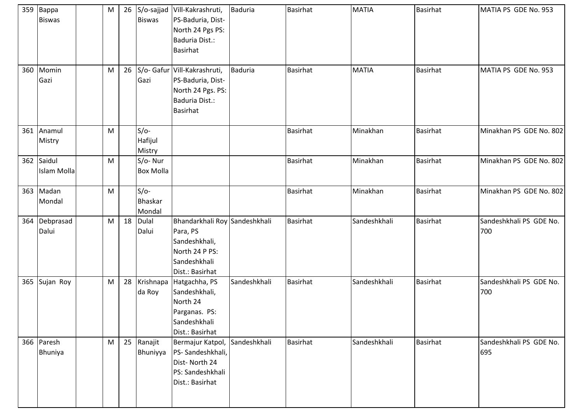|     | 359 Bappa<br><b>Biswas</b>       | M         | <b>Biswas</b>                      | 26 S/o-sajjad Vill-Kakrashruti,<br>PS-Baduria, Dist-<br>North 24 Pgs PS:<br>Baduria Dist.:<br>Basirhat             | <b>Baduria</b> | <b>Basirhat</b> | <b>MATIA</b> | <b>Basirhat</b> | MATIA PS GDE No. 953           |
|-----|----------------------------------|-----------|------------------------------------|--------------------------------------------------------------------------------------------------------------------|----------------|-----------------|--------------|-----------------|--------------------------------|
| 360 | Momin<br>Gazi                    | M         | Gazi                               | 26   S/o- Gafur   Vill-Kakrashruti,<br>PS-Baduria, Dist-<br>North 24 Pgs. PS:<br>Baduria Dist.:<br><b>Basirhat</b> | <b>Baduria</b> | <b>Basirhat</b> | <b>MATIA</b> | <b>Basirhat</b> | MATIA PS GDE No. 953           |
|     | 361 Anamul<br>Mistry             | ${\sf M}$ | $S/O-$<br>Hafijul<br>Mistry        |                                                                                                                    |                | <b>Basirhat</b> | Minakhan     | <b>Basirhat</b> | Minakhan PS GDE No. 802        |
|     | 362 Saidul<br><b>Islam Molla</b> | ${\sf M}$ | S/o-Nur<br><b>Box Molla</b>        |                                                                                                                    |                | <b>Basirhat</b> | Minakhan     | <b>Basirhat</b> | Minakhan PS GDE No. 802        |
|     | 363 Madan<br>Mondal              | ${\sf M}$ | $S/O-$<br><b>Bhaskar</b><br>Mondal |                                                                                                                    |                | <b>Basirhat</b> | Minakhan     | <b>Basirhat</b> | Minakhan PS GDE No. 802        |
| 364 | Debprasad<br>Dalui               | M         | 18 Dulal<br>Dalui                  | Bhandarkhali Roy Sandeshkhali<br>Para, PS<br>Sandeshkhali,<br>North 24 P PS:<br>Sandeshkhali<br>Dist.: Basirhat    |                | <b>Basirhat</b> | Sandeshkhali | Basirhat        | Sandeshkhali PS GDE No.<br>700 |
|     | 365 Sujan Roy                    | ${\sf M}$ | 28 Krishnapa<br>da Roy             | Hatgachha, PS<br>Sandeshkhali,<br>North 24<br>Parganas. PS:<br>Sandeshkhali<br>Dist.: Basirhat                     | Sandeshkhali   | Basirhat        | Sandeshkhali | <b>Basirhat</b> | Sandeshkhali PS GDE No.<br>700 |
|     | 366 Paresh<br>Bhuniya            | M         | 25 Ranajit<br>Bhuniyya             | Bermajur Katpol,<br>PS-Sandeshkhali,<br>Dist-North 24<br>PS: Sandeshkhali<br>Dist.: Basirhat                       | Sandeshkhali   | Basirhat        | Sandeshkhali | <b>Basirhat</b> | Sandeshkhali PS GDE No.<br>695 |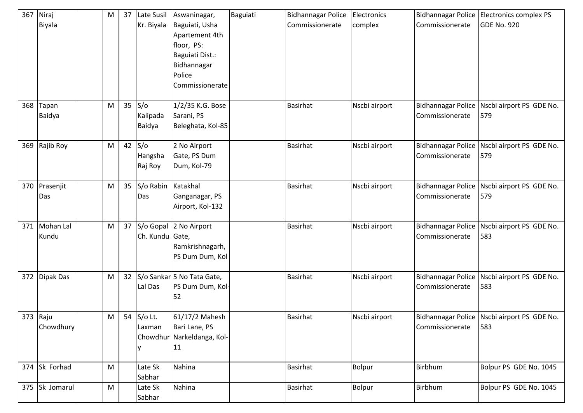| 367      | Niraj<br>Biyala      | ${\sf M}$ | 37 | <b>Late Susil</b><br>Kr. Biyala | Aswaninagar,<br>Baguiati, Usha<br>Apartement 4th<br>floor, PS:<br>Baguiati Dist.:<br>Bidhannagar<br>Police<br>Commissionerate | Baguiati | <b>Bidhannagar Police</b><br>Commissionerate | Electronics<br>complex | <b>Bidhannagar Police</b><br>Commissionerate | Electronics complex PS<br><b>GDE No. 920</b>       |
|----------|----------------------|-----------|----|---------------------------------|-------------------------------------------------------------------------------------------------------------------------------|----------|----------------------------------------------|------------------------|----------------------------------------------|----------------------------------------------------|
| 368      | Tapan<br>Baidya      | M         |    | $35$ S/o<br>Kalipada<br>Baidya  | 1/2/35 K.G. Bose<br>Sarani, PS<br>Beleghata, Kol-85                                                                           |          | <b>Basirhat</b>                              | Nscbi airport          | <b>Bidhannagar Police</b><br>Commissionerate | Nscbi airport PS GDE No.<br>579                    |
|          | 369 Rajib Roy        | M         |    | 42 $S$ /o<br>Hangsha<br>Raj Roy | 2 No Airport<br>Gate, PS Dum<br>Dum, Kol-79                                                                                   |          | <b>Basirhat</b>                              | Nscbi airport          | <b>Bidhannagar Police</b><br>Commissionerate | Nscbi airport PS GDE No.<br>579                    |
|          | 370 Prasenjit<br>Das | ${\sf M}$ |    | 35 S/o Rabin<br>Das             | Katakhal<br>Ganganagar, PS<br>Airport, Kol-132                                                                                |          | <b>Basirhat</b>                              | Nscbi airport          | <b>Bidhannagar Police</b><br>Commissionerate | Nscbi airport PS GDE No.<br>579                    |
| 371      | Mohan Lal<br>Kundu   | ${\sf M}$ |    | 37 S/o Gopal<br>Ch. Kundu Gate, | 2 No Airport<br>Ramkrishnagarh,<br>PS Dum Dum, Kol                                                                            |          | <b>Basirhat</b>                              | Nscbi airport          | <b>Bidhannagar Police</b><br>Commissionerate | Nscbi airport PS GDE No.<br>583                    |
| 372      | Dipak Das            | M         | 32 | Lal Das                         | S/o Sankar 5 No Tata Gate,<br>PS Dum Dum, Kol-<br>52                                                                          |          | <b>Basirhat</b>                              | Nscbi airport          | <b>Bidhannagar Police</b><br>Commissionerate | Nscbi airport PS GDE No.<br>583                    |
| 373 Raju | Chowdhury            | M         |    | 54 S/o Lt.<br>Laxman<br>IY.     | 61/17/2 Mahesh<br>Bari Lane, PS<br>Chowdhur Narkeldanga, Kol-<br>11                                                           |          | <b>Basirhat</b>                              | Nscbi airport          | Commissionerate                              | Bidhannagar Police Nscbi airport PS GDE No.<br>583 |
|          | 374 Sk Forhad        | ${\sf M}$ |    | Late Sk<br>Sabhar               | Nahina                                                                                                                        |          | <b>Basirhat</b>                              | <b>Bolpur</b>          | Birbhum                                      | Bolpur PS GDE No. 1045                             |
|          | 375 Sk Jomarul       | ${\sf M}$ |    | Late Sk<br>Sabhar               | Nahina                                                                                                                        |          | <b>Basirhat</b>                              | <b>Bolpur</b>          | Birbhum                                      | Bolpur PS GDE No. 1045                             |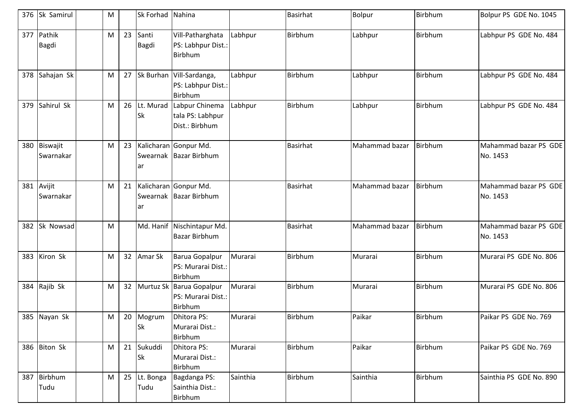|     | 376 Sk Samirul         | M |                 | Sk Forhad Nahina  |                                                              |          | <b>Basirhat</b> | Bolpur         | Birbhum | Bolpur PS GDE No. 1045            |
|-----|------------------------|---|-----------------|-------------------|--------------------------------------------------------------|----------|-----------------|----------------|---------|-----------------------------------|
| 377 | Pathik<br><b>Bagdi</b> | M | 23              | Santi<br>Bagdi    | Vill-Patharghata<br>PS: Labhpur Dist.:<br>Birbhum            | Labhpur  | <b>Birbhum</b>  | Labhpur        | Birbhum | Labhpur PS GDE No. 484            |
| 378 | Sahajan Sk             | M |                 |                   | 27 Sk Burhan Vill-Sardanga,<br>PS: Labhpur Dist.:<br>Birbhum | Labhpur  | <b>Birbhum</b>  | Labhpur        | Birbhum | Labhpur PS GDE No. 484            |
| 379 | Sahirul Sk             | M | 26              | Lt. Murad<br>Sk   | Labpur Chinema<br>tala PS: Labhpur<br>Dist.: Birbhum         | Labhpur  | <b>Birbhum</b>  | Labhpur        | Birbhum | Labhpur PS GDE No. 484            |
| 380 | Biswajit<br>Swarnakar  | M | 23              | ar                | Kalicharan Gonpur Md.<br>Swearnak   Bazar Birbhum            |          | <b>Basirhat</b> | Mahammad bazar | Birbhum | Mahammad bazar PS GDE<br>No. 1453 |
| 381 | Avijit<br>Swarnakar    | M | 21              | ar                | Kalicharan Gonpur Md.<br>Swearnak Bazar Birbhum              |          | <b>Basirhat</b> | Mahammad bazar | Birbhum | Mahammad bazar PS GDE<br>No. 1453 |
| 382 | Sk Nowsad              | M |                 |                   | Md. Hanif Nischintapur Md.<br><b>Bazar Birbhum</b>           |          | <b>Basirhat</b> | Mahammad bazar | Birbhum | Mahammad bazar PS GDE<br>No. 1453 |
| 383 | Kiron Sk               | M | 32              | Amar Sk           | Barua Gopalpur<br>PS: Murarai Dist.:<br>Birbhum              | Murarai  | Birbhum         | Murarai        | Birbhum | Murarai PS GDE No. 806            |
|     | 384 Rajib Sk           | M | 32 <sup>2</sup> |                   | Murtuz Sk Barua Gopalpur<br>PS: Murarai Dist.:<br>Birbhum    | Murarai  | <b>Birbhum</b>  | Murarai        | Birbhum | Murarai PS GDE No. 806            |
|     | 385 Nayan Sk           | M |                 | 20 Mogrum<br>Sk   | Dhitora PS:<br>Murarai Dist.:<br>Birbhum                     | Murarai  | Birbhum         | Paikar         | Birbhum | Paikar PS GDE No. 769             |
|     | 386 Biton Sk           | M | 21              | Sukuddi<br>Sk     | Dhitora PS:<br>Murarai Dist.:<br>Birbhum                     | Murarai  | Birbhum         | Paikar         | Birbhum | Paikar PS GDE No. 769             |
| 387 | Birbhum<br>Tudu        | M | 25              | Lt. Bonga<br>Tudu | Bagdanga PS:<br>Sainthia Dist.:<br>Birbhum                   | Sainthia | <b>Birbhum</b>  | Sainthia       | Birbhum | Sainthia PS GDE No. 890           |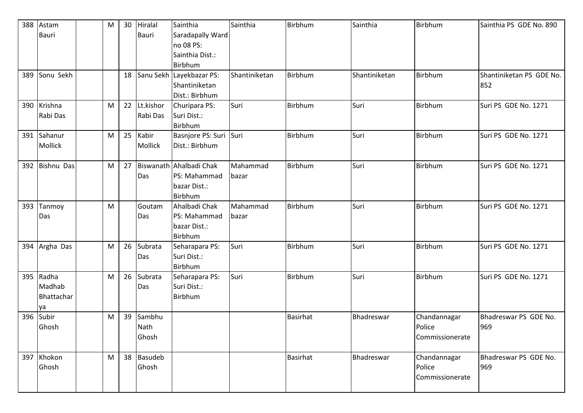| 388 | Astam             | M | 30 | Hiralal        | Sainthia                 | Sainthia      | <b>Birbhum</b>  | Sainthia      | Birbhum         | Sainthia PS GDE No. 890  |
|-----|-------------------|---|----|----------------|--------------------------|---------------|-----------------|---------------|-----------------|--------------------------|
|     | <b>Bauri</b>      |   |    | Bauri          | Saradapally Ward         |               |                 |               |                 |                          |
|     |                   |   |    |                | no 08 PS:                |               |                 |               |                 |                          |
|     |                   |   |    |                | Sainthia Dist.:          |               |                 |               |                 |                          |
|     |                   |   |    |                | Birbhum                  |               |                 |               |                 |                          |
| 389 | Sonu Sekh         |   | 18 |                | Sanu Sekh Layekbazar PS: | Shantiniketan | <b>Birbhum</b>  | Shantiniketan | Birbhum         | Shantiniketan PS GDE No. |
|     |                   |   |    |                | Shantiniketan            |               |                 |               |                 | 852                      |
|     |                   |   |    |                | Dist.: Birbhum           |               |                 |               |                 |                          |
| 390 | Krishna           | M | 22 | Lt.kishor      | Churipara PS:            | Suri          | Birbhum         | Suri          | Birbhum         | Suri PS GDE No. 1271     |
|     | Rabi Das          |   |    | Rabi Das       | Suri Dist.:              |               |                 |               |                 |                          |
|     |                   |   |    |                | Birbhum                  |               |                 |               |                 |                          |
| 391 | Sahanur           | M | 25 | Kabir          | Basnjore PS: Suri Suri   |               | <b>Birbhum</b>  | Suri          | Birbhum         | Suri PS GDE No. 1271     |
|     | Mollick           |   |    | Mollick        | Dist.: Birbhum           |               |                 |               |                 |                          |
|     |                   |   |    |                |                          |               |                 |               |                 |                          |
| 392 | <b>Bishnu Das</b> | M | 27 |                | Biswanath Ahalbadi Chak  | Mahammad      | Birbhum         | Suri          | Birbhum         | Suri PS GDE No. 1271     |
|     |                   |   |    | Das            | PS: Mahammad             | bazar         |                 |               |                 |                          |
|     |                   |   |    |                | bazar Dist.:             |               |                 |               |                 |                          |
|     |                   |   |    |                | Birbhum                  |               |                 |               |                 |                          |
| 393 | Tanmoy            | M |    | Goutam         | Ahalbadi Chak            | Mahammad      | Birbhum         | Suri          | Birbhum         | Suri PS GDE No. 1271     |
|     | Das               |   |    | Das            | PS: Mahammad             | bazar         |                 |               |                 |                          |
|     |                   |   |    |                | bazar Dist.:             |               |                 |               |                 |                          |
|     |                   |   |    |                | Birbhum                  |               |                 |               |                 |                          |
|     | 394 Argha Das     | M | 26 | Subrata        | Seharapara PS:           | Suri          | <b>Birbhum</b>  | Suri          | Birbhum         | Suri PS GDE No. 1271     |
|     |                   |   |    | Das            | Suri Dist.:              |               |                 |               |                 |                          |
|     |                   |   |    |                | Birbhum                  |               |                 |               |                 |                          |
| 395 | Radha             | M | 26 | Subrata        | Seharapara PS:           | Suri          | <b>Birbhum</b>  | Suri          | Birbhum         | Suri PS GDE No. 1271     |
|     | Madhab            |   |    | Das            | Suri Dist.:              |               |                 |               |                 |                          |
|     | Bhattachar        |   |    |                | Birbhum                  |               |                 |               |                 |                          |
|     | ya                |   |    |                |                          |               |                 |               |                 |                          |
| 396 | Subir             | M | 39 | Sambhu         |                          |               | <b>Basirhat</b> | Bhadreswar    | Chandannagar    | Bhadreswar PS GDE No.    |
|     | Ghosh             |   |    | Nath           |                          |               |                 |               | Police          | 969                      |
|     |                   |   |    | Ghosh          |                          |               |                 |               | Commissionerate |                          |
|     |                   |   |    |                |                          |               |                 |               |                 |                          |
| 397 | Khokon            | M | 38 | <b>Basudeb</b> |                          |               | <b>Basirhat</b> | Bhadreswar    | Chandannagar    | Bhadreswar PS GDE No.    |
|     | Ghosh             |   |    | Ghosh          |                          |               |                 |               | Police          | 969                      |
|     |                   |   |    |                |                          |               |                 |               | Commissionerate |                          |
|     |                   |   |    |                |                          |               |                 |               |                 |                          |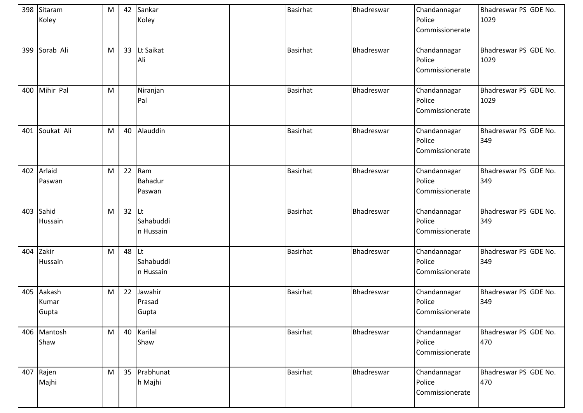|     | 398 Sitaram<br>Koley     | M |           | 42 Sankar<br>Koley          | <b>Basirhat</b> | Bhadreswar | Chandannagar<br>Police<br>Commissionerate | Bhadreswar PS GDE No.<br>1029 |
|-----|--------------------------|---|-----------|-----------------------------|-----------------|------------|-------------------------------------------|-------------------------------|
| 399 | Sorab Ali                | M |           | 33 Lt Saikat<br>Ali         | <b>Basirhat</b> | Bhadreswar | Chandannagar<br>Police<br>Commissionerate | Bhadreswar PS GDE No.<br>1029 |
| 400 | Mihir Pal                | M |           | Niranjan<br>Pal             | <b>Basirhat</b> | Bhadreswar | Chandannagar<br>Police<br>Commissionerate | Bhadreswar PS GDE No.<br>1029 |
| 401 | Soukat Ali               | M | 40        | Alauddin                    | <b>Basirhat</b> | Bhadreswar | Chandannagar<br>Police<br>Commissionerate | Bhadreswar PS GDE No.<br>349  |
|     | 402 Arlaid<br>Paswan     | M |           | 22 Ram<br>Bahadur<br>Paswan | <b>Basirhat</b> | Bhadreswar | Chandannagar<br>Police<br>Commissionerate | Bhadreswar PS GDE No.<br>349  |
| 403 | Sahid<br>Hussain         | M | $32$ Lt   | Sahabuddi<br>n Hussain      | <b>Basirhat</b> | Bhadreswar | Chandannagar<br>Police<br>Commissionerate | Bhadreswar PS GDE No.<br>349  |
| 404 | Zakir<br>Hussain         | M | 48 $ $ Lt | Sahabuddi<br>n Hussain      | <b>Basirhat</b> | Bhadreswar | Chandannagar<br>Police<br>Commissionerate | Bhadreswar PS GDE No.<br>349  |
| 405 | Aakash<br>Kumar<br>Gupta | M | 22        | Jawahir<br>Prasad<br>Gupta  | <b>Basirhat</b> | Bhadreswar | Chandannagar<br>Police<br>Commissionerate | Bhadreswar PS GDE No.<br>349  |
|     | 406 Mantosh<br>Shaw      | M |           | 40 Karilal<br>Shaw          | <b>Basirhat</b> | Bhadreswar | Chandannagar<br>Police<br>Commissionerate | Bhadreswar PS GDE No.<br>470  |
|     | 407 Rajen<br>Majhi       | M |           | 35 Prabhunat<br>h Majhi     | Basirhat        | Bhadreswar | Chandannagar<br>Police<br>Commissionerate | Bhadreswar PS GDE No.<br>470  |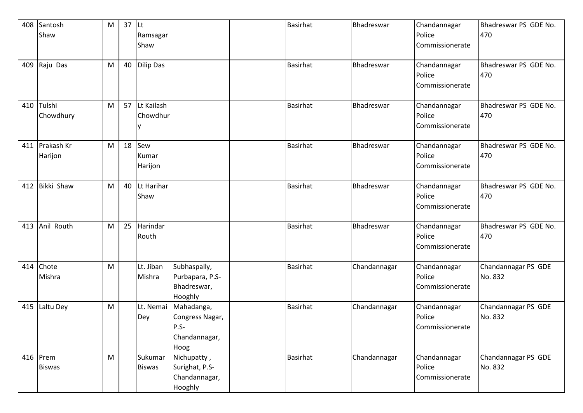| 408 | Santosh       | M | $37$ Lt |               |                 | <b>Basirhat</b> | Bhadreswar   | Chandannagar    | Bhadreswar PS GDE No. |
|-----|---------------|---|---------|---------------|-----------------|-----------------|--------------|-----------------|-----------------------|
|     | Shaw          |   |         | Ramsagar      |                 |                 |              | Police          | 470                   |
|     |               |   |         | Shaw          |                 |                 |              | Commissionerate |                       |
|     |               |   |         |               |                 |                 |              |                 |                       |
|     | 409 Raju Das  | M |         | 40 Dilip Das  |                 | <b>Basirhat</b> | Bhadreswar   | Chandannagar    | Bhadreswar PS GDE No. |
|     |               |   |         |               |                 |                 |              | Police          | 470                   |
|     |               |   |         |               |                 |                 |              | Commissionerate |                       |
|     |               |   |         |               |                 |                 |              |                 |                       |
| 410 | Tulshi        | M | 57      | Lt Kailash    |                 | <b>Basirhat</b> | Bhadreswar   | Chandannagar    | Bhadreswar PS GDE No. |
|     | Chowdhury     |   |         | Chowdhur      |                 |                 |              | Police          | 470                   |
|     |               |   |         |               |                 |                 |              | Commissionerate |                       |
|     |               |   |         |               |                 |                 |              |                 |                       |
| 411 | Prakash Kr    | M | 18      | Sew           |                 | <b>Basirhat</b> | Bhadreswar   | Chandannagar    | Bhadreswar PS GDE No. |
|     | Harijon       |   |         | Kumar         |                 |                 |              | Police          | 470                   |
|     |               |   |         | Harijon       |                 |                 |              | Commissionerate |                       |
|     |               |   |         |               |                 |                 |              |                 |                       |
| 412 | Bikki Shaw    | M | 40      | Lt Harihar    |                 | <b>Basirhat</b> | Bhadreswar   | Chandannagar    | Bhadreswar PS GDE No. |
|     |               |   |         | Shaw          |                 |                 |              | Police          | 470                   |
|     |               |   |         |               |                 |                 |              | Commissionerate |                       |
|     |               |   |         |               |                 |                 |              |                 |                       |
| 413 | Anil Routh    | M | 25      | Harindar      |                 | <b>Basirhat</b> | Bhadreswar   | Chandannagar    | Bhadreswar PS GDE No. |
|     |               |   |         | Routh         |                 |                 |              | Police          | 470                   |
|     |               |   |         |               |                 |                 |              | Commissionerate |                       |
|     |               |   |         |               |                 |                 |              |                 |                       |
| 414 | Chote         | M |         | Lt. Jiban     | Subhaspally,    | <b>Basirhat</b> | Chandannagar | Chandannagar    | Chandannagar PS GDE   |
|     | Mishra        |   |         | Mishra        | Purbapara, P.S- |                 |              | Police          | No. 832               |
|     |               |   |         |               | Bhadreswar,     |                 |              | Commissionerate |                       |
|     |               |   |         |               | Hooghly         |                 |              |                 |                       |
| 415 | Laltu Dey     | M |         | Lt. Nemai     | Mahadanga,      | <b>Basirhat</b> | Chandannagar | Chandannagar    | Chandannagar PS GDE   |
|     |               |   |         | Dey           | Congress Nagar, |                 |              | Police          | No. 832               |
|     |               |   |         |               | P.S-            |                 |              | Commissionerate |                       |
|     |               |   |         |               | Chandannagar,   |                 |              |                 |                       |
|     |               |   |         |               | Hoog            |                 |              |                 |                       |
|     | 416 Prem      | M |         | Sukumar       | Nichupatty,     | Basirhat        | Chandannagar | Chandannagar    | Chandannagar PS GDE   |
|     | <b>Biswas</b> |   |         | <b>Biswas</b> | Surighat, P.S-  |                 |              | Police          | No. 832               |
|     |               |   |         |               | Chandannagar,   |                 |              | Commissionerate |                       |
|     |               |   |         |               | Hooghly         |                 |              |                 |                       |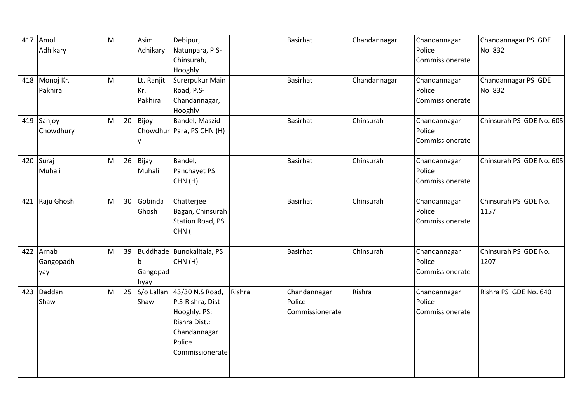| 417 | Amol<br>Adhikary          | M |                 | Asim<br>Adhikary             | Debipur,<br>Natunpara, P.S-<br>Chinsurah,<br>Hooghly                                                               |        | Basirhat                                  | Chandannagar | Chandannagar<br>Police<br>Commissionerate | Chandannagar PS GDE<br>No. 832 |
|-----|---------------------------|---|-----------------|------------------------------|--------------------------------------------------------------------------------------------------------------------|--------|-------------------------------------------|--------------|-------------------------------------------|--------------------------------|
|     | 418 Monoj Kr.<br>Pakhira  | M |                 | Lt. Ranjit<br>Kr.<br>Pakhira | Surerpukur Main<br>Road, P.S-<br>Chandannagar,<br>Hooghly                                                          |        | Basirhat                                  | Chandannagar | Chandannagar<br>Police<br>Commissionerate | Chandannagar PS GDE<br>No. 832 |
|     | 419 Sanjoy<br>Chowdhury   | M | 20              | Bijoy                        | Bandel, Maszid<br>Chowdhur Para, PS CHN (H)                                                                        |        | Basirhat                                  | Chinsurah    | Chandannagar<br>Police<br>Commissionerate | Chinsurah PS GDE No. 605       |
| 420 | Suraj<br>Muhali           | M |                 | 26 Bijay<br>Muhali           | Bandel,<br>Panchayet PS<br>CHN(H)                                                                                  |        | <b>Basirhat</b>                           | Chinsurah    | Chandannagar<br>Police<br>Commissionerate | Chinsurah PS GDE No. 605       |
| 421 | Raju Ghosh                | M | 30 <sup>°</sup> | Gobinda<br>Ghosh             | Chatterjee<br>Bagan, Chinsurah<br>Station Road, PS<br>CHN (                                                        |        | <b>Basirhat</b>                           | Chinsurah    | Chandannagar<br>Police<br>Commissionerate | Chinsurah PS GDE No.<br>1157   |
| 422 | Arnab<br>Gangopadh<br>yay | M | 39              | Gangopad<br>hyay             | Buddhade Bunokalitala, PS<br>CHN(H)                                                                                |        | <b>Basirhat</b>                           | Chinsurah    | Chandannagar<br>Police<br>Commissionerate | Chinsurah PS GDE No.<br>1207   |
| 423 | Daddan<br>Shaw            | M | 25              | S/o Lallan<br>Shaw           | 43/30 N.S Road,<br>P.S-Rishra, Dist-<br>Hooghly. PS:<br>Rishra Dist.:<br>Chandannagar<br>Police<br>Commissionerate | Rishra | Chandannagar<br>Police<br>Commissionerate | Rishra       | Chandannagar<br>Police<br>Commissionerate | Rishra PS GDE No. 640          |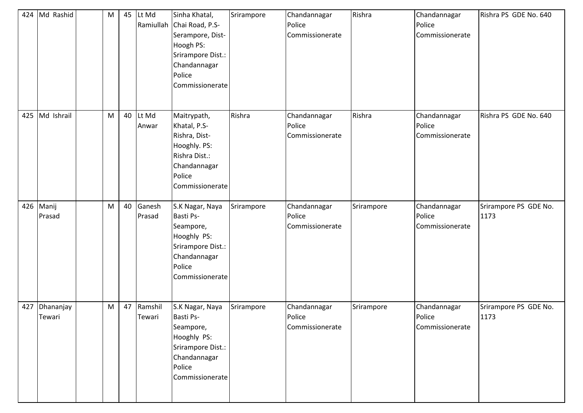| 424 | Md Rashid           | M | 45 | Lt Md<br>Ramiullah | Sinha Khatal,<br>Chai Road, P.S-<br>Serampore, Dist-<br>Hoogh PS:<br>Srirampore Dist.:<br>Chandannagar<br>Police<br>Commissionerate | Srirampore | Chandannagar<br>Police<br>Commissionerate | Rishra     | Chandannagar<br>Police<br>Commissionerate | Rishra PS GDE No. 640         |
|-----|---------------------|---|----|--------------------|-------------------------------------------------------------------------------------------------------------------------------------|------------|-------------------------------------------|------------|-------------------------------------------|-------------------------------|
| 425 | Md Ishrail          | M | 40 | Lt Md<br>Anwar     | Maitrypath,<br>Khatal, P.S-<br>Rishra, Dist-<br>Hooghly. PS:<br>Rishra Dist.:<br>Chandannagar<br>Police<br>Commissionerate          | Rishra     | Chandannagar<br>Police<br>Commissionerate | Rishra     | Chandannagar<br>Police<br>Commissionerate | Rishra PS GDE No. 640         |
| 426 | Manij<br>Prasad     | M | 40 | Ganesh<br>Prasad   | S.K Nagar, Naya<br>Basti Ps-<br>Seampore,<br>Hooghly PS:<br>Srirampore Dist.:<br>Chandannagar<br>Police<br>Commissionerate          | Srirampore | Chandannagar<br>Police<br>Commissionerate | Srirampore | Chandannagar<br>Police<br>Commissionerate | Srirampore PS GDE No.<br>1173 |
| 427 | Dhananjay<br>Tewari | M | 47 | Ramshil<br>Tewari  | S.K Nagar, Naya<br>Basti Ps-<br>Seampore,<br>Hooghly PS:<br>Srirampore Dist.:<br>Chandannagar<br>Police<br>Commissionerate          | Srirampore | Chandannagar<br>Police<br>Commissionerate | Srirampore | Chandannagar<br>Police<br>Commissionerate | Srirampore PS GDE No.<br>1173 |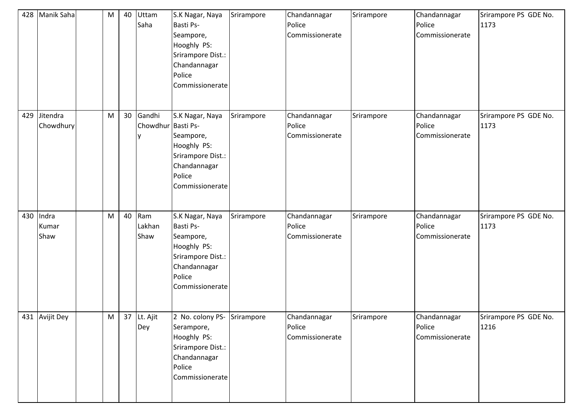| 428 | Manik Saha             | M | 40              | Uttam<br>Saha                | S.K Nagar, Naya<br>Basti Ps-<br>Seampore,<br>Hooghly PS:<br>Srirampore Dist.:<br>Chandannagar<br>Police<br>Commissionerate | Srirampore | Chandannagar<br>Police<br>Commissionerate | Srirampore | Chandannagar<br>Police<br>Commissionerate | Srirampore PS GDE No.<br>1173 |
|-----|------------------------|---|-----------------|------------------------------|----------------------------------------------------------------------------------------------------------------------------|------------|-------------------------------------------|------------|-------------------------------------------|-------------------------------|
| 429 | Jitendra<br>Chowdhury  | M | 30 <sup>°</sup> | Gandhi<br>Chowdhur Basti Ps- | S.K Nagar, Naya<br>Seampore,<br>Hooghly PS:<br>Srirampore Dist.:<br>Chandannagar<br>Police<br>Commissionerate              | Srirampore | Chandannagar<br>Police<br>Commissionerate | Srirampore | Chandannagar<br>Police<br>Commissionerate | Srirampore PS GDE No.<br>1173 |
| 430 | Indra<br>Kumar<br>Shaw | M | 40              | Ram<br>Lakhan<br>Shaw        | S.K Nagar, Naya<br>Basti Ps-<br>Seampore,<br>Hooghly PS:<br>Srirampore Dist.:<br>Chandannagar<br>Police<br>Commissionerate | Srirampore | Chandannagar<br>Police<br>Commissionerate | Srirampore | Chandannagar<br>Police<br>Commissionerate | Srirampore PS GDE No.<br>1173 |
|     | 431 Avijit Dey         | M |                 | 37 Lt. Ajit<br>Dey           | 2 No. colony PS- Srirampore<br>Serampore,<br>Hooghly PS:<br>Srirampore Dist.:<br>Chandannagar<br>Police<br>Commissionerate |            | Chandannagar<br>Police<br>Commissionerate | Srirampore | Chandannagar<br>Police<br>Commissionerate | Srirampore PS GDE No.<br>1216 |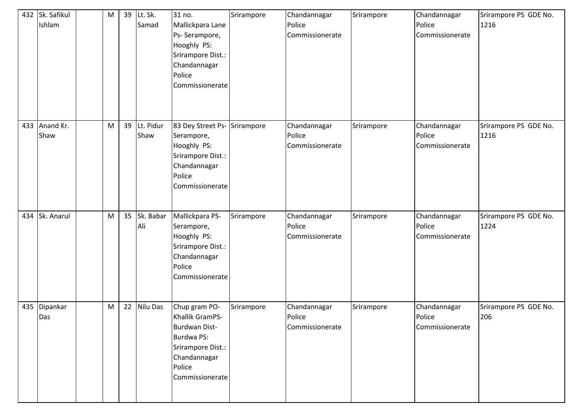| 432 | Sk. Safikul<br>Ishlam | M | 39 | Lt. Sk.<br>Samad  | 31 no.<br>Mallickpara Lane<br>Ps- Serampore,<br>Hooghly PS:<br>Srirampore Dist.:<br>Chandannagar<br>Police<br>Commissionerate            | Srirampore | Chandannagar<br>Police<br>Commissionerate | Srirampore | Chandannagar<br>Police<br>Commissionerate | Srirampore PS GDE No.<br>1216 |
|-----|-----------------------|---|----|-------------------|------------------------------------------------------------------------------------------------------------------------------------------|------------|-------------------------------------------|------------|-------------------------------------------|-------------------------------|
| 433 | Anand Kr.<br>Shaw     | M | 39 | Lt. Pidur<br>Shaw | 83 Dey Street Ps-<br>Serampore,<br>Hooghly PS:<br>Srirampore Dist.:<br>Chandannagar<br>Police<br>Commissionerate                         | Srirampore | Chandannagar<br>Police<br>Commissionerate | Srirampore | Chandannagar<br>Police<br>Commissionerate | Srirampore PS GDE No.<br>1216 |
| 434 | Sk. Anarul            | M | 35 | Sk. Babar<br>Ali  | Mallickpara PS-<br>Serampore,<br>Hooghly PS:<br>Srirampore Dist.:<br>Chandannagar<br>Police<br>Commissionerate                           | Srirampore | Chandannagar<br>Police<br>Commissionerate | Srirampore | Chandannagar<br>Police<br>Commissionerate | Srirampore PS GDE No.<br>1224 |
| 435 | Dipankar<br>Das       | M | 22 | Nilu Das          | Chup gram PO-<br>Khallik GramPS-<br><b>Burdwan Dist-</b><br>Burdwa PS:<br>Srirampore Dist.:<br>Chandannagar<br>Police<br>Commissionerate | Srirampore | Chandannagar<br>Police<br>Commissionerate | Srirampore | Chandannagar<br>Police<br>Commissionerate | Srirampore PS GDE No.<br>206  |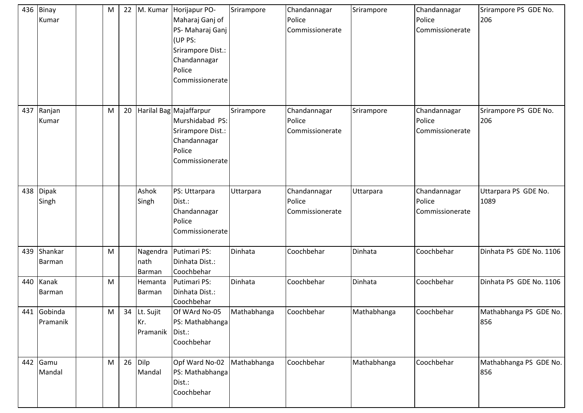| 436 | Binay<br>Kumar          | M | 22 |                                   | M. Kumar Horijapur PO-<br>Maharaj Ganj of<br>PS- Maharaj Ganj<br>(UP PS:<br>Srirampore Dist.:<br>Chandannagar<br>Police<br>Commissionerate | Srirampore  | Chandannagar<br>Police<br>Commissionerate | Srirampore  | Chandannagar<br>Police<br>Commissionerate | Srirampore PS GDE No.<br>206  |
|-----|-------------------------|---|----|-----------------------------------|--------------------------------------------------------------------------------------------------------------------------------------------|-------------|-------------------------------------------|-------------|-------------------------------------------|-------------------------------|
| 437 | Ranjan<br>Kumar         | M | 20 |                                   | Harilal Bag Majaffarpur<br>Murshidabad PS:<br>Srirampore Dist.:<br>Chandannagar<br>Police<br>Commissionerate                               | Srirampore  | Chandannagar<br>Police<br>Commissionerate | Srirampore  | Chandannagar<br>Police<br>Commissionerate | Srirampore PS GDE No.<br>206  |
| 438 | Dipak<br>Singh          |   |    | Ashok<br>Singh                    | PS: Uttarpara<br>Dist.:<br>Chandannagar<br>Police<br>Commissionerate                                                                       | Uttarpara   | Chandannagar<br>Police<br>Commissionerate | Uttarpara   | Chandannagar<br>Police<br>Commissionerate | Uttarpara PS GDE No.<br>1089  |
| 439 | Shankar<br>Barman       | M |    | Nagendra<br>nath<br><b>Barman</b> | Putimari PS:<br>Dinhata Dist.:<br>Coochbehar                                                                                               | Dinhata     | Coochbehar                                | Dinhata     | Coochbehar                                | Dinhata PS GDE No. 1106       |
| 440 | Kanak<br>Barman         | M |    | Hemanta<br>Barman                 | Putimari PS:<br>Dinhata Dist.:<br>Coochbehar                                                                                               | Dinhata     | Coochbehar                                | Dinhata     | Coochbehar                                | Dinhata PS GDE No. 1106       |
|     | 441 Gobinda<br>Pramanik | M |    | 34 Lt. Sujit<br>Kr.<br>Pramanik   | Of WArd No-05<br>PS: Mathabhanga<br>Dist.:<br>Coochbehar                                                                                   | Mathabhanga | Coochbehar                                | Mathabhanga | Coochbehar                                | Mathabhanga PS GDE No.<br>856 |
|     | 442 Gamu<br>Mandal      | M |    | 26 Dilp<br>Mandal                 | Opf Ward No-02<br>PS: Mathabhanga<br>Dist.:<br>Coochbehar                                                                                  | Mathabhanga | Coochbehar                                | Mathabhanga | Coochbehar                                | Mathabhanga PS GDE No.<br>856 |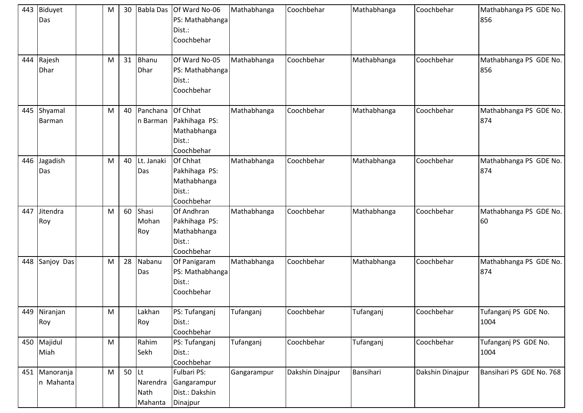|     | 443 Biduyet<br>Das         | M | 30 |                                           | Babla Das Of Ward No-06<br>PS: Mathabhanga<br>Dist.:<br>Coochbehar | Mathabhanga | Coochbehar       | Mathabhanga | Coochbehar       | Mathabhanga PS GDE No.<br>856 |
|-----|----------------------------|---|----|-------------------------------------------|--------------------------------------------------------------------|-------------|------------------|-------------|------------------|-------------------------------|
| 444 | Rajesh<br><b>Dhar</b>      | M | 31 | Bhanu<br><b>Dhar</b>                      | Of Ward No-05<br>PS: Mathabhanga<br>Dist.:<br>Coochbehar           | Mathabhanga | Coochbehar       | Mathabhanga | Coochbehar       | Mathabhanga PS GDE No.<br>856 |
| 445 | Shyamal<br>Barman          | M | 40 | Panchana<br>n Barman                      | Of Chhat<br>Pakhihaga PS:<br>Mathabhanga<br>Dist.:<br>Coochbehar   | Mathabhanga | Coochbehar       | Mathabhanga | Coochbehar       | Mathabhanga PS GDE No.<br>874 |
| 446 | Jagadish<br>Das            | M | 40 | Lt. Janaki<br>Das                         | Of Chhat<br>Pakhihaga PS:<br>Mathabhanga<br>Dist.:<br>Coochbehar   | Mathabhanga | Coochbehar       | Mathabhanga | Coochbehar       | Mathabhanga PS GDE No.<br>874 |
| 447 | Jitendra<br>Roy            | M | 60 | Shasi<br>Mohan<br>Roy                     | Of Andhran<br>Pakhihaga PS:<br>Mathabhanga<br>Dist.:<br>Coochbehar | Mathabhanga | Coochbehar       | Mathabhanga | Coochbehar       | Mathabhanga PS GDE No.<br>60  |
| 448 | Sanjoy Das                 | M | 28 | Nabanu<br>Das                             | Of Panigaram<br>PS: Mathabhanga<br>Dist.:<br>Coochbehar            | Mathabhanga | Coochbehar       | Mathabhanga | Coochbehar       | Mathabhanga PS GDE No.<br>874 |
|     | 449 Niranjan<br>Roy        | M |    | Lakhan<br>Roy                             | PS: Tufanganj<br>Dist.:<br>Coochbehar                              | Tufanganj   | Coochbehar       | Tufanganj   | Coochbehar       | Tufanganj PS GDE No.<br>1004  |
|     | 450 Majidul<br>Miah        | M |    | Rahim<br>Sekh                             | PS: Tufanganj<br>Dist.:<br>Coochbehar                              | Tufanganj   | Coochbehar       | Tufanganj   | Coochbehar       | Tufanganj PS GDE No.<br>1004  |
|     | 451 Manoranja<br>n Mahanta | M | 50 | <b>ILt</b><br>Narendra<br>Nath<br>Mahanta | Fulbari PS:<br>Gangarampur<br>Dist.: Dakshin<br>Dinajpur           | Gangarampur | Dakshin Dinajpur | Bansihari   | Dakshin Dinajpur | Bansihari PS GDE No. 768      |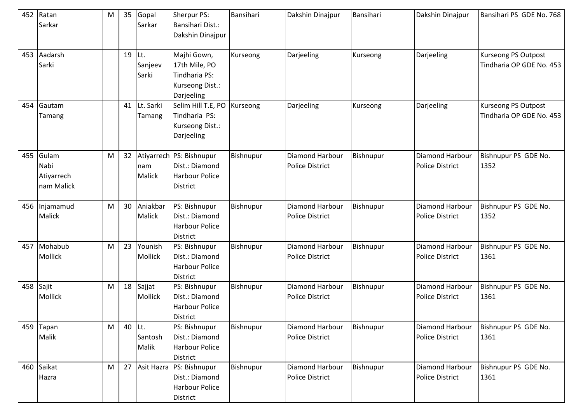| 452 | Ratan<br>Sarkar                           | M |        | 35 Gopal<br>Sarkar      | <b>Sherpur PS:</b><br><b>Bansihari Dist.:</b><br>Dakshin Dinajpur                  | Bansihari | Dakshin Dinajpur                          | Bansihari | Dakshin Dinajpur                                 | Bansihari PS GDE No. 768                        |
|-----|-------------------------------------------|---|--------|-------------------------|------------------------------------------------------------------------------------|-----------|-------------------------------------------|-----------|--------------------------------------------------|-------------------------------------------------|
| 453 | Aadarsh<br>Sarki                          |   | 19     | Lt.<br>Sanjeev<br>Sarki | Majhi Gown,<br>17th Mile, PO<br>Tindharia PS:<br>Kurseong Dist.:<br>Darjeeling     | Kurseong  | Darjeeling                                | Kurseong  | Darjeeling                                       | Kurseong PS Outpost<br>Tindharia OP GDE No. 453 |
| 454 | Gautam<br>Tamang                          |   |        | 41 Lt. Sarki<br>Tamang  | Selim Hill T.E, PO<br>Tindharia PS:<br>Kurseong Dist.:<br>Darjeeling               | Kurseong  | Darjeeling                                | Kurseong  | Darjeeling                                       | Kurseong PS Outpost<br>Tindharia OP GDE No. 453 |
| 455 | Gulam<br>Nabi<br>Atiyarrech<br>nam Malick | M | 32     | Inam<br><b>Malick</b>   | Atiyarrech PS: Bishnupur<br>Dist.: Diamond<br><b>Harbour Police</b><br>District    | Bishnupur | Diamond Harbour<br><b>Police District</b> | Bishnupur | Diamond Harbour<br><b>Police District</b>        | Bishnupur PS GDE No.<br>1352                    |
| 456 | Injamamud<br>Malick                       | M | 30     | Aniakbar<br>Malick      | PS: Bishnupur<br>Dist.: Diamond<br><b>Harbour Police</b><br><b>District</b>        | Bishnupur | Diamond Harbour<br><b>Police District</b> | Bishnupur | Diamond Harbour<br><b>Police District</b>        | Bishnupur PS GDE No.<br>1352                    |
| 457 | Mohabub<br>Mollick                        | M | 23     | Younish<br>Mollick      | PS: Bishnupur<br>Dist.: Diamond<br><b>Harbour Police</b><br><b>District</b>        | Bishnupur | Diamond Harbour<br><b>Police District</b> | Bishnupur | Diamond Harbour<br><b>Police District</b>        | Bishnupur PS GDE No.<br>1361                    |
| 458 | Sajit<br>Mollick                          | M | 18     | Sajjat<br>Mollick       | PS: Bishnupur<br>Dist.: Diamond<br><b>Harbour Police</b><br><b>District</b>        | Bishnupur | Diamond Harbour<br><b>Police District</b> | Bishnupur | <b>Diamond Harbour</b><br><b>Police District</b> | Bishnupur PS GDE No.<br>1361                    |
| 459 | Tapan<br>Malik                            | M | 40 Lt. | Santosh<br>Malik        | PS: Bishnupur<br>Dist.: Diamond<br>Harbour Police<br>District                      | Bishnupur | Diamond Harbour<br>Police District        | Bishnupur | <b>Diamond Harbour</b><br><b>Police District</b> | Bishnupur PS GDE No.<br>1361                    |
|     | 460 Saikat<br>Hazra                       | M |        |                         | 27 Asit Hazra PS: Bishnupur<br>Dist.: Diamond<br><b>Harbour Police</b><br>District | Bishnupur | Diamond Harbour<br><b>Police District</b> | Bishnupur | Diamond Harbour<br><b>Police District</b>        | Bishnupur PS GDE No.<br>1361                    |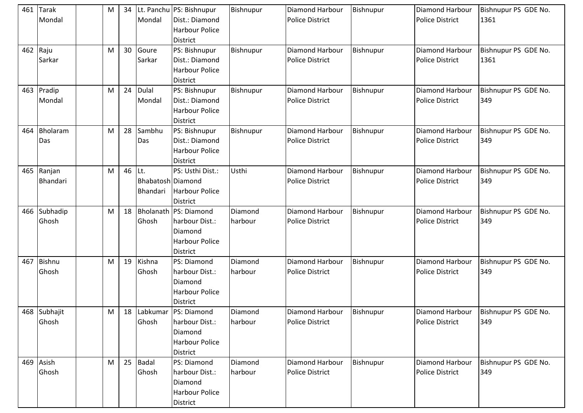| 461 | Tarak<br>Mondal           | M         | 34     | Mondal                        | Lt. Panchu PS: Bishnupur<br>Dist.: Diamond<br><b>Harbour Police</b><br><b>District</b>     | Bishnupur          | Diamond Harbour<br><b>Police District</b>        | Bishnupur | <b>Diamond Harbour</b><br><b>Police District</b> | Bishnupur PS GDE No.<br>1361 |
|-----|---------------------------|-----------|--------|-------------------------------|--------------------------------------------------------------------------------------------|--------------------|--------------------------------------------------|-----------|--------------------------------------------------|------------------------------|
| 462 | Raju<br>Sarkar            | M         | 30     | Goure<br>Sarkar               | PS: Bishnupur<br>Dist.: Diamond<br><b>Harbour Police</b><br>District                       | Bishnupur          | <b>Diamond Harbour</b><br><b>Police District</b> | Bishnupur | Diamond Harbour<br><b>Police District</b>        | Bishnupur PS GDE No.<br>1361 |
| 463 | Pradip<br>Mondal          | M         | 24     | <b>Dulal</b><br>Mondal        | PS: Bishnupur<br>Dist.: Diamond<br><b>Harbour Police</b><br><b>District</b>                | Bishnupur          | Diamond Harbour<br><b>Police District</b>        | Bishnupur | Diamond Harbour<br><b>Police District</b>        | Bishnupur PS GDE No.<br>349  |
| 464 | Bholaram<br>Das           | M         | 28     | Sambhu<br>Das                 | PS: Bishnupur<br>Dist.: Diamond<br><b>Harbour Police</b><br><b>District</b>                | Bishnupur          | Diamond Harbour<br><b>Police District</b>        | Bishnupur | Diamond Harbour<br><b>Police District</b>        | Bishnupur PS GDE No.<br>349  |
| 465 | Ranjan<br><b>Bhandari</b> | M         | 46 Lt. | Bhabatosh Diamond<br>Bhandari | PS: Usthi Dist.:<br><b>Harbour Police</b><br><b>District</b>                               | Usthi              | Diamond Harbour<br><b>Police District</b>        | Bishnupur | Diamond Harbour<br><b>Police District</b>        | Bishnupur PS GDE No.<br>349  |
| 466 | Subhadip<br>Ghosh         | M         |        | Ghosh                         | 18 Bholanath PS: Diamond<br>harbour Dist.:<br>Diamond<br><b>Harbour Police</b><br>District | Diamond<br>harbour | Diamond Harbour<br><b>Police District</b>        | Bishnupur | Diamond Harbour<br><b>Police District</b>        | Bishnupur PS GDE No.<br>349  |
| 467 | <b>Bishnu</b><br>Ghosh    | M         | 19     | Kishna<br>Ghosh               | PS: Diamond<br>harbour Dist.:<br>Diamond<br><b>Harbour Police</b><br><b>District</b>       | Diamond<br>harbour | Diamond Harbour<br><b>Police District</b>        | Bishnupur | Diamond Harbour<br><b>Police District</b>        | Bishnupur PS GDE No.<br>349  |
|     | 468 Subhajit<br>Ghosh     | ${\sf M}$ | 18     | Ghosh                         | Labkumar PS: Diamond<br>harbour Dist.:<br>Diamond<br><b>Harbour Police</b><br>District     | Diamond<br>harbour | <b>Diamond Harbour</b><br>Police District        | Bishnupur | Diamond Harbour<br><b>Police District</b>        | Bishnupur PS GDE No.<br>349  |
|     | 469 Asish<br>Ghosh        | M         |        | 25 Badal<br>Ghosh             | PS: Diamond<br>harbour Dist.:<br>Diamond<br><b>Harbour Police</b><br>District              | Diamond<br>harbour | Diamond Harbour<br><b>Police District</b>        | Bishnupur | Diamond Harbour<br><b>Police District</b>        | Bishnupur PS GDE No.<br>349  |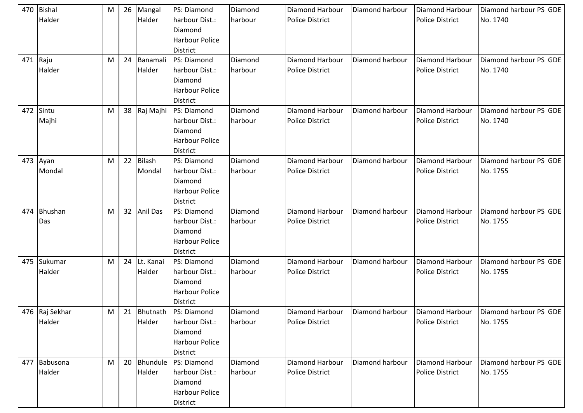| 470 | Bishal         | M | 26 | Mangal        | PS: Diamond                               | Diamond            | <b>Diamond Harbour</b>                           | Diamond harbour | Diamond Harbour                           | Diamond harbour PS GDE             |
|-----|----------------|---|----|---------------|-------------------------------------------|--------------------|--------------------------------------------------|-----------------|-------------------------------------------|------------------------------------|
|     | Halder         |   |    | Halder        | harbour Dist.:                            | harbour            | <b>Police District</b>                           |                 | <b>Police District</b>                    | No. 1740                           |
|     |                |   |    |               | Diamond                                   |                    |                                                  |                 |                                           |                                    |
|     |                |   |    |               | <b>Harbour Police</b>                     |                    |                                                  |                 |                                           |                                    |
|     |                |   |    |               | <b>District</b>                           |                    |                                                  |                 |                                           |                                    |
| 471 | Raju           | M | 24 | Banamali      | PS: Diamond                               | Diamond            | Diamond Harbour                                  | Diamond harbour | Diamond Harbour                           | Diamond harbour PS GDE             |
|     | Halder         |   |    | Halder        | harbour Dist.:                            | harbour            | <b>Police District</b>                           |                 | <b>Police District</b>                    | No. 1740                           |
|     |                |   |    |               | Diamond                                   |                    |                                                  |                 |                                           |                                    |
|     |                |   |    |               | <b>Harbour Police</b>                     |                    |                                                  |                 |                                           |                                    |
|     |                |   |    |               | <b>District</b>                           |                    |                                                  |                 |                                           |                                    |
| 472 | Sintu          | M |    | 38 Raj Majhi  | PS: Diamond                               | Diamond            | Diamond Harbour                                  | Diamond harbour | Diamond Harbour                           | Diamond harbour PS GDE             |
|     | Majhi          |   |    |               | harbour Dist.:                            | harbour            | <b>Police District</b>                           |                 | <b>Police District</b>                    | No. 1740                           |
|     |                |   |    |               | Diamond                                   |                    |                                                  |                 |                                           |                                    |
|     |                |   |    |               | <b>Harbour Police</b>                     |                    |                                                  |                 |                                           |                                    |
|     |                |   |    |               | <b>District</b>                           |                    |                                                  |                 |                                           |                                    |
|     | 473 Ayan       | M | 22 | <b>Bilash</b> | PS: Diamond                               | Diamond            | <b>Diamond Harbour</b>                           | Diamond harbour | Diamond Harbour                           | Diamond harbour PS GDE             |
|     | Mondal         |   |    | Mondal        | harbour Dist.:                            | harbour            | <b>Police District</b>                           |                 | <b>Police District</b>                    | No. 1755                           |
|     |                |   |    |               | Diamond                                   |                    |                                                  |                 |                                           |                                    |
|     |                |   |    |               | <b>Harbour Police</b>                     |                    |                                                  |                 |                                           |                                    |
|     |                |   |    |               | <b>District</b>                           |                    |                                                  |                 |                                           |                                    |
| 474 | Bhushan        | M |    | 32 Anil Das   | PS: Diamond                               | Diamond            | <b>Diamond Harbour</b>                           | Diamond harbour | Diamond Harbour                           | Diamond harbour PS GDE             |
|     | Das            |   |    |               | harbour Dist.:                            | harbour            | <b>Police District</b>                           |                 | <b>Police District</b>                    | No. 1755                           |
|     |                |   |    |               | Diamond                                   |                    |                                                  |                 |                                           |                                    |
|     |                |   |    |               | <b>Harbour Police</b>                     |                    |                                                  |                 |                                           |                                    |
|     |                |   |    |               | <b>District</b>                           |                    |                                                  |                 |                                           |                                    |
| 475 | Sukumar        | M | 24 | Lt. Kanai     | PS: Diamond                               | Diamond            | <b>Diamond Harbour</b>                           | Diamond harbour | Diamond Harbour                           | Diamond harbour PS GDE             |
|     | Halder         |   |    | Halder        | harbour Dist.:                            | harbour            | <b>Police District</b>                           |                 | <b>Police District</b>                    | No. 1755                           |
|     |                |   |    |               | Diamond                                   |                    |                                                  |                 |                                           |                                    |
|     |                |   |    |               | <b>Harbour Police</b>                     |                    |                                                  |                 |                                           |                                    |
|     | 476 Raj Sekhar | M |    |               | <b>District</b>                           |                    |                                                  |                 |                                           |                                    |
|     | Halder         |   |    | Halder        | 21 Bhutnath PS: Diamond<br>harbour Dist.: | Diamond<br>harbour | <b>Diamond Harbour</b><br><b>Police District</b> | Diamond harbour | Diamond Harbour<br><b>Police District</b> | Diamond harbour PS GDE<br>No. 1755 |
|     |                |   |    |               | Diamond                                   |                    |                                                  |                 |                                           |                                    |
|     |                |   |    |               |                                           |                    |                                                  |                 |                                           |                                    |
|     |                |   |    |               | <b>Harbour Police</b>                     |                    |                                                  |                 |                                           |                                    |
| 477 | Babusona       | M | 20 | Bhundule      | <b>District</b><br>PS: Diamond            | Diamond            | Diamond Harbour                                  | Diamond harbour | Diamond Harbour                           | Diamond harbour PS GDE             |
|     | Halder         |   |    | Halder        | harbour Dist.:                            | harbour            | <b>Police District</b>                           |                 | <b>Police District</b>                    | No. 1755                           |
|     |                |   |    |               | Diamond                                   |                    |                                                  |                 |                                           |                                    |
|     |                |   |    |               |                                           |                    |                                                  |                 |                                           |                                    |
|     |                |   |    |               |                                           |                    |                                                  |                 |                                           |                                    |
|     |                |   |    |               | <b>Harbour Police</b><br>District         |                    |                                                  |                 |                                           |                                    |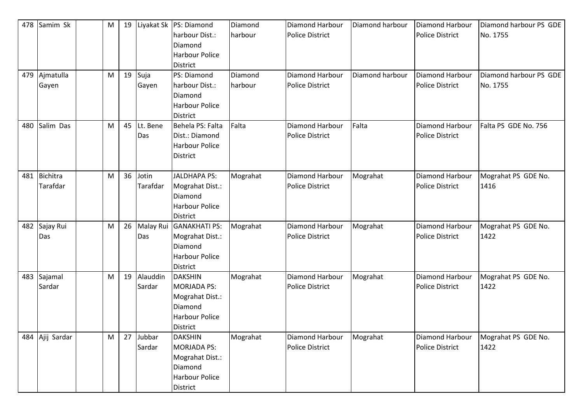| 478 | Samim Sk        | M | 19 |          | Liyakat Sk   PS: Diamond | Diamond  | Diamond Harbour        | Diamond harbour | Diamond Harbour        | Diamond harbour PS GDE |
|-----|-----------------|---|----|----------|--------------------------|----------|------------------------|-----------------|------------------------|------------------------|
|     |                 |   |    |          | harbour Dist.:           | harbour  | <b>Police District</b> |                 | <b>Police District</b> | No. 1755               |
|     |                 |   |    |          | Diamond                  |          |                        |                 |                        |                        |
|     |                 |   |    |          | <b>Harbour Police</b>    |          |                        |                 |                        |                        |
|     |                 |   |    |          | District                 |          |                        |                 |                        |                        |
| 479 | Ajmatulla       | M | 19 | Suja     | PS: Diamond              | Diamond  | Diamond Harbour        | Diamond harbour | Diamond Harbour        | Diamond harbour PS GDE |
|     | Gayen           |   |    | Gayen    | harbour Dist.:           | harbour  | <b>Police District</b> |                 | <b>Police District</b> | No. 1755               |
|     |                 |   |    |          | Diamond                  |          |                        |                 |                        |                        |
|     |                 |   |    |          | <b>Harbour Police</b>    |          |                        |                 |                        |                        |
|     |                 |   |    |          | <b>District</b>          |          |                        |                 |                        |                        |
| 480 | Salim Das       | M | 45 | Lt. Bene | Behela PS: Falta         | Falta    | Diamond Harbour        | Falta           | Diamond Harbour        | Falta PS GDE No. 756   |
|     |                 |   |    | Das      | Dist.: Diamond           |          | <b>Police District</b> |                 | Police District        |                        |
|     |                 |   |    |          | <b>Harbour Police</b>    |          |                        |                 |                        |                        |
|     |                 |   |    |          | <b>District</b>          |          |                        |                 |                        |                        |
|     |                 |   |    |          |                          |          |                        |                 |                        |                        |
| 481 | <b>Bichitra</b> | M | 36 | Jotin    | <b>JALDHAPA PS:</b>      | Mograhat | Diamond Harbour        | Mograhat        | Diamond Harbour        | Mograhat PS GDE No.    |
|     | Tarafdar        |   |    | Tarafdar | Mograhat Dist.:          |          | <b>Police District</b> |                 | <b>Police District</b> | 1416                   |
|     |                 |   |    |          | Diamond                  |          |                        |                 |                        |                        |
|     |                 |   |    |          | <b>Harbour Police</b>    |          |                        |                 |                        |                        |
|     |                 |   |    |          | <b>District</b>          |          |                        |                 |                        |                        |
| 482 | Sajay Rui       | M | 26 |          | Malay Rui GANAKHATI PS:  | Mograhat | Diamond Harbour        | Mograhat        | Diamond Harbour        | Mograhat PS GDE No.    |
|     | Das             |   |    | Das      | Mograhat Dist.:          |          | <b>Police District</b> |                 | <b>Police District</b> | 1422                   |
|     |                 |   |    |          | Diamond                  |          |                        |                 |                        |                        |
|     |                 |   |    |          | Harbour Police           |          |                        |                 |                        |                        |
|     |                 |   |    |          | <b>District</b>          |          |                        |                 |                        |                        |
| 483 | Sajamal         | M | 19 | Alauddin | <b>DAKSHIN</b>           | Mograhat | Diamond Harbour        | Mograhat        | Diamond Harbour        | Mograhat PS GDE No.    |
|     | Sardar          |   |    | Sardar   | <b>MORJADA PS:</b>       |          | <b>Police District</b> |                 | <b>Police District</b> | 1422                   |
|     |                 |   |    |          | Mograhat Dist.:          |          |                        |                 |                        |                        |
|     |                 |   |    |          | Diamond                  |          |                        |                 |                        |                        |
|     |                 |   |    |          | <b>Harbour Police</b>    |          |                        |                 |                        |                        |
|     |                 |   |    |          | <b>District</b>          |          |                        |                 |                        |                        |
| 484 | Ajij Sardar     | M | 27 | Jubbar   | <b>DAKSHIN</b>           | Mograhat | Diamond Harbour        | Mograhat        | Diamond Harbour        | Mograhat PS GDE No.    |
|     |                 |   |    | Sardar   | MORJADA PS:              |          | <b>Police District</b> |                 | Police District        | 1422                   |
|     |                 |   |    |          | Mograhat Dist.:          |          |                        |                 |                        |                        |
|     |                 |   |    |          | Diamond                  |          |                        |                 |                        |                        |
|     |                 |   |    |          | Harbour Police           |          |                        |                 |                        |                        |
|     |                 |   |    |          | District                 |          |                        |                 |                        |                        |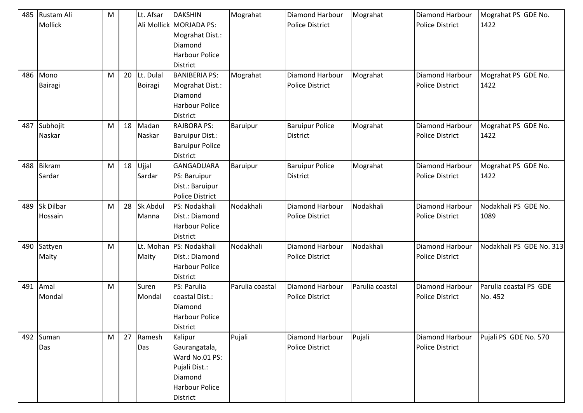| 485 | Rustam Ali    | ${\sf M}$ |    | Lt. Afsar | <b>DAKSHIN</b>                  | Mograhat        | Diamond Harbour        | Mograhat        | Diamond Harbour        | Mograhat PS GDE No.      |
|-----|---------------|-----------|----|-----------|---------------------------------|-----------------|------------------------|-----------------|------------------------|--------------------------|
|     | Mollick       |           |    |           | Ali Mollick MORJADA PS:         |                 | <b>Police District</b> |                 | <b>Police District</b> | 1422                     |
|     |               |           |    |           | Mograhat Dist.:                 |                 |                        |                 |                        |                          |
|     |               |           |    |           | Diamond                         |                 |                        |                 |                        |                          |
|     |               |           |    |           | Harbour Police                  |                 |                        |                 |                        |                          |
|     |               |           |    |           | <b>District</b>                 |                 |                        |                 |                        |                          |
| 486 | Mono          | M         | 20 | Lt. Dulal | <b>BANIBERIA PS:</b>            | Mograhat        | Diamond Harbour        | Mograhat        | Diamond Harbour        | Mograhat PS GDE No.      |
|     | Bairagi       |           |    | Boiragi   | Mograhat Dist.:                 |                 | <b>Police District</b> |                 | <b>Police District</b> | 1422                     |
|     |               |           |    |           | Diamond                         |                 |                        |                 |                        |                          |
|     |               |           |    |           | Harbour Police                  |                 |                        |                 |                        |                          |
|     |               |           |    |           | <b>District</b>                 |                 |                        |                 |                        |                          |
| 487 | Subhojit      | M         | 18 | Madan     | <b>RAJBORA PS:</b>              | Baruipur        | <b>Baruipur Police</b> | Mograhat        | Diamond Harbour        | Mograhat PS GDE No.      |
|     | Naskar        |           |    | Naskar    | <b>Baruipur Dist.:</b>          |                 | <b>District</b>        |                 | <b>Police District</b> | 1422                     |
|     |               |           |    |           | <b>Baruipur Police</b>          |                 |                        |                 |                        |                          |
|     |               |           |    |           | District                        |                 |                        |                 |                        |                          |
| 488 | <b>Bikram</b> | M         | 18 | Ujjal     | <b>GANGADUARA</b>               | <b>Baruipur</b> | <b>Baruipur Police</b> | Mograhat        | Diamond Harbour        | Mograhat PS GDE No.      |
|     | Sardar        |           |    | Sardar    |                                 |                 | <b>District</b>        |                 | <b>Police District</b> | 1422                     |
|     |               |           |    |           | PS: Baruipur<br>Dist.: Baruipur |                 |                        |                 |                        |                          |
|     |               |           |    |           |                                 |                 |                        |                 |                        |                          |
|     | Sk Dilbar     |           | 28 | Sk Abdul  | <b>Police District</b>          | Nodakhali       | <b>Diamond Harbour</b> | Nodakhali       | Diamond Harbour        |                          |
| 489 |               | M         |    |           | PS: Nodakhali                   |                 |                        |                 |                        | Nodakhali PS GDE No.     |
|     | Hossain       |           |    | Manna     | Dist.: Diamond                  |                 | <b>Police District</b> |                 | <b>Police District</b> | 1089                     |
|     |               |           |    |           | <b>Harbour Police</b>           |                 |                        |                 |                        |                          |
|     |               |           |    |           | <b>District</b>                 |                 |                        |                 |                        |                          |
| 490 | Sattyen       | M         |    |           | Lt. Mohan   PS: Nodakhali       | Nodakhali       | Diamond Harbour        | Nodakhali       | Diamond Harbour        | Nodakhali PS GDE No. 313 |
|     | Maity         |           |    | Maity     | Dist.: Diamond                  |                 | <b>Police District</b> |                 | <b>Police District</b> |                          |
|     |               |           |    |           | <b>Harbour Police</b>           |                 |                        |                 |                        |                          |
|     |               |           |    |           | <b>District</b>                 |                 |                        |                 |                        |                          |
| 491 | Amal          | ${\sf M}$ |    | Suren     | PS: Parulia                     | Parulia coastal | <b>Diamond Harbour</b> | Parulia coastal | Diamond Harbour        | Parulia coastal PS GDE   |
|     | Mondal        |           |    | Mondal    | coastal Dist.:                  |                 | <b>Police District</b> |                 | <b>Police District</b> | No. 452                  |
|     |               |           |    |           | Diamond                         |                 |                        |                 |                        |                          |
|     |               |           |    |           | <b>Harbour Police</b>           |                 |                        |                 |                        |                          |
|     |               |           |    |           | District                        |                 |                        |                 |                        |                          |
|     | 492 Suman     | M         |    | 27 Ramesh | Kalipur                         | Pujali          | Diamond Harbour        | Pujali          | Diamond Harbour        | Pujali PS GDE No. 570    |
|     | Das           |           |    | Das       | Gaurangatala,                   |                 | <b>Police District</b> |                 | <b>Police District</b> |                          |
|     |               |           |    |           | Ward No.01 PS:                  |                 |                        |                 |                        |                          |
|     |               |           |    |           | Pujali Dist.:                   |                 |                        |                 |                        |                          |
|     |               |           |    |           | Diamond                         |                 |                        |                 |                        |                          |
|     |               |           |    |           | <b>Harbour Police</b>           |                 |                        |                 |                        |                          |
|     |               |           |    |           | District                        |                 |                        |                 |                        |                          |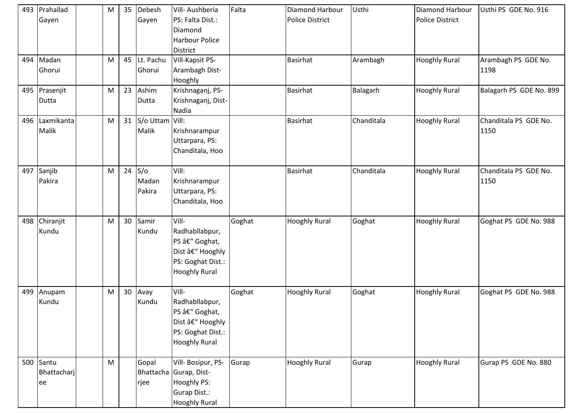|     | 493   Prahallad<br>Gayen       | M | 35              | Debesh<br>Gayen              | Vill-Aushberia<br>PS: Falta Dist.:<br>Diamond<br>Harbour Police<br>District                                | Falta  | <b>Diamond Harbour</b><br><b>Police District</b> | Usthi      | <b>Diamond Harbour</b><br><b>Police District</b> | Usthi PS GDE No. 916          |
|-----|--------------------------------|---|-----------------|------------------------------|------------------------------------------------------------------------------------------------------------|--------|--------------------------------------------------|------------|--------------------------------------------------|-------------------------------|
| 494 | Madan<br>Ghorui                | M | 45              | Lt. Pachu<br>Ghorui          | Vill-Kapsit PS-<br>Arambagh Dist-<br>Hooghly                                                               |        | <b>Basirhat</b>                                  | Arambagh   | <b>Hooghly Rural</b>                             | Arambagh PS GDE No.<br>1198   |
| 495 | Prasenjit<br>Dutta             | M | 23              | Ashim<br>Dutta               | Krishnaganj, PS-<br>Krishnaganj, Dist-<br>Nadia                                                            |        | <b>Basirhat</b>                                  | Balagarh   | <b>Hooghly Rural</b>                             | Balagarh PS GDE No. 899       |
| 496 | Laxmikanta<br>Malik            | M |                 | 31 S/o Uttam Vill:<br>Malik  | Krishnarampur<br>Uttarpara, PS:<br>Chanditala, Hoo                                                         |        | <b>Basirhat</b>                                  | Chanditala | <b>Hooghly Rural</b>                             | Chanditala PS GDE No.<br>1150 |
|     | 497 Sanjib<br>Pakira           | M |                 | 24 $S$ /o<br>Madan<br>Pakira | Vill:<br>Krishnarampur<br>Uttarpara, PS:<br>Chanditala, Hoo                                                |        | <b>Basirhat</b>                                  | Chanditala | <b>Hooghly Rural</b>                             | Chanditala PS GDE No.<br>1150 |
| 498 | Chiranjit<br>Kundu             | M | 30              | Samir<br>Kundu               | Vill-<br>Radhabllabpur,<br>PS â€" Goghat,<br>Dist – Hooghly<br>PS: Goghat Dist.:<br><b>Hooghly Rural</b>   | Goghat | <b>Hooghly Rural</b>                             | Goghat     | <b>Hooghly Rural</b>                             | Goghat PS GDE No. 988         |
| 499 | Anupam<br>Kundu                | M | 30 <sub>o</sub> | Avay<br>Kundu                | Vill-<br>Radhabllabpur,<br>PS – Goghat,<br>Dist – Hooghly<br>PS: Goghat Dist.:<br><b>Hooghly Rural</b>     | Goghat | <b>Hooghly Rural</b>                             | Goghat     | <b>Hooghly Rural</b>                             | Goghat PS GDE No. 988         |
|     | 500 Santu<br>Bhattacharj<br>ee | M |                 | Gopal<br>rjee                | Vill- Bosipur, PS-<br>Bhattacha Gurap, Dist-<br>Hooghly PS:<br><b>Gurap Dist.:</b><br><b>Hooghly Rural</b> | Gurap  | <b>Hooghly Rural</b>                             | Gurap      | <b>Hooghly Rural</b>                             | Gurap PS GDE No. 880          |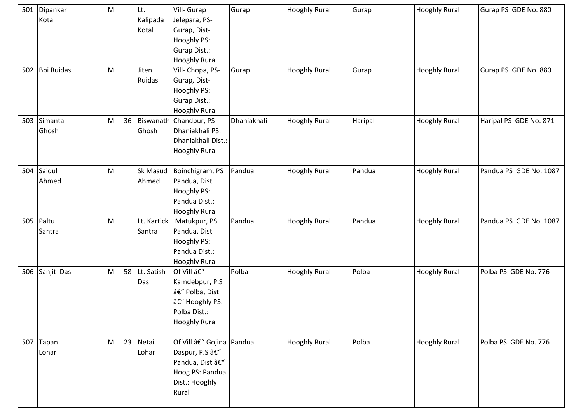|     | 501 Dipankar<br>Kotal | M |    | Lt.<br>Kalipada<br>Kotal | Vill- Gurap<br>Jelepara, PS-<br>Gurap, Dist-<br>Hooghly PS:<br>Gurap Dist.:<br><b>Hooghly Rural</b>      | Gurap        | <b>Hooghly Rural</b> | Gurap   | <b>Hooghly Rural</b> | Gurap PS GDE No. 880   |
|-----|-----------------------|---|----|--------------------------|----------------------------------------------------------------------------------------------------------|--------------|----------------------|---------|----------------------|------------------------|
| 502 | <b>Bpi Ruidas</b>     | M |    | Jiten<br>Ruidas          | Vill- Chopa, PS-<br>Gurap, Dist-<br>Hooghly PS:<br>Gurap Dist.:<br><b>Hooghly Rural</b>                  | Gurap        | <b>Hooghly Rural</b> | Gurap   | <b>Hooghly Rural</b> | Gurap PS GDE No. 880   |
| 503 | Simanta<br>Ghosh      | M | 36 | Ghosh                    | Biswanath Chandpur, PS-<br>Dhaniakhali PS:<br>Dhaniakhali Dist.:<br><b>Hooghly Rural</b>                 | Dhaniakhali  | <b>Hooghly Rural</b> | Haripal | <b>Hooghly Rural</b> | Haripal PS GDE No. 871 |
| 504 | Saidul<br>Ahmed       | M |    | Sk Masud<br>Ahmed        | Boinchigram, PS<br>Pandua, Dist<br>Hooghly PS:<br>Pandua Dist.:<br><b>Hooghly Rural</b>                  | Pandua       | <b>Hooghly Rural</b> | Pandua  | <b>Hooghly Rural</b> | Pandua PS GDE No. 1087 |
|     | 505 Paltu<br>Santra   | M |    | Lt. Kartick<br>Santra    | Matukpur, PS<br>Pandua, Dist<br>Hooghly PS:<br>Pandua Dist.:<br><b>Hooghly Rural</b>                     | Pandua       | <b>Hooghly Rural</b> | Pandua  | <b>Hooghly Rural</b> | Pandua PS GDE No. 1087 |
| 506 | Sanjit Das            | M | 58 | Lt. Satish<br>Das        | Of Vill –<br>Kamdebpur, P.S<br>– Polba, Dist<br>– Hooghly PS:<br>Polba Dist.:<br><b>Hooghly Rural</b>    | <b>Polba</b> | <b>Hooghly Rural</b> | Polba   | <b>Hooghly Rural</b> | Polba PS GDE No. 776   |
| 507 | Tapan<br>Lohar        | M |    | 23 Netai<br>Lohar        | Of Vill – Gojina Pandua<br>Daspur, P.S –<br>Pandua, Dist –<br>Hoog PS: Pandua<br>Dist.: Hooghly<br>Rural |              | <b>Hooghly Rural</b> | Polba   | <b>Hooghly Rural</b> | Polba PS GDE No. 776   |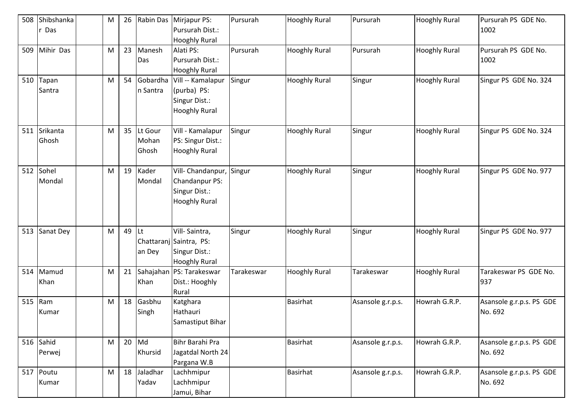| 508 | Shibshanka<br>Das   | M         | 26 | Rabin Das                 | Mirjapur PS:<br>Pursurah Dist.:<br><b>Hooghly Rural</b>                           | Pursurah   | <b>Hooghly Rural</b> | Pursurah          | <b>Hooghly Rural</b> | Pursurah PS GDE No.<br>1002         |
|-----|---------------------|-----------|----|---------------------------|-----------------------------------------------------------------------------------|------------|----------------------|-------------------|----------------------|-------------------------------------|
| 509 | Mihir Das           | M         | 23 | Manesh<br>Das             | Alati PS:<br>Pursurah Dist.:<br><b>Hooghly Rural</b>                              | Pursurah   | <b>Hooghly Rural</b> | Pursurah          | <b>Hooghly Rural</b> | Pursurah PS GDE No.<br>1002         |
| 510 | Tapan<br>Santra     | M         | 54 | Gobardha<br>n Santra      | Vill -- Kamalapur<br>(purba) PS:<br>Singur Dist.:<br><b>Hooghly Rural</b>         | Singur     | <b>Hooghly Rural</b> | Singur            | <b>Hooghly Rural</b> | Singur PS GDE No. 324               |
| 511 | Srikanta<br>Ghosh   | M         | 35 | Lt Gour<br>Mohan<br>Ghosh | Vill - Kamalapur<br>PS: Singur Dist.:<br><b>Hooghly Rural</b>                     | Singur     | <b>Hooghly Rural</b> | Singur            | <b>Hooghly Rural</b> | Singur PS GDE No. 324               |
| 512 | Sohel<br>Mondal     | M         | 19 | Kader<br>Mondal           | Vill- Chandanpur,<br>Chandanpur PS:<br>Singur Dist.:<br><b>Hooghly Rural</b>      | Singur     | <b>Hooghly Rural</b> | Singur            | <b>Hooghly Rural</b> | Singur PS GDE No. 977               |
| 513 | Sanat Dey           | M         | 49 | Lt<br>an Dey              | Vill-Saintra,<br>Chattaranj Saintra, PS:<br>Singur Dist.:<br><b>Hooghly Rural</b> | Singur     | <b>Hooghly Rural</b> | Singur            | <b>Hooghly Rural</b> | Singur PS GDE No. 977               |
| 514 | Mamud<br>Khan       | M         | 21 | Khan                      | Sahajahan   PS: Tarakeswar<br>Dist.: Hooghly<br>Rural                             | Tarakeswar | <b>Hooghly Rural</b> | Tarakeswar        | <b>Hooghly Rural</b> | Tarakeswar PS GDE No.<br>937        |
| 515 | Ram<br>Kumar        | M         | 18 | Gasbhu<br>Singh           | Katghara<br>Hathauri<br>Samastiput Bihar                                          |            | <b>Basirhat</b>      | Asansole g.r.p.s. | Howrah G.R.P.        | Asansole g.r.p.s. PS GDE<br>No. 692 |
|     | 516 Sahid<br>Perwej | M         | 20 | Md<br>Khursid             | Bihr Barahi Pra<br>Jagatdal North 24<br>Pargana W.B                               |            | Basirhat             | Asansole g.r.p.s. | Howrah G.R.P.        | Asansole g.r.p.s. PS GDE<br>No. 692 |
|     | 517 Poutu<br>Kumar  | ${\sf M}$ |    | 18 Jaladhar<br>Yadav      | Lachhmipur<br>Lachhmipur<br>Jamui, Bihar                                          |            | <b>Basirhat</b>      | Asansole g.r.p.s. | Howrah G.R.P.        | Asansole g.r.p.s. PS GDE<br>No. 692 |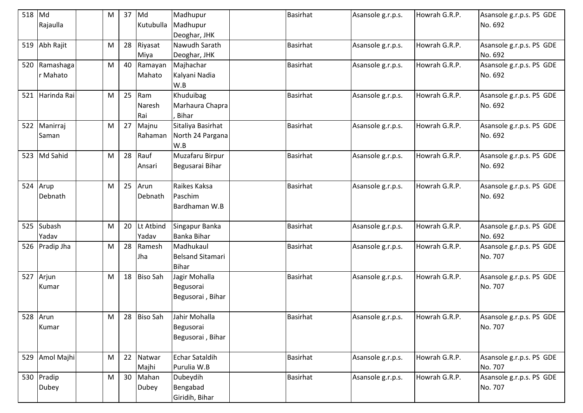| 518      | Md             | M         | 37 | Md              | Madhupur                | <b>Basirhat</b> | Asansole g.r.p.s. | Howrah G.R.P. | Asansole g.r.p.s. PS GDE |
|----------|----------------|-----------|----|-----------------|-------------------------|-----------------|-------------------|---------------|--------------------------|
|          | Rajaulla       |           |    | Kutubulla       | Madhupur                |                 |                   |               | No. 692                  |
|          |                |           |    |                 | Deoghar, JHK            |                 |                   |               |                          |
| 519      | Abh Rajit      | M         | 28 | Riyasat         | Nawudh Sarath           | <b>Basirhat</b> | Asansole g.r.p.s. | Howrah G.R.P. | Asansole g.r.p.s. PS GDE |
|          |                |           |    | Miya            | Deoghar, JHK            |                 |                   |               | No. 692                  |
| 520      | Ramashaga      | M         | 40 | Ramayan         | Majhachar               | Basirhat        | Asansole g.r.p.s. | Howrah G.R.P. | Asansole g.r.p.s. PS GDE |
|          | r Mahato       |           |    | Mahato          | Kalyani Nadia           |                 |                   |               | No. 692                  |
|          |                |           |    |                 | W.B                     |                 |                   |               |                          |
| 521      | Harinda Rai    | M         | 25 | Ram             | Khuduibag               | <b>Basirhat</b> | Asansole g.r.p.s. | Howrah G.R.P. | Asansole g.r.p.s. PS GDE |
|          |                |           |    | Naresh          | Marhaura Chapra         |                 |                   |               | No. 692                  |
|          |                |           |    | Rai             | <b>Bihar</b>            |                 |                   |               |                          |
| 522      | Manirraj       | M         | 27 | Majnu           | Sitaliya Basirhat       | <b>Basirhat</b> | Asansole g.r.p.s. | Howrah G.R.P. | Asansole g.r.p.s. PS GDE |
|          | Saman          |           |    | Rahaman         | North 24 Pargana        |                 |                   |               | No. 692                  |
|          |                |           |    |                 | W.B                     |                 |                   |               |                          |
|          | 523 Md Sahid   | M         | 28 | Rauf            | Muzafaru Birpur         | <b>Basirhat</b> | Asansole g.r.p.s. | Howrah G.R.P. | Asansole g.r.p.s. PS GDE |
|          |                |           |    | Ansari          | Begusarai Bihar         |                 |                   |               | No. 692                  |
|          |                |           |    |                 |                         |                 |                   |               |                          |
| 524 Arup |                | M         | 25 | Arun            | Raikes Kaksa            | Basirhat        | Asansole g.r.p.s. | Howrah G.R.P. | Asansole g.r.p.s. PS GDE |
|          | Debnath        |           |    | Debnath         | Paschim                 |                 |                   |               | No. 692                  |
|          |                |           |    |                 | Bardhaman W.B           |                 |                   |               |                          |
|          |                |           |    |                 |                         |                 |                   |               |                          |
|          | 525 Subash     | M         | 20 | Lt Atbind       | Singapur Banka          | <b>Basirhat</b> | Asansole g.r.p.s. | Howrah G.R.P. | Asansole g.r.p.s. PS GDE |
|          | Yadav          |           |    | Yadav           | <b>Banka Bihar</b>      |                 |                   |               | No. 692                  |
|          | 526 Pradip Jha | M         | 28 | Ramesh          | Madhukaul               | Basirhat        | Asansole g.r.p.s. | Howrah G.R.P. | Asansole g.r.p.s. PS GDE |
|          |                |           |    | Jha             | <b>Belsand Sitamari</b> |                 |                   |               | No. 707                  |
|          |                |           |    |                 | <b>Bihar</b>            |                 |                   |               |                          |
| 527      | Arjun          | M         | 18 | <b>Biso Sah</b> | Jagir Mohalla           | <b>Basirhat</b> | Asansole g.r.p.s. | Howrah G.R.P. | Asansole g.r.p.s. PS GDE |
|          | Kumar          |           |    |                 | Begusorai               |                 |                   |               | No. 707                  |
|          |                |           |    |                 | Begusorai, Bihar        |                 |                   |               |                          |
|          |                |           |    |                 |                         |                 |                   |               |                          |
|          | 528 Arun       | ${\sf M}$ |    | 28 Biso Sah     | Jahir Mohalla           | <b>Basirhat</b> | Asansole g.r.p.s. | Howrah G.R.P. | Asansole g.r.p.s. PS GDE |
|          | Kumar          |           |    |                 | Begusorai               |                 |                   |               | No. 707                  |
|          |                |           |    |                 | Begusorai, Bihar        |                 |                   |               |                          |
|          |                |           |    |                 |                         |                 |                   |               |                          |
| 529      | Amol Majhi     | ${\sf M}$ | 22 | Natwar          | <b>Echar Sataldih</b>   | <b>Basirhat</b> | Asansole g.r.p.s. | Howrah G.R.P. | Asansole g.r.p.s. PS GDE |
|          |                |           |    | Majhi           | Purulia W.B             |                 |                   |               | No. 707                  |
|          | 530 Pradip     | M         | 30 | Mahan           | Dubeydih                | <b>Basirhat</b> | Asansole g.r.p.s. | Howrah G.R.P. | Asansole g.r.p.s. PS GDE |
|          | Dubey          |           |    | Dubey           | Bengabad                |                 |                   |               | No. 707                  |
|          |                |           |    |                 | Giridih, Bihar          |                 |                   |               |                          |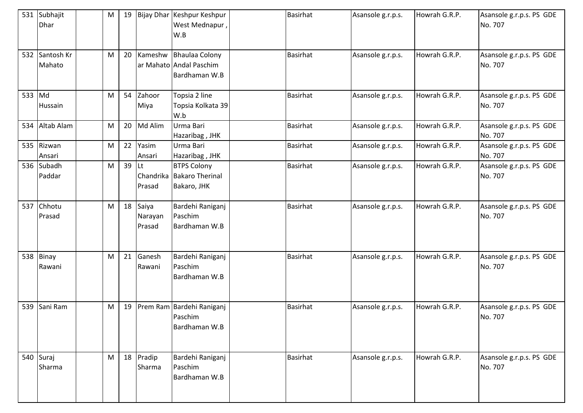|        | 531 Subhajit<br>Dhar | M | 19 |                               | Bijay Dhar Keshpur Keshpur<br>West Mednapur<br>W.B                 | Basirhat        | Asansole g.r.p.s. | Howrah G.R.P. | Asansole g.r.p.s. PS GDE<br>No. 707 |
|--------|----------------------|---|----|-------------------------------|--------------------------------------------------------------------|-----------------|-------------------|---------------|-------------------------------------|
| 532    | Santosh Kr<br>Mahato | M | 20 |                               | Kameshw Bhaulaa Colony<br>ar Mahato Andal Paschim<br>Bardhaman W.B | <b>Basirhat</b> | Asansole g.r.p.s. | Howrah G.R.P. | Asansole g.r.p.s. PS GDE<br>No. 707 |
| 533 Md | Hussain              | M | 54 | Zahoor<br>Miya                | Topsia 2 line<br>Topsia Kolkata 39<br>W.b                          | <b>Basirhat</b> | Asansole g.r.p.s. | Howrah G.R.P. | Asansole g.r.p.s. PS GDE<br>No. 707 |
|        | 534 Altab Alam       | M |    | 20 Md Alim                    | Urma Bari<br>Hazaribag, JHK                                        | <b>Basirhat</b> | Asansole g.r.p.s. | Howrah G.R.P. | Asansole g.r.p.s. PS GDE<br>No. 707 |
|        | 535 Rizwan<br>Ansari | M | 22 | Yasim<br>Ansari               | Urma Bari<br>Hazaribag, JHK                                        | <b>Basirhat</b> | Asansole g.r.p.s. | Howrah G.R.P. | Asansole g.r.p.s. PS GDE<br>No. 707 |
| 536    | Subadh<br>Paddar     | M | 39 | lLt<br>Prasad                 | <b>BTPS Colony</b><br>Chandrika Bakaro Therinal<br>Bakaro, JHK     | <b>Basirhat</b> | Asansole g.r.p.s. | Howrah G.R.P. | Asansole g.r.p.s. PS GDE<br>No. 707 |
| 537    | Chhotu<br>Prasad     | M |    | 18 Saiya<br>Narayan<br>Prasad | Bardehi Raniganj<br>Paschim<br>Bardhaman W.B                       | <b>Basirhat</b> | Asansole g.r.p.s. | Howrah G.R.P. | Asansole g.r.p.s. PS GDE<br>No. 707 |
| 538    | Binay<br>Rawani      | M | 21 | Ganesh<br>Rawani              | Bardehi Raniganj<br>Paschim<br>Bardhaman W.B                       | <b>Basirhat</b> | Asansole g.r.p.s. | Howrah G.R.P. | Asansole g.r.p.s. PS GDE<br>No. 707 |
| 539    | Sani Ram             | M | 19 |                               | Prem Ram Bardehi Raniganj<br>Paschim<br>Bardhaman W.B              | <b>Basirhat</b> | Asansole g.r.p.s. | Howrah G.R.P. | Asansole g.r.p.s. PS GDE<br>No. 707 |
|        | 540 Suraj<br>Sharma  | M |    | 18 Pradip<br>Sharma           | Bardehi Raniganj<br>Paschim<br>Bardhaman W.B                       | <b>Basirhat</b> | Asansole g.r.p.s. | Howrah G.R.P. | Asansole g.r.p.s. PS GDE<br>No. 707 |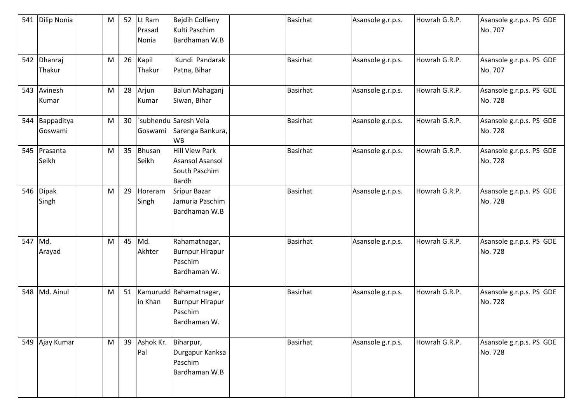| 541 | <b>Dilip Nonia</b>    | M         | 52 | Lt Ram<br>Prasad<br>Nonia | <b>Bejdih Collieny</b><br>Kulti Paschim<br>Bardhaman W.B                    | Basirhat        | Asansole g.r.p.s. | Howrah G.R.P. | Asansole g.r.p.s. PS GDE<br>No. 707 |
|-----|-----------------------|-----------|----|---------------------------|-----------------------------------------------------------------------------|-----------------|-------------------|---------------|-------------------------------------|
| 542 | Dhanraj<br>Thakur     | M         | 26 | Kapil<br>Thakur           | Kundi Pandarak<br>Patna, Bihar                                              | <b>Basirhat</b> | Asansole g.r.p.s. | Howrah G.R.P. | Asansole g.r.p.s. PS GDE<br>No. 707 |
|     | 543 Avinesh<br>Kumar  | M         | 28 | Arjun<br>Kumar            | Balun Mahaganj<br>Siwan, Bihar                                              | Basirhat        | Asansole g.r.p.s. | Howrah G.R.P. | Asansole g.r.p.s. PS GDE<br>No. 728 |
| 544 | Bappaditya<br>Goswami | ${\sf M}$ | 30 | Goswami                   | `subhendu Saresh Vela<br>Sarenga Bankura,<br><b>WB</b>                      | <b>Basirhat</b> | Asansole g.r.p.s. | Howrah G.R.P. | Asansole g.r.p.s. PS GDE<br>No. 728 |
|     | 545 Prasanta<br>Seikh | M         | 35 | <b>Bhusan</b><br>Seikh    | Hill View Park<br><b>Asansol Asansol</b><br>South Paschim<br><b>Bardh</b>   | <b>Basirhat</b> | Asansole g.r.p.s. | Howrah G.R.P. | Asansole g.r.p.s. PS GDE<br>No. 728 |
| 546 | Dipak<br>Singh        | M         | 29 | Horeram<br>Singh          | <b>Sripur Bazar</b><br>Jamuria Paschim<br>Bardhaman W.B                     | <b>Basirhat</b> | Asansole g.r.p.s. | Howrah G.R.P. | Asansole g.r.p.s. PS GDE<br>No. 728 |
| 547 | Md.<br>Arayad         | M         | 45 | Md.<br>Akhter             | Rahamatnagar,<br><b>Burnpur Hirapur</b><br>Paschim<br>Bardhaman W.          | <b>Basirhat</b> | Asansole g.r.p.s. | Howrah G.R.P. | Asansole g.r.p.s. PS GDE<br>No. 728 |
| 548 | Md. Ainul             | M         | 51 | in Khan                   | Kamurudd Rahamatnagar,<br><b>Burnpur Hirapur</b><br>Paschim<br>Bardhaman W. | <b>Basirhat</b> | Asansole g.r.p.s. | Howrah G.R.P. | Asansole g.r.p.s. PS GDE<br>No. 728 |
|     | 549 Ajay Kumar        | M         |    | 39 Ashok Kr.<br>Pal       | Biharpur,<br>Durgapur Kanksa<br>Paschim<br>Bardhaman W.B                    | Basirhat        | Asansole g.r.p.s. | Howrah G.R.P. | Asansole g.r.p.s. PS GDE<br>No. 728 |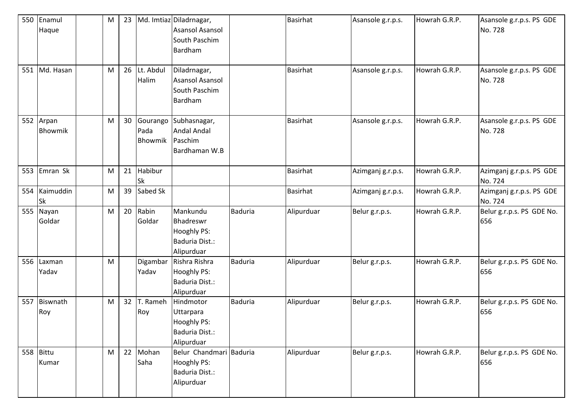| 550 | Enamul        | M | 23 |              | Md. Imtiaz Diladrnagar, |                | <b>Basirhat</b> | Asansole g.r.p.s. | Howrah G.R.P. | Asansole g.r.p.s. PS GDE  |
|-----|---------------|---|----|--------------|-------------------------|----------------|-----------------|-------------------|---------------|---------------------------|
|     | Haque         |   |    |              | <b>Asansol Asansol</b>  |                |                 |                   |               | No. 728                   |
|     |               |   |    |              | South Paschim           |                |                 |                   |               |                           |
|     |               |   |    |              | Bardham                 |                |                 |                   |               |                           |
|     |               |   |    |              |                         |                |                 |                   |               |                           |
|     | 551 Md. Hasan | M |    | 26 Lt. Abdul | Diladrnagar,            |                | Basirhat        | Asansole g.r.p.s. | Howrah G.R.P. | Asansole g.r.p.s. PS GDE  |
|     |               |   |    | Halim        | <b>Asansol Asansol</b>  |                |                 |                   |               | No. 728                   |
|     |               |   |    |              | South Paschim           |                |                 |                   |               |                           |
|     |               |   |    |              | Bardham                 |                |                 |                   |               |                           |
|     |               |   |    |              |                         |                |                 |                   |               |                           |
|     | 552 Arpan     | M | 30 | Gourango     | Subhasnagar,            |                | <b>Basirhat</b> | Asansole g.r.p.s. | Howrah G.R.P. | Asansole g.r.p.s. PS GDE  |
|     | Bhowmik       |   |    | Pada         | <b>Andal Andal</b>      |                |                 |                   |               | No. 728                   |
|     |               |   |    | Bhowmik      | Paschim                 |                |                 |                   |               |                           |
|     |               |   |    |              | Bardhaman W.B           |                |                 |                   |               |                           |
|     |               |   |    |              |                         |                |                 |                   |               |                           |
| 553 | Emran Sk      | M | 21 | Habibur      |                         |                | <b>Basirhat</b> | Azimganj g.r.p.s. | Howrah G.R.P. | Azimganj g.r.p.s. PS GDE  |
|     |               |   |    | <b>Sk</b>    |                         |                |                 |                   |               | No. 724                   |
| 554 | Kaimuddin     | M | 39 | Sabed Sk     |                         |                | <b>Basirhat</b> | Azimganj g.r.p.s. | Howrah G.R.P. | Azimganj g.r.p.s. PS GDE  |
|     | <b>Sk</b>     |   |    |              |                         |                |                 |                   |               | No. 724                   |
| 555 | Nayan         | M | 20 | Rabin        | Mankundu                | <b>Baduria</b> | Alipurduar      | Belur g.r.p.s.    | Howrah G.R.P. | Belur g.r.p.s. PS GDE No. |
|     | Goldar        |   |    | Goldar       | Bhadreswr               |                |                 |                   |               | 656                       |
|     |               |   |    |              | Hooghly PS:             |                |                 |                   |               |                           |
|     |               |   |    |              | Baduria Dist.:          |                |                 |                   |               |                           |
|     |               |   |    |              | Alipurduar              |                |                 |                   |               |                           |
| 556 | Laxman        | M |    | Digambar     | Rishra Rishra           | <b>Baduria</b> | Alipurduar      | Belur g.r.p.s.    | Howrah G.R.P. | Belur g.r.p.s. PS GDE No. |
|     | Yadav         |   |    | Yadav        | Hooghly PS:             |                |                 |                   |               | 656                       |
|     |               |   |    |              | <b>Baduria Dist.:</b>   |                |                 |                   |               |                           |
|     |               |   |    |              | Alipurduar              |                |                 |                   |               |                           |
| 557 | Biswnath      | M | 32 | T. Rameh     | Hindmotor               | <b>Baduria</b> | Alipurduar      | Belur g.r.p.s.    | Howrah G.R.P. | Belur g.r.p.s. PS GDE No. |
|     | Roy           |   |    | Roy          | Uttarpara               |                |                 |                   |               | 656                       |
|     |               |   |    |              | Hooghly PS:             |                |                 |                   |               |                           |
|     |               |   |    |              | Baduria Dist.:          |                |                 |                   |               |                           |
|     |               |   |    |              | Alipurduar              |                |                 |                   |               |                           |
|     | 558 Bittu     | M |    | 22 Mohan     | Belur Chandmari Baduria |                | Alipurduar      | Belur g.r.p.s.    | Howrah G.R.P. | Belur g.r.p.s. PS GDE No. |
|     | Kumar         |   |    | Saha         | Hooghly PS:             |                |                 |                   |               | 656                       |
|     |               |   |    |              | Baduria Dist.:          |                |                 |                   |               |                           |
|     |               |   |    |              | Alipurduar              |                |                 |                   |               |                           |
|     |               |   |    |              |                         |                |                 |                   |               |                           |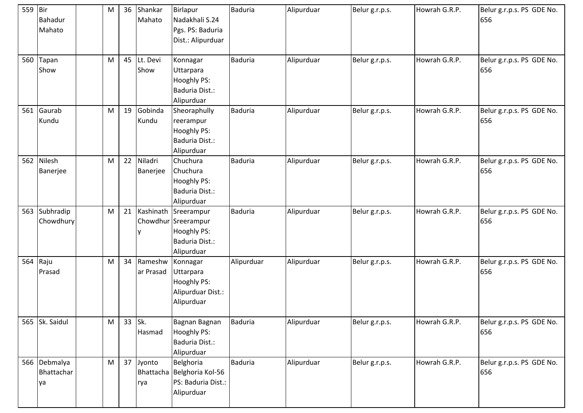| 559 Bir | Bahadur<br>Mahato                | M         | 36     | Shankar<br>Mahato    | Birlapur<br>Nadakhali S.24<br>Pgs. PS: Baduria<br>Dist.: Alipurduar                               | <b>Baduria</b> | Alipurduar | Belur g.r.p.s. | Howrah G.R.P. | Belur g.r.p.s. PS GDE No.<br>656 |
|---------|----------------------------------|-----------|--------|----------------------|---------------------------------------------------------------------------------------------------|----------------|------------|----------------|---------------|----------------------------------|
| 560     | Tapan<br>Show                    | M         | 45     | Lt. Devi<br>Show     | Konnagar<br>Uttarpara<br>Hooghly PS:<br>Baduria Dist.:<br>Alipurduar                              | <b>Baduria</b> | Alipurduar | Belur g.r.p.s. | Howrah G.R.P. | Belur g.r.p.s. PS GDE No.<br>656 |
| 561     | Gaurab<br>Kundu                  | M         | 19     | Gobinda<br>Kundu     | Sheoraphully<br>reerampur<br>Hooghly PS:<br>Baduria Dist.:<br>Alipurduar                          | <b>Baduria</b> | Alipurduar | Belur g.r.p.s. | Howrah G.R.P. | Belur g.r.p.s. PS GDE No.<br>656 |
|         | 562 Nilesh<br>Banerjee           | M         | 22     | Niladri<br>Banerjee  | Chuchura<br>Chuchura<br>Hooghly PS:<br>Baduria Dist.:<br>Alipurduar                               | <b>Baduria</b> | Alipurduar | Belur g.r.p.s. | Howrah G.R.P. | Belur g.r.p.s. PS GDE No.<br>656 |
| 563     | Subhradip<br>Chowdhury           | M         | 21     |                      | Kashinath Sreerampur<br>Chowdhur Sreerampur<br><b>Hooghly PS:</b><br>Baduria Dist.:<br>Alipurduar | <b>Baduria</b> | Alipurduar | Belur g.r.p.s. | Howrah G.R.P. | Belur g.r.p.s. PS GDE No.<br>656 |
| 564     | Raju<br>Prasad                   | M         | 34     | Rameshw<br>ar Prasad | Konnagar<br>Uttarpara<br>Hooghly PS:<br>Alipurduar Dist.:<br>Alipurduar                           | Alipurduar     | Alipurduar | Belur g.r.p.s. | Howrah G.R.P. | Belur g.r.p.s. PS GDE No.<br>656 |
|         | 565 Sk. Saidul                   | M         | 33 Sk. | Hasmad               | Bagnan Bagnan<br>Hooghly PS:<br>Baduria Dist.:<br>Alipurduar                                      | <b>Baduria</b> | Alipurduar | Belur g.r.p.s. | Howrah G.R.P. | Belur g.r.p.s. PS GDE No.<br>656 |
|         | 566 Debmalya<br>Bhattachar<br>ya | ${\sf M}$ |        | 37 Jyonto<br>rya     | Belghoria<br>Bhattacha Belghoria Kol-56<br>PS: Baduria Dist.:<br>Alipurduar                       | <b>Baduria</b> | Alipurduar | Belur g.r.p.s. | Howrah G.R.P. | Belur g.r.p.s. PS GDE No.<br>656 |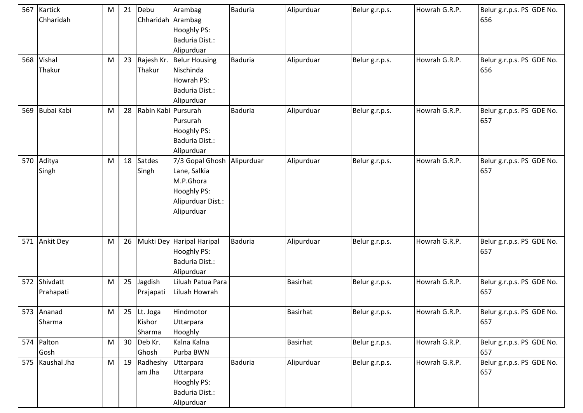|     | 567 Kartick<br>Chharidah | ${\sf M}$ | 21 | Debu<br>Chharidah Arambag       | Arambag<br>Hooghly PS:<br>Baduria Dist.:<br>Alipurduar                                         | <b>Baduria</b> | Alipurduar      | Belur g.r.p.s. | Howrah G.R.P. | Belur g.r.p.s. PS GDE No.<br>656 |
|-----|--------------------------|-----------|----|---------------------------------|------------------------------------------------------------------------------------------------|----------------|-----------------|----------------|---------------|----------------------------------|
| 568 | Vishal<br>Thakur         | M         | 23 | Rajesh Kr.<br>Thakur            | <b>Belur Housing</b><br>Nischinda<br>Howrah PS:<br>Baduria Dist.:<br>Alipurduar                | <b>Baduria</b> | Alipurduar      | Belur g.r.p.s. | Howrah G.R.P. | Belur g.r.p.s. PS GDE No.<br>656 |
| 569 | Bubai Kabi               | M         | 28 | Rabin Kabi Pursurah             | Pursurah<br>Hooghly PS:<br>Baduria Dist.:<br>Alipurduar                                        | <b>Baduria</b> | Alipurduar      | Belur g.r.p.s. | Howrah G.R.P. | Belur g.r.p.s. PS GDE No.<br>657 |
| 570 | Aditya<br>Singh          | M         | 18 | Satdes<br>Singh                 | 7/3 Gopal Ghosh<br>Lane, Salkia<br>M.P.Ghora<br>Hooghly PS:<br>Alipurduar Dist.:<br>Alipurduar | Alipurduar     | Alipurduar      | Belur g.r.p.s. | Howrah G.R.P. | Belur g.r.p.s. PS GDE No.<br>657 |
| 571 | <b>Ankit Dey</b>         | M         | 26 |                                 | Mukti Dey Haripal Haripal<br>Hooghly PS:<br>Baduria Dist.:<br>Alipurduar                       | Baduria        | Alipurduar      | Belur g.r.p.s. | Howrah G.R.P. | Belur g.r.p.s. PS GDE No.<br>657 |
| 572 | Shivdatt<br>Prahapati    | M         | 25 | Jagdish<br>Prajapati            | Liluah Patua Para<br>Liluah Howrah                                                             |                | <b>Basirhat</b> | Belur g.r.p.s. | Howrah G.R.P. | Belur g.r.p.s. PS GDE No.<br>657 |
|     | 573 Ananad<br>Sharma     | ${\sf M}$ |    | 25 Lt. Joga<br>Kishor<br>Sharma | Hindmotor<br>Uttarpara<br>Hooghly                                                              |                | <b>Basirhat</b> | Belur g.r.p.s. | Howrah G.R.P. | Belur g.r.p.s. PS GDE No.<br>657 |
|     | 574 Palton<br>Gosh       | M         | 30 | Deb Kr.<br>Ghosh                | Kalna Kalna<br>Purba BWN                                                                       |                | <b>Basirhat</b> | Belur g.r.p.s. | Howrah G.R.P. | Belur g.r.p.s. PS GDE No.<br>657 |
|     | 575 Kaushal Jha          | M         | 19 | Radheshy Uttarpara<br>am Jha    | Uttarpara<br>Hooghly PS:<br>Baduria Dist.:<br>Alipurduar                                       | <b>Baduria</b> | Alipurduar      | Belur g.r.p.s. | Howrah G.R.P. | Belur g.r.p.s. PS GDE No.<br>657 |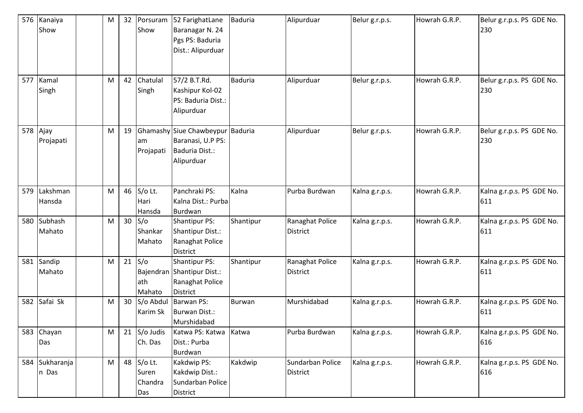| 576      | Kanaiya<br>Show         | M | 32 | Porsuram<br>Show                      | 52 FarighatLane<br>Baranagar N. 24<br>Pgs PS: Baduria<br>Dist.: Alipurduar            | <b>Baduria</b> | Alipurduar                          | Belur g.r.p.s. | Howrah G.R.P. | Belur g.r.p.s. PS GDE No.<br>230 |
|----------|-------------------------|---|----|---------------------------------------|---------------------------------------------------------------------------------------|----------------|-------------------------------------|----------------|---------------|----------------------------------|
| 577      | Kamal<br>Singh          | M | 42 | Chatulal<br>Singh                     | 57/2 B.T.Rd.<br>Kashipur Kol-02<br>PS: Baduria Dist.:<br>Alipurduar                   | <b>Baduria</b> | Alipurduar                          | Belur g.r.p.s. | Howrah G.R.P. | Belur g.r.p.s. PS GDE No.<br>230 |
| 578 Ajay | Projapati               | M | 19 | lam<br>Projapati                      | Ghamashy Siue Chawbeypur Baduria<br>Baranasi, U.P PS:<br>Baduria Dist.:<br>Alipurduar |                | Alipurduar                          | Belur g.r.p.s. | Howrah G.R.P. | Belur g.r.p.s. PS GDE No.<br>230 |
| 579      | Lakshman<br>Hansda      | M | 46 | S/o Lt.<br>Hari<br>Hansda             | Panchraki PS:<br>Kalna Dist.: Purba<br>Burdwan                                        | Kalna          | Purba Burdwan                       | Kalna g.r.p.s. | Howrah G.R.P. | Kalna g.r.p.s. PS GDE No.<br>611 |
|          | 580 Subhash<br>Mahato   | M |    | $30$ S/o<br>Shankar<br>Mahato         | <b>Shantipur PS:</b><br><b>Shantipur Dist.:</b><br>Ranaghat Police<br>District        | Shantipur      | Ranaghat Police<br><b>District</b>  | Kalna g.r.p.s. | Howrah G.R.P. | Kalna g.r.p.s. PS GDE No.<br>611 |
|          | 581 Sandip<br>Mahato    | M |    | $21$ S/o<br>lath<br>Mahato            | <b>Shantipur PS:</b><br>Bajendran Shantipur Dist.:<br>Ranaghat Police<br>District     | Shantipur      | Ranaghat Police<br><b>District</b>  | Kalna g.r.p.s. | Howrah G.R.P. | Kalna g.r.p.s. PS GDE No.<br>611 |
|          | 582 Safai Sk            | M |    | 30 S/o Abdul<br>Karim Sk              | Barwan PS:<br><b>Burwan Dist.:</b><br>Murshidabad                                     | <b>Burwan</b>  | Murshidabad                         | Kalna g.r.p.s. | Howrah G.R.P. | Kalna g.r.p.s. PS GDE No.<br>611 |
|          | 583 Chayan<br>Das       | M |    | 21 S/o Judis<br>Ch. Das               | Katwa PS: Katwa<br>Dist.: Purba<br>Burdwan                                            | Katwa          | Purba Burdwan                       | Kalna g.r.p.s. | Howrah G.R.P. | Kalna g.r.p.s. PS GDE No.<br>616 |
|          | 584 Sukharanja<br>n Das | M |    | 48 S/o Lt.<br>Suren<br>Chandra<br>Das | Kakdwip PS:<br>Kakdwip Dist.:<br>Sundarban Police<br>District                         | Kakdwip        | Sundarban Police<br><b>District</b> | Kalna g.r.p.s. | Howrah G.R.P. | Kalna g.r.p.s. PS GDE No.<br>616 |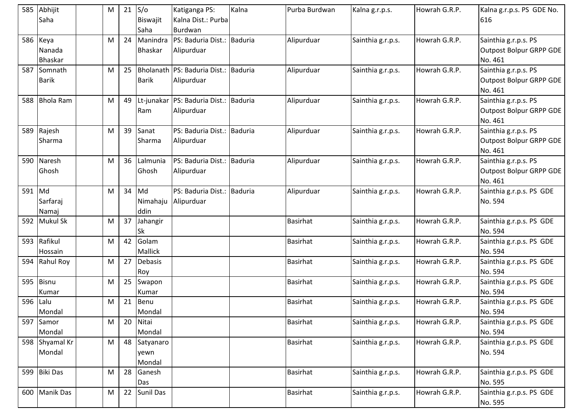|        | 585 Abhijit      | M         | 21 | S/O            | Katiganga PS:                         | Kalna   | Purba Burdwan   | Kalna g.r.p.s.    | Howrah G.R.P. | Kalna g.r.p.s. PS GDE No. |
|--------|------------------|-----------|----|----------------|---------------------------------------|---------|-----------------|-------------------|---------------|---------------------------|
|        | Saha             |           |    | Biswajit       | Kalna Dist.: Purba                    |         |                 |                   |               | 616                       |
|        |                  |           |    | Saha           | Burdwan                               |         |                 |                   |               |                           |
| 586    | Keya             | M         | 24 | Manindra       | PS: Baduria Dist.:                    | Baduria | Alipurduar      | Sainthia g.r.p.s. | Howrah G.R.P. | Sainthia g.r.p.s. PS      |
|        | Nanada           |           |    | <b>Bhaskar</b> | Alipurduar                            |         |                 |                   |               | Outpost Bolpur GRPP GDE   |
|        | Bhaskar          |           |    |                |                                       |         |                 |                   |               | No. 461                   |
| 587    | Somnath          | M         | 25 |                | Bholanath PS: Baduria Dist.: Baduria  |         | Alipurduar      | Sainthia g.r.p.s. | Howrah G.R.P. | Sainthia g.r.p.s. PS      |
|        | Barik            |           |    | <b>Barik</b>   | Alipurduar                            |         |                 |                   |               | Outpost Bolpur GRPP GDE   |
|        |                  |           |    |                |                                       |         |                 |                   |               | No. 461                   |
| 588    | <b>Bhola Ram</b> | M         | 49 |                | Lt-junakar PS: Baduria Dist.: Baduria |         | Alipurduar      | Sainthia g.r.p.s. | Howrah G.R.P. | Sainthia g.r.p.s. PS      |
|        |                  |           |    | Ram            | Alipurduar                            |         |                 |                   |               | Outpost Bolpur GRPP GDE   |
|        |                  |           |    |                |                                       |         |                 |                   |               | No. 461                   |
| 589    | Rajesh           | M         | 39 | Sanat          | PS: Baduria Dist.:                    | Baduria | Alipurduar      | Sainthia g.r.p.s. | Howrah G.R.P. | Sainthia g.r.p.s. PS      |
|        | Sharma           |           |    | Sharma         | Alipurduar                            |         |                 |                   |               | Outpost Bolpur GRPP GDE   |
|        |                  |           |    |                |                                       |         |                 |                   |               | No. 461                   |
| 590    | Naresh           | M         | 36 | Lalmunia       | PS: Baduria Dist.:                    | Baduria | Alipurduar      | Sainthia g.r.p.s. | Howrah G.R.P. | Sainthia g.r.p.s. PS      |
|        | Ghosh            |           |    | Ghosh          | Alipurduar                            |         |                 |                   |               | Outpost Bolpur GRPP GDE   |
|        |                  |           |    |                |                                       |         |                 |                   |               | No. 461                   |
| 591 Md |                  | M         | 34 | Md             | PS: Baduria Dist.: Baduria            |         | Alipurduar      | Sainthia g.r.p.s. | Howrah G.R.P. | Sainthia g.r.p.s. PS GDE  |
|        | Sarfaraj         |           |    | Nimahaju       | Alipurduar                            |         |                 |                   |               | No. 594                   |
|        | Namaj            |           |    | ddin           |                                       |         |                 |                   |               |                           |
|        | 592 Mukul Sk     | M         | 37 | Jahangir       |                                       |         | <b>Basirhat</b> | Sainthia g.r.p.s. | Howrah G.R.P. | Sainthia g.r.p.s. PS GDE  |
|        |                  |           |    | Sk             |                                       |         |                 |                   |               | No. 594                   |
|        | 593 Rafikul      | M         | 42 | Golam          |                                       |         | <b>Basirhat</b> | Sainthia g.r.p.s. | Howrah G.R.P. | Sainthia g.r.p.s. PS GDE  |
|        | Hossain          |           |    | Mallick        |                                       |         |                 |                   |               | No. 594                   |
|        | 594 Rahul Roy    | M         | 27 | <b>Debasis</b> |                                       |         | <b>Basirhat</b> | Sainthia g.r.p.s. | Howrah G.R.P. | Sainthia g.r.p.s. PS GDE  |
|        |                  |           |    | Roy            |                                       |         |                 |                   |               | No. 594                   |
| 595    | <b>Bisnu</b>     | M         | 25 | Swapon         |                                       |         | <b>Basirhat</b> | Sainthia g.r.p.s. | Howrah G.R.P. | Sainthia g.r.p.s. PS GDE  |
|        | Kumar            |           |    | Kumar          |                                       |         |                 |                   |               | No. 594                   |
| 596    | Lalu             | M         | 21 | Benu           |                                       |         | <b>Basirhat</b> | Sainthia g.r.p.s. | Howrah G.R.P. | Sainthia g.r.p.s. PS GDE  |
|        | Mondal           |           |    | Mondal         |                                       |         |                 |                   |               | No. 594                   |
|        | 597 Samor        | ${\sf M}$ | 20 | Nitai          |                                       |         | Basirhat        | Sainthia g.r.p.s. | Howrah G.R.P. | Sainthia g.r.p.s. PS GDE  |
|        | Mondal           |           |    | Mondal         |                                       |         |                 |                   |               | No. 594                   |
|        | 598 Shyamal Kr   | ${\sf M}$ | 48 | Satyanaro      |                                       |         | <b>Basirhat</b> | Sainthia g.r.p.s. | Howrah G.R.P. | Sainthia g.r.p.s. PS GDE  |
|        | Mondal           |           |    | yewn           |                                       |         |                 |                   |               | No. 594                   |
|        |                  |           |    | Mondal         |                                       |         |                 |                   |               |                           |
|        | 599 Biki Das     | M         | 28 | Ganesh         |                                       |         | <b>Basirhat</b> | Sainthia g.r.p.s. | Howrah G.R.P. | Sainthia g.r.p.s. PS GDE  |
|        |                  |           |    | Das            |                                       |         |                 |                   |               | No. 595                   |
|        | 600 Manik Das    | M         | 22 | Sunil Das      |                                       |         | <b>Basirhat</b> | Sainthia g.r.p.s. | Howrah G.R.P. | Sainthia g.r.p.s. PS GDE  |
|        |                  |           |    |                |                                       |         |                 |                   |               | No. 595                   |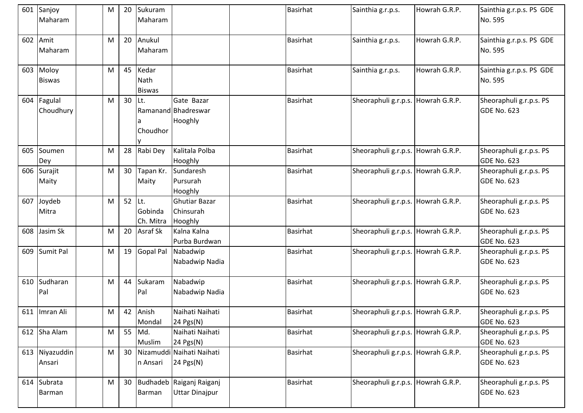|     | 601 Sanjoy<br>Maharam      | M         |          | 20 Sukuram<br>Maharam          |                                                      | <b>Basirhat</b> | Sainthia g.r.p.s.                  | Howrah G.R.P. | Sainthia g.r.p.s. PS GDE<br>No. 595           |
|-----|----------------------------|-----------|----------|--------------------------------|------------------------------------------------------|-----------------|------------------------------------|---------------|-----------------------------------------------|
| 602 | Amit<br>Maharam            | M         |          | 20 Anukul<br>Maharam           |                                                      | <b>Basirhat</b> | Sainthia g.r.p.s.                  | Howrah G.R.P. | Sainthia g.r.p.s. PS GDE<br>No. 595           |
|     | 603 Moloy<br><b>Biswas</b> | M         | 45       | Kedar<br>Nath<br><b>Biswas</b> |                                                      | <b>Basirhat</b> | Sainthia g.r.p.s.                  | Howrah G.R.P. | Sainthia g.r.p.s. PS GDE<br>No. 595           |
|     | 604 Fagulal<br>Choudhury   | M         | $30$ Lt. | Choudhor                       | Gate Bazar<br>Ramanand Bhadreswar<br>Hooghly         | <b>Basirhat</b> | Sheoraphuli g.r.p.s. Howrah G.R.P. |               | Sheoraphuli g.r.p.s. PS<br><b>GDE No. 623</b> |
| 605 | Soumen<br>Dey              | M         | 28       | Rabi Dey                       | Kalitala Polba<br>Hooghly                            | <b>Basirhat</b> | Sheoraphuli g.r.p.s. Howrah G.R.P. |               | Sheoraphuli g.r.p.s. PS<br><b>GDE No. 623</b> |
|     | 606 Surajit<br>Maity       | M         |          | 30 Tapan Kr.<br>Maity          | Sundaresh<br>Pursurah<br>Hooghly                     | Basirhat        | Sheoraphuli g.r.p.s. Howrah G.R.P. |               | Sheoraphuli g.r.p.s. PS<br><b>GDE No. 623</b> |
| 607 | Joydeb<br>Mitra            | M         | 52       | ILt.<br>Gobinda<br>Ch. Mitra   | <b>Ghutiar Bazar</b><br>Chinsurah<br>Hooghly         | <b>Basirhat</b> | Sheoraphuli g.r.p.s. Howrah G.R.P. |               | Sheoraphuli g.r.p.s. PS<br><b>GDE No. 623</b> |
| 608 | Jasim Sk                   | M         | 20       | <b>Asraf Sk</b>                | Kalna Kalna<br>Purba Burdwan                         | <b>Basirhat</b> | Sheoraphuli g.r.p.s. Howrah G.R.P. |               | Sheoraphuli g.r.p.s. PS<br><b>GDE No. 623</b> |
| 609 | Sumit Pal                  | M         |          | 19 Gopal Pal                   | Nabadwip<br>Nabadwip Nadia                           | Basirhat        | Sheoraphuli g.r.p.s. Howrah G.R.P. |               | Sheoraphuli g.r.p.s. PS<br><b>GDE No. 623</b> |
| 610 | Sudharan<br>Pal            | M         | 44       | Sukaram<br>Pal                 | Nabadwip<br>Nabadwip Nadia                           | Basirhat        | Sheoraphuli g.r.p.s. Howrah G.R.P. |               | Sheoraphuli g.r.p.s. PS<br><b>GDE No. 623</b> |
|     | 611 Imran Ali              | ${\sf M}$ | 42       | Anish<br>Mondal                | Naihati Naihati<br>$24$ Pgs(N)                       | <b>Basirhat</b> | Sheoraphuli g.r.p.s. Howrah G.R.P. |               | Sheoraphuli g.r.p.s. PS<br><b>GDE No. 623</b> |
|     | 612 Sha Alam               | ${\sf M}$ |          | 55 Md.<br>Muslim               | Naihati Naihati<br>24 Pgs(N)                         | Basirhat        | Sheoraphuli g.r.p.s. Howrah G.R.P. |               | Sheoraphuli g.r.p.s. PS<br><b>GDE No. 623</b> |
| 613 | Niyazuddin<br>Ansari       | M         | 30       | n Ansari                       | Nizamuddi Naihati Naihati<br>24 $Pgs(N)$             | Basirhat        | Sheoraphuli g.r.p.s. Howrah G.R.P. |               | Sheoraphuli g.r.p.s. PS<br><b>GDE No. 623</b> |
| 614 | Subrata<br>Barman          | M         |          | Barman                         | 30 Budhadeb Raiganj Raiganj<br><b>Uttar Dinajpur</b> | <b>Basirhat</b> | Sheoraphuli g.r.p.s. Howrah G.R.P. |               | Sheoraphuli g.r.p.s. PS<br><b>GDE No. 623</b> |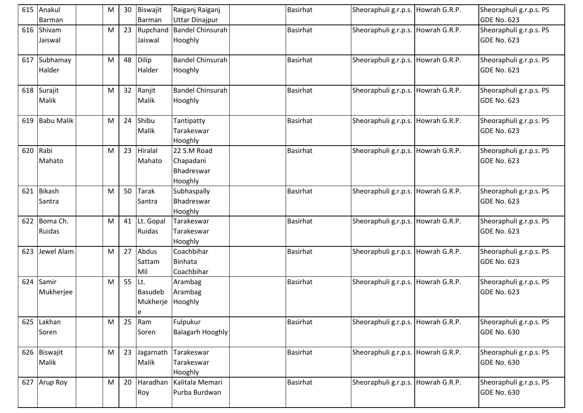|     | 615 Anakul<br>Barman   | M |    | 30 Biswajit<br>Barman                   | Raiganj Raiganj<br><b>Uttar Dinajpur</b>          | <b>Basirhat</b> | Sheoraphuli g.r.p.s. Howrah G.R.P.   | Sheoraphuli g.r.p.s. PS<br><b>GDE No. 623</b> |
|-----|------------------------|---|----|-----------------------------------------|---------------------------------------------------|-----------------|--------------------------------------|-----------------------------------------------|
|     | 616 Shivam             | M |    | 23 Rupchand                             | <b>Bandel Chinsurah</b>                           | <b>Basirhat</b> | Sheoraphuli g.r.p.s. Howrah G.R.P.   | Sheoraphuli g.r.p.s. PS                       |
|     | Jaiswal                |   |    | Jaiswal                                 | Hooghly                                           |                 |                                      | <b>GDE No. 623</b>                            |
| 617 | Subhamay<br>Halder     | M | 48 | Dilip<br>Halder                         | <b>Bandel Chinsurah</b><br>Hooghly                | Basirhat        | Sheoraphuli g.r.p.s. Howrah G.R.P.   | Sheoraphuli g.r.p.s. PS<br><b>GDE No. 623</b> |
| 618 | Surajit<br>Malik       | M | 32 | Ranjit<br>Malik                         | Bandel Chinsurah<br>Hooghly                       | <b>Basirhat</b> | Sheoraphuli g.r.p.s. Howrah G.R.P.   | Sheoraphuli g.r.p.s. PS<br><b>GDE No. 623</b> |
| 619 | <b>Babu Malik</b>      | M | 24 | Shibu<br>Malik                          | Tantipatty<br>Tarakeswar<br>Hooghly               | <b>Basirhat</b> | Sheoraphuli g.r.p.s. Howrah G.R.P.   | Sheoraphuli g.r.p.s. PS<br><b>GDE No. 623</b> |
| 620 | Rabi<br>Mahato         | M | 23 | Hiralal<br>Mahato                       | 22 S.M Road<br>Chapadani<br>Bhadreswar<br>Hooghly | <b>Basirhat</b> | Sheoraphuli g.r.p.s. Howrah G.R.P.   | Sheoraphuli g.r.p.s. PS<br>GDE No. 623        |
| 621 | Bikash<br>Santra       | M | 50 | Tarak<br>Santra                         | Subhaspally<br>Bhadreswar<br>Hooghly              | <b>Basirhat</b> | Sheoraphuli g.r.p.s. Howrah G.R.P.   | Sheoraphuli g.r.p.s. PS<br><b>GDE No. 623</b> |
|     | 622 Boma Ch.<br>Ruidas | M |    | 41 Lt. Gopal<br>Ruidas                  | Tarakeswar<br>Tarakeswar<br>Hooghly               | <b>Basirhat</b> | Sheoraphuli g.r.p.s. Howrah G.R.P.   | Sheoraphuli g.r.p.s. PS<br><b>GDE No. 623</b> |
| 623 | Jewel Alam             | M |    | 27 Abdus<br>Sattam<br>Mil               | Coachbihar<br><b>Binhata</b><br>Coachbihar        | <b>Basirhat</b> | Sheoraphuli g.r.p.s. Howrah G.R.P.   | Sheoraphuli g.r.p.s. PS<br><b>GDE No. 623</b> |
| 624 | Samir<br>Mukherjee     | M | 55 | ILt.<br><b>Basudeb</b><br>Mukherje<br>e | Arambag<br>Arambag<br>Hooghly                     | <b>Basirhat</b> | Sheoraphuli g.r.p.s. Howrah G.R.P.   | Sheoraphuli g.r.p.s. PS<br><b>GDE No. 623</b> |
|     | 625 Lakhan<br>Soren    | M | 25 | Ram<br>Soren                            | Fulpukur<br><b>Balagarh Hooghly</b>               | <b>Basirhat</b> | Sheoraphuli g.r.p.s. Howrah G.R.P.   | Sheoraphuli g.r.p.s. PS<br><b>GDE No. 630</b> |
|     | 626 Biswajit<br>Malik  | M | 23 | Jagarnath<br>Malik                      | Tarakeswar<br>Tarakeswar<br>Hooghly               | Basirhat        | Sheoraphuli g.r.p.s.   Howrah G.R.P. | Sheoraphuli g.r.p.s. PS<br><b>GDE No. 630</b> |
| 627 | Arup Roy               | M | 20 | Haradhan<br>Roy                         | Kalitala Memari<br>Purba Burdwan                  | <b>Basirhat</b> | Sheoraphuli g.r.p.s. Howrah G.R.P.   | Sheoraphuli g.r.p.s. PS<br>GDE No. 630        |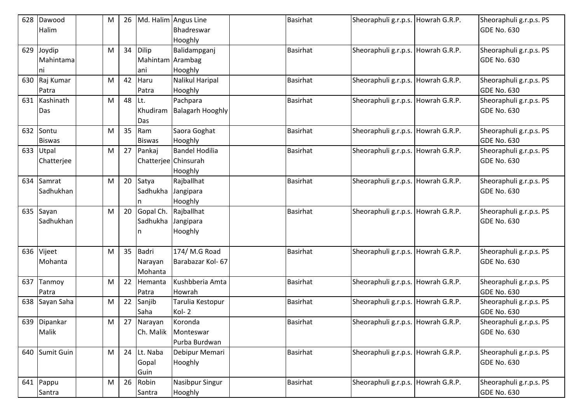| 628 | Dawood         | M | 26 |                      | Md. Halim Angus Line    | Basirhat        | Sheoraphuli g.r.p.s. Howrah G.R.P. | Sheoraphuli g.r.p.s. PS |
|-----|----------------|---|----|----------------------|-------------------------|-----------------|------------------------------------|-------------------------|
|     | Halim          |   |    |                      | Bhadreswar              |                 |                                    | <b>GDE No. 630</b>      |
|     |                |   |    |                      | Hooghly                 |                 |                                    |                         |
| 629 | Joydip         | M | 34 | Dilip                | Balidampganj            | Basirhat        | Sheoraphuli g.r.p.s. Howrah G.R.P. | Sheoraphuli g.r.p.s. PS |
|     | Mahintama      |   |    | Mahintam Arambag     |                         |                 |                                    | <b>GDE No. 630</b>      |
|     | ni             |   |    | ani                  | Hooghly                 |                 |                                    |                         |
|     | 630 Raj Kumar  | M | 42 | Haru                 | Nalikul Haripal         | <b>Basirhat</b> | Sheoraphuli g.r.p.s. Howrah G.R.P. | Sheoraphuli g.r.p.s. PS |
|     | Patra          |   |    | Patra                | Hooghly                 |                 |                                    | <b>GDE No. 630</b>      |
| 631 | Kashinath      | M | 48 | Lt.                  | Pachpara                | Basirhat        | Sheoraphuli g.r.p.s. Howrah G.R.P. | Sheoraphuli g.r.p.s. PS |
|     | Das            |   |    | Khudiram             | <b>Balagarh Hooghly</b> |                 |                                    | <b>GDE No. 630</b>      |
|     |                |   |    | Das                  |                         |                 |                                    |                         |
| 632 | Sontu          | M | 35 | Ram                  | Saora Goghat            | <b>Basirhat</b> | Sheoraphuli g.r.p.s. Howrah G.R.P. | Sheoraphuli g.r.p.s. PS |
|     | <b>Biswas</b>  |   |    | <b>Biswas</b>        | Hooghly                 |                 |                                    | <b>GDE No. 630</b>      |
| 633 | Utpal          | M | 27 | Pankaj               | <b>Bandel Hodilia</b>   | Basirhat        | Sheoraphuli g.r.p.s. Howrah G.R.P. | Sheoraphuli g.r.p.s. PS |
|     | Chatterjee     |   |    | Chatterjee Chinsurah |                         |                 |                                    | <b>GDE No. 630</b>      |
|     |                |   |    |                      | Hooghly                 |                 |                                    |                         |
| 634 | Samrat         | M | 20 | Satya                | Rajballhat              | Basirhat        | Sheoraphuli g.r.p.s. Howrah G.R.P. | Sheoraphuli g.r.p.s. PS |
|     | Sadhukhan      |   |    | Sadhukha             | Jangipara               |                 |                                    | <b>GDE No. 630</b>      |
|     |                |   |    |                      | Hooghly                 |                 |                                    |                         |
| 635 | Sayan          | M | 20 | Gopal Ch.            | Rajballhat              | Basirhat        | Sheoraphuli g.r.p.s. Howrah G.R.P. | Sheoraphuli g.r.p.s. PS |
|     | Sadhukhan      |   |    | Sadhukha             | Jangipara               |                 |                                    | <b>GDE No. 630</b>      |
|     |                |   |    |                      | Hooghly                 |                 |                                    |                         |
|     |                |   |    |                      |                         |                 |                                    |                         |
|     | 636 Vijeet     | M | 35 | Badri                | 174/ M.G Road           | Basirhat        | Sheoraphuli g.r.p.s. Howrah G.R.P. | Sheoraphuli g.r.p.s. PS |
|     | Mohanta        |   |    | Narayan              | Barabazar Kol-67        |                 |                                    | <b>GDE No. 630</b>      |
|     |                |   |    | Mohanta              |                         |                 |                                    |                         |
| 637 | Tanmoy         | M | 22 | Hemanta              | Kushbberia Amta         | Basirhat        | Sheoraphuli g.r.p.s. Howrah G.R.P. | Sheoraphuli g.r.p.s. PS |
|     | Patra          |   |    | Patra                | Howrah                  |                 |                                    | <b>GDE No. 630</b>      |
|     | 638 Sayan Saha | M | 22 | Sanjib               | Tarulia Kestopur        | Basirhat        | Sheoraphuli g.r.p.s. Howrah G.R.P. | Sheoraphuli g.r.p.s. PS |
|     |                |   |    | Saha                 | Kol-2                   |                 |                                    | <b>GDE No. 630</b>      |
|     | 639 Dipankar   | M |    | 27 Narayan           | Koronda                 | <b>Basirhat</b> | Sheoraphuli g.r.p.s. Howrah G.R.P. | Sheoraphuli g.r.p.s. PS |
|     | Malik          |   |    | Ch. Malik            | Monteswar               |                 |                                    | <b>GDE No. 630</b>      |
|     |                |   |    |                      | Purba Burdwan           |                 |                                    |                         |
| 640 | Sumit Guin     | M |    | 24 Lt. Naba          | Debipur Memari          | Basirhat        | Sheoraphuli g.r.p.s. Howrah G.R.P. | Sheoraphuli g.r.p.s. PS |
|     |                |   |    | Gopal                | Hooghly                 |                 |                                    | <b>GDE No. 630</b>      |
|     |                |   |    | Guin                 |                         |                 |                                    |                         |
|     | 641 Pappu      | M | 26 | Robin                | <b>Nasibpur Singur</b>  | Basirhat        | Sheoraphuli g.r.p.s. Howrah G.R.P. | Sheoraphuli g.r.p.s. PS |
|     | Santra         |   |    | Santra               | Hooghly                 |                 |                                    | <b>GDE No. 630</b>      |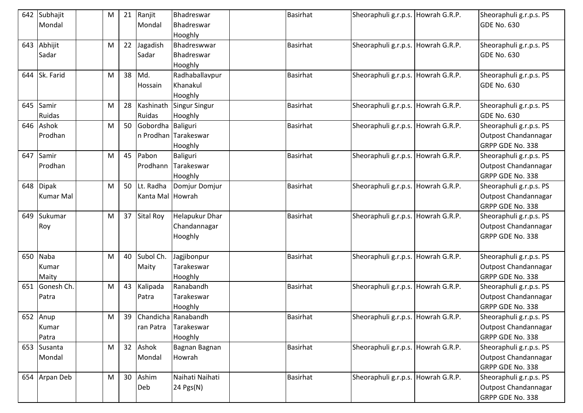|     | 642 Subhajit  | M | 21 | Ranjit               | Bhadreswar            | <b>Basirhat</b> | Sheoraphuli g.r.p.s. Howrah G.R.P. | Sheoraphuli g.r.p.s. PS |
|-----|---------------|---|----|----------------------|-----------------------|-----------------|------------------------------------|-------------------------|
|     | Mondal        |   |    | Mondal               | Bhadreswar            |                 |                                    | <b>GDE No. 630</b>      |
|     |               |   |    |                      | Hooghly               |                 |                                    |                         |
| 643 | Abhijit       | M | 22 | Jagadish             | Bhadreswwar           | <b>Basirhat</b> | Sheoraphuli g.r.p.s. Howrah G.R.P. | Sheoraphuli g.r.p.s. PS |
|     | Sadar         |   |    | Sadar                | Bhadreswar            |                 |                                    | <b>GDE No. 630</b>      |
|     |               |   |    |                      | Hooghly               |                 |                                    |                         |
|     | 644 Sk. Farid | M | 38 | Md.                  | Radhaballavpur        | <b>Basirhat</b> | Sheoraphuli g.r.p.s. Howrah G.R.P. | Sheoraphuli g.r.p.s. PS |
|     |               |   |    | Hossain              | Khanakul              |                 |                                    | <b>GDE No. 630</b>      |
|     |               |   |    |                      | Hooghly               |                 |                                    |                         |
| 645 | Samir         | M | 28 | Kashinath            | Singur Singur         | <b>Basirhat</b> | Sheoraphuli g.r.p.s. Howrah G.R.P. | Sheoraphuli g.r.p.s. PS |
|     | Ruidas        |   |    | <b>Ruidas</b>        | Hooghly               |                 |                                    | <b>GDE No. 630</b>      |
|     | 646 Ashok     | M |    | 50 Gobordha Baliguri |                       | <b>Basirhat</b> | Sheoraphuli g.r.p.s. Howrah G.R.P. | Sheoraphuli g.r.p.s. PS |
|     | Prodhan       |   |    |                      | n Prodhan Tarakeswar  |                 |                                    | Outpost Chandannagar    |
|     |               |   |    |                      | Hooghly               |                 |                                    | GRPP GDE No. 338        |
| 647 | Samir         | M |    | 45 Pabon             | Baliguri              | <b>Basirhat</b> | Sheoraphuli g.r.p.s. Howrah G.R.P. | Sheoraphuli g.r.p.s. PS |
|     | Prodhan       |   |    | Prodhann             | Tarakeswar            |                 |                                    | Outpost Chandannagar    |
|     |               |   |    |                      | Hooghly               |                 |                                    | GRPP GDE No. 338        |
| 648 | <b>Dipak</b>  | M |    | 50 Lt. Radha         | Domjur Domjur         | <b>Basirhat</b> | Sheoraphuli g.r.p.s. Howrah G.R.P. | Sheoraphuli g.r.p.s. PS |
|     | Kumar Mal     |   |    | Kanta Mal Howrah     |                       |                 |                                    | Outpost Chandannagar    |
|     |               |   |    |                      |                       |                 |                                    | GRPP GDE No. 338        |
| 649 | Sukumar       | M |    | 37 Sital Roy         | <b>Helapukur Dhar</b> | <b>Basirhat</b> | Sheoraphuli g.r.p.s. Howrah G.R.P. | Sheoraphuli g.r.p.s. PS |
|     | Roy           |   |    |                      | Chandannagar          |                 |                                    | Outpost Chandannagar    |
|     |               |   |    |                      | Hooghly               |                 |                                    | GRPP GDE No. 338        |
|     |               |   |    |                      |                       |                 |                                    |                         |
| 650 | Naba          | M | 40 | Subol Ch.            | Jagjibonpur           | <b>Basirhat</b> | Sheoraphuli g.r.p.s. Howrah G.R.P. | Sheoraphuli g.r.p.s. PS |
|     | Kumar         |   |    | Maity                | Tarakeswar            |                 |                                    | Outpost Chandannagar    |
|     | Maity         |   |    |                      | Hooghly               |                 |                                    | GRPP GDE No. 338        |
| 651 | Gonesh Ch.    | M | 43 | Kalipada             | Ranabandh             | Basirhat        | Sheoraphuli g.r.p.s. Howrah G.R.P. | Sheoraphuli g.r.p.s. PS |
|     | Patra         |   |    | Patra                | Tarakeswar            |                 |                                    | Outpost Chandannagar    |
|     |               |   |    |                      | Hooghly               |                 |                                    | GRPP GDE No. 338        |
|     | 652 Anup      | M | 39 |                      | Chandicha Ranabandh   | <b>Basirhat</b> | Sheoraphuli g.r.p.s. Howrah G.R.P. | Sheoraphuli g.r.p.s. PS |
|     | Kumar         |   |    | ran Patra            | Tarakeswar            |                 |                                    | Outpost Chandannagar    |
|     | Patra         |   |    |                      | Hooghly               |                 |                                    | GRPP GDE No. 338        |
|     | 653 Susanta   | M |    | 32 Ashok             | Bagnan Bagnan         | <b>Basirhat</b> | Sheoraphuli g.r.p.s. Howrah G.R.P. | Sheoraphuli g.r.p.s. PS |
|     | Mondal        |   |    | Mondal               | Howrah                |                 |                                    | Outpost Chandannagar    |
|     |               |   |    |                      |                       |                 |                                    | GRPP GDE No. 338        |
|     | 654 Arpan Deb | M |    | 30 Ashim             | Naihati Naihati       | Basirhat        | Sheoraphuli g.r.p.s. Howrah G.R.P. | Sheoraphuli g.r.p.s. PS |
|     |               |   |    | Deb                  | 24 Pgs(N)             |                 |                                    | Outpost Chandannagar    |
|     |               |   |    |                      |                       |                 |                                    | GRPP GDE No. 338        |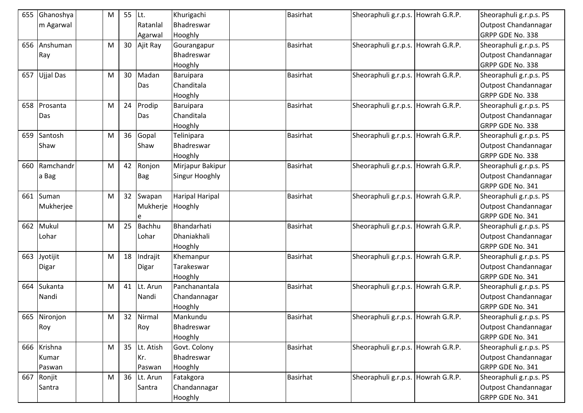| 655 | Ghanoshya        | M | 55 | ILt.             | Khurigachi       | <b>Basirhat</b> | Sheoraphuli g.r.p.s. Howrah G.R.P. | Sheoraphuli g.r.p.s. PS     |
|-----|------------------|---|----|------------------|------------------|-----------------|------------------------------------|-----------------------------|
|     | m Agarwal        |   |    | Ratanlal         | Bhadreswar       |                 |                                    | Outpost Chandannagar        |
|     |                  |   |    | Agarwal          | Hooghly          |                 |                                    | GRPP GDE No. 338            |
| 656 | Anshuman         | M |    | 30 Ajit Ray      | Gourangapur      | Basirhat        | Sheoraphuli g.r.p.s. Howrah G.R.P. | Sheoraphuli g.r.p.s. PS     |
|     | Ray              |   |    |                  | Bhadreswar       |                 |                                    | Outpost Chandannagar        |
|     |                  |   |    |                  | Hooghly          |                 |                                    | GRPP GDE No. 338            |
| 657 | <b>Ujjal Das</b> | M | 30 | Madan            | Baruipara        | <b>Basirhat</b> | Sheoraphuli g.r.p.s. Howrah G.R.P. | Sheoraphuli g.r.p.s. PS     |
|     |                  |   |    | Das              | Chanditala       |                 |                                    | Outpost Chandannagar        |
|     |                  |   |    |                  | Hooghly          |                 |                                    | GRPP GDE No. 338            |
|     | 658 Prosanta     | M | 24 | Prodip           | Baruipara        | <b>Basirhat</b> | Sheoraphuli g.r.p.s. Howrah G.R.P. | Sheoraphuli g.r.p.s. PS     |
|     | Das              |   |    | Das              | Chanditala       |                 |                                    | Outpost Chandannagar        |
|     |                  |   |    |                  | Hooghly          |                 |                                    | GRPP GDE No. 338            |
| 659 | Santosh          | M | 36 | Gopal            | Telinipara       | <b>Basirhat</b> | Sheoraphuli g.r.p.s. Howrah G.R.P. | Sheoraphuli g.r.p.s. PS     |
|     | Shaw             |   |    | Shaw             | Bhadreswar       |                 |                                    | Outpost Chandannagar        |
|     |                  |   |    |                  | Hooghly          |                 |                                    | GRPP GDE No. 338            |
| 660 | Ramchandr        | M | 42 | Ronjon           | Mirjapur Bakipur | <b>Basirhat</b> | Sheoraphuli g.r.p.s. Howrah G.R.P. | Sheoraphuli g.r.p.s. PS     |
|     | a Bag            |   |    | <b>Bag</b>       | Singur Hooghly   |                 |                                    | Outpost Chandannagar        |
|     |                  |   |    |                  |                  |                 |                                    | GRPP GDE No. 341            |
|     | 661 Suman        | M |    | 32 Swapan        | Haripal Haripal  | <b>Basirhat</b> | Sheoraphuli g.r.p.s. Howrah G.R.P. | Sheoraphuli g.r.p.s. PS     |
|     | Mukherjee        |   |    | Mukherje Hooghly |                  |                 |                                    | Outpost Chandannagar        |
|     |                  |   |    | e                |                  |                 |                                    | GRPP GDE No. 341            |
|     | 662 Mukul        | M | 25 | Bachhu           | Bhandarhati      | <b>Basirhat</b> | Sheoraphuli g.r.p.s. Howrah G.R.P. | Sheoraphuli g.r.p.s. PS     |
|     | Lohar            |   |    | Lohar            | Dhaniakhali      |                 |                                    | Outpost Chandannagar        |
|     |                  |   |    |                  | Hooghly          |                 |                                    | GRPP GDE No. 341            |
| 663 | Jyotijit         | M | 18 | Indrajit         | Khemanpur        | <b>Basirhat</b> | Sheoraphuli g.r.p.s. Howrah G.R.P. | Sheoraphuli g.r.p.s. PS     |
|     | Digar            |   |    | Digar            | Tarakeswar       |                 |                                    | Outpost Chandannagar        |
|     |                  |   |    |                  | Hooghly          |                 |                                    | GRPP GDE No. 341            |
| 664 | Sukanta          | M | 41 | Lt. Arun         | Panchanantala    | <b>Basirhat</b> | Sheoraphuli g.r.p.s. Howrah G.R.P. | Sheoraphuli g.r.p.s. PS     |
|     | Nandi            |   |    | Nandi            | Chandannagar     |                 |                                    | <b>Outpost Chandannagar</b> |
|     |                  |   |    |                  | Hooghly          |                 |                                    | GRPP GDE No. 341            |
|     | 665 Nironjon     | M |    | 32 Nirmal        | Mankundu         | <b>Basirhat</b> | Sheoraphuli g.r.p.s. Howrah G.R.P. | Sheoraphuli g.r.p.s. PS     |
|     | Roy              |   |    | Roy              | Bhadreswar       |                 |                                    | Outpost Chandannagar        |
|     |                  |   |    |                  | Hooghly          |                 |                                    | GRPP GDE No. 341            |
|     | 666 Krishna      | M |    | 35 Lt. Atish     | Govt. Colony     | <b>Basirhat</b> | Sheoraphuli g.r.p.s. Howrah G.R.P. | Sheoraphuli g.r.p.s. PS     |
|     | Kumar            |   |    | Kr.              | Bhadreswar       |                 |                                    | Outpost Chandannagar        |
|     | Paswan           |   |    | Paswan           | Hooghly          |                 |                                    | GRPP GDE No. 341            |
| 667 | Ronjit           | M |    | 36 Lt. Arun      | Fatakgora        | Basirhat        | Sheoraphuli g.r.p.s. Howrah G.R.P. | Sheoraphuli g.r.p.s. PS     |
|     | Santra           |   |    | Santra           | Chandannagar     |                 |                                    | Outpost Chandannagar        |
|     |                  |   |    |                  | Hooghly          |                 |                                    | GRPP GDE No. 341            |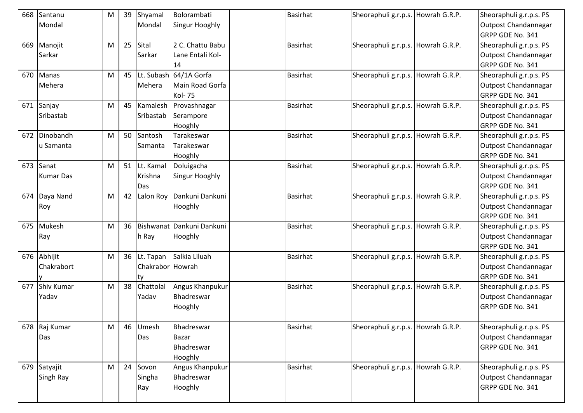| 668 | Santanu           | M         | 39 | Shyamal          | Bolorambati               | <b>Basirhat</b> | Sheoraphuli g.r.p.s. Howrah G.R.P. | Sheoraphuli g.r.p.s. PS |
|-----|-------------------|-----------|----|------------------|---------------------------|-----------------|------------------------------------|-------------------------|
|     | Mondal            |           |    | Mondal           | Singur Hooghly            |                 |                                    | Outpost Chandannagar    |
|     |                   |           |    |                  |                           |                 |                                    | GRPP GDE No. 341        |
| 669 | Manojit           | M         | 25 | Sital            | 2 C. Chattu Babu          | <b>Basirhat</b> | Sheoraphuli g.r.p.s. Howrah G.R.P. | Sheoraphuli g.r.p.s. PS |
|     | Sarkar            |           |    | Sarkar           | Lane Entali Kol-          |                 |                                    | Outpost Chandannagar    |
|     |                   |           |    |                  | 14                        |                 |                                    | GRPP GDE No. 341        |
| 670 | Manas             | M         | 45 |                  | Lt. Subash 64/1A Gorfa    | <b>Basirhat</b> | Sheoraphuli g.r.p.s. Howrah G.R.P. | Sheoraphuli g.r.p.s. PS |
|     | Mehera            |           |    | Mehera           | Main Road Gorfa           |                 |                                    | Outpost Chandannagar    |
|     |                   |           |    |                  | <b>Kol-75</b>             |                 |                                    | GRPP GDE No. 341        |
| 671 | Sanjay            | M         | 45 | Kamalesh         | Provashnagar              | <b>Basirhat</b> | Sheoraphuli g.r.p.s. Howrah G.R.P. | Sheoraphuli g.r.p.s. PS |
|     | Sribastab         |           |    | Sribastab        | Serampore                 |                 |                                    | Outpost Chandannagar    |
|     |                   |           |    |                  | Hooghly                   |                 |                                    | GRPP GDE No. 341        |
| 672 | Dinobandh         | M         | 50 | Santosh          | Tarakeswar                | <b>Basirhat</b> | Sheoraphuli g.r.p.s. Howrah G.R.P. | Sheoraphuli g.r.p.s. PS |
|     | u Samanta         |           |    | Samanta          | Tarakeswar                |                 |                                    | Outpost Chandannagar    |
|     |                   |           |    |                  | Hooghly                   |                 |                                    | GRPP GDE No. 341        |
| 673 | Sanat             | M         | 51 | Lt. Kamal        | Doluigacha                | Basirhat        | Sheoraphuli g.r.p.s. Howrah G.R.P. | Sheoraphuli g.r.p.s. PS |
|     | <b>Kumar Das</b>  |           |    | Krishna          | Singur Hooghly            |                 |                                    | Outpost Chandannagar    |
|     |                   |           |    | Das              |                           |                 |                                    | GRPP GDE No. 341        |
| 674 | Daya Nand         | M         | 42 |                  | Lalon Roy Dankuni Dankuni | Basirhat        | Sheoraphuli g.r.p.s. Howrah G.R.P. | Sheoraphuli g.r.p.s. PS |
|     | Roy               |           |    |                  | Hooghly                   |                 |                                    | Outpost Chandannagar    |
|     |                   |           |    |                  |                           |                 |                                    | GRPP GDE No. 341        |
|     | 675 Mukesh        | M         | 36 |                  | Bishwanat Dankuni Dankuni | <b>Basirhat</b> | Sheoraphuli g.r.p.s. Howrah G.R.P. | Sheoraphuli g.r.p.s. PS |
|     | Ray               |           |    | h Ray            | Hooghly                   |                 |                                    | Outpost Chandannagar    |
|     |                   |           |    |                  |                           |                 |                                    | GRPP GDE No. 341        |
| 676 | Abhijit           | M         | 36 | Lt. Tapan        | Salkia Liluah             | <b>Basirhat</b> | Sheoraphuli g.r.p.s. Howrah G.R.P. | Sheoraphuli g.r.p.s. PS |
|     | Chakrabort        |           |    | Chakrabor Howrah |                           |                 |                                    | Outpost Chandannagar    |
|     |                   |           |    | ty               |                           |                 |                                    | GRPP GDE No. 341        |
| 677 | <b>Shiv Kumar</b> | M         | 38 | Chattolal        | Angus Khanpukur           | Basirhat        | Sheoraphuli g.r.p.s. Howrah G.R.P. | Sheoraphuli g.r.p.s. PS |
|     | Yadav             |           |    | Yadav            | Bhadreswar                |                 |                                    | Outpost Chandannagar    |
|     |                   |           |    |                  | Hooghly                   |                 |                                    | GRPP GDE No. 341        |
|     |                   |           |    |                  |                           |                 |                                    |                         |
|     | 678 Raj Kumar     | ${\sf M}$ | 46 | Umesh            | Bhadreswar                | <b>Basirhat</b> | Sheoraphuli g.r.p.s. Howrah G.R.P. | Sheoraphuli g.r.p.s. PS |
|     | Das               |           |    | Das              | <b>Bazar</b>              |                 |                                    | Outpost Chandannagar    |
|     |                   |           |    |                  | Bhadreswar                |                 |                                    | GRPP GDE No. 341        |
|     |                   |           |    |                  | Hooghly                   |                 |                                    |                         |
|     | 679 Satyajit      | M         | 24 | Sovon            | Angus Khanpukur           | <b>Basirhat</b> | Sheoraphuli g.r.p.s. Howrah G.R.P. | Sheoraphuli g.r.p.s. PS |
|     | Singh Ray         |           |    | Singha           | Bhadreswar                |                 |                                    | Outpost Chandannagar    |
|     |                   |           |    | Ray              | Hooghly                   |                 |                                    | GRPP GDE No. 341        |
|     |                   |           |    |                  |                           |                 |                                    |                         |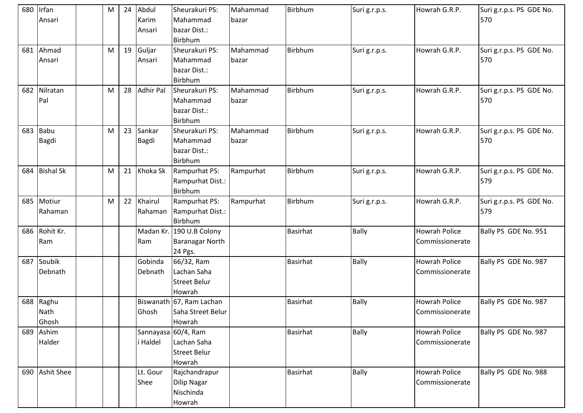| 680 | Irfan            | M         | 24 | Abdul            | Sheurakuri PS:           | Mahammad  | Birbhum         | Suri g.r.p.s. | Howrah G.R.P.        | Suri g.r.p.s. PS GDE No. |
|-----|------------------|-----------|----|------------------|--------------------------|-----------|-----------------|---------------|----------------------|--------------------------|
|     | Ansari           |           |    | Karim            | Mahammad                 | bazar     |                 |               |                      | 570                      |
|     |                  |           |    | Ansari           | bazar Dist.:             |           |                 |               |                      |                          |
|     |                  |           |    |                  | Birbhum                  |           |                 |               |                      |                          |
| 681 | Ahmad            | M         | 19 | Guljar           | Sheurakuri PS:           | Mahammad  | Birbhum         | Suri g.r.p.s. | Howrah G.R.P.        | Suri g.r.p.s. PS GDE No. |
|     | Ansari           |           |    | Ansari           | Mahammad                 | bazar     |                 |               |                      | 570                      |
|     |                  |           |    |                  | bazar Dist.:             |           |                 |               |                      |                          |
|     |                  |           |    |                  | Birbhum                  |           |                 |               |                      |                          |
| 682 | Nilratan         | M         | 28 | <b>Adhir Pal</b> | Sheurakuri PS:           | Mahammad  | Birbhum         | Suri g.r.p.s. | Howrah G.R.P.        | Suri g.r.p.s. PS GDE No. |
|     | Pal              |           |    |                  | Mahammad                 | bazar     |                 |               |                      | 570                      |
|     |                  |           |    |                  | bazar Dist.:             |           |                 |               |                      |                          |
|     |                  |           |    |                  | Birbhum                  |           |                 |               |                      |                          |
| 683 | <b>Babu</b>      | M         | 23 | Sankar           | Sheurakuri PS:           | Mahammad  | Birbhum         | Suri g.r.p.s. | Howrah G.R.P.        | Suri g.r.p.s. PS GDE No. |
|     | Bagdi            |           |    | Bagdi            | Mahammad                 | bazar     |                 |               |                      | 570                      |
|     |                  |           |    |                  | bazar Dist.:             |           |                 |               |                      |                          |
|     |                  |           |    |                  | Birbhum                  |           |                 |               |                      |                          |
| 684 | <b>Bishal Sk</b> | M         | 21 | Khoka Sk         | Rampurhat PS:            | Rampurhat | Birbhum         | Suri g.r.p.s. | Howrah G.R.P.        | Suri g.r.p.s. PS GDE No. |
|     |                  |           |    |                  | Rampurhat Dist.:         |           |                 |               |                      | 579                      |
|     |                  |           |    |                  | Birbhum                  |           |                 |               |                      |                          |
| 685 | Motiur           | ${\sf M}$ | 22 | Khairul          | Rampurhat PS:            | Rampurhat | Birbhum         | Suri g.r.p.s. | Howrah G.R.P.        | Suri g.r.p.s. PS GDE No. |
|     | Rahaman          |           |    | Rahaman          | Rampurhat Dist.:         |           |                 |               |                      | 579                      |
|     |                  |           |    |                  | Birbhum                  |           |                 |               |                      |                          |
| 686 | Rohit Kr.        |           |    |                  | Madan Kr. 190 U.B Colony |           | <b>Basirhat</b> | <b>Bally</b>  | <b>Howrah Police</b> | Bally PS GDE No. 951     |
|     | Ram              |           |    | Ram              | <b>Baranagar North</b>   |           |                 |               | Commissionerate      |                          |
|     |                  |           |    |                  | 24 Pgs.                  |           |                 |               |                      |                          |
| 687 | Soubik           |           |    | Gobinda          | 66/32, Ram               |           | <b>Basirhat</b> | <b>Bally</b>  | <b>Howrah Police</b> | Bally PS GDE No. 987     |
|     | Debnath          |           |    | Debnath          | Lachan Saha              |           |                 |               | Commissionerate      |                          |
|     |                  |           |    |                  | <b>Street Belur</b>      |           |                 |               |                      |                          |
|     |                  |           |    |                  | Howrah                   |           |                 |               |                      |                          |
| 688 | Raghu            |           |    |                  | Biswanath 67, Ram Lachan |           | <b>Basirhat</b> | <b>Bally</b>  | <b>Howrah Police</b> | Bally PS GDE No. 987     |
|     | Nath             |           |    | Ghosh            | Saha Street Belur        |           |                 |               | Commissionerate      |                          |
|     | Ghosh            |           |    |                  | Howrah                   |           |                 |               |                      |                          |
| 689 | Ashim            |           |    |                  | Sannayasa 60/4, Ram      |           | Basirhat        | <b>Bally</b>  | <b>Howrah Police</b> | Bally PS GDE No. 987     |
|     | Halder           |           |    | i Haldel         | Lachan Saha              |           |                 |               | Commissionerate      |                          |
|     |                  |           |    |                  | <b>Street Belur</b>      |           |                 |               |                      |                          |
|     |                  |           |    |                  | Howrah                   |           |                 |               |                      |                          |
|     | 690 Ashit Shee   |           |    | Lt. Gour         | Rajchandrapur            |           | <b>Basirhat</b> | <b>Bally</b>  | <b>Howrah Police</b> | Bally PS GDE No. 988     |
|     |                  |           |    | Shee             | <b>Dilip Nagar</b>       |           |                 |               | Commissionerate      |                          |
|     |                  |           |    |                  | Nischinda                |           |                 |               |                      |                          |
|     |                  |           |    |                  | Howrah                   |           |                 |               |                      |                          |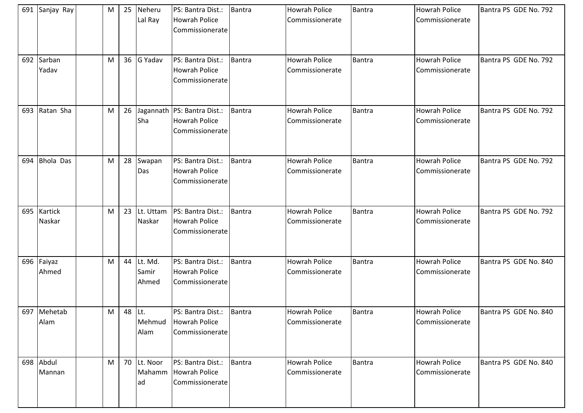|     | 691 Sanjay Ray        | M         | 25     | Neheru<br>Lal Ray         | PS: Bantra Dist.:<br><b>Howrah Police</b><br>Commissionerate             | <b>Bantra</b> | <b>Howrah Police</b><br>Commissionerate | Bantra        | <b>Howrah Police</b><br>Commissionerate | Bantra PS GDE No. 792 |
|-----|-----------------------|-----------|--------|---------------------------|--------------------------------------------------------------------------|---------------|-----------------------------------------|---------------|-----------------------------------------|-----------------------|
| 692 | Sarban<br>Yadav       | M         |        | 36 G Yadav                | PS: Bantra Dist.:<br><b>Howrah Police</b><br>Commissionerate             | <b>Bantra</b> | Howrah Police<br>Commissionerate        | <b>Bantra</b> | <b>Howrah Police</b><br>Commissionerate | Bantra PS GDE No. 792 |
| 693 | Ratan Sha             | M         | 26     | Sha                       | Jagannath   PS: Bantra Dist.:<br><b>Howrah Police</b><br>Commissionerate | <b>Bantra</b> | Howrah Police<br>Commissionerate        | Bantra        | <b>Howrah Police</b><br>Commissionerate | Bantra PS GDE No. 792 |
| 694 | <b>Bhola Das</b>      | M         | 28     | Swapan<br>Das             | PS: Bantra Dist.:<br><b>Howrah Police</b><br>Commissionerate             | <b>Bantra</b> | <b>Howrah Police</b><br>Commissionerate | Bantra        | <b>Howrah Police</b><br>Commissionerate | Bantra PS GDE No. 792 |
|     | 695 Kartick<br>Naskar | M         | 23     | Lt. Uttam<br>Naskar       | PS: Bantra Dist.:<br><b>Howrah Police</b><br>Commissionerate             | <b>Bantra</b> | <b>Howrah Police</b><br>Commissionerate | Bantra        | <b>Howrah Police</b><br>Commissionerate | Bantra PS GDE No. 792 |
|     | 696 Faiyaz<br>Ahmed   | M         | 44     | Lt. Md.<br>Samir<br>Ahmed | PS: Bantra Dist.:<br><b>Howrah Police</b><br>Commissionerate             | <b>Bantra</b> | <b>Howrah Police</b><br>Commissionerate | <b>Bantra</b> | <b>Howrah Police</b><br>Commissionerate | Bantra PS GDE No. 840 |
|     | 697 Mehetab<br>Alam   | ${\sf M}$ | 48 Lt. | Mehmud<br>Alam            | PS: Bantra Dist.:<br><b>Howrah Police</b><br>Commissionerate             | Bantra        | <b>Howrah Police</b><br>Commissionerate | <b>Bantra</b> | <b>Howrah Police</b><br>Commissionerate | Bantra PS GDE No. 840 |
|     | 698 Abdul<br>Mannan   | M         | 70     | Lt. Noor<br>Mahamm<br>ad  | PS: Bantra Dist.:<br>Howrah Police<br>Commissionerate                    | <b>Bantra</b> | Howrah Police<br>Commissionerate        | Bantra        | Howrah Police<br>Commissionerate        | Bantra PS GDE No. 840 |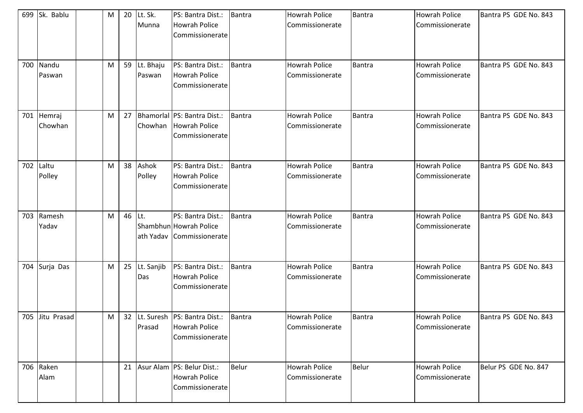|     | 699 Sk. Bablu     | M |        | 20 Lt. Sk.<br>Munna    | PS: Bantra Dist.:<br><b>Howrah Police</b><br>Commissionerate               | <b>Bantra</b> | <b>Howrah Police</b><br>Commissionerate | <b>Bantra</b> | <b>Howrah Police</b><br>Commissionerate | Bantra PS GDE No. 843 |
|-----|-------------------|---|--------|------------------------|----------------------------------------------------------------------------|---------------|-----------------------------------------|---------------|-----------------------------------------|-----------------------|
| 700 | Nandu<br>Paswan   | M |        | 59 Lt. Bhaju<br>Paswan | PS: Bantra Dist.:<br><b>Howrah Police</b><br>Commissionerate               | <b>Bantra</b> | <b>Howrah Police</b><br>Commissionerate | <b>Bantra</b> | <b>Howrah Police</b><br>Commissionerate | Bantra PS GDE No. 843 |
| 701 | Hemraj<br>Chowhan | M | 27     |                        | Bhamorlal PS: Bantra Dist.:<br>Chowhan Howrah Police<br>Commissionerate    | <b>Bantra</b> | Howrah Police<br>Commissionerate        | Bantra        | <b>Howrah Police</b><br>Commissionerate | Bantra PS GDE No. 843 |
| 702 | Laltu<br>Polley   | M |        | 38 Ashok<br>Polley     | PS: Bantra Dist.:<br><b>Howrah Police</b><br>Commissionerate               | <b>Bantra</b> | <b>Howrah Police</b><br>Commissionerate | <b>Bantra</b> | <b>Howrah Police</b><br>Commissionerate | Bantra PS GDE No. 843 |
| 703 | Ramesh<br>Yadav   | M | 46 Lt. |                        | PS: Bantra Dist.:<br>Shambhun Howrah Police<br>ath Yadav Commissionerate   | Bantra        | <b>Howrah Police</b><br>Commissionerate | <b>Bantra</b> | <b>Howrah Police</b><br>Commissionerate | Bantra PS GDE No. 843 |
|     | 704 Surja Das     | M |        | 25 Lt. Sanjib<br>Das   | PS: Bantra Dist.:<br><b>Howrah Police</b><br>Commissionerate               | <b>Bantra</b> | <b>Howrah Police</b><br>Commissionerate | <b>Bantra</b> | <b>Howrah Police</b><br>Commissionerate | Bantra PS GDE No. 843 |
|     | 705 Jitu Prasad   | M |        | Prasad                 | 32 Lt. Suresh PS: Bantra Dist.:<br><b>Howrah Police</b><br>Commissionerate | Bantra        | <b>Howrah Police</b><br>Commissionerate | <b>Bantra</b> | <b>Howrah Police</b><br>Commissionerate | Bantra PS GDE No. 843 |
|     | 706 Raken<br>Alam |   |        |                        | 21 Asur Alam PS: Belur Dist.:<br><b>Howrah Police</b><br>Commissionerate   | <b>Belur</b>  | Howrah Police<br>Commissionerate        | <b>Belur</b>  | <b>Howrah Police</b><br>Commissionerate | Belur PS GDE No. 847  |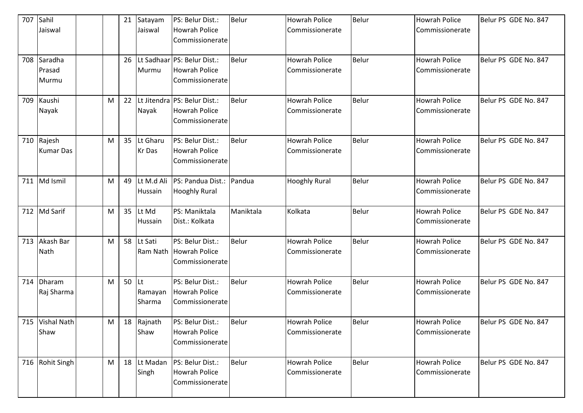| 707 | Sahil            |   | 21 | Satayam    | PS: Belur Dist.:               | Belur        | <b>Howrah Police</b> | <b>Belur</b> | <b>Howrah Police</b> | Belur PS GDE No. 847 |
|-----|------------------|---|----|------------|--------------------------------|--------------|----------------------|--------------|----------------------|----------------------|
|     | Jaiswal          |   |    | Jaiswal    | <b>Howrah Police</b>           |              | Commissionerate      |              | Commissionerate      |                      |
|     |                  |   |    |            | Commissionerate                |              |                      |              |                      |                      |
| 708 | Saradha          |   | 26 |            | Lt Sadhaar PS: Belur Dist.:    | <b>Belur</b> | <b>Howrah Police</b> | <b>Belur</b> | <b>Howrah Police</b> | Belur PS GDE No. 847 |
|     | Prasad           |   |    | Murmu      | <b>Howrah Police</b>           |              | Commissionerate      |              | Commissionerate      |                      |
|     | Murmu            |   |    |            | Commissionerate                |              |                      |              |                      |                      |
| 709 | Kaushi           | M | 22 |            | Lt Jitendra   PS: Belur Dist.: | <b>Belur</b> | <b>Howrah Police</b> | <b>Belur</b> | <b>Howrah Police</b> | Belur PS GDE No. 847 |
|     | Nayak            |   |    | Nayak      | <b>Howrah Police</b>           |              | Commissionerate      |              | Commissionerate      |                      |
|     |                  |   |    |            | Commissionerate                |              |                      |              |                      |                      |
| 710 | Rajesh           | M | 35 | Lt Gharu   | PS: Belur Dist.:               | Belur        | <b>Howrah Police</b> | Belur        | <b>Howrah Police</b> | Belur PS GDE No. 847 |
|     | <b>Kumar Das</b> |   |    | Kr Das     | <b>Howrah Police</b>           |              | Commissionerate      |              | Commissionerate      |                      |
|     |                  |   |    |            | Commissionerate                |              |                      |              |                      |                      |
| 711 | Md Ismil         | M | 49 | Lt M.d Ali | PS: Pandua Dist.:              | Pandua       | <b>Hooghly Rural</b> | <b>Belur</b> | <b>Howrah Police</b> | Belur PS GDE No. 847 |
|     |                  |   |    | Hussain    | <b>Hooghly Rural</b>           |              |                      |              | Commissionerate      |                      |
| 712 | <b>Md Sarif</b>  | M | 35 | Lt Md      | PS: Maniktala                  | Maniktala    | Kolkata              | Belur        | <b>Howrah Police</b> | Belur PS GDE No. 847 |
|     |                  |   |    | Hussain    | Dist.: Kolkata                 |              |                      |              | Commissionerate      |                      |
| 713 | Akash Bar        | M | 58 | Lt Sati    | PS: Belur Dist.:               | Belur        | <b>Howrah Police</b> | Belur        | <b>Howrah Police</b> | Belur PS GDE No. 847 |
|     | Nath             |   |    |            | Ram Nath Howrah Police         |              | Commissionerate      |              | Commissionerate      |                      |
|     |                  |   |    |            | Commissionerate                |              |                      |              |                      |                      |
| 714 | Dharam           | M | 50 | lLt.       | PS: Belur Dist.:               | Belur        | <b>Howrah Police</b> | Belur        | <b>Howrah Police</b> | Belur PS GDE No. 847 |
|     | Raj Sharma       |   |    | Ramayan    | Howrah Police                  |              | Commissionerate      |              | Commissionerate      |                      |
|     |                  |   |    | Sharma     | Commissionerate                |              |                      |              |                      |                      |
|     | 715 Vishal Nath  | M |    | 18 Rajnath | PS: Belur Dist.:               | Belur        | <b>Howrah Police</b> | Belur        | <b>Howrah Police</b> | Belur PS GDE No. 847 |
|     | Shaw             |   |    | Shaw       | <b>Howrah Police</b>           |              | Commissionerate      |              | Commissionerate      |                      |
|     |                  |   |    |            | Commissionerate                |              |                      |              |                      |                      |
| 716 | Rohit Singh      | M | 18 | Lt Madan   | PS: Belur Dist.:               | Belur        | <b>Howrah Police</b> | Belur        | <b>Howrah Police</b> | Belur PS GDE No. 847 |
|     |                  |   |    | Singh      | <b>Howrah Police</b>           |              | Commissionerate      |              | Commissionerate      |                      |
|     |                  |   |    |            | Commissionerate                |              |                      |              |                      |                      |
|     |                  |   |    |            |                                |              |                      |              |                      |                      |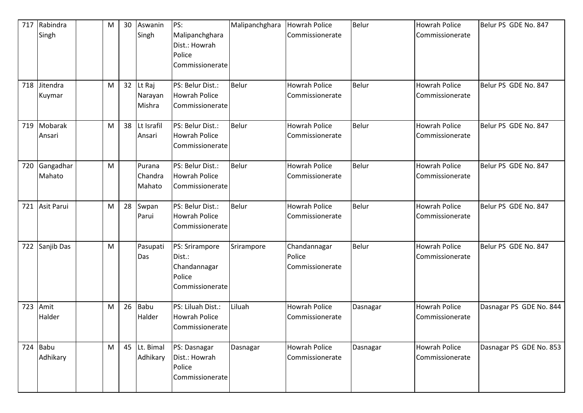| 717 | Rabindra<br>Singh      | M | 30 | Aswanin<br>Singh            | PS:<br>Malipanchghara<br>Dist.: Howrah<br>Police<br>Commissionerate   | Malipanchghara | <b>Howrah Police</b><br>Commissionerate   | <b>Belur</b> | <b>Howrah Police</b><br>Commissionerate | Belur PS GDE No. 847    |
|-----|------------------------|---|----|-----------------------------|-----------------------------------------------------------------------|----------------|-------------------------------------------|--------------|-----------------------------------------|-------------------------|
| 718 | Jitendra<br>Kuymar     | M | 32 | Lt Raj<br>Narayan<br>Mishra | PS: Belur Dist.:<br><b>Howrah Police</b><br>Commissionerate           | <b>Belur</b>   | <b>Howrah Police</b><br>Commissionerate   | Belur        | <b>Howrah Police</b><br>Commissionerate | Belur PS GDE No. 847    |
| 719 | Mobarak<br>Ansari      | M | 38 | Lt Israfil<br>Ansari        | PS: Belur Dist.:<br><b>Howrah Police</b><br>Commissionerate           | <b>Belur</b>   | <b>Howrah Police</b><br>Commissionerate   | <b>Belur</b> | <b>Howrah Police</b><br>Commissionerate | Belur PS GDE No. 847    |
| 720 | Gangadhar<br>Mahato    | M |    | Purana<br>Chandra<br>Mahato | PS: Belur Dist.:<br><b>Howrah Police</b><br>Commissionerate           | <b>Belur</b>   | Howrah Police<br>Commissionerate          | <b>Belur</b> | <b>Howrah Police</b><br>Commissionerate | Belur PS GDE No. 847    |
| 721 | Asit Parui             | M | 28 | Swpan<br>Parui              | PS: Belur Dist.:<br><b>Howrah Police</b><br>Commissionerate           | <b>Belur</b>   | <b>Howrah Police</b><br>Commissionerate   | Belur        | <b>Howrah Police</b><br>Commissionerate | Belur PS GDE No. 847    |
| 722 | Sanjib Das             | M |    | Pasupati<br>Das             | PS: Srirampore<br>Dist.:<br>Chandannagar<br>Police<br>Commissionerate | Srirampore     | Chandannagar<br>Police<br>Commissionerate | <b>Belur</b> | <b>Howrah Police</b><br>Commissionerate | Belur PS GDE No. 847    |
| 723 | Amit<br>Halder         | M | 26 | <b>Babu</b><br>Halder       | PS: Liluah Dist.:<br><b>Howrah Police</b><br>Commissionerate          | Liluah         | <b>Howrah Police</b><br>Commissionerate   | Dasnagar     | <b>Howrah Police</b><br>Commissionerate | Dasnagar PS GDE No. 844 |
|     | $724$ Babu<br>Adhikary | M |    | 45 Lt. Bimal<br>Adhikary    | PS: Dasnagar<br>Dist.: Howrah<br>Police<br>Commissionerate            | Dasnagar       | <b>Howrah Police</b><br>Commissionerate   | Dasnagar     | <b>Howrah Police</b><br>Commissionerate | Dasnagar PS GDE No. 853 |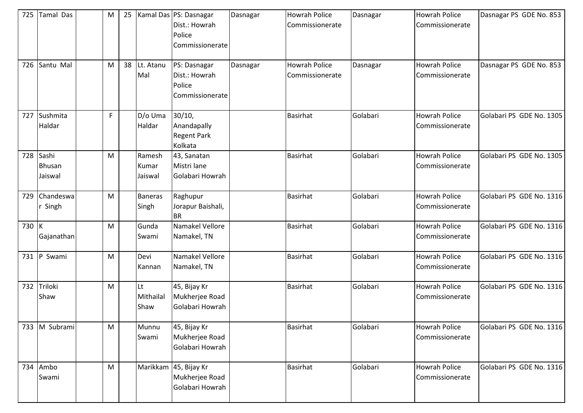| 725   | <b>Tamal Das</b>                  | M |                            | 25   Kamal Das   PS: Dasnagar<br>Dist.: Howrah<br>Police<br>Commissionerate | Dasnagar | Howrah Police<br>Commissionerate | Dasnagar | <b>Howrah Police</b><br>Commissionerate | Dasnagar PS GDE No. 853  |
|-------|-----------------------------------|---|----------------------------|-----------------------------------------------------------------------------|----------|----------------------------------|----------|-----------------------------------------|--------------------------|
|       | 726 Santu Mal                     | M | 38 Lt. Atanu<br>Mal        | PS: Dasnagar<br>Dist.: Howrah<br>Police<br>Commissionerate                  | Dasnagar | Howrah Police<br>Commissionerate | Dasnagar | <b>Howrah Police</b><br>Commissionerate | Dasnagar PS GDE No. 853  |
| 727   | Sushmita<br>Haldar                | F | D/o Uma<br>Haldar          | 30/10,<br>Anandapally<br><b>Regent Park</b><br>Kolkata                      |          | <b>Basirhat</b>                  | Golabari | <b>Howrah Police</b><br>Commissionerate | Golabari PS GDE No. 1305 |
| 728   | Sashi<br><b>Bhusan</b><br>Jaiswal | M | Ramesh<br>Kumar<br>Jaiswal | 43, Sanatan<br>Mistri lane<br>Golabari Howrah                               |          | <b>Basirhat</b>                  | Golabari | <b>Howrah Police</b><br>Commissionerate | Golabari PS GDE No. 1305 |
| 729   | Chandeswa<br>Singh                | M | Baneras<br>Singh           | Raghupur<br>Jorapur Baishali,<br><b>BR</b>                                  |          | <b>Basirhat</b>                  | Golabari | <b>Howrah Police</b><br>Commissionerate | Golabari PS GDE No. 1316 |
| 730 K | Gajanathan                        | M | Gunda<br>Swami             | Namakel Vellore<br>Namakel, TN                                              |          | <b>Basirhat</b>                  | Golabari | <b>Howrah Police</b><br>Commissionerate | Golabari PS GDE No. 1316 |
|       | 731 P Swami                       | M | Devi<br>Kannan             | Namakel Vellore<br>Namakel, TN                                              |          | <b>Basirhat</b>                  | Golabari | <b>Howrah Police</b><br>Commissionerate | Golabari PS GDE No. 1316 |
| 732   | Triloki<br>Shaw                   | M | lLt<br>Mithailal<br>Shaw   | 45, Bijay Kr<br>Mukherjee Road<br>Golabari Howrah                           |          | <b>Basirhat</b>                  | Golabari | <b>Howrah Police</b><br>Commissionerate | Golabari PS GDE No. 1316 |
|       | 733 M Subrami                     | M | Munnu<br>Swami             | 45, Bijay Kr<br>Mukherjee Road<br>Golabari Howrah                           |          | Basirhat                         | Golabari | <b>Howrah Police</b><br>Commissionerate | Golabari PS GDE No. 1316 |
|       | 734 Ambo<br>Swami                 | M |                            | Marikkam 45, Bijay Kr<br>Mukherjee Road<br>Golabari Howrah                  |          | <b>Basirhat</b>                  | Golabari | <b>Howrah Police</b><br>Commissionerate | Golabari PS GDE No. 1316 |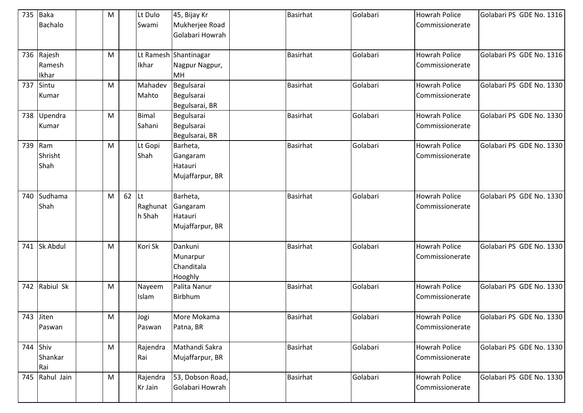| 735 | Baka<br><b>Bachalo</b>        | ${\sf M}$ |    | Lt Dulo<br>Swami         | 45, Bijay Kr<br>Mukherjee Road<br>Golabari Howrah    | <b>Basirhat</b> | Golabari | <b>Howrah Police</b><br>Commissionerate | Golabari PS GDE No. 1316 |
|-----|-------------------------------|-----------|----|--------------------------|------------------------------------------------------|-----------------|----------|-----------------------------------------|--------------------------|
|     | 736 Rajesh<br>Ramesh<br>Ikhar | M         |    | Ikhar                    | Lt Ramesh Shantinagar<br>Nagpur Nagpur,<br><b>MH</b> | <b>Basirhat</b> | Golabari | <b>Howrah Police</b><br>Commissionerate | Golabari PS GDE No. 1316 |
| 737 | Sintu<br>Kumar                | M         |    | Mahadev<br>Mahto         | Begulsarai<br>Begulsarai<br>Begulsarai, BR           | <b>Basirhat</b> | Golabari | <b>Howrah Police</b><br>Commissionerate | Golabari PS GDE No. 1330 |
| 738 | Upendra<br>Kumar              | M         |    | Bimal<br>Sahani          | Begulsarai<br>Begulsarai<br>Begulsarai, BR           | <b>Basirhat</b> | Golabari | <b>Howrah Police</b><br>Commissionerate | Golabari PS GDE No. 1330 |
| 739 | Ram<br>Shrisht<br>Shah        | M         |    | Lt Gopi<br>Shah          | Barheta,<br>Gangaram<br>Hatauri<br>Mujaffarpur, BR   | <b>Basirhat</b> | Golabari | <b>Howrah Police</b><br>Commissionerate | Golabari PS GDE No. 1330 |
| 740 | Sudhama<br>Shah               | M         | 62 | Lt<br>Raghunat<br>h Shah | Barheta,<br>Gangaram<br>Hatauri<br>Mujaffarpur, BR   | <b>Basirhat</b> | Golabari | <b>Howrah Police</b><br>Commissionerate | Golabari PS GDE No. 1330 |
| 741 | <b>Sk Abdul</b>               | M         |    | Kori Sk                  | Dankuni<br>Munarpur<br>Chanditala<br>Hooghly         | <b>Basirhat</b> | Golabari | <b>Howrah Police</b><br>Commissionerate | Golabari PS GDE No. 1330 |
| 742 | Rabiul Sk                     | M         |    | Nayeem<br>Islam          | Palita Nanur<br>Birbhum                              | <b>Basirhat</b> | Golabari | <b>Howrah Police</b><br>Commissionerate | Golabari PS GDE No. 1330 |
|     | 743 Jiten<br>Paswan           | M         |    | Jogi<br>Paswan           | More Mokama<br>Patna, BR                             | <b>Basirhat</b> | Golabari | <b>Howrah Police</b><br>Commissionerate | Golabari PS GDE No. 1330 |
|     | 744 Shiv<br>Shankar<br>Rai    | ${\sf M}$ |    | Rajendra<br>Rai          | Mathandi Sakra<br>Mujaffarpur, BR                    | <b>Basirhat</b> | Golabari | <b>Howrah Police</b><br>Commissionerate | Golabari PS GDE No. 1330 |
| 745 | Rahul Jain                    | ${\sf M}$ |    | Rajendra<br>Kr Jain      | 53, Dobson Road,<br>Golabari Howrah                  | <b>Basirhat</b> | Golabari | <b>Howrah Police</b><br>Commissionerate | Golabari PS GDE No. 1330 |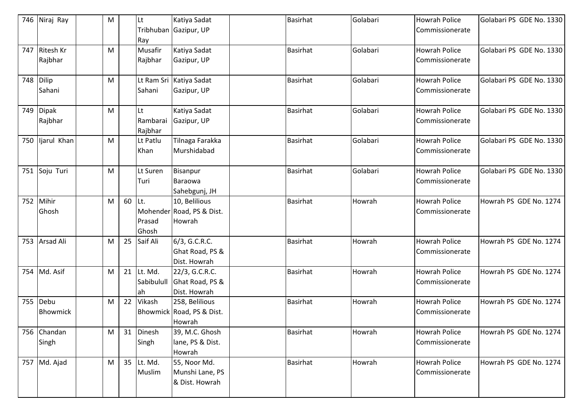|     | 746 Niraj Ray    | M |        | Lt                  | Katiya Sadat<br>Tribhuban Gazipur, UP | <b>Basirhat</b> | Golabari | <b>Howrah Police</b><br>Commissionerate | Golabari PS GDE No. 1330 |
|-----|------------------|---|--------|---------------------|---------------------------------------|-----------------|----------|-----------------------------------------|--------------------------|
|     |                  |   |        | Ray                 |                                       |                 |          |                                         |                          |
| 747 | <b>Ritesh Kr</b> | M |        | Musafir             | Katiya Sadat                          | <b>Basirhat</b> | Golabari | <b>Howrah Police</b>                    | Golabari PS GDE No. 1330 |
|     | Rajbhar          |   |        | Rajbhar             | Gazipur, UP                           |                 |          | Commissionerate                         |                          |
| 748 | Dilip            | M |        |                     | Lt Ram Sri Katiya Sadat               | <b>Basirhat</b> | Golabari | <b>Howrah Police</b>                    | Golabari PS GDE No. 1330 |
|     | Sahani           |   |        | Sahani              | Gazipur, UP                           |                 |          | Commissionerate                         |                          |
|     | 749 Dipak        | M |        | lLt                 | Katiya Sadat                          | <b>Basirhat</b> | Golabari | <b>Howrah Police</b>                    | Golabari PS GDE No. 1330 |
|     | Rajbhar          |   |        | Rambarai<br>Rajbhar | Gazipur, UP                           |                 |          | Commissionerate                         |                          |
|     | 750 ljarul Khan  | M |        | Lt Patlu            | Tilnaga Farakka                       | <b>Basirhat</b> | Golabari | <b>Howrah Police</b>                    | Golabari PS GDE No. 1330 |
|     |                  |   |        | Khan                | Murshidabad                           |                 |          | Commissionerate                         |                          |
| 751 | Soju Turi        | M |        | Lt Suren            | Bisanpur                              | <b>Basirhat</b> | Golabari | <b>Howrah Police</b>                    | Golabari PS GDE No. 1330 |
|     |                  |   |        | Turi                | Baraowa                               |                 |          | Commissionerate                         |                          |
|     |                  |   |        |                     | Sahebgunj, JH                         |                 |          |                                         |                          |
| 752 | Mihir            | M | 60 Lt. |                     | 10, Belilious                         | <b>Basirhat</b> | Howrah   | <b>Howrah Police</b>                    | Howrah PS GDE No. 1274   |
|     | Ghosh            |   |        |                     | Mohender Road, PS & Dist.             |                 |          | Commissionerate                         |                          |
|     |                  |   |        | Prasad              | Howrah                                |                 |          |                                         |                          |
|     |                  |   |        | Ghosh               |                                       |                 |          |                                         |                          |
| 753 | <b>Arsad Ali</b> | M | 25     | Saif Ali            | 6/3, G.C.R.C.                         | <b>Basirhat</b> | Howrah   | <b>Howrah Police</b>                    | Howrah PS GDE No. 1274   |
|     |                  |   |        |                     | Ghat Road, PS &                       |                 |          | Commissionerate                         |                          |
|     |                  |   |        |                     | Dist. Howrah                          |                 |          |                                         |                          |
|     | 754 Md. Asif     | M |        | 21 Lt. Md.          | 22/3, G.C.R.C.                        | <b>Basirhat</b> | Howrah   | <b>Howrah Police</b>                    | Howrah PS GDE No. 1274   |
|     |                  |   |        | Sabibulull          | Ghat Road, PS &                       |                 |          | Commissionerate                         |                          |
|     |                  |   |        | ah                  | Dist. Howrah                          |                 |          |                                         |                          |
| 755 | Debu             | M | 22     | Vikash              | 258, Belilious                        | <b>Basirhat</b> | Howrah   | <b>Howrah Police</b>                    | Howrah PS GDE No. 1274   |
|     | Bhowmick         |   |        |                     | Bhowmick Road, PS & Dist.             |                 |          | Commissionerate                         |                          |
|     |                  |   |        |                     | Howrah                                |                 |          |                                         |                          |
|     | 756 Chandan      | M |        | 31 Dinesh           | 39, M.C. Ghosh                        | <b>Basirhat</b> | Howrah   | Howrah Police                           | Howrah PS GDE No. 1274   |
|     | Singh            |   |        | Singh               | lane, PS & Dist.                      |                 |          | Commissionerate                         |                          |
|     |                  |   |        |                     | Howrah                                |                 |          |                                         |                          |
|     | 757 Md. Ajad     | M |        | 35 Lt. Md.          | 55, Noor Md.                          | <b>Basirhat</b> | Howrah   | <b>Howrah Police</b>                    | Howrah PS GDE No. 1274   |
|     |                  |   |        | Muslim              | Munshi Lane, PS                       |                 |          | Commissionerate                         |                          |
|     |                  |   |        |                     | & Dist. Howrah                        |                 |          |                                         |                          |
|     |                  |   |        |                     |                                       |                 |          |                                         |                          |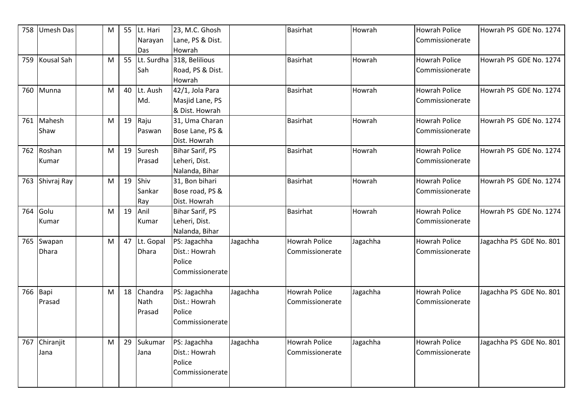| 758 | <b>Umesh Das</b>  | M |    | 55 Lt. Hari  | 23, M.C. Ghosh         |          | <b>Basirhat</b>      | Howrah   | <b>Howrah Police</b> | Howrah PS GDE No. 1274  |
|-----|-------------------|---|----|--------------|------------------------|----------|----------------------|----------|----------------------|-------------------------|
|     |                   |   |    | Narayan      | Lane, PS & Dist.       |          |                      |          | Commissionerate      |                         |
|     |                   |   |    | Das          | Howrah                 |          |                      |          |                      |                         |
| 759 | <b>Kousal Sah</b> | M | 55 | Lt. Surdha   | 318, Belilious         |          | Basirhat             | Howrah   | <b>Howrah Police</b> | Howrah PS GDE No. 1274  |
|     |                   |   |    | Sah          | Road, PS & Dist.       |          |                      |          | Commissionerate      |                         |
|     |                   |   |    |              | Howrah                 |          |                      |          |                      |                         |
| 760 | Munna             | M | 40 | Lt. Aush     | 42/1, Jola Para        |          | <b>Basirhat</b>      | Howrah   | <b>Howrah Police</b> | Howrah PS GDE No. 1274  |
|     |                   |   |    | Md.          | Masjid Lane, PS        |          |                      |          | Commissionerate      |                         |
|     |                   |   |    |              | & Dist. Howrah         |          |                      |          |                      |                         |
| 761 | Mahesh            | M |    | 19 Raju      | 31, Uma Charan         |          | <b>Basirhat</b>      | Howrah   | <b>Howrah Police</b> | Howrah PS GDE No. 1274  |
|     | Shaw              |   |    | Paswan       | Bose Lane, PS &        |          |                      |          | Commissionerate      |                         |
|     |                   |   |    |              | Dist. Howrah           |          |                      |          |                      |                         |
| 762 | Roshan            | M | 19 | Suresh       | Bihar Sarif, PS        |          | <b>Basirhat</b>      | Howrah   | <b>Howrah Police</b> | Howrah PS GDE No. 1274  |
|     | Kumar             |   |    | Prasad       | Leheri, Dist.          |          |                      |          | Commissionerate      |                         |
|     |                   |   |    |              | Nalanda, Bihar         |          |                      |          |                      |                         |
| 763 | Shivraj Ray       | M | 19 | Shiv         | 31, Bon bihari         |          | <b>Basirhat</b>      | Howrah   | <b>Howrah Police</b> | Howrah PS GDE No. 1274  |
|     |                   |   |    | Sankar       | Bose road, PS &        |          |                      |          | Commissionerate      |                         |
|     |                   |   |    | Ray          | Dist. Howrah           |          |                      |          |                      |                         |
| 764 | Golu              | M | 19 | Anil         | <b>Bihar Sarif, PS</b> |          | <b>Basirhat</b>      | Howrah   | <b>Howrah Police</b> | Howrah PS GDE No. 1274  |
|     | Kumar             |   |    | Kumar        | Leheri, Dist.          |          |                      |          | Commissionerate      |                         |
|     |                   |   |    |              | Nalanda, Bihar         |          |                      |          |                      |                         |
| 765 | Swapan            | M |    | 47 Lt. Gopal | PS: Jagachha           | Jagachha | <b>Howrah Police</b> | Jagachha | <b>Howrah Police</b> | Jagachha PS GDE No. 801 |
|     | <b>Dhara</b>      |   |    | <b>Dhara</b> | Dist.: Howrah          |          | Commissionerate      |          | Commissionerate      |                         |
|     |                   |   |    |              | Police                 |          |                      |          |                      |                         |
|     |                   |   |    |              | Commissionerate        |          |                      |          |                      |                         |
|     |                   |   |    |              |                        |          |                      |          |                      |                         |
| 766 | Bapi              | M | 18 | Chandra      | PS: Jagachha           | Jagachha | <b>Howrah Police</b> | Jagachha | <b>Howrah Police</b> | Jagachha PS GDE No. 801 |
|     | Prasad            |   |    | <b>Nath</b>  | Dist.: Howrah          |          | Commissionerate      |          | Commissionerate      |                         |
|     |                   |   |    | Prasad       | Police                 |          |                      |          |                      |                         |
|     |                   |   |    |              | Commissionerate        |          |                      |          |                      |                         |
|     |                   |   |    |              |                        |          |                      |          |                      |                         |
| 767 | Chiranjit         | M | 29 | Sukumar      | PS: Jagachha           | Jagachha | <b>Howrah Police</b> | Jagachha | <b>Howrah Police</b> | Jagachha PS GDE No. 801 |
|     | Jana              |   |    | Jana         | Dist.: Howrah          |          | Commissionerate      |          | Commissionerate      |                         |
|     |                   |   |    |              | Police                 |          |                      |          |                      |                         |
|     |                   |   |    |              | Commissionerate        |          |                      |          |                      |                         |
|     |                   |   |    |              |                        |          |                      |          |                      |                         |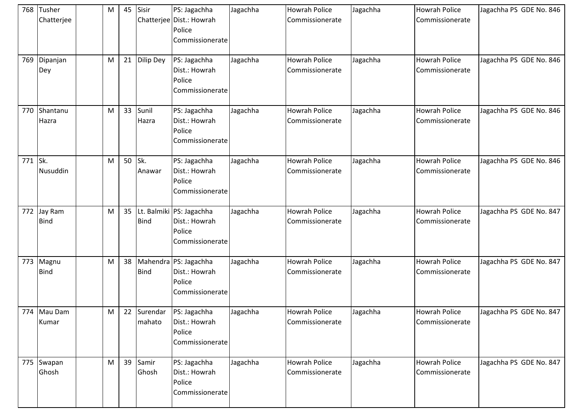| 768     | Tusher<br>Chatterjee   | M | 45 | Sisir                 | PS: Jagachha<br>Chatterjee Dist.: Howrah<br>Police<br>Commissionerate    | Jagachha | <b>Howrah Police</b><br>Commissionerate | Jagachha | <b>Howrah Police</b><br>Commissionerate | Jagachha PS GDE No. 846 |
|---------|------------------------|---|----|-----------------------|--------------------------------------------------------------------------|----------|-----------------------------------------|----------|-----------------------------------------|-------------------------|
| 769     | Dipanjan<br>Dey        | M | 21 | <b>Dilip Dey</b>      | PS: Jagachha<br>Dist.: Howrah<br>Police<br>Commissionerate               | Jagachha | <b>Howrah Police</b><br>Commissionerate | Jagachha | <b>Howrah Police</b><br>Commissionerate | Jagachha PS GDE No. 846 |
| 770     | Shantanu<br>Hazra      | M | 33 | Sunil<br>Hazra        | PS: Jagachha<br>Dist.: Howrah<br>Police<br>Commissionerate               | Jagachha | <b>Howrah Police</b><br>Commissionerate | Jagachha | <b>Howrah Police</b><br>Commissionerate | Jagachha PS GDE No. 846 |
| 771 Sk. | Nusuddin               | M | 50 | Sk.<br>Anawar         | PS: Jagachha<br>Dist.: Howrah<br>Police<br>Commissionerate               | Jagachha | <b>Howrah Police</b><br>Commissionerate | Jagachha | <b>Howrah Police</b><br>Commissionerate | Jagachha PS GDE No. 846 |
| 772     | Jay Ram<br><b>Bind</b> | M | 35 | <b>Bind</b>           | Lt. Balmiki   PS: Jagachha<br>Dist.: Howrah<br>Police<br>Commissionerate | Jagachha | <b>Howrah Police</b><br>Commissionerate | Jagachha | <b>Howrah Police</b><br>Commissionerate | Jagachha PS GDE No. 847 |
| 773     | Magnu<br><b>Bind</b>   | M | 38 | <b>Bind</b>           | Mahendra PS: Jagachha<br>Dist.: Howrah<br>Police<br>Commissionerate      | Jagachha | <b>Howrah Police</b><br>Commissionerate | Jagachha | <b>Howrah Police</b><br>Commissionerate | Jagachha PS GDE No. 847 |
|         | 774 Mau Dam<br>Kumar   | M |    | 22 Surendar<br>mahato | PS: Jagachha<br>Dist.: Howrah<br>Police<br>Commissionerate               | Jagachha | <b>Howrah Police</b><br>Commissionerate | Jagachha | <b>Howrah Police</b><br>Commissionerate | Jagachha PS GDE No. 847 |
|         | 775 Swapan<br>Ghosh    | M | 39 | Samir<br>Ghosh        | PS: Jagachha<br>Dist.: Howrah<br>Police<br>Commissionerate               | Jagachha | Howrah Police<br>Commissionerate        | Jagachha | Howrah Police<br>Commissionerate        | Jagachha PS GDE No. 847 |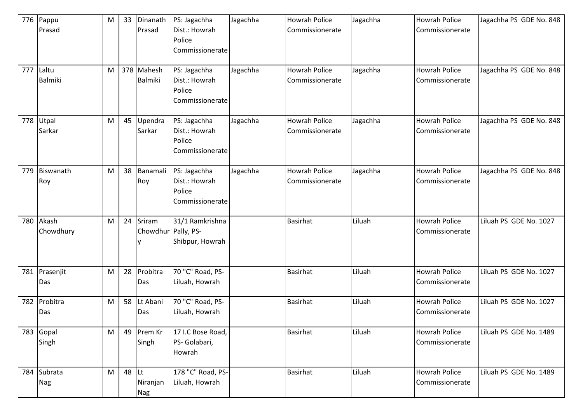| 776 | Pappu<br>Prasad         | M | 33 | Dinanath<br>Prasad                  | PS: Jagachha<br>Dist.: Howrah<br>Police<br>Commissionerate | Jagachha | <b>Howrah Police</b><br>Commissionerate | Jagachha | <b>Howrah Police</b><br>Commissionerate | Jagachha PS GDE No. 848 |
|-----|-------------------------|---|----|-------------------------------------|------------------------------------------------------------|----------|-----------------------------------------|----------|-----------------------------------------|-------------------------|
| 777 | Laltu<br><b>Balmiki</b> | M |    | 378 Mahesh<br><b>Balmiki</b>        | PS: Jagachha<br>Dist.: Howrah<br>Police<br>Commissionerate | Jagachha | <b>Howrah Police</b><br>Commissionerate | Jagachha | <b>Howrah Police</b><br>Commissionerate | Jagachha PS GDE No. 848 |
| 778 | Utpal<br>Sarkar         | M | 45 | Upendra<br>Sarkar                   | PS: Jagachha<br>Dist.: Howrah<br>Police<br>Commissionerate | Jagachha | <b>Howrah Police</b><br>Commissionerate | Jagachha | <b>Howrah Police</b><br>Commissionerate | Jagachha PS GDE No. 848 |
| 779 | Biswanath<br>Roy        | M |    | 38 Banamali<br>Roy                  | PS: Jagachha<br>Dist.: Howrah<br>Police<br>Commissionerate | Jagachha | <b>Howrah Police</b><br>Commissionerate | Jagachha | <b>Howrah Police</b><br>Commissionerate | Jagachha PS GDE No. 848 |
| 780 | Akash<br>Chowdhury      | M | 24 | Sriram<br>Chowdhur Pally, PS-       | 31/1 Ramkrishna<br>Shibpur, Howrah                         |          | <b>Basirhat</b>                         | Liluah   | <b>Howrah Police</b><br>Commissionerate | Liluah PS GDE No. 1027  |
| 781 | Prasenjit<br>Das        | M | 28 | Probitra<br>Das                     | 70 "C" Road, PS-<br>Liluah, Howrah                         |          | <b>Basirhat</b>                         | Liluah   | <b>Howrah Police</b><br>Commissionerate | Liluah PS GDE No. 1027  |
| 782 | Probitra<br>Das         | M | 58 | Lt Abani<br>Das                     | 70 "C" Road, PS-<br>Liluah, Howrah                         |          | <b>Basirhat</b>                         | Liluah   | <b>Howrah Police</b><br>Commissionerate | Liluah PS GDE No. 1027  |
| 783 | Gopal<br>Singh          | M |    | 49 Prem Kr<br>Singh                 | 17 I.C Bose Road,<br>PS- Golabari,<br>Howrah               |          | Basirhat                                | Liluah   | <b>Howrah Police</b><br>Commissionerate | Liluah PS GDE No. 1489  |
|     | 784 Subrata<br>Nag      | M | 48 | <b>Lt</b><br>Niranjan<br><b>Nag</b> | 178 "C" Road, PS-<br>Liluah, Howrah                        |          | <b>Basirhat</b>                         | Liluah   | <b>Howrah Police</b><br>Commissionerate | Liluah PS GDE No. 1489  |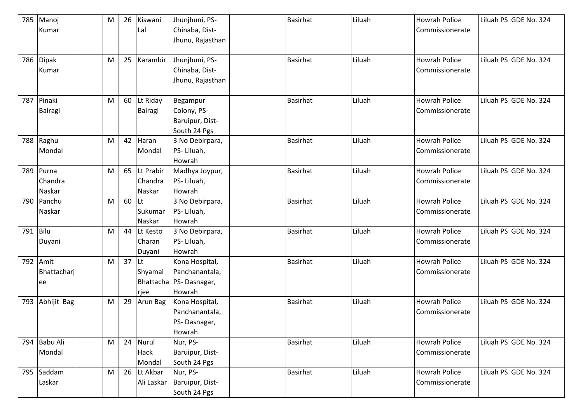| 785      | Manoj        | M | 26 | Kiswani      | Jhunjhuni, PS-            | <b>Basirhat</b> | Liluah | <b>Howrah Police</b> | Liluah PS GDE No. 324 |
|----------|--------------|---|----|--------------|---------------------------|-----------------|--------|----------------------|-----------------------|
|          | Kumar        |   |    | Lal          | Chinaba, Dist-            |                 |        | Commissionerate      |                       |
|          |              |   |    |              | Jhunu, Rajasthan          |                 |        |                      |                       |
|          |              |   |    |              |                           |                 |        |                      |                       |
|          | 786 Dipak    | M | 25 | Karambir     | Jhunjhuni, PS-            | <b>Basirhat</b> | Liluah | <b>Howrah Police</b> | Liluah PS GDE No. 324 |
|          | Kumar        |   |    |              | Chinaba, Dist-            |                 |        | Commissionerate      |                       |
|          |              |   |    |              | Jhunu, Rajasthan          |                 |        |                      |                       |
|          |              |   |    |              |                           |                 |        |                      |                       |
| 787      | Pinaki       | M |    | 60 Lt Riday  | Begampur                  | <b>Basirhat</b> | Liluah | <b>Howrah Police</b> | Liluah PS GDE No. 324 |
|          | Bairagi      |   |    | Bairagi      | Colony, PS-               |                 |        | Commissionerate      |                       |
|          |              |   |    |              | Baruipur, Dist-           |                 |        |                      |                       |
|          |              |   |    |              | South 24 Pgs              |                 |        |                      |                       |
| 788      | Raghu        | M | 42 | Haran        | 3 No Debirpara,           | <b>Basirhat</b> | Liluah | <b>Howrah Police</b> | Liluah PS GDE No. 324 |
|          | Mondal       |   |    | Mondal       | PS-Liluah,                |                 |        | Commissionerate      |                       |
|          |              |   |    |              | Howrah                    |                 |        |                      |                       |
| 789      | Purna        | M |    | 65 Lt Prabir | Madhya Joypur,            | <b>Basirhat</b> | Liluah | <b>Howrah Police</b> | Liluah PS GDE No. 324 |
|          | Chandra      |   |    | Chandra      | PS-Liluah,                |                 |        | Commissionerate      |                       |
|          | Naskar       |   |    | Naskar       | Howrah                    |                 |        |                      |                       |
| 790      | Panchu       | M | 60 | ILt          | 3 No Debirpara,           | <b>Basirhat</b> | Liluah | <b>Howrah Police</b> | Liluah PS GDE No. 324 |
|          | Naskar       |   |    | Sukumar      | PS-Liluah,                |                 |        | Commissionerate      |                       |
|          |              |   |    | Naskar       | Howrah                    |                 |        |                      |                       |
| 791 Bilu |              | M | 44 | Lt Kesto     | 3 No Debirpara,           | <b>Basirhat</b> | Liluah | <b>Howrah Police</b> | Liluah PS GDE No. 324 |
|          | Duyani       |   |    | Charan       | PS-Liluah,                |                 |        | Commissionerate      |                       |
|          |              |   |    | Duyani       | Howrah                    |                 |        |                      |                       |
| 792      | Amit         | M | 37 | <b>ILt</b>   | Kona Hospital,            | <b>Basirhat</b> | Liluah | <b>Howrah Police</b> | Liluah PS GDE No. 324 |
|          | Bhattacharj  |   |    | Shyamal      | Panchanantala,            |                 |        | Commissionerate      |                       |
|          | ee           |   |    |              | Bhattacha   PS- Dasnagar, |                 |        |                      |                       |
|          |              |   |    | rjee         | Howrah                    |                 |        |                      |                       |
| 793      | Abhijit Bag  | M | 29 | Arun Bag     | Kona Hospital,            | <b>Basirhat</b> | Liluah | <b>Howrah Police</b> | Liluah PS GDE No. 324 |
|          |              |   |    |              | Panchanantala,            |                 |        | Commissionerate      |                       |
|          |              |   |    |              | PS-Dasnagar,              |                 |        |                      |                       |
|          |              |   |    |              | Howrah                    |                 |        |                      |                       |
|          | 794 Babu Ali | M |    | 24 Nurul     | Nur, PS-                  | <b>Basirhat</b> | Liluah | <b>Howrah Police</b> | Liluah PS GDE No. 324 |
|          | Mondal       |   |    | Hack         | Baruipur, Dist-           |                 |        | Commissionerate      |                       |
|          |              |   |    | Mondal       | South 24 Pgs              |                 |        |                      |                       |
|          | 795 Saddam   | M |    | 26 Lt Akbar  | Nur, PS-                  | <b>Basirhat</b> | Liluah | <b>Howrah Police</b> | Liluah PS GDE No. 324 |
|          | Laskar       |   |    | Ali Laskar   | Baruipur, Dist-           |                 |        | Commissionerate      |                       |
|          |              |   |    |              | South 24 Pgs              |                 |        |                      |                       |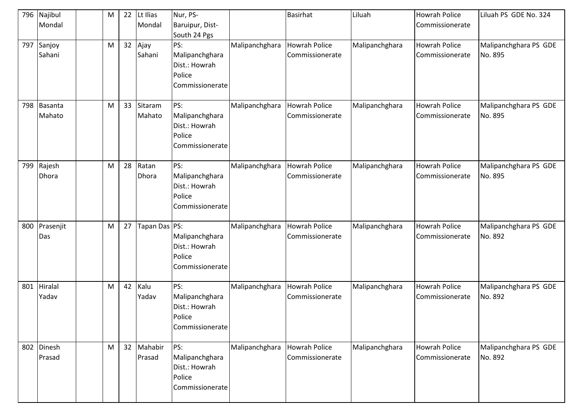| 796 | Najibul<br>Mondal    | M | 22 | Lt Ilias<br>Mondal   | Nur, PS-<br>Baruipur, Dist-<br>South 24 Pgs                         |                | Basirhat                                | Liluah         | <b>Howrah Police</b><br>Commissionerate | Liluah PS GDE No. 324            |
|-----|----------------------|---|----|----------------------|---------------------------------------------------------------------|----------------|-----------------------------------------|----------------|-----------------------------------------|----------------------------------|
| 797 | Sanjoy<br>Sahani     | M | 32 | Ajay<br>Sahani       | PS:<br>Malipanchghara<br>Dist.: Howrah<br>Police<br>Commissionerate | Malipanchghara | <b>Howrah Police</b><br>Commissionerate | Malipanchghara | <b>Howrah Police</b><br>Commissionerate | Malipanchghara PS GDE<br>No. 895 |
| 798 | Basanta<br>Mahato    | M | 33 | Sitaram<br>Mahato    | PS:<br>Malipanchghara<br>Dist.: Howrah<br>Police<br>Commissionerate | Malipanchghara | <b>Howrah Police</b><br>Commissionerate | Malipanchghara | <b>Howrah Police</b><br>Commissionerate | Malipanchghara PS GDE<br>No. 895 |
| 799 | Rajesh<br>Dhora      | M | 28 | Ratan<br>Dhora       | PS:<br>Malipanchghara<br>Dist.: Howrah<br>Police<br>Commissionerate | Malipanchghara | <b>Howrah Police</b><br>Commissionerate | Malipanchghara | <b>Howrah Police</b><br>Commissionerate | Malipanchghara PS GDE<br>No. 895 |
| 800 | Prasenjit<br>Das     | M | 27 | Tapan Das PS:        | Malipanchghara<br>Dist.: Howrah<br>Police<br>Commissionerate        | Malipanchghara | <b>Howrah Police</b><br>Commissionerate | Malipanchghara | <b>Howrah Police</b><br>Commissionerate | Malipanchghara PS GDE<br>No. 892 |
| 801 | Hiralal<br>Yadav     | M | 42 | Kalu<br>Yadav        | PS:<br>Malipanchghara<br>Dist.: Howrah<br>Police<br>Commissionerate | Malipanchghara | <b>Howrah Police</b><br>Commissionerate | Malipanchghara | <b>Howrah Police</b><br>Commissionerate | Malipanchghara PS GDE<br>No. 892 |
|     | 802 Dinesh<br>Prasad | M |    | 32 Mahabir<br>Prasad | PS:<br>Malipanchghara<br>Dist.: Howrah<br>Police<br>Commissionerate | Malipanchghara | Howrah Police<br>Commissionerate        | Malipanchghara | <b>Howrah Police</b><br>Commissionerate | Malipanchghara PS GDE<br>No. 892 |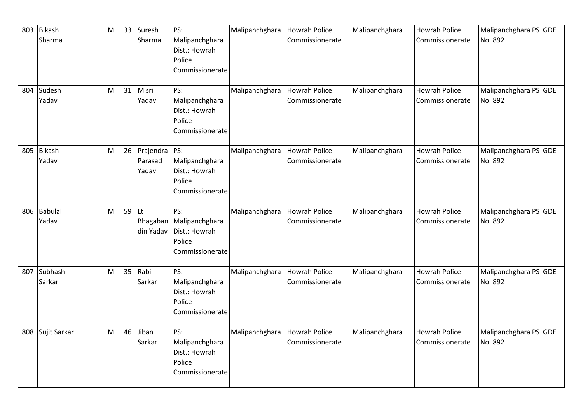| 803 | <b>Bikash</b>  | M | 33              | Suresh    | PS:                     | Malipanchghara | <b>Howrah Police</b> | Malipanchghara | <b>Howrah Police</b> | Malipanchghara PS GDE |
|-----|----------------|---|-----------------|-----------|-------------------------|----------------|----------------------|----------------|----------------------|-----------------------|
|     | Sharma         |   |                 | Sharma    | Malipanchghara          |                | Commissionerate      |                | Commissionerate      | No. 892               |
|     |                |   |                 |           | Dist.: Howrah<br>Police |                |                      |                |                      |                       |
|     |                |   |                 |           | Commissionerate         |                |                      |                |                      |                       |
|     |                |   |                 |           |                         |                |                      |                |                      |                       |
| 804 | Sudesh         | M | 31              | Misri     | PS:                     | Malipanchghara | <b>Howrah Police</b> | Malipanchghara | <b>Howrah Police</b> | Malipanchghara PS GDE |
|     | Yadav          |   |                 | Yadav     | Malipanchghara          |                | Commissionerate      |                | Commissionerate      | No. 892               |
|     |                |   |                 |           | Dist.: Howrah           |                |                      |                |                      |                       |
|     |                |   |                 |           | Police                  |                |                      |                |                      |                       |
|     |                |   |                 |           | Commissionerate         |                |                      |                |                      |                       |
| 805 | <b>Bikash</b>  | M | 26              | Prajendra | PS:                     | Malipanchghara | <b>Howrah Police</b> | Malipanchghara | <b>Howrah Police</b> | Malipanchghara PS GDE |
|     | Yadav          |   |                 | Parasad   | Malipanchghara          |                | Commissionerate      |                | Commissionerate      | No. 892               |
|     |                |   |                 | Yadav     | Dist.: Howrah           |                |                      |                |                      |                       |
|     |                |   |                 |           | Police                  |                |                      |                |                      |                       |
|     |                |   |                 |           | Commissionerate         |                |                      |                |                      |                       |
|     |                |   |                 |           |                         |                |                      |                |                      |                       |
| 806 | <b>Babulal</b> | M | 59              | lĿt       | PS:                     | Malipanchghara | <b>Howrah Police</b> | Malipanchghara | <b>Howrah Police</b> | Malipanchghara PS GDE |
|     | Yadav          |   |                 | Bhagaban  | Malipanchghara          |                | Commissionerate      |                | Commissionerate      | No. 892               |
|     |                |   |                 | din Yadav | Dist.: Howrah           |                |                      |                |                      |                       |
|     |                |   |                 |           | Police                  |                |                      |                |                      |                       |
|     |                |   |                 |           | Commissionerate         |                |                      |                |                      |                       |
| 807 | Subhash        | M | 35 <sub>1</sub> | Rabi      | PS:                     | Malipanchghara | <b>Howrah Police</b> | Malipanchghara | <b>Howrah Police</b> | Malipanchghara PS GDE |
|     | Sarkar         |   |                 | Sarkar    | Malipanchghara          |                | Commissionerate      |                | Commissionerate      | No. 892               |
|     |                |   |                 |           | Dist.: Howrah           |                |                      |                |                      |                       |
|     |                |   |                 |           | Police                  |                |                      |                |                      |                       |
|     |                |   |                 |           | Commissionerate         |                |                      |                |                      |                       |
| 808 | Sujit Sarkar   | M | 46              | Jiban     | PS:                     | Malipanchghara | <b>Howrah Police</b> | Malipanchghara | <b>Howrah Police</b> | Malipanchghara PS GDE |
|     |                |   |                 | Sarkar    | Malipanchghara          |                | Commissionerate      |                | Commissionerate      | No. 892               |
|     |                |   |                 |           | Dist.: Howrah           |                |                      |                |                      |                       |
|     |                |   |                 |           | Police                  |                |                      |                |                      |                       |
|     |                |   |                 |           | Commissionerate         |                |                      |                |                      |                       |
|     |                |   |                 |           |                         |                |                      |                |                      |                       |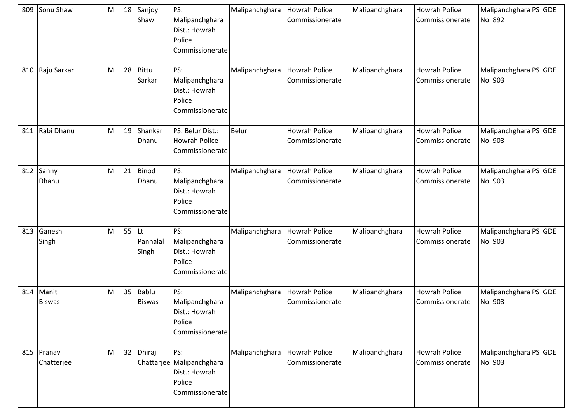| 809 | Sonu Shaw              | M | 18              | Sanjoy<br>Shaw                | PS:<br>Malipanchghara<br>Dist.: Howrah<br>Police<br>Commissionerate            | Malipanchghara | <b>Howrah Police</b><br>Commissionerate | Malipanchghara | <b>Howrah Police</b><br>Commissionerate | Malipanchghara PS GDE<br>No. 892 |
|-----|------------------------|---|-----------------|-------------------------------|--------------------------------------------------------------------------------|----------------|-----------------------------------------|----------------|-----------------------------------------|----------------------------------|
| 810 | Raju Sarkar            | M | 28              | <b>Bittu</b><br>Sarkar        | PS:<br>Malipanchghara<br>Dist.: Howrah<br>Police<br>Commissionerate            | Malipanchghara | <b>Howrah Police</b><br>Commissionerate | Malipanchghara | <b>Howrah Police</b><br>Commissionerate | Malipanchghara PS GDE<br>No. 903 |
| 811 | Rabi Dhanu             | M | 19              | Shankar<br>Dhanu              | PS: Belur Dist.:<br><b>Howrah Police</b><br>Commissionerate                    | <b>Belur</b>   | <b>Howrah Police</b><br>Commissionerate | Malipanchghara | <b>Howrah Police</b><br>Commissionerate | Malipanchghara PS GDE<br>No. 903 |
| 812 | Sanny<br>Dhanu         | M | 21              | <b>Binod</b><br>Dhanu         | PS:<br>Malipanchghara<br>Dist.: Howrah<br>Police<br>Commissionerate            | Malipanchghara | <b>Howrah Police</b><br>Commissionerate | Malipanchghara | <b>Howrah Police</b><br>Commissionerate | Malipanchghara PS GDE<br>No. 903 |
| 813 | Ganesh<br>Singh        | M | 55              | Lt<br>Pannalal<br>Singh       | PS:<br>Malipanchghara<br>Dist.: Howrah<br>Police<br>Commissionerate            | Malipanchghara | <b>Howrah Police</b><br>Commissionerate | Malipanchghara | <b>Howrah Police</b><br>Commissionerate | Malipanchghara PS GDE<br>No. 903 |
| 814 | Manit<br><b>Biswas</b> | M | 35              | <b>Bablu</b><br><b>Biswas</b> | PS:<br>Malipanchghara<br>Dist.: Howrah<br>Police<br>Commissionerate            | Malipanchghara | <b>Howrah Police</b><br>Commissionerate | Malipanchghara | <b>Howrah Police</b><br>Commissionerate | Malipanchghara PS GDE<br>No. 903 |
| 815 | Pranav<br>Chatterjee   | M | 32 <sup>2</sup> | Dhiraj                        | PS:<br>Chattarjee Malipanchghara<br>Dist.: Howrah<br>Police<br>Commissionerate | Malipanchghara | <b>Howrah Police</b><br>Commissionerate | Malipanchghara | <b>Howrah Police</b><br>Commissionerate | Malipanchghara PS GDE<br>No. 903 |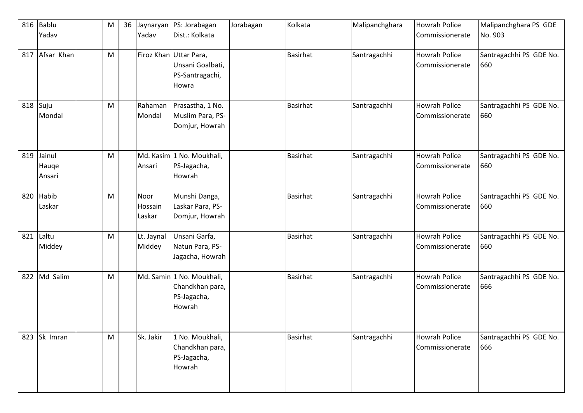| 816 | <b>Bablu</b><br>Yadav     | M | 36 | Jaynaryan<br>Yadav        | PS: Jorabagan<br>Dist.: Kolkata                                        | Jorabagan | Kolkata         | Malipanchghara | <b>Howrah Police</b><br>Commissionerate | Malipanchghara PS GDE<br>No. 903 |
|-----|---------------------------|---|----|---------------------------|------------------------------------------------------------------------|-----------|-----------------|----------------|-----------------------------------------|----------------------------------|
| 817 | Afsar Khan                | M |    |                           | Firoz Khan Uttar Para,<br>Unsani Goalbati,<br>PS-Santragachi,<br>Howra |           | <b>Basirhat</b> | Santragachhi   | <b>Howrah Police</b><br>Commissionerate | Santragachhi PS GDE No.<br>660   |
|     | 818 Suju<br>Mondal        | M |    | Rahaman<br>Mondal         | Prasastha, 1 No.<br>Muslim Para, PS-<br>Domjur, Howrah                 |           | <b>Basirhat</b> | Santragachhi   | <b>Howrah Police</b><br>Commissionerate | Santragachhi PS GDE No.<br>660   |
| 819 | Jainul<br>Hauge<br>Ansari | M |    | Ansari                    | Md. Kasim 1 No. Moukhali,<br>PS-Jagacha,<br>Howrah                     |           | <b>Basirhat</b> | Santragachhi   | <b>Howrah Police</b><br>Commissionerate | Santragachhi PS GDE No.<br>660   |
| 820 | Habib<br>Laskar           | M |    | Noor<br>Hossain<br>Laskar | Munshi Danga,<br>Laskar Para, PS-<br>Domjur, Howrah                    |           | <b>Basirhat</b> | Santragachhi   | <b>Howrah Police</b><br>Commissionerate | Santragachhi PS GDE No.<br>660   |
| 821 | Laltu<br>Middey           | M |    | Lt. Jaynal<br>Middey      | Unsani Garfa,<br>Natun Para, PS-<br>Jagacha, Howrah                    |           | <b>Basirhat</b> | Santragachhi   | <b>Howrah Police</b><br>Commissionerate | Santragachhi PS GDE No.<br>660   |
| 822 | Md Salim                  | M |    |                           | Md. Samin 1 No. Moukhali,<br>Chandkhan para,<br>PS-Jagacha,<br>Howrah  |           | <b>Basirhat</b> | Santragachhi   | <b>Howrah Police</b><br>Commissionerate | Santragachhi PS GDE No.<br>666   |
| 823 | Sk Imran                  | M |    | Sk. Jakir                 | 1 No. Moukhali,<br>Chandkhan para,<br>PS-Jagacha,<br>Howrah            |           | <b>Basirhat</b> | Santragachhi   | <b>Howrah Police</b><br>Commissionerate | Santragachhi PS GDE No.<br>666   |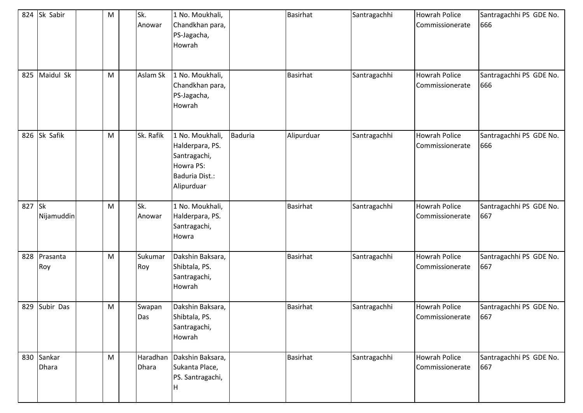|        | 824 Sk Sabir        | M | Sk.<br>Anowar            | 1 No. Moukhali,<br>Chandkhan para,<br>PS-Jagacha,<br>Howrah                                     |                | <b>Basirhat</b> | Santragachhi | <b>Howrah Police</b><br>Commissionerate | Santragachhi PS GDE No.<br>666 |
|--------|---------------------|---|--------------------------|-------------------------------------------------------------------------------------------------|----------------|-----------------|--------------|-----------------------------------------|--------------------------------|
| 825    | Maidul Sk           | M | Aslam Sk                 | 1 No. Moukhali,<br>Chandkhan para,<br>PS-Jagacha,<br>Howrah                                     |                | <b>Basirhat</b> | Santragachhi | <b>Howrah Police</b><br>Commissionerate | Santragachhi PS GDE No.<br>666 |
|        | 826 Sk Safik        | M | Sk. Rafik                | 1 No. Moukhali,<br>Halderpara, PS.<br>Santragachi,<br>Howra PS:<br>Baduria Dist.:<br>Alipurduar | <b>Baduria</b> | Alipurduar      | Santragachhi | <b>Howrah Police</b><br>Commissionerate | Santragachhi PS GDE No.<br>666 |
| 827 Sk | Nijamuddin          | M | Sk.<br>Anowar            | 1 No. Moukhali,<br>Halderpara, PS.<br>Santragachi,<br>Howra                                     |                | <b>Basirhat</b> | Santragachhi | <b>Howrah Police</b><br>Commissionerate | Santragachhi PS GDE No.<br>667 |
| 828    | Prasanta<br>Roy     | M | Sukumar<br>Roy           | Dakshin Baksara,<br>Shibtala, PS.<br>Santragachi,<br>Howrah                                     |                | <b>Basirhat</b> | Santragachhi | <b>Howrah Police</b><br>Commissionerate | Santragachhi PS GDE No.<br>667 |
| 829    | Subir Das           | M | Swapan<br>Das            | Dakshin Baksara,<br>Shibtala, PS.<br>Santragachi,<br>Howrah                                     |                | <b>Basirhat</b> | Santragachhi | <b>Howrah Police</b><br>Commissionerate | Santragachhi PS GDE No.<br>667 |
|        | 830 Sankar<br>Dhara | M | Haradhan<br><b>Dhara</b> | Dakshin Baksara,<br>Sukanta Place,<br>PS. Santragachi,<br> H                                    |                | Basirhat        | Santragachhi | <b>Howrah Police</b><br>Commissionerate | Santragachhi PS GDE No.<br>667 |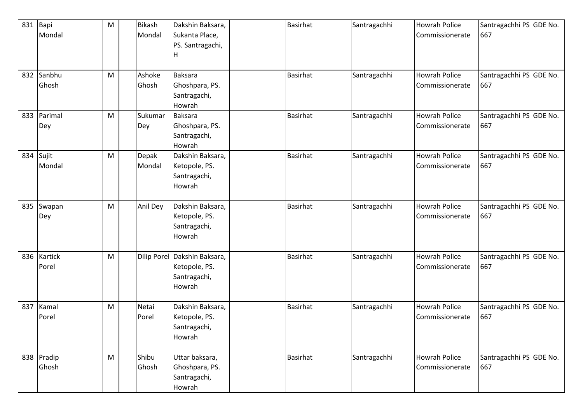| 831       | Bapi       | M | <b>Bikash</b> | Dakshin Baksara,                 | <b>Basirhat</b> | Santragachhi | <b>Howrah Police</b> | Santragachhi PS GDE No.        |
|-----------|------------|---|---------------|----------------------------------|-----------------|--------------|----------------------|--------------------------------|
|           | Mondal     |   | Mondal        | Sukanta Place,                   |                 |              | Commissionerate      | 667                            |
|           |            |   |               | PS. Santragachi,                 |                 |              |                      |                                |
|           |            |   |               | н                                |                 |              |                      |                                |
| 832       | Sanbhu     | M | Ashoke        | <b>Baksara</b>                   | Basirhat        | Santragachhi | <b>Howrah Police</b> | Santragachhi PS GDE No.        |
|           | Ghosh      |   | Ghosh         | Ghoshpara, PS.                   |                 |              | Commissionerate      | 667                            |
|           |            |   |               | Santragachi,                     |                 |              |                      |                                |
|           |            |   |               | Howrah                           |                 |              |                      |                                |
| 833       | Parimal    | M | Sukumar       | <b>Baksara</b>                   | <b>Basirhat</b> | Santragachhi | <b>Howrah Police</b> | Santragachhi PS GDE No.        |
|           | Dey        |   | Dey           | Ghoshpara, PS.                   |                 |              | Commissionerate      | 667                            |
|           |            |   |               | Santragachi,                     |                 |              |                      |                                |
|           |            |   |               | Howrah                           |                 |              |                      |                                |
| 834 Sujit |            | M | Depak         | Dakshin Baksara,                 | <b>Basirhat</b> | Santragachhi | <b>Howrah Police</b> | Santragachhi PS GDE No.        |
|           | Mondal     |   | Mondal        | Ketopole, PS.                    |                 |              | Commissionerate      | 667                            |
|           |            |   |               | Santragachi,                     |                 |              |                      |                                |
|           |            |   |               | Howrah                           |                 |              |                      |                                |
|           | 835 Swapan | M | Anil Dey      | Dakshin Baksara,                 | <b>Basirhat</b> | Santragachhi | <b>Howrah Police</b> | Santragachhi PS GDE No.        |
|           | Dey        |   |               | Ketopole, PS.                    |                 |              | Commissionerate      | 667                            |
|           |            |   |               | Santragachi,                     |                 |              |                      |                                |
|           |            |   |               | Howrah                           |                 |              |                      |                                |
|           |            |   |               |                                  |                 |              |                      |                                |
| 836       | Kartick    | M |               | Dilip Porel Dakshin Baksara,     | <b>Basirhat</b> | Santragachhi | <b>Howrah Police</b> | Santragachhi PS GDE No.        |
|           | Porel      |   |               | Ketopole, PS.                    |                 |              | Commissionerate      | 667                            |
|           |            |   |               | Santragachi,                     |                 |              |                      |                                |
|           |            |   |               | Howrah                           |                 |              |                      |                                |
| 837       | Kamal      | M | Netai         | Dakshin Baksara,                 | <b>Basirhat</b> | Santragachhi | <b>Howrah Police</b> | Santragachhi PS GDE No.        |
|           | Porel      |   | Porel         | Ketopole, PS.                    |                 |              | Commissionerate      | 667                            |
|           |            |   |               | Santragachi,                     |                 |              |                      |                                |
|           |            |   |               | Howrah                           |                 |              |                      |                                |
|           | 838 Pradip | M | Shibu         |                                  | <b>Basirhat</b> |              | <b>Howrah Police</b> |                                |
|           | Ghosh      |   | Ghosh         | Uttar baksara,<br>Ghoshpara, PS. |                 | Santragachhi | Commissionerate      | Santragachhi PS GDE No.<br>667 |
|           |            |   |               | Santragachi,                     |                 |              |                      |                                |
|           |            |   |               | Howrah                           |                 |              |                      |                                |
|           |            |   |               |                                  |                 |              |                      |                                |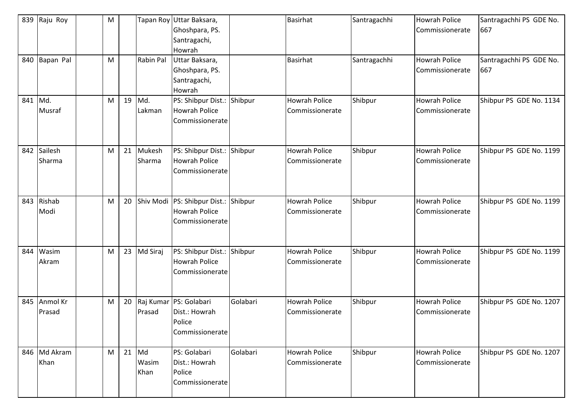| 839<br>840 | Raju Roy<br>Bapan Pal | M<br>M |         | <b>Rabin Pal</b> | Tapan Roy Uttar Baksara,<br>Ghoshpara, PS.<br>Santragachi,<br>Howrah<br>Uttar Baksara, |          | <b>Basirhat</b><br><b>Basirhat</b>      | Santragachhi<br>Santragachhi | <b>Howrah Police</b><br>Commissionerate<br><b>Howrah Police</b> | Santragachhi PS GDE No.<br>667<br>Santragachhi PS GDE No. |
|------------|-----------------------|--------|---------|------------------|----------------------------------------------------------------------------------------|----------|-----------------------------------------|------------------------------|-----------------------------------------------------------------|-----------------------------------------------------------|
|            |                       |        |         |                  | Ghoshpara, PS.<br>Santragachi,<br>Howrah                                               |          |                                         |                              | Commissionerate                                                 | 667                                                       |
| 841        | Md.<br>Musraf         | M      | 19      | Md.<br>Lakman    | PS: Shibpur Dist.:<br><b>Howrah Police</b><br>Commissionerate                          | Shibpur  | <b>Howrah Police</b><br>Commissionerate | Shibpur                      | <b>Howrah Police</b><br>Commissionerate                         | Shibpur PS GDE No. 1134                                   |
| 842        | Sailesh<br>Sharma     | M      | 21      | Mukesh<br>Sharma | PS: Shibpur Dist.:<br><b>Howrah Police</b><br>Commissionerate                          | Shibpur  | <b>Howrah Police</b><br>Commissionerate | Shibpur                      | <b>Howrah Police</b><br>Commissionerate                         | Shibpur PS GDE No. 1199                                   |
| 843        | Rishab<br>Modi        | M      | 20      |                  | Shiv Modi   PS: Shibpur Dist.: Shibpur<br><b>Howrah Police</b><br>Commissionerate      |          | <b>Howrah Police</b><br>Commissionerate | Shibpur                      | <b>Howrah Police</b><br>Commissionerate                         | Shibpur PS GDE No. 1199                                   |
| 844        | Wasim<br>Akram        | M      |         | 23 Md Siraj      | PS: Shibpur Dist.:<br><b>Howrah Police</b><br>Commissionerate                          | Shibpur  | <b>Howrah Police</b><br>Commissionerate | Shibpur                      | <b>Howrah Police</b><br>Commissionerate                         | Shibpur PS GDE No. 1199                                   |
| 845        | Anmol Kr<br>Prasad    | M      | 20      | Prasad           | Raj Kumar PS: Golabari<br>Dist.: Howrah<br>Police<br>Commissionerate                   | Golabari | <b>Howrah Police</b><br>Commissionerate | Shibpur                      | <b>Howrah Police</b><br>Commissionerate                         | Shibpur PS GDE No. 1207                                   |
|            | 846 Md Akram<br>Khan  | M      | $21$ Md | Wasim<br>Khan    | PS: Golabari<br>Dist.: Howrah<br>Police<br>Commissionerate                             | Golabari | <b>Howrah Police</b><br>Commissionerate | Shibpur                      | <b>Howrah Police</b><br>Commissionerate                         | Shibpur PS GDE No. 1207                                   |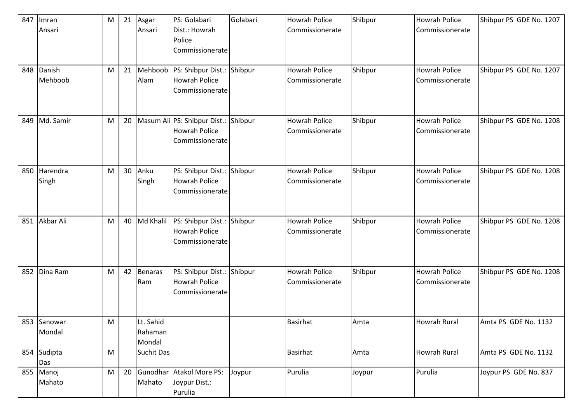| 847 | Imran       | M | 21 | Asgar          | PS: Golabari                    | Golabari | <b>Howrah Police</b> | Shibpur | <b>Howrah Police</b> | Shibpur PS GDE No. 1207 |
|-----|-------------|---|----|----------------|---------------------------------|----------|----------------------|---------|----------------------|-------------------------|
|     | Ansari      |   |    | Ansari         | Dist.: Howrah                   |          | Commissionerate      |         | Commissionerate      |                         |
|     |             |   |    |                | Police                          |          |                      |         |                      |                         |
|     |             |   |    |                | Commissionerate                 |          |                      |         |                      |                         |
|     |             |   |    |                |                                 |          |                      |         |                      |                         |
| 848 | Danish      | M | 21 | Mehboob        | PS: Shibpur Dist.:              | Shibpur  | <b>Howrah Police</b> | Shibpur | <b>Howrah Police</b> | Shibpur PS GDE No. 1207 |
|     | Mehboob     |   |    | Alam           | <b>Howrah Police</b>            |          | Commissionerate      |         | Commissionerate      |                         |
|     |             |   |    |                | Commissionerate                 |          |                      |         |                      |                         |
|     |             |   |    |                |                                 |          |                      |         |                      |                         |
|     |             |   |    |                |                                 |          |                      |         |                      |                         |
| 849 | Md. Samir   | M |    |                | 20 Masum Ali PS: Shibpur Dist.: | Shibpur  | <b>Howrah Police</b> | Shibpur | <b>Howrah Police</b> | Shibpur PS GDE No. 1208 |
|     |             |   |    |                | <b>Howrah Police</b>            |          | Commissionerate      |         | Commissionerate      |                         |
|     |             |   |    |                | Commissionerate                 |          |                      |         |                      |                         |
|     |             |   |    |                |                                 |          |                      |         |                      |                         |
|     |             |   |    |                |                                 |          |                      |         |                      |                         |
| 850 | Harendra    | M | 30 | Anku           | PS: Shibpur Dist.:              | Shibpur  | <b>Howrah Police</b> | Shibpur | <b>Howrah Police</b> | Shibpur PS GDE No. 1208 |
|     | Singh       |   |    | Singh          | <b>Howrah Police</b>            |          | Commissionerate      |         | Commissionerate      |                         |
|     |             |   |    |                | Commissionerate                 |          |                      |         |                      |                         |
|     |             |   |    |                |                                 |          |                      |         |                      |                         |
|     |             |   |    |                |                                 |          |                      |         |                      |                         |
| 851 | Akbar Ali   | M |    | 40 Md Khalil   | PS: Shibpur Dist.:              | Shibpur  | <b>Howrah Police</b> | Shibpur | <b>Howrah Police</b> | Shibpur PS GDE No. 1208 |
|     |             |   |    |                | <b>Howrah Police</b>            |          | Commissionerate      |         | Commissionerate      |                         |
|     |             |   |    |                | Commissionerate                 |          |                      |         |                      |                         |
|     |             |   |    |                |                                 |          |                      |         |                      |                         |
|     |             |   |    |                |                                 |          |                      |         |                      |                         |
| 852 | Dina Ram    | M | 42 | <b>Benaras</b> | PS: Shibpur Dist.:              | Shibpur  | <b>Howrah Police</b> | Shibpur | <b>Howrah Police</b> | Shibpur PS GDE No. 1208 |
|     |             |   |    | Ram            | <b>Howrah Police</b>            |          | Commissionerate      |         | Commissionerate      |                         |
|     |             |   |    |                | Commissionerate                 |          |                      |         |                      |                         |
|     |             |   |    |                |                                 |          |                      |         |                      |                         |
|     |             |   |    |                |                                 |          |                      |         |                      |                         |
|     | 853 Sanowar | M |    | Lt. Sahid      |                                 |          | <b>Basirhat</b>      | Amta    | <b>Howrah Rural</b>  | Amta PS GDE No. 1132    |
|     | Mondal      |   |    | Rahaman        |                                 |          |                      |         |                      |                         |
|     |             |   |    | Mondal         |                                 |          |                      |         |                      |                         |
|     | 854 Sudipta | M |    | Suchit Das     |                                 |          | <b>Basirhat</b>      | Amta    | <b>Howrah Rural</b>  | Amta PS GDE No. 1132    |
|     | Das         |   |    |                |                                 |          |                      |         |                      |                         |
|     | 855 Manoj   | M | 20 |                | Gunodhar Atakol More PS:        | Joypur   | Purulia              | Joypur  | Purulia              | Joypur PS GDE No. 837   |
|     | Mahato      |   |    | Mahato         | Joypur Dist.:                   |          |                      |         |                      |                         |
|     |             |   |    |                | Purulia                         |          |                      |         |                      |                         |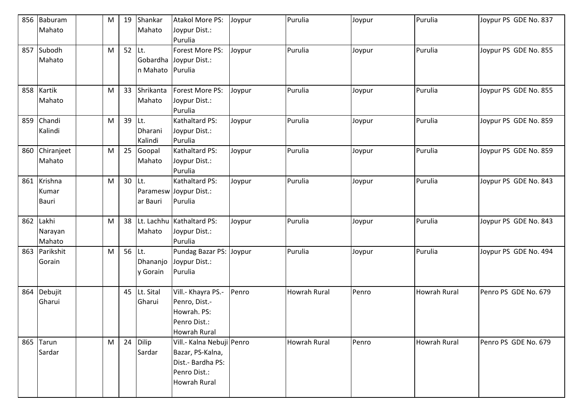| 856 | Baburam<br>Mahato                | M | 19     | Shankar<br>Mahato         | <b>Atakol More PS:</b><br>Joypur Dist.:<br>Purulia                                                        | Joypur | Purulia             | Joypur | Purulia      | Joypur PS GDE No. 837 |
|-----|----------------------------------|---|--------|---------------------------|-----------------------------------------------------------------------------------------------------------|--------|---------------------|--------|--------------|-----------------------|
| 857 | Subodh<br>Mahato                 | M | 52     | lLt.<br>n Mahato          | Forest More PS:<br>Gobardha Joypur Dist.:<br>Purulia                                                      | Joypur | Purulia             | Joypur | Purulia      | Joypur PS GDE No. 855 |
|     | 858 Kartik<br>Mahato             | M | 33     | Shrikanta<br>Mahato       | Forest More PS:<br>Joypur Dist.:<br>Purulia                                                               | Joypur | Purulia             | Joypur | Purulia      | Joypur PS GDE No. 855 |
| 859 | Chandi<br>Kalindi                | M | 39     | Lt.<br>Dharani<br>Kalindi | Kathaltard PS:<br>Joypur Dist.:<br>Purulia                                                                | Joypur | Purulia             | Joypur | Purulia      | Joypur PS GDE No. 859 |
| 860 | Chiranjeet<br>Mahato             | M | 25     | Goopal<br>Mahato          | Kathaltard PS:<br>Joypur Dist.:<br>Purulia                                                                | Joypur | Purulia             | Joypur | Purulia      | Joypur PS GDE No. 859 |
| 861 | Krishna<br>Kumar<br><b>Bauri</b> | M | 30     | ILt.<br>ar Bauri          | Kathaltard PS:<br>Paramesw Joypur Dist.:<br>Purulia                                                       | Joypur | Purulia             | Joypur | Purulia      | Joypur PS GDE No. 843 |
| 862 | Lakhi<br>Narayan<br>Mahato       | M |        | Mahato                    | 38 Lt. Lachhu Kathaltard PS:<br>Joypur Dist.:<br>Purulia                                                  | Joypur | Purulia             | Joypur | Purulia      | Joypur PS GDE No. 843 |
| 863 | Parikshit<br>Gorain              | M | 56 Lt. | Dhananjo<br>y Gorain      | Pundag Bazar PS: Joypur<br>Joypur Dist.:<br>Purulia                                                       |        | Purulia             | Joypur | Purulia      | Joypur PS GDE No. 494 |
| 864 | Debujit<br>Gharui                |   |        | 45 Lt. Sital<br>Gharui    | Vill.- Khayra PS.-<br>Penro, Dist.-<br>Howrah. PS:<br>Penro Dist.:<br><b>Howrah Rural</b>                 | Penro  | <b>Howrah Rural</b> | Penro  | Howrah Rural | Penro PS GDE No. 679  |
|     | 865 Tarun<br>Sardar              | M |        | 24 Dilip<br>Sardar        | Vill.- Kalna Nebuji Penro<br>Bazar, PS-Kalna,<br>Dist.- Bardha PS:<br>Penro Dist.:<br><b>Howrah Rural</b> |        | <b>Howrah Rural</b> | Penro  | Howrah Rural | Penro PS GDE No. 679  |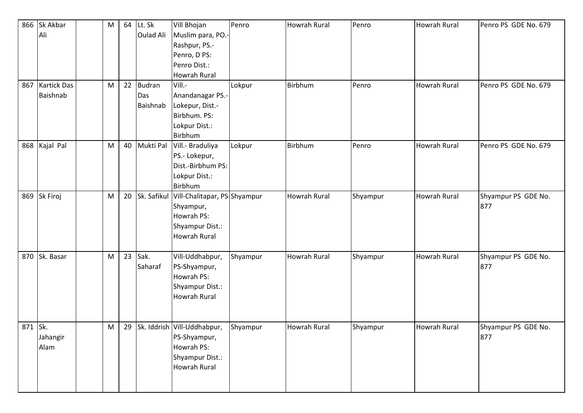| 866     | Sk Akbar           | M | 64 | Lt. Sk           | Vill Bhojan                    | Penro    | <b>Howrah Rural</b> | Penro    | <b>Howrah Rural</b> | Penro PS GDE No. 679 |
|---------|--------------------|---|----|------------------|--------------------------------|----------|---------------------|----------|---------------------|----------------------|
|         | Ali                |   |    | <b>Oulad Ali</b> | Muslim para, PO.-              |          |                     |          |                     |                      |
|         |                    |   |    |                  | Rashpur, PS.-                  |          |                     |          |                     |                      |
|         |                    |   |    |                  | Penro, D PS:                   |          |                     |          |                     |                      |
|         |                    |   |    |                  | Penro Dist.:                   |          |                     |          |                     |                      |
|         |                    |   |    |                  | <b>Howrah Rural</b>            |          |                     |          |                     |                      |
| 867     | <b>Kartick Das</b> | M | 22 | <b>Budran</b>    | Vill.-                         | Lokpur   | <b>Birbhum</b>      | Penro    | <b>Howrah Rural</b> | Penro PS GDE No. 679 |
|         | Baishnab           |   |    | Das              | Anandanagar PS.-               |          |                     |          |                     |                      |
|         |                    |   |    | Baishnab         | Lokepur, Dist.-                |          |                     |          |                     |                      |
|         |                    |   |    |                  | Birbhum. PS:                   |          |                     |          |                     |                      |
|         |                    |   |    |                  | Lokpur Dist.:                  |          |                     |          |                     |                      |
|         |                    |   |    |                  | Birbhum                        |          |                     |          |                     |                      |
|         | 868 Kajal Pal      | M |    | 40 Mukti Pal     | Vill .- Braduliya              | Lokpur   | <b>Birbhum</b>      | Penro    | <b>Howrah Rural</b> | Penro PS GDE No. 679 |
|         |                    |   |    |                  | PS.- Lokepur,                  |          |                     |          |                     |                      |
|         |                    |   |    |                  | Dist.-Birbhum PS:              |          |                     |          |                     |                      |
|         |                    |   |    |                  | Lokpur Dist.:                  |          |                     |          |                     |                      |
|         |                    |   |    |                  | Birbhum                        |          |                     |          |                     |                      |
| 869     | Sk Firoj           | M | 20 | Sk. Safikul      | Vill-Chalitapar, PS-Shyampur   |          | <b>Howrah Rural</b> | Shyampur | <b>Howrah Rural</b> | Shyampur PS GDE No.  |
|         |                    |   |    |                  | Shyampur,                      |          |                     |          |                     | 877                  |
|         |                    |   |    |                  | Howrah PS:                     |          |                     |          |                     |                      |
|         |                    |   |    |                  | Shyampur Dist.:                |          |                     |          |                     |                      |
|         |                    |   |    |                  | <b>Howrah Rural</b>            |          |                     |          |                     |                      |
|         |                    |   |    |                  |                                |          |                     |          |                     |                      |
| 870     | Sk. Basar          | M | 23 | Sak.             | Vill-Uddhabpur,                | Shyampur | <b>Howrah Rural</b> | Shyampur | <b>Howrah Rural</b> | Shyampur PS GDE No.  |
|         |                    |   |    | Saharaf          | PS-Shyampur,                   |          |                     |          |                     | 877                  |
|         |                    |   |    |                  | Howrah PS:                     |          |                     |          |                     |                      |
|         |                    |   |    |                  | Shyampur Dist.:                |          |                     |          |                     |                      |
|         |                    |   |    |                  | <b>Howrah Rural</b>            |          |                     |          |                     |                      |
|         |                    |   |    |                  |                                |          |                     |          |                     |                      |
|         |                    |   |    |                  |                                |          |                     |          |                     |                      |
| 871 Sk. |                    | M |    |                  | 29 Sk. Iddrish Vill-Uddhabpur, | Shyampur | <b>Howrah Rural</b> | Shyampur | <b>Howrah Rural</b> | Shyampur PS GDE No.  |
|         | Jahangir           |   |    |                  | PS-Shyampur,                   |          |                     |          |                     | 877                  |
|         | Alam               |   |    |                  | Howrah PS:                     |          |                     |          |                     |                      |
|         |                    |   |    |                  | Shyampur Dist.:                |          |                     |          |                     |                      |
|         |                    |   |    |                  | <b>Howrah Rural</b>            |          |                     |          |                     |                      |
|         |                    |   |    |                  |                                |          |                     |          |                     |                      |
|         |                    |   |    |                  |                                |          |                     |          |                     |                      |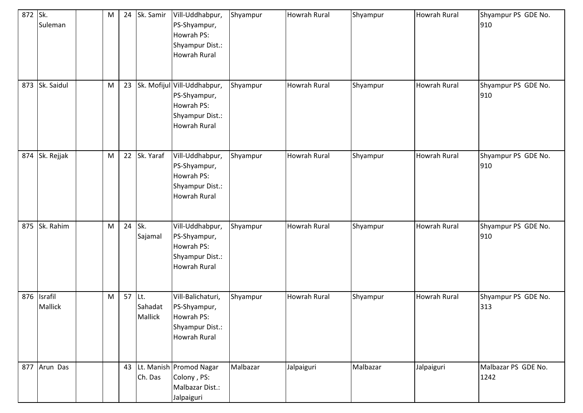| 872 Sk. | Suleman                       | M         |        | 24 Sk. Samir       | Vill-Uddhabpur,<br>PS-Shyampur,<br>Howrah PS:<br>Shyampur Dist.:<br>Howrah Rural             | Shyampur | <b>Howrah Rural</b> | Shyampur | Howrah Rural        | Shyampur PS GDE No.<br>910  |
|---------|-------------------------------|-----------|--------|--------------------|----------------------------------------------------------------------------------------------|----------|---------------------|----------|---------------------|-----------------------------|
| 873     | Sk. Saidul                    | ${\sf M}$ | 23     |                    | Sk. Mofijul Vill-Uddhabpur,<br>PS-Shyampur,<br>Howrah PS:<br>Shyampur Dist.:<br>Howrah Rural | Shyampur | <b>Howrah Rural</b> | Shyampur | Howrah Rural        | Shyampur PS GDE No.<br>910  |
| 874     | Sk. Rejjak                    | ${\sf M}$ |        | 22 Sk. Yaraf       | Vill-Uddhabpur,<br>PS-Shyampur,<br>Howrah PS:<br>Shyampur Dist.:<br>Howrah Rural             | Shyampur | <b>Howrah Rural</b> | Shyampur | Howrah Rural        | Shyampur PS GDE No.<br>910  |
| 875     | Sk. Rahim                     | ${\sf M}$ | 24     | Sk.<br>Sajamal     | Vill-Uddhabpur,<br>PS-Shyampur,<br>Howrah PS:<br>Shyampur Dist.:<br><b>Howrah Rural</b>      | Shyampur | <b>Howrah Rural</b> | Shyampur | <b>Howrah Rural</b> | Shyampur PS GDE No.<br>910  |
|         | 876 Israfil<br><b>Mallick</b> | ${\sf M}$ | 57 Lt. | Sahadat<br>Mallick | Vill-Balichaturi,<br>PS-Shyampur,<br>Howrah PS:<br>Shyampur Dist.:<br>Howrah Rural           | Shyampur | <b>Howrah Rural</b> | Shyampur | <b>Howrah Rural</b> | Shyampur PS GDE No.<br>313  |
|         | 877 Arun Das                  |           |        | Ch. Das            | 43 Lt. Manish Promod Nagar<br>Colony, PS:<br>Malbazar Dist.:<br>Jalpaiguri                   | Malbazar | Jalpaiguri          | Malbazar | Jalpaiguri          | Malbazar PS GDE No.<br>1242 |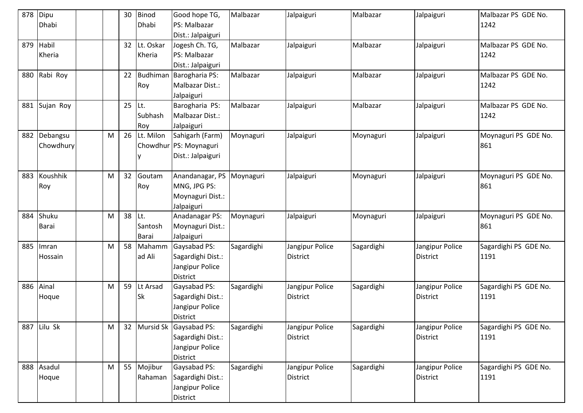| 878 | Dipu<br>Dhabi         |   | 30     | Binod<br>Dhabi          | Good hope TG,<br>PS: Malbazar<br>Dist.: Jalpaiguri                            | Malbazar   | Jalpaiguri                  | Malbazar   | Jalpaiguri                         | Malbazar PS GDE No.<br>1242   |
|-----|-----------------------|---|--------|-------------------------|-------------------------------------------------------------------------------|------------|-----------------------------|------------|------------------------------------|-------------------------------|
| 879 | Habil<br>Kheria       |   | 32     | Lt. Oskar<br>Kheria     | Jogesh Ch. TG,<br>PS: Malbazar<br>Dist.: Jalpaiguri                           | Malbazar   | Jalpaiguri                  | Malbazar   | Jalpaiguri                         | Malbazar PS GDE No.<br>1242   |
| 880 | Rabi Roy              |   |        | Roy                     | 22 Budhiman Barogharia PS:<br>Malbazar Dist.:<br>Jalpaiguri                   | Malbazar   | Jalpaiguri                  | Malbazar   | Jalpaiguri                         | Malbazar PS GDE No.<br>1242   |
| 881 | Sujan Roy             |   | 25 Lt. | Subhash<br>Roy          | Barogharia PS:<br>Malbazar Dist.:<br>Jalpaiguri                               | Malbazar   | Jalpaiguri                  | Malbazar   | Jalpaiguri                         | Malbazar PS GDE No.<br>1242   |
| 882 | Debangsu<br>Chowdhury | M |        | 26 Lt. Milon            | Sahigarh (Farm)<br>Chowdhur PS: Moynaguri<br>Dist.: Jalpaiguri                | Moynaguri  | Jalpaiguri                  | Moynaguri  | Jalpaiguri                         | Moynaguri PS GDE No.<br>861   |
| 883 | Koushhik<br>Roy       | M | 32     | Goutam<br>Roy           | Anandanagar, PS<br>MNG, JPG PS:<br>Moynaguri Dist.:<br>Jalpaiguri             | Moynaguri  | Jalpaiguri                  | Moynaguri  | Jalpaiguri                         | Moynaguri PS GDE No.<br>861   |
| 884 | Shuku<br>Barai        | M | 38 Lt. | Santosh<br><b>Barai</b> | Anadanagar PS:<br>Moynaguri Dist.:<br>Jalpaiguri                              | Moynaguri  | Jalpaiguri                  | Moynaguri  | Jalpaiguri                         | Moynaguri PS GDE No.<br>861   |
| 885 | Imran<br>Hossain      | M | 58     | Mahamm<br>ad Ali        | Gaysabad PS:<br>Sagardighi Dist.:<br>Jangipur Police<br><b>District</b>       | Sagardighi | Jangipur Police<br>District | Sagardighi | Jangipur Police<br><b>District</b> | Sagardighi PS GDE No.<br>1191 |
| 886 | Ainal<br>Hoque        | M | 59     | Lt Arsad<br><b>Sk</b>   | Gaysabad PS:<br>Sagardighi Dist.:<br>Jangipur Police<br><b>District</b>       | Sagardighi | Jangipur Police<br>District | Sagardighi | Jangipur Police<br><b>District</b> | Sagardighi PS GDE No.<br>1191 |
|     | 887 Lilu Sk           | M |        |                         | 32 Mursid Sk Gaysabad PS:<br>Sagardighi Dist.:<br>Jangipur Police<br>District | Sagardighi | Jangipur Police<br>District | Sagardighi | Jangipur Police<br><b>District</b> | Sagardighi PS GDE No.<br>1191 |
|     | 888 Asadul<br>Hoque   | M |        | 55 Mojibur<br>Rahaman   | <b>Gaysabad PS:</b><br>Sagardighi Dist.:<br>Jangipur Police<br>District       | Sagardighi | Jangipur Police<br>District | Sagardighi | Jangipur Police<br><b>District</b> | Sagardighi PS GDE No.<br>1191 |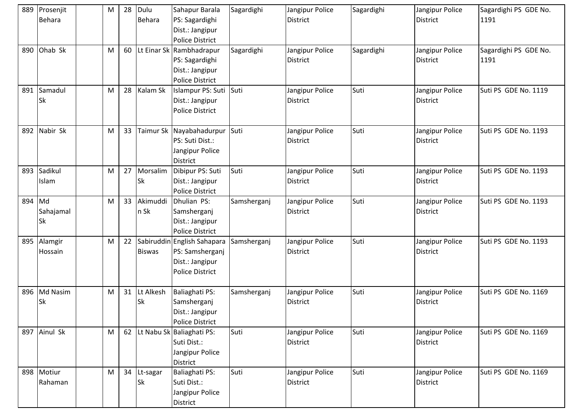|        | 889 Prosenjit<br>Behara | M | 28 | Dulu<br><b>Behara</b>    | Sahapur Barala<br>PS: Sagardighi<br>Dist.: Jangipur<br><b>Police District</b>               | Sagardighi  | Jangipur Police<br><b>District</b> | Sagardighi | Jangipur Police<br><b>District</b> | Sagardighi PS GDE No.<br>1191 |
|--------|-------------------------|---|----|--------------------------|---------------------------------------------------------------------------------------------|-------------|------------------------------------|------------|------------------------------------|-------------------------------|
| 890    | Ohab Sk                 | M | 60 |                          | Lt Einar Sk Rambhadrapur<br>PS: Sagardighi<br>Dist.: Jangipur<br><b>Police District</b>     | Sagardighi  | Jangipur Police<br>District        | Sagardighi | Jangipur Police<br><b>District</b> | Sagardighi PS GDE No.<br>1191 |
| 891    | Samadul<br>Sk           | M | 28 | Kalam Sk                 | Islampur PS: Suti<br>Dist.: Jangipur<br><b>Police District</b>                              | Suti        | Jangipur Police<br><b>District</b> | Suti       | Jangipur Police<br><b>District</b> | Suti PS GDE No. 1119          |
| 892    | Nabir Sk                | M | 33 |                          | Taimur Sk Nayabahadurpur<br>PS: Suti Dist.:<br>Jangipur Police<br><b>District</b>           | Suti        | Jangipur Police<br>District        | Suti       | Jangipur Police<br><b>District</b> | Suti PS GDE No. 1193          |
|        | 893 Sadikul<br>Islam    | M | 27 | Morsalim<br><b>Sk</b>    | Dibipur PS: Suti<br>Dist.: Jangipur<br><b>Police District</b>                               | Suti        | Jangipur Police<br><b>District</b> | Suti       | Jangipur Police<br><b>District</b> | Suti PS GDE No. 1193          |
| 894 Md | Sahajamal<br>Sk         | M | 33 | Akimuddi<br>n Sk         | Dhulian PS:<br>Samsherganj<br>Dist.: Jangipur<br><b>Police District</b>                     | Samsherganj | Jangipur Police<br><b>District</b> | Suti       | Jangipur Police<br><b>District</b> | Suti PS GDE No. 1193          |
|        | 895 Alamgir<br>Hossain  | M | 22 | <b>Biswas</b>            | Sabiruddin English Sahapara<br>PS: Samsherganj<br>Dist.: Jangipur<br><b>Police District</b> | Samsherganj | Jangipur Police<br><b>District</b> | Suti       | Jangipur Police<br><b>District</b> | Suti PS GDE No. 1193          |
|        | 896 Md Nasim<br>Sk      | M | 31 | Lt Alkesh<br><b>Sk</b>   | Baliaghati PS:<br>Samsherganj<br>Dist.: Jangipur<br><b>Police District</b>                  | Samsherganj | Jangipur Police<br>District        | Suti       | Jangipur Police<br><b>District</b> | Suti PS GDE No. 1169          |
|        | 897 Ainul Sk            | M |    |                          | 62 Lt Nabu Sk Baliaghati PS:<br>Suti Dist.:<br>Jangipur Police<br><b>District</b>           | Suti        | Jangipur Police<br><b>District</b> | Suti       | Jangipur Police<br><b>District</b> | Suti PS GDE No. 1169          |
|        | 898 Motiur<br>Rahaman   | M |    | 34 Lt-sagar<br><b>Sk</b> | Baliaghati PS:<br>Suti Dist.:<br>Jangipur Police<br>District                                | Suti        | Jangipur Police<br><b>District</b> | Suti       | Jangipur Police<br><b>District</b> | Suti PS GDE No. 1169          |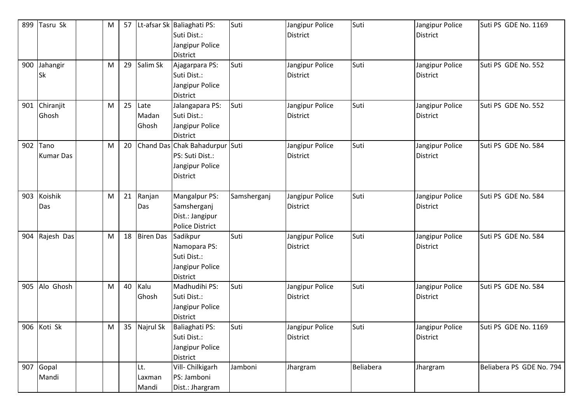| 899 | Tasru Sk                 | M | 57 |                        | Lt-afsar Sk Baliaghati PS:<br>Suti Dist.:<br>Jangipur Police<br><b>District</b>         | Suti        | Jangipur Police<br><b>District</b> | Suti      | Jangipur Police<br><b>District</b> | Suti PS GDE No. 1169     |
|-----|--------------------------|---|----|------------------------|-----------------------------------------------------------------------------------------|-------------|------------------------------------|-----------|------------------------------------|--------------------------|
| 900 | Jahangir<br>Sk           | M | 29 | Salim Sk               | Ajagarpara PS:<br>Suti Dist.:<br>Jangipur Police<br>District                            | Suti        | Jangipur Police<br><b>District</b> | Suti      | Jangipur Police<br><b>District</b> | Suti PS GDE No. 552      |
| 901 | Chiranjit<br>Ghosh       | M | 25 | Late<br>Madan<br>Ghosh | Jalangapara PS:<br>Suti Dist.:<br>Jangipur Police<br><b>District</b>                    | Suti        | Jangipur Police<br><b>District</b> | Suti      | Jangipur Police<br><b>District</b> | Suti PS GDE No. 552      |
| 902 | Tano<br><b>Kumar Das</b> | M | 20 |                        | Chand Das Chak Bahadurpur Suti<br>PS: Suti Dist.:<br>Jangipur Police<br><b>District</b> |             | Jangipur Police<br><b>District</b> | Suti      | Jangipur Police<br><b>District</b> | Suti PS GDE No. 584      |
| 903 | Koishik<br>Das           | M | 21 | Ranjan<br>Das          | Mangalpur PS:<br>Samsherganj<br>Dist.: Jangipur<br>Police District                      | Samsherganj | Jangipur Police<br><b>District</b> | Suti      | Jangipur Police<br><b>District</b> | Suti PS GDE No. 584      |
| 904 | Rajesh Das               | M | 18 | <b>Biren Das</b>       | Sadikpur<br>Namopara PS:<br>Suti Dist.:<br>Jangipur Police<br><b>District</b>           | Suti        | Jangipur Police<br><b>District</b> | Suti      | Jangipur Police<br><b>District</b> | Suti PS GDE No. 584      |
| 905 | Alo Ghosh                | M | 40 | Kalu<br>Ghosh          | Madhudihi PS:<br>Suti Dist.:<br>Jangipur Police<br><b>District</b>                      | Suti        | Jangipur Police<br>District        | Suti      | Jangipur Police<br><b>District</b> | Suti PS GDE No. 584      |
|     | 906 Koti Sk              | M |    | 35 Najrul Sk           | Baliaghati PS:<br>Suti Dist.:<br>Jangipur Police<br>District                            | Suti        | Jangipur Police<br>District        | Suti      | Jangipur Police<br>District        | Suti PS GDE No. 1169     |
| 907 | Gopal<br>Mandi           |   |    | Lt.<br>Laxman<br>Mandi | Vill- Chilkigarh<br>PS: Jamboni<br>Dist.: Jhargram                                      | Jamboni     | Jhargram                           | Beliabera | Jhargram                           | Beliabera PS GDE No. 794 |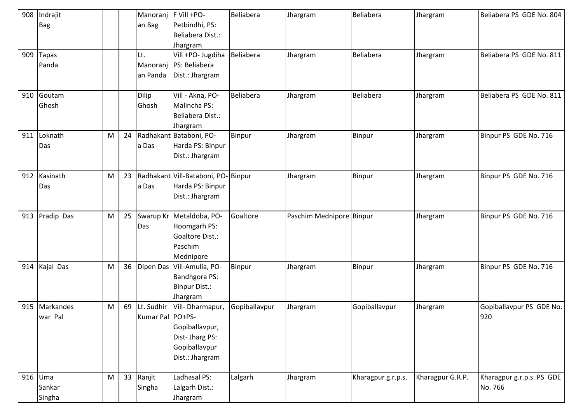| 908 | Indrajit     |   |    | Manoranj           | F Vill +PO-                  | Beliabera        | Jhargram                 | <b>Beliabera</b>   | Jhargram         | Beliabera PS GDE No. 804  |
|-----|--------------|---|----|--------------------|------------------------------|------------------|--------------------------|--------------------|------------------|---------------------------|
|     | <b>Bag</b>   |   |    | an Bag             | Petbindhi, PS:               |                  |                          |                    |                  |                           |
|     |              |   |    |                    | Beliabera Dist.:             |                  |                          |                    |                  |                           |
|     |              |   |    |                    | Jhargram                     |                  |                          |                    |                  |                           |
| 909 | <b>Tapas</b> |   |    | Lt.                | Vill +PO- Jugdiha            | Beliabera        | Jhargram                 | Beliabera          | Jhargram         | Beliabera PS GDE No. 811  |
|     | Panda        |   |    | Manoranj           | PS: Beliabera                |                  |                          |                    |                  |                           |
|     |              |   |    | an Panda           | Dist.: Jhargram              |                  |                          |                    |                  |                           |
|     |              |   |    |                    |                              |                  |                          |                    |                  |                           |
| 910 | Goutam       |   |    | <b>Dilip</b>       | Vill - Akna, PO-             | <b>Beliabera</b> | Jhargram                 | <b>Beliabera</b>   | Jhargram         | Beliabera PS GDE No. 811  |
|     | Ghosh        |   |    | Ghosh              | Malincha PS:                 |                  |                          |                    |                  |                           |
|     |              |   |    |                    | Beliabera Dist.:             |                  |                          |                    |                  |                           |
|     |              |   |    |                    | Jhargram                     |                  |                          |                    |                  |                           |
| 911 | Loknath      | M | 24 |                    | Radhakant Bataboni, PO-      | Binpur           | Jhargram                 | Binpur             | Jhargram         | Binpur PS GDE No. 716     |
|     | Das          |   |    | a Das              | Harda PS: Binpur             |                  |                          |                    |                  |                           |
|     |              |   |    |                    | Dist.: Jhargram              |                  |                          |                    |                  |                           |
|     |              |   |    |                    |                              |                  |                          |                    |                  |                           |
| 912 | Kasinath     | M | 23 |                    | Radhakant Vill-Bataboni, PO- | Binpur           | Jhargram                 | <b>Binpur</b>      | Jhargram         | Binpur PS GDE No. 716     |
|     | Das          |   |    | a Das              | Harda PS: Binpur             |                  |                          |                    |                  |                           |
|     |              |   |    |                    | Dist.: Jhargram              |                  |                          |                    |                  |                           |
|     |              |   |    |                    |                              |                  |                          |                    |                  |                           |
| 913 | Pradip Das   | M | 25 |                    | Swarup Kr Metaldoba, PO-     | Goaltore         | Paschim Mednipore Binpur |                    | Jhargram         | Binpur PS GDE No. 716     |
|     |              |   |    | Das                | Hoomgarh PS:                 |                  |                          |                    |                  |                           |
|     |              |   |    |                    | Goaltore Dist.:              |                  |                          |                    |                  |                           |
|     |              |   |    |                    | Paschim                      |                  |                          |                    |                  |                           |
|     |              |   |    |                    | Mednipore                    |                  |                          |                    |                  |                           |
| 914 | Kajal Das    | M | 36 |                    | Dipen Das Vill-Amulia, PO-   | Binpur           | Jhargram                 | <b>Binpur</b>      | Jhargram         | Binpur PS GDE No. 716     |
|     |              |   |    |                    | <b>Bandhgora PS:</b>         |                  |                          |                    |                  |                           |
|     |              |   |    |                    | <b>Binpur Dist.:</b>         |                  |                          |                    |                  |                           |
|     |              |   |    |                    | Jhargram                     |                  |                          |                    |                  |                           |
| 915 | Markandes    | M | 69 | Lt. Sudhir         | Vill-Dharmapur,              | Gopiballavpur    | Jhargram                 | Gopiballavpur      | Jhargram         | Gopiballavpur PS GDE No.  |
|     | war Pal      |   |    | Kumar Pal   PO+PS- |                              |                  |                          |                    |                  | 920                       |
|     |              |   |    |                    | Gopiballavpur,               |                  |                          |                    |                  |                           |
|     |              |   |    |                    | Dist-Jharg PS:               |                  |                          |                    |                  |                           |
|     |              |   |    |                    | Gopiballavpur                |                  |                          |                    |                  |                           |
|     |              |   |    |                    | Dist.: Jhargram              |                  |                          |                    |                  |                           |
|     |              |   |    |                    |                              |                  |                          |                    |                  |                           |
| 916 | Uma          | M |    | 33 Ranjit          | Ladhasal PS:                 | Lalgarh          | Jhargram                 | Kharagpur g.r.p.s. | Kharagpur G.R.P. | Kharagpur g.r.p.s. PS GDE |
|     | Sankar       |   |    | Singha             | Lalgarh Dist.:               |                  |                          |                    |                  | No. 766                   |
|     | Singha       |   |    |                    | Jhargram                     |                  |                          |                    |                  |                           |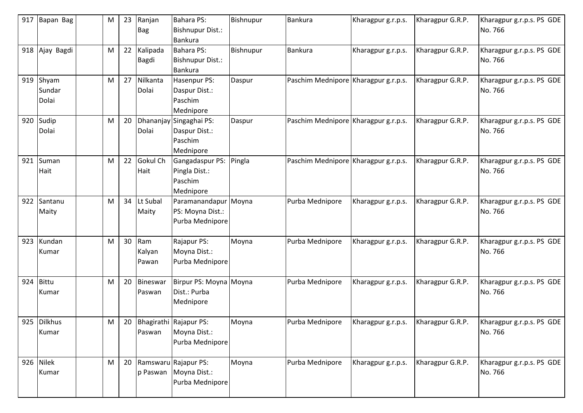| 917 | Bapan Bag                | M | 23 | Ranjan<br>Bag          | <b>Bahara PS:</b><br>Bishnupur Dist.:<br>Bankura                    | Bishnupur | Bankura                              | Kharagpur g.r.p.s. | Kharagpur G.R.P. | Kharagpur g.r.p.s. PS GDE<br>No. 766 |
|-----|--------------------------|---|----|------------------------|---------------------------------------------------------------------|-----------|--------------------------------------|--------------------|------------------|--------------------------------------|
| 918 | Ajay Bagdi               | M | 22 | Kalipada<br>Bagdi      | <b>Bahara PS:</b><br>Bishnupur Dist.:<br>Bankura                    | Bishnupur | Bankura                              | Kharagpur g.r.p.s. | Kharagpur G.R.P. | Kharagpur g.r.p.s. PS GDE<br>No. 766 |
| 919 | Shyam<br>Sundar<br>Dolai | M | 27 | Nilkanta<br>Dolai      | Hasenpur PS:<br>Daspur Dist.:<br>Paschim<br>Mednipore               | Daspur    | Paschim Mednipore Kharagpur g.r.p.s. |                    | Kharagpur G.R.P. | Kharagpur g.r.p.s. PS GDE<br>No. 766 |
| 920 | Sudip<br>Dolai           | M | 20 | Dolai                  | Dhananjay Singaghai PS:<br>Daspur Dist.:<br>Paschim<br>Mednipore    | Daspur    | Paschim Mednipore Kharagpur g.r.p.s. |                    | Kharagpur G.R.P. | Kharagpur g.r.p.s. PS GDE<br>No. 766 |
| 921 | Suman<br>Hait            | M | 22 | Gokul Ch<br>Hait       | Gangadaspur PS:<br>Pingla Dist.:<br>Paschim<br>Mednipore            | Pingla    | Paschim Mednipore Kharagpur g.r.p.s. |                    | Kharagpur G.R.P. | Kharagpur g.r.p.s. PS GDE<br>No. 766 |
| 922 | Santanu<br>Maity         | M |    | 34 Lt Subal<br>Maity   | Paramanandapur Moyna<br>PS: Moyna Dist.:<br>Purba Mednipore         |           | Purba Mednipore                      | Kharagpur g.r.p.s. | Kharagpur G.R.P. | Kharagpur g.r.p.s. PS GDE<br>No. 766 |
| 923 | Kundan<br>Kumar          | M | 30 | Ram<br>Kalyan<br>Pawan | Rajapur PS:<br>Moyna Dist.:<br>Purba Mednipore                      | Moyna     | Purba Mednipore                      | Kharagpur g.r.p.s. | Kharagpur G.R.P. | Kharagpur g.r.p.s. PS GDE<br>No. 766 |
| 924 | Bittu<br>Kumar           | M | 20 | Bineswar<br>Paswan     | Birpur PS: Moyna Moyna<br>Dist.: Purba<br>Mednipore                 |           | Purba Mednipore                      | Kharagpur g.r.p.s. | Kharagpur G.R.P. | Kharagpur g.r.p.s. PS GDE<br>No. 766 |
|     | 925 Dilkhus<br>Kumar     | M |    | Paswan                 | 20 Bhagirathi Rajapur PS:<br>Moyna Dist.:<br>Purba Mednipore        | Moyna     | Purba Mednipore                      | Kharagpur g.r.p.s. | Kharagpur G.R.P. | Kharagpur g.r.p.s. PS GDE<br>No. 766 |
| 926 | Nilek<br>Kumar           | M |    |                        | 20 Ramswaru Rajapur PS:<br>p Paswan Moyna Dist.:<br>Purba Mednipore | Moyna     | Purba Mednipore                      | Kharagpur g.r.p.s. | Kharagpur G.R.P. | Kharagpur g.r.p.s. PS GDE<br>No. 766 |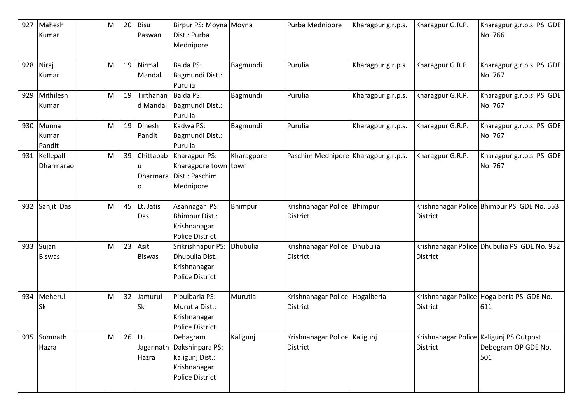| 927 | Mahesh<br>Kumar          | M         | 20 | <b>Bisu</b><br>Paswan | Birpur PS: Moyna Moyna<br>Dist.: Purba<br>Mednipore                                                |            | Purba Mednipore                                   | Kharagpur g.r.p.s. | Kharagpur G.R.P. | Kharagpur g.r.p.s. PS GDE<br>No. 766                                  |
|-----|--------------------------|-----------|----|-----------------------|----------------------------------------------------------------------------------------------------|------------|---------------------------------------------------|--------------------|------------------|-----------------------------------------------------------------------|
| 928 | Niraj<br>Kumar           | M         | 19 | Nirmal<br>Mandal      | <b>Baida PS:</b><br>Bagmundi Dist.:<br>Purulia                                                     | Bagmundi   | Purulia                                           | Kharagpur g.r.p.s. | Kharagpur G.R.P. | Kharagpur g.r.p.s. PS GDE<br>No. 767                                  |
| 929 | Mithilesh<br>Kumar       | M         | 19 | Tirthanan<br>d Mandal | Baida PS:<br>Bagmundi Dist.:<br>Purulia                                                            | Bagmundi   | Purulia                                           | Kharagpur g.r.p.s. | Kharagpur G.R.P. | Kharagpur g.r.p.s. PS GDE<br>No. 767                                  |
| 930 | Munna<br>Kumar<br>Pandit | M         | 19 | Dinesh<br>Pandit      | Kadwa PS:<br>Bagmundi Dist.:<br>Purulia                                                            | Bagmundi   | Purulia                                           | Kharagpur g.r.p.s. | Kharagpur G.R.P. | Kharagpur g.r.p.s. PS GDE<br>No. 767                                  |
| 931 | Kellepalli<br>Dharmarao  | M         | 39 | Chittabab<br>O        | Kharagpur PS:<br>Kharagpore town town<br>Dharmara   Dist.: Paschim<br>Mednipore                    | Kharagpore | Paschim Mednipore Kharagpur g.r.p.s.              |                    | Kharagpur G.R.P. | Kharagpur g.r.p.s. PS GDE<br>No. 767                                  |
| 932 | Sanjit Das               | M         | 45 | Lt. Jatis<br>Das      | Asannagar PS:<br><b>Bhimpur Dist.:</b><br>Krishnanagar<br><b>Police District</b>                   | Bhimpur    | Krishnanagar Police Bhimpur<br><b>District</b>    |                    | District         | Krishnanagar Police Bhimpur PS GDE No. 553                            |
| 933 | Sujan<br><b>Biswas</b>   | ${\sf M}$ | 23 | Asit<br><b>Biswas</b> | Srikrishnapur PS:<br>Dhubulia Dist.:<br>Krishnanagar<br><b>Police District</b>                     | Dhubulia   | Krishnanagar Police Dhubulia<br><b>District</b>   |                    | District         | Krishnanagar Police Dhubulia PS GDE No. 932                           |
| 934 | Meherul<br>Sk            | M         | 32 | Jamurul<br>Sk         | Pipulbaria PS:<br>Murutia Dist.:<br>Krishnanagar<br>Police District                                | Murutia    | Krishnanagar Police Hogalberia<br><b>District</b> |                    | District         | Krishnanagar Police Hogalberia PS GDE No.<br>611                      |
| 935 | Somnath<br>Hazra         | ${\sf M}$ | 26 | Lt.<br>Hazra          | Debagram<br>Jagannath Dakshinpara PS:<br>Kaligunj Dist.:<br>Krishnanagar<br><b>Police District</b> | Kaligunj   | Krishnanagar Police Kaligunj<br>District          |                    | <b>District</b>  | Krishnanagar Police Kaligunj PS Outpost<br>Debogram OP GDE No.<br>501 |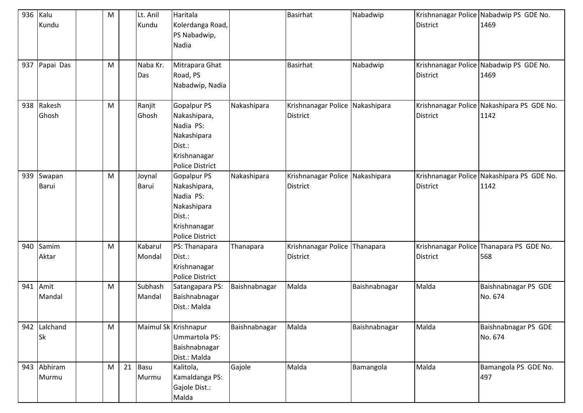| 936<br>937 | Kalu<br>Kundu<br>Papai Das | M<br>M |    | Lt. Anil<br>Kundu<br>Naba Kr.<br>Das | Haritala<br>Kolerdanga Road,<br>PS Nabadwip,<br>Nadia<br>Mitrapara Ghat<br>Road, PS<br>Nabadwip, Nadia             |               | <b>Basirhat</b><br><b>Basirhat</b>                 | Nabadwip<br>Nabadwip | <b>District</b><br><b>District</b> | Krishnanagar Police Nabadwip PS GDE No.<br>1469<br>Krishnanagar Police Nabadwip PS GDE No.<br>1469 |
|------------|----------------------------|--------|----|--------------------------------------|--------------------------------------------------------------------------------------------------------------------|---------------|----------------------------------------------------|----------------------|------------------------------------|----------------------------------------------------------------------------------------------------|
| 938        | Rakesh<br>Ghosh            | M      |    | Ranjit<br>Ghosh                      | <b>Gopalpur PS</b><br>Nakashipara,<br>Nadia PS:<br>Nakashipara<br>Dist.:<br>Krishnanagar<br><b>Police District</b> | Nakashipara   | Krishnanagar Police Nakashipara<br><b>District</b> |                      | <b>District</b>                    | Krishnanagar Police Nakashipara PS GDE No.<br>1142                                                 |
| 939        | Swapan<br>Barui            | M      |    | Joynal<br>Barui                      | <b>Gopalpur PS</b><br>Nakashipara,<br>Nadia PS:<br>Nakashipara<br>Dist.:<br>Krishnanagar<br><b>Police District</b> | Nakashipara   | Krishnanagar Police Nakashipara<br><b>District</b> |                      | <b>District</b>                    | Krishnanagar Police Nakashipara PS GDE No.<br>1142                                                 |
| 940        | Samim<br>Aktar             | M      |    | Kabarul<br>Mondal                    | PS: Thanapara<br>Dist.:<br>Krishnanagar<br><b>Police District</b>                                                  | Thanapara     | Krishnanagar Police Thanapara<br><b>District</b>   |                      | <b>District</b>                    | Krishnanagar Police Thanapara PS GDE No.<br>568                                                    |
| 941        | Amit<br>Mandal             | M      |    | Subhash<br>Mandal                    | Satangapara PS:<br>Baishnabnagar<br>Dist.: Malda                                                                   | Baishnabnagar | Malda                                              | Baishnabnagar        | Malda                              | Baishnabnagar PS GDE<br>No. 674                                                                    |
|            | 942 Lalchand<br>Sk         | M      |    |                                      | Maimul Sk Krishnapur<br>Ummartola PS:<br>Baishnabnagar<br>Dist.: Malda                                             | Baishnabnagar | Malda                                              | Baishnabnagar        | Malda                              | Baishnabnagar PS GDE<br>No. 674                                                                    |
| 943        | Abhiram<br>Murmu           | M      | 21 | Basu<br>Murmu                        | Kalitola,<br>Kamaldanga PS:<br>Gajole Dist.:<br>Malda                                                              | Gajole        | Malda                                              | Bamangola            | Malda                              | Bamangola PS GDE No.<br>497                                                                        |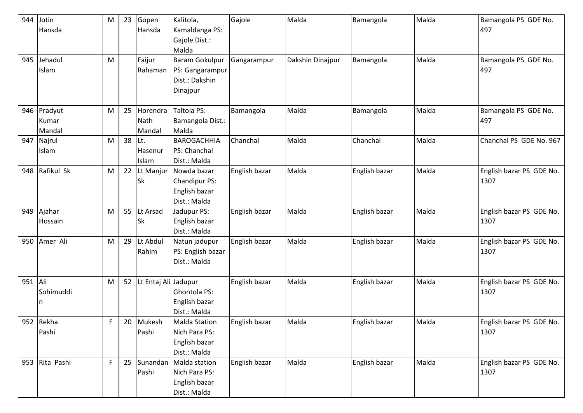| 944     | Jotin<br>Hansda | M  | 23 | Gopen<br>Hansda         | Kalitola,<br>Kamaldanga PS: | Gajole        | Malda            | Bamangola     | Malda | Bamangola PS GDE No.<br>497 |
|---------|-----------------|----|----|-------------------------|-----------------------------|---------------|------------------|---------------|-------|-----------------------------|
|         |                 |    |    |                         | Gajole Dist.:<br>Malda      |               |                  |               |       |                             |
| 945     | Jehadul         | M  |    | Faijur                  | <b>Baram Gokulpur</b>       | Gangarampur   | Dakshin Dinajpur | Bamangola     | Malda | Bamangola PS GDE No.        |
|         | Islam           |    |    | Rahaman                 | PS: Gangarampur             |               |                  |               |       | 497                         |
|         |                 |    |    |                         | Dist.: Dakshin              |               |                  |               |       |                             |
|         |                 |    |    |                         | Dinajpur                    |               |                  |               |       |                             |
|         |                 |    |    |                         |                             |               |                  |               |       |                             |
| 946     | Pradyut         | M  | 25 | Horendra                | Taltola PS:                 | Bamangola     | Malda            | Bamangola     | Malda | Bamangola PS GDE No.        |
|         | Kumar           |    |    | Nath                    | Bamangola Dist.:            |               |                  |               |       | 497                         |
|         | Mandal          |    |    | Mandal                  | Malda                       |               |                  |               |       |                             |
| 947     | Najrul          | M  | 38 | Lt.                     | <b>BAROGACHHIA</b>          | Chanchal      | Malda            | Chanchal      | Malda | Chanchal PS GDE No. 967     |
|         | Islam           |    |    | Hasenur                 | PS: Chanchal                |               |                  |               |       |                             |
|         |                 |    |    | Islam                   | Dist.: Malda                |               |                  |               |       |                             |
| 948     | Rafikul Sk      | M  | 22 | Lt Manjur               | Nowda bazar                 | English bazar | Malda            | English bazar | Malda | English bazar PS GDE No.    |
|         |                 |    |    | <b>Sk</b>               | Chandipur PS:               |               |                  |               |       | 1307                        |
|         |                 |    |    |                         | English bazar               |               |                  |               |       |                             |
|         |                 |    |    |                         | Dist.: Malda                |               |                  |               |       |                             |
| 949     | Ajahar          | M  | 55 | Lt Arsad                | Jadupur PS:                 | English bazar | Malda            | English bazar | Malda | English bazar PS GDE No.    |
|         | Hossain         |    |    | <b>Sk</b>               | English bazar               |               |                  |               |       | 1307                        |
|         |                 |    |    |                         | Dist.: Malda                |               |                  |               |       |                             |
| 950     | Amer Ali        | M  | 29 | Lt Abdul                | Natun jadupur               | English bazar | Malda            | English bazar | Malda | English bazar PS GDE No.    |
|         |                 |    |    | Rahim                   | PS: English bazar           |               |                  |               |       | 1307                        |
|         |                 |    |    |                         | Dist.: Malda                |               |                  |               |       |                             |
|         |                 |    |    |                         |                             |               |                  |               |       |                             |
| 951 Ali |                 | M  |    | 52 Lt Entaj Ali Jadupur |                             | English bazar | Malda            | English bazar | Malda | English bazar PS GDE No.    |
|         | Sohimuddi       |    |    |                         | Ghontola PS:                |               |                  |               |       | 1307                        |
|         | n               |    |    |                         | English bazar               |               |                  |               |       |                             |
|         |                 |    |    |                         | Dist.: Malda                |               |                  |               |       |                             |
|         | 952 Rekha       | F  |    | 20 Mukesh               | <b>Malda Station</b>        | English bazar | Malda            | English bazar | Malda | English bazar PS GDE No.    |
|         | Pashi           |    |    | Pashi                   | Nich Para PS:               |               |                  |               |       | 1307                        |
|         |                 |    |    |                         | English bazar               |               |                  |               |       |                             |
|         |                 |    |    |                         | Dist.: Malda                |               |                  |               |       |                             |
| 953     | Rita Pashi      | F. | 25 | Sunandan                | Malda station               | English bazar | Malda            | English bazar | Malda | English bazar PS GDE No.    |
|         |                 |    |    | Pashi                   | Nich Para PS:               |               |                  |               |       | 1307                        |
|         |                 |    |    |                         | English bazar               |               |                  |               |       |                             |
|         |                 |    |    |                         | Dist.: Malda                |               |                  |               |       |                             |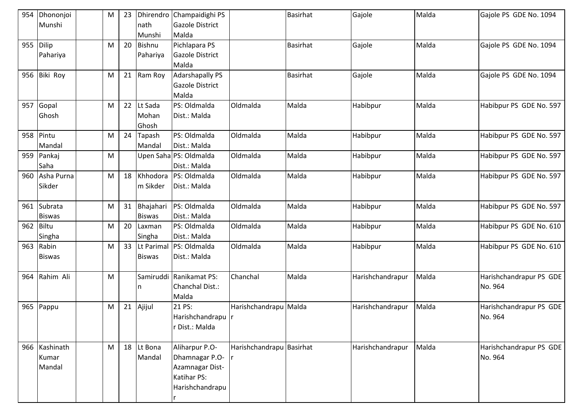| 954       | Dhononjoi       | M | 23 |               | Dhirendro Champaidighi PS |                          | <b>Basirhat</b> | Gajole           | Malda | Gajole PS GDE No. 1094  |
|-----------|-----------------|---|----|---------------|---------------------------|--------------------------|-----------------|------------------|-------|-------------------------|
|           | Munshi          |   |    | nath          | <b>Gazole District</b>    |                          |                 |                  |       |                         |
|           |                 |   |    | Munshi        | Malda                     |                          |                 |                  |       |                         |
| 955       | Dilip           | M | 20 | <b>Bishnu</b> | Pichlapara PS             |                          | <b>Basirhat</b> | Gajole           | Malda | Gajole PS GDE No. 1094  |
|           | Pahariya        |   |    | Pahariya      | Gazole District           |                          |                 |                  |       |                         |
|           |                 |   |    |               | Malda                     |                          |                 |                  |       |                         |
| 956       | <b>Biki Roy</b> | M | 21 | Ram Roy       | <b>Adarshapally PS</b>    |                          | <b>Basirhat</b> | Gajole           | Malda | Gajole PS GDE No. 1094  |
|           |                 |   |    |               | <b>Gazole District</b>    |                          |                 |                  |       |                         |
|           |                 |   |    |               | Malda                     |                          |                 |                  |       |                         |
| 957       | Gopal           | M | 22 | Lt Sada       | PS: Oldmalda              | Oldmalda                 | Malda           | Habibpur         | Malda | Habibpur PS GDE No. 597 |
|           | Ghosh           |   |    | Mohan         | Dist.: Malda              |                          |                 |                  |       |                         |
|           |                 |   |    | Ghosh         |                           |                          |                 |                  |       |                         |
| 958       | Pintu           | M | 24 | Tapash        | PS: Oldmalda              | Oldmalda                 | Malda           | Habibpur         | Malda | Habibpur PS GDE No. 597 |
|           | Mandal          |   |    | Mandal        | Dist.: Malda              |                          |                 |                  |       |                         |
| 959       | Pankaj          | M |    |               | Upen Saha PS: Oldmalda    | Oldmalda                 | Malda           | Habibpur         | Malda | Habibpur PS GDE No. 597 |
|           | Saha            |   |    |               | Dist.: Malda              |                          |                 |                  |       |                         |
|           | 960 Asha Purna  | M | 18 | Khhodora      | PS: Oldmalda              | Oldmalda                 | Malda           | Habibpur         | Malda | Habibpur PS GDE No. 597 |
|           | Sikder          |   |    | m Sikder      | Dist.: Malda              |                          |                 |                  |       |                         |
|           |                 |   |    |               |                           |                          |                 |                  |       |                         |
| 961       | Subrata         | M | 31 | Bhajahari     | PS: Oldmalda              | Oldmalda                 | Malda           | Habibpur         | Malda | Habibpur PS GDE No. 597 |
|           | <b>Biswas</b>   |   |    | <b>Biswas</b> | Dist.: Malda              |                          |                 |                  |       |                         |
| 962 Biltu |                 | M | 20 | Laxman        | PS: Oldmalda              | Oldmalda                 | Malda           | Habibpur         | Malda | Habibpur PS GDE No. 610 |
|           | Singha          |   |    | Singha        | Dist.: Malda              |                          |                 |                  |       |                         |
| 963       | Rabin           | M | 33 |               | Lt Parimal PS: Oldmalda   | Oldmalda                 | Malda           | Habibpur         | Malda | Habibpur PS GDE No. 610 |
|           | <b>Biswas</b>   |   |    | <b>Biswas</b> | Dist.: Malda              |                          |                 |                  |       |                         |
|           |                 |   |    |               |                           |                          |                 |                  |       |                         |
| 964       | Rahim Ali       | M |    |               | Samiruddi Ranikamat PS:   | Chanchal                 | Malda           | Harishchandrapur | Malda | Harishchandrapur PS GDE |
|           |                 |   |    | ın            | Chanchal Dist.:           |                          |                 |                  |       | No. 964                 |
|           |                 |   |    |               | Malda                     |                          |                 |                  |       |                         |
| 965       | Pappu           | M | 21 | Ajijul        | 21 PS:                    | Harishchandrapu          | Malda           | Harishchandrapur | Malda | Harishchandrapur PS GDE |
|           |                 |   |    |               | Harishchandrapu r         |                          |                 |                  |       | No. 964                 |
|           |                 |   |    |               | r Dist.: Malda            |                          |                 |                  |       |                         |
|           |                 |   |    |               |                           |                          |                 |                  |       |                         |
|           | 966 Kashinath   | M |    | 18 Lt Bona    | Aliharpur P.O-            | Harishchandrapu Basirhat |                 | Harishchandrapur | Malda | Harishchandrapur PS GDE |
|           | Kumar           |   |    | Mandal        | Dhamnagar P.O-            |                          |                 |                  |       | No. 964                 |
|           | Mandal          |   |    |               | Azamnagar Dist-           |                          |                 |                  |       |                         |
|           |                 |   |    |               | Katihar PS:               |                          |                 |                  |       |                         |
|           |                 |   |    |               | Harishchandrapu           |                          |                 |                  |       |                         |
|           |                 |   |    |               |                           |                          |                 |                  |       |                         |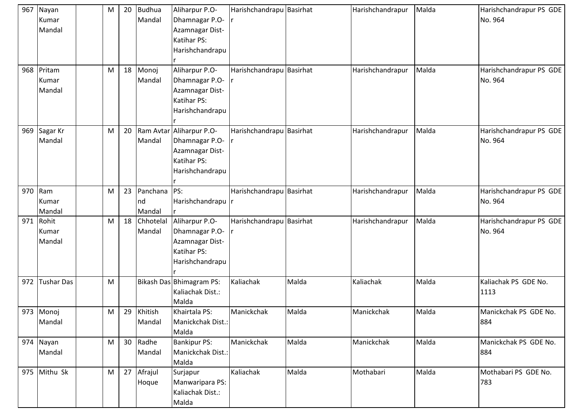|     | 967 Nayan<br>Kumar<br>Mandal | M |    | 20 Budhua<br>Mandal      | Aliharpur P.O-<br>Dhamnagar P.O-<br>Azamnagar Dist-<br>Katihar PS:<br>Harishchandrapu | Harishchandrapu Basirhat |       | Harishchandrapur | Malda | Harishchandrapur PS GDE<br>No. 964 |
|-----|------------------------------|---|----|--------------------------|---------------------------------------------------------------------------------------|--------------------------|-------|------------------|-------|------------------------------------|
| 968 | Pritam<br>Kumar<br>Mandal    | M | 18 | Monoj<br>Mandal          | Aliharpur P.O-<br>Dhamnagar P.O-<br>Azamnagar Dist-<br>Katihar PS:<br>Harishchandrapu | Harishchandrapu Basirhat |       | Harishchandrapur | Malda | Harishchandrapur PS GDE<br>No. 964 |
| 969 | Sagar Kr<br>Mandal           | M | 20 | Ram Avtar<br>Mandal      | Aliharpur P.O-<br>Dhamnagar P.O-<br>Azamnagar Dist-<br>Katihar PS:<br>Harishchandrapu | Harishchandrapu Basirhat |       | Harishchandrapur | Malda | Harishchandrapur PS GDE<br>No. 964 |
| 970 | Ram<br>Kumar<br>Mandal       | M | 23 | Panchana<br>nd<br>Mandal | PS:<br>Harishchandrapu                                                                | Harishchandrapu Basirhat |       | Harishchandrapur | Malda | Harishchandrapur PS GDE<br>No. 964 |
| 971 | Rohit<br>Kumar<br>Mandal     | M | 18 | Chhotelal<br>Mandal      | Aliharpur P.O-<br>Dhamnagar P.O-<br>Azamnagar Dist-<br>Katihar PS:<br>Harishchandrapu | Harishchandrapu Basirhat |       | Harishchandrapur | Malda | Harishchandrapur PS GDE<br>No. 964 |
| 972 | <b>Tushar Das</b>            | M |    |                          | Bikash Das Bhimagram PS:<br>Kaliachak Dist.:<br>Malda                                 | Kaliachak                | Malda | Kaliachak        | Malda | Kaliachak PS GDE No.<br>1113       |
|     | 973 Monoj<br>Mandal          | M | 29 | Khitish<br>Mandal        | Khairtala PS:<br>Manickchak Dist.:<br>Malda                                           | Manickchak               | Malda | Manickchak       | Malda | Manickchak PS GDE No.<br>884       |
|     | 974 Nayan<br>Mandal          | M |    | 30 Radhe<br>Mandal       | <b>Bankipur PS:</b><br>Manickchak Dist.:<br>Malda                                     | Manickchak               | Malda | Manickchak       | Malda | Manickchak PS GDE No.<br>884       |
|     | 975 Mithu Sk                 | M |    | 27 Afrajul<br>Hoque      | Surjapur<br>Manwaripara PS:<br>Kaliachak Dist.:<br>Malda                              | Kaliachak                | Malda | Mothabari        | Malda | Mothabari PS GDE No.<br>783        |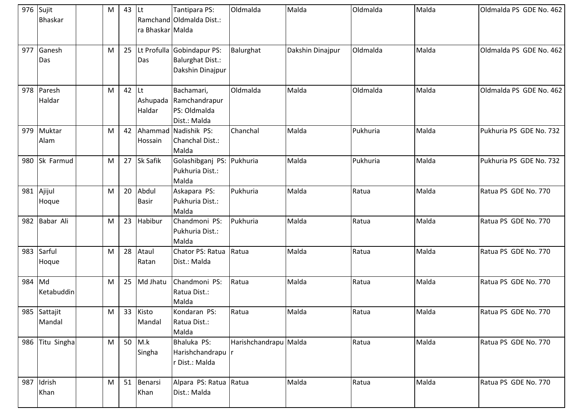|        | 976 Sujit<br><b>Bhaskar</b> | ${\sf M}$ | 43 | <b>Lt</b><br>ra Bhaskar Malda | Tantipara PS:<br>Ramchand Oldmalda Dist.:                                 | Oldmalda              | Malda            | Oldmalda | Malda | Oldmalda PS GDE No. 462 |
|--------|-----------------------------|-----------|----|-------------------------------|---------------------------------------------------------------------------|-----------------------|------------------|----------|-------|-------------------------|
| 977    | Ganesh<br>Das               | M         | 25 | Das                           | Lt Profulla Gobindapur PS:<br><b>Balurghat Dist.:</b><br>Dakshin Dinajpur | Balurghat             | Dakshin Dinajpur | Oldmalda | Malda | Oldmalda PS GDE No. 462 |
| 978    | Paresh<br>Haldar            | M         | 42 | Lt<br>Haldar                  | Bachamari,<br>Ashupada Ramchandrapur<br>PS: Oldmalda<br>Dist.: Malda      | Oldmalda              | Malda            | Oldmalda | Malda | Oldmalda PS GDE No. 462 |
|        | 979 Muktar<br>Alam          | M         | 42 | Hossain                       | Ahammad Nadishik PS:<br>Chanchal Dist.:<br>Malda                          | Chanchal              | Malda            | Pukhuria | Malda | Pukhuria PS GDE No. 732 |
| 980    | Sk Farmud                   | M         | 27 | Sk Safik                      | Golashibganj PS: Pukhuria<br>Pukhuria Dist.:<br>Malda                     |                       | Malda            | Pukhuria | Malda | Pukhuria PS GDE No. 732 |
| 981    | Ajijul<br>Hoque             | M         | 20 | Abdul<br><b>Basir</b>         | Askapara PS:<br>Pukhuria Dist.:<br>Malda                                  | Pukhuria              | Malda            | Ratua    | Malda | Ratua PS GDE No. 770    |
|        | 982 Babar Ali               | M         | 23 | Habibur                       | Chandmoni PS:<br>Pukhuria Dist.:<br>Malda                                 | Pukhuria              | Malda            | Ratua    | Malda | Ratua PS GDE No. 770    |
| 983    | Sarful<br>Hoque             | M         | 28 | Ataul<br>Ratan                | Chator PS: Ratua<br>Dist.: Malda                                          | Ratua                 | Malda            | Ratua    | Malda | Ratua PS GDE No. 770    |
| 984 Md | Ketabuddin                  | M         | 25 | Md Jhatu                      | Chandmoni PS:<br>Ratua Dist.:<br>Malda                                    | Ratua                 | Malda            | Ratua    | Malda | Ratua PS GDE No. 770    |
|        | 985 Sattajit<br>Mandal      | ${\sf M}$ | 33 | Kisto<br>Mandal               | Kondaran PS:<br>Ratua Dist.:<br>Malda                                     | Ratua                 | Malda            | Ratua    | Malda | Ratua PS GDE No. 770    |
|        | 986 Titu Singha             | M         |    | 50 $M.k$<br>Singha            | Bhaluka PS:<br>Harishchandrapu  n<br>r Dist.: Malda                       | Harishchandrapu Malda |                  | Ratua    | Malda | Ratua PS GDE No. 770    |
| 987    | Idrish<br>Khan              | M         | 51 | Benarsi<br>Khan               | Alpara PS: Ratua Ratua<br>Dist.: Malda                                    |                       | Malda            | Ratua    | Malda | Ratua PS GDE No. 770    |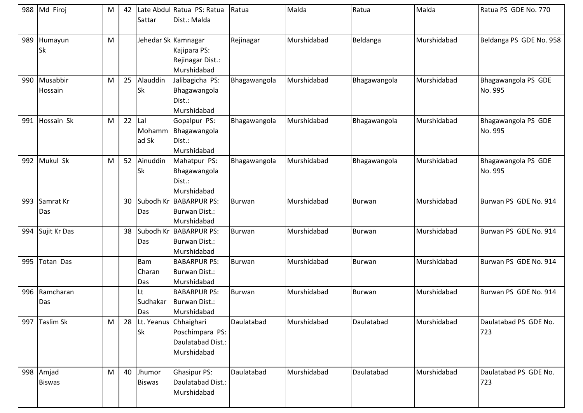| 988 | Md Firoj                   | M | 42 | Sattar                      | Late Abdul Ratua PS: Ratua<br>Dist.: Malda                                   | Ratua         | Malda       | Ratua         | Malda       | Ratua PS GDE No. 770           |
|-----|----------------------------|---|----|-----------------------------|------------------------------------------------------------------------------|---------------|-------------|---------------|-------------|--------------------------------|
| 989 | Humayun<br>Sk              | M |    |                             | Jehedar Sk Kamnagar<br>Kajipara PS:<br>Rejinagar Dist.:<br>Murshidabad       | Rejinagar     | Murshidabad | Beldanga      | Murshidabad | Beldanga PS GDE No. 958        |
| 990 | Musabbir<br>Hossain        | M | 25 | Alauddin<br><b>Sk</b>       | Jalibagicha PS:<br>Bhagawangola<br>Dist.:<br>Murshidabad                     | Bhagawangola  | Murshidabad | Bhagawangola  | Murshidabad | Bhagawangola PS GDE<br>No. 995 |
| 991 | Hossain Sk                 | M | 22 | Lal<br>Mohamm<br>ad Sk      | Gopalpur PS:<br>Bhagawangola<br>Dist.:<br>Murshidabad                        | Bhagawangola  | Murshidabad | Bhagawangola  | Murshidabad | Bhagawangola PS GDE<br>No. 995 |
| 992 | Mukul Sk                   | M | 52 | Ainuddin<br><b>Sk</b>       | Mahatpur PS:<br>Bhagawangola<br>Dist.:<br>Murshidabad                        | Bhagawangola  | Murshidabad | Bhagawangola  | Murshidabad | Bhagawangola PS GDE<br>No. 995 |
| 993 | Samrat Kr<br>Das           |   | 30 | Das                         | Subodh Kr BABARPUR PS:<br>Burwan Dist.:<br>Murshidabad                       | <b>Burwan</b> | Murshidabad | <b>Burwan</b> | Murshidabad | Burwan PS GDE No. 914          |
| 994 | Sujit Kr Das               |   | 38 | Das                         | Subodh Kr BABARPUR PS:<br>Burwan Dist.:<br>Murshidabad                       | <b>Burwan</b> | Murshidabad | <b>Burwan</b> | Murshidabad | Burwan PS GDE No. 914          |
| 995 | <b>Totan Das</b>           |   |    | <b>Bam</b><br>Charan<br>Das | <b>BABARPUR PS:</b><br>Burwan Dist.:<br>Murshidabad                          | <b>Burwan</b> | Murshidabad | <b>Burwan</b> | Murshidabad | Burwan PS GDE No. 914          |
| 996 | Ramcharan<br>Das           |   |    | Lt<br>Sudhakar<br>Das       | <b>BABARPUR PS:</b><br>Burwan Dist.:<br>Murshidabad                          | <b>Burwan</b> | Murshidabad | <b>Burwan</b> | Murshidabad | Burwan PS GDE No. 914          |
| 997 | <b>Taslim Sk</b>           | M | 28 | <b>Sk</b>                   | Lt. Yeanus Chhaighari<br>Poschimpara PS:<br>Daulatabad Dist.:<br>Murshidabad | Daulatabad    | Murshidabad | Daulatabad    | Murshidabad | Daulatabad PS GDE No.<br>723   |
|     | 998 Amjad<br><b>Biswas</b> | M | 40 | Jhumor<br><b>Biswas</b>     | <b>Ghasipur PS:</b><br>Daulatabad Dist.:<br>Murshidabad                      | Daulatabad    | Murshidabad | Daulatabad    | Murshidabad | Daulatabad PS GDE No.<br>723   |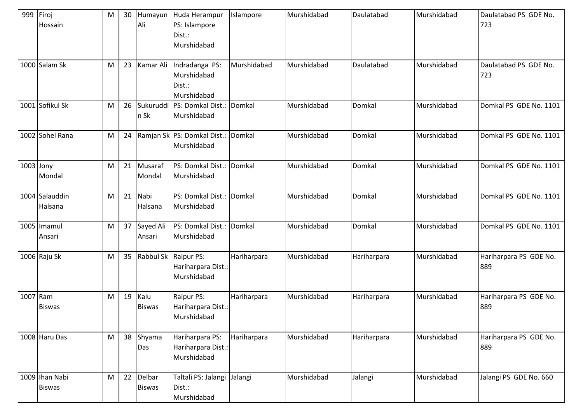| 999       | Firoj<br>Hossain                | M         | 30 | Humayun<br>Ali          | Huda Herampur<br>PS: Islampore<br>Dist.:<br>Murshidabad | Islampore   | Murshidabad | Daulatabad  | Murshidabad | Daulatabad PS GDE No.<br>723  |
|-----------|---------------------------------|-----------|----|-------------------------|---------------------------------------------------------|-------------|-------------|-------------|-------------|-------------------------------|
|           | 1000 Salam Sk                   | M         | 23 | Kamar Ali               | Indradanga PS:<br>Murshidabad<br>Dist.:<br>Murshidabad  | Murshidabad | Murshidabad | Daulatabad  | Murshidabad | Daulatabad PS GDE No.<br>723  |
|           | 1001 Sofikul Sk                 | M         | 26 | n Sk                    | Sukuruddi PS: Domkal Dist.:<br>Murshidabad              | Domkal      | Murshidabad | Domkal      | Murshidabad | Domkal PS GDE No. 1101        |
|           | 1002 Sohel Rana                 | M         | 24 |                         | Ramjan Sk PS: Domkal Dist.:<br>Murshidabad              | Domkal      | Murshidabad | Domkal      | Murshidabad | Domkal PS GDE No. 1101        |
| 1003 Jony | Mondal                          | M         | 21 | Musaraf<br>Mondal       | PS: Domkal Dist.:<br>Murshidabad                        | Domkal      | Murshidabad | Domkal      | Murshidabad | Domkal PS GDE No. 1101        |
|           | 1004 Salauddin<br>Halsana       | M         | 21 | Nabi<br>Halsana         | PS: Domkal Dist.: Domkal<br>Murshidabad                 |             | Murshidabad | Domkal      | Murshidabad | Domkal PS GDE No. 1101        |
|           | 1005 Imamul<br>Ansari           | M         | 37 | Sayed Ali<br>Ansari     | PS: Domkal Dist.:<br>Murshidabad                        | Domkal      | Murshidabad | Domkal      | Murshidabad | Domkal PS GDE No. 1101        |
|           | 1006 Raju Sk                    | M         | 35 | Rabbul Sk               | Raipur PS:<br>Hariharpara Dist.:<br>Murshidabad         | Hariharpara | Murshidabad | Hariharpara | Murshidabad | Hariharpara PS GDE No.<br>889 |
| 1007 Ram  | <b>Biswas</b>                   | M         | 19 | Kalu<br><b>Biswas</b>   | Raipur PS:<br>Hariharpara Dist.:<br>Murshidabad         | Hariharpara | Murshidabad | Hariharpara | Murshidabad | Hariharpara PS GDE No.<br>889 |
|           | 1008 Haru Das                   | ${\sf M}$ | 38 | Shyama<br>Das           | Hariharpara PS:<br>Hariharpara Dist.:<br>Murshidabad    | Hariharpara | Murshidabad | Hariharpara | Murshidabad | Hariharpara PS GDE No.<br>889 |
|           | 1009 Ihan Nabi<br><b>Biswas</b> | M         | 22 | Delbar<br><b>Biswas</b> | Taltali PS: Jalangi Jalangi<br>Dist.:<br>Murshidabad    |             | Murshidabad | Jalangi     | Murshidabad | Jalangi PS GDE No. 660        |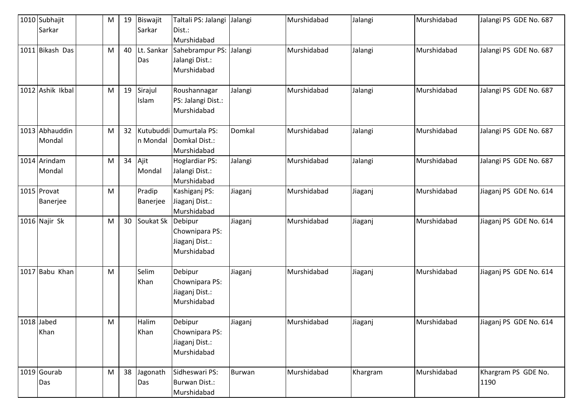| 1010 Subhajit<br>Sarkar  | M | 19              | Biswajit<br>Sarkar | Taltali PS: Jalangi<br>Dist.:                                           | Jalangi       | Murshidabad | Jalangi  | Murshidabad | Jalangi PS GDE No. 687      |
|--------------------------|---|-----------------|--------------------|-------------------------------------------------------------------------|---------------|-------------|----------|-------------|-----------------------------|
| 1011 Bikash Das          | M | 40              | Lt. Sankar<br>Das  | Murshidabad<br>Sahebrampur PS: Jalangi<br>Jalangi Dist.:<br>Murshidabad |               | Murshidabad | Jalangi  | Murshidabad | Jalangi PS GDE No. 687      |
| 1012 Ashik Ikbal         | M | 19              | Sirajul<br>Islam   | Roushannagar<br>PS: Jalangi Dist.:<br>Murshidabad                       | Jalangi       | Murshidabad | Jalangi  | Murshidabad | Jalangi PS GDE No. 687      |
| 1013 Abhauddin<br>Mondal | M | 32              | n Mondal           | Kutubuddi Dumurtala PS:<br>Domkal Dist.:<br>Murshidabad                 | Domkal        | Murshidabad | Jalangi  | Murshidabad | Jalangi PS GDE No. 687      |
| 1014 Arindam<br>Mondal   | M | 34              | Ajit<br>Mondal     | <b>Hoglardiar PS:</b><br>Jalangi Dist.:<br>Murshidabad                  | Jalangi       | Murshidabad | Jalangi  | Murshidabad | Jalangi PS GDE No. 687      |
| 1015 Provat<br>Banerjee  | M |                 | Pradip<br>Banerjee | Kashiganj PS:<br>Jiaganj Dist.:<br>Murshidabad                          | Jiaganj       | Murshidabad | Jiaganj  | Murshidabad | Jiaganj PS GDE No. 614      |
| 1016 Najir Sk            | M | 30 <sup>1</sup> | Soukat Sk          | Debipur<br>Chownipara PS:<br>Jiaganj Dist.:<br>Murshidabad              | Jiaganj       | Murshidabad | Jiaganj  | Murshidabad | Jiaganj PS GDE No. 614      |
| 1017 Babu Khan           | M |                 | Selim<br>Khan      | Debipur<br>Chownipara PS:<br>Jiaganj Dist.:<br>Murshidabad              | Jiaganj       | Murshidabad | Jiaganj  | Murshidabad | Jiaganj PS GDE No. 614      |
| 1018 Jabed<br>Khan       | M |                 | Halim<br>Khan      | Debipur<br>Chownipara PS:<br>Jiaganj Dist.:<br>Murshidabad              | Jiaganj       | Murshidabad | Jiaganj  | Murshidabad | Jiaganj PS GDE No. 614      |
| 1019 Gourab<br>Das       | M | 38              | Jagonath<br>Das    | Sidheswari PS:<br><b>Burwan Dist.:</b><br>Murshidabad                   | <b>Burwan</b> | Murshidabad | Khargram | Murshidabad | Khargram PS GDE No.<br>1190 |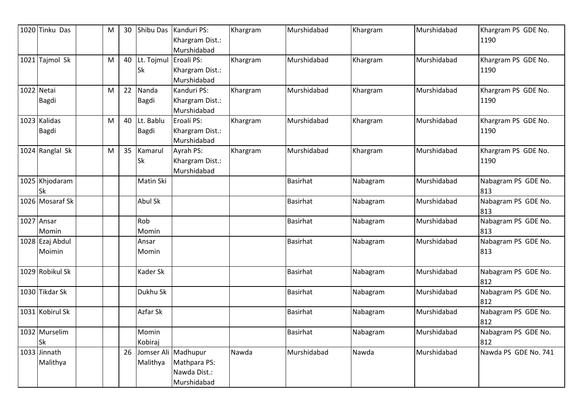|            | 1020 Tinku Das            | M | 30 | Shibu Das                   | Kanduri PS:<br>Khargram Dist.:<br>Murshidabad                      | Khargram | Murshidabad     | Khargram | Murshidabad | Khargram PS GDE No.<br>1190 |
|------------|---------------------------|---|----|-----------------------------|--------------------------------------------------------------------|----------|-----------------|----------|-------------|-----------------------------|
| 1021       | Tajmol Sk                 | M | 40 | Lt. Tojmul Eroali PS:<br>Sk | Khargram Dist.:<br>Murshidabad                                     | Khargram | Murshidabad     | Khargram | Murshidabad | Khargram PS GDE No.<br>1190 |
| 1022 Netai | Bagdi                     | M | 22 | Nanda<br>Bagdi              | Kanduri PS:<br>Khargram Dist.:<br>Murshidabad                      | Khargram | Murshidabad     | Khargram | Murshidabad | Khargram PS GDE No.<br>1190 |
|            | 1023 Kalidas<br>Bagdi     | M | 40 | Lt. Bablu<br>Bagdi          | Eroali PS:<br>Khargram Dist.:<br>Murshidabad                       | Khargram | Murshidabad     | Khargram | Murshidabad | Khargram PS GDE No.<br>1190 |
|            | 1024 Ranglal Sk           | M | 35 | Kamarul<br>Sk               | Ayrah PS:<br>Khargram Dist.:<br>Murshidabad                        | Khargram | Murshidabad     | Khargram | Murshidabad | Khargram PS GDE No.<br>1190 |
|            | 1025 Khjodaram<br>Sk      |   |    | Matin Ski                   |                                                                    |          | <b>Basirhat</b> | Nabagram | Murshidabad | Nabagram PS GDE No.<br>813  |
|            | 1026 Mosaraf Sk           |   |    | Abul Sk                     |                                                                    |          | Basirhat        | Nabagram | Murshidabad | Nabagram PS GDE No.<br>813  |
|            | 1027 Ansar<br>Momin       |   |    | Rob<br>Momin                |                                                                    |          | <b>Basirhat</b> | Nabagram | Murshidabad | Nabagram PS GDE No.<br>813  |
|            | 1028 Ezaj Abdul<br>Moimin |   |    | Ansar<br>Momin              |                                                                    |          | <b>Basirhat</b> | Nabagram | Murshidabad | Nabagram PS GDE No.<br>813  |
|            | 1029 Robikul Sk           |   |    | Kader Sk                    |                                                                    |          | <b>Basirhat</b> | Nabagram | Murshidabad | Nabagram PS GDE No.<br>812  |
|            | 1030 Tikdar Sk            |   |    | Dukhu Sk                    |                                                                    |          | <b>Basirhat</b> | Nabagram | Murshidabad | Nabagram PS GDE No.<br>812  |
|            | 1031 Kobirul Sk           |   |    | Azfar Sk                    |                                                                    |          | Basirhat        | Nabagram | Murshidabad | Nabagram PS GDE No.<br>812  |
|            | 1032 Murselim<br>Sk       |   |    | Momin<br>Kobiraj            |                                                                    |          | <b>Basirhat</b> | Nabagram | Murshidabad | Nabagram PS GDE No.<br>812  |
|            | 1033 Jinnath<br>Malithya  |   | 26 | Malithya                    | Jomser Ali Madhupur<br>Mathpara PS:<br>Nawda Dist.:<br>Murshidabad | Nawda    | Murshidabad     | Nawda    | Murshidabad | Nawda PS GDE No. 741        |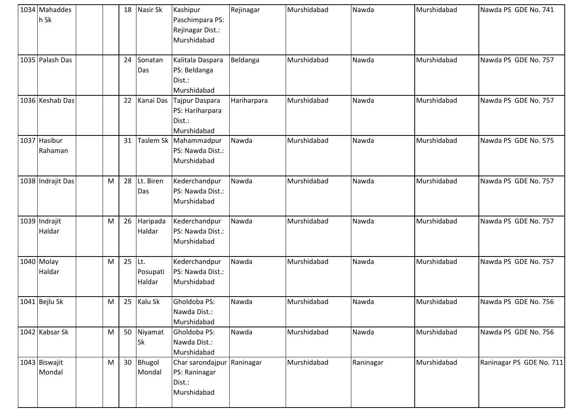| 1034 Mahaddes<br>h Sk   |   | 18       | Nasir Sk                | Kashipur<br>Paschimpara PS:<br>Rejinagar Dist.:<br>Murshidabad       | Rejinagar   | Murshidabad | Nawda     | Murshidabad | Nawda PS GDE No. 741     |
|-------------------------|---|----------|-------------------------|----------------------------------------------------------------------|-------------|-------------|-----------|-------------|--------------------------|
| 1035 Palash Das         |   | 24       | Sonatan<br>Das          | Kalitala Daspara<br>PS: Beldanga<br>Dist.:<br>Murshidabad            | Beldanga    | Murshidabad | Nawda     | Murshidabad | Nawda PS GDE No. 757     |
| 1036 Keshab Das         |   | 22       |                         | Kanai Das Tajpur Daspara<br>PS: Hariharpara<br>Dist.:<br>Murshidabad | Hariharpara | Murshidabad | Nawda     | Murshidabad | Nawda PS GDE No. 757     |
| 1037 Hasibur<br>Rahaman |   | 31       |                         | Taslem Sk Mahammadpur<br>PS: Nawda Dist.:<br>Murshidabad             | Nawda       | Murshidabad | Nawda     | Murshidabad | Nawda PS GDE No. 575     |
| 1038 Indrajit Das       | M | 28       | Lt. Biren<br>Das        | Kederchandpur<br>PS: Nawda Dist.:<br>Murshidabad                     | Nawda       | Murshidabad | Nawda     | Murshidabad | Nawda PS GDE No. 757     |
| 1039 Indrajit<br>Haldar | M | 26       | Haripada<br>Haldar      | Kederchandpur<br>PS: Nawda Dist.:<br>Murshidabad                     | Nawda       | Murshidabad | Nawda     | Murshidabad | Nawda PS GDE No. 757     |
| 1040 Molay<br>Haldar    | M | $25$ Lt. | Posupati<br>Haldar      | Kederchandpur<br>PS: Nawda Dist.:<br>Murshidabad                     | Nawda       | Murshidabad | Nawda     | Murshidabad | Nawda PS GDE No. 757     |
| 1041 Bejlu Sk           | M | 25       | Kalu Sk                 | Gholdoba PS:<br>Nawda Dist.:<br>Murshidabad                          | Nawda       | Murshidabad | Nawda     | Murshidabad | Nawda PS GDE No. 756     |
| 1042 Kabsar Sk          | M |          | 50 Niyamat<br><b>Sk</b> | Gholdoba PS:<br>Nawda Dist.:<br>Murshidabad                          | Nawda       | Murshidabad | Nawda     | Murshidabad | Nawda PS GDE No. 756     |
| 1043 Biswajit<br>Mondal | M |          | 30 Bhugol<br>Mondal     | Char sarondajpur Raninagar<br>PS: Raninagar<br>Dist.:<br>Murshidabad |             | Murshidabad | Raninagar | Murshidabad | Raninagar PS GDE No. 711 |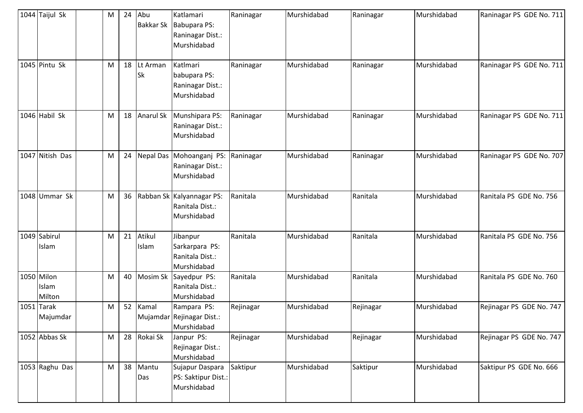| 1044 Taijul Sk                | M | 24 | Abu<br><b>Bakkar Sk</b> | Katlamari<br>Babupara PS:<br>Raninagar Dist.:<br>Murshidabad | Raninagar | Murshidabad | Raninagar | Murshidabad | Raninagar PS GDE No. 711 |
|-------------------------------|---|----|-------------------------|--------------------------------------------------------------|-----------|-------------|-----------|-------------|--------------------------|
| 1045 Pintu Sk                 | M | 18 | Lt Arman<br><b>Sk</b>   | Katlmari<br>babupara PS:<br>Raninagar Dist.:<br>Murshidabad  | Raninagar | Murshidabad | Raninagar | Murshidabad | Raninagar PS GDE No. 711 |
| 1046 Habil Sk                 | M | 18 | <b>Anarul Sk</b>        | Munshipara PS:<br>Raninagar Dist.:<br>Murshidabad            | Raninagar | Murshidabad | Raninagar | Murshidabad | Raninagar PS GDE No. 711 |
| 1047 Nitish Das               | M | 24 |                         | Nepal Das Mohoanganj PS:<br>Raninagar Dist.:<br>Murshidabad  | Raninagar | Murshidabad | Raninagar | Murshidabad | Raninagar PS GDE No. 707 |
| 1048 Ummar Sk                 | M | 36 |                         | Rabban Sk Kalyannagar PS:<br>Ranitala Dist.:<br>Murshidabad  | Ranitala  | Murshidabad | Ranitala  | Murshidabad | Ranitala PS GDE No. 756  |
| 1049 Sabirul<br>Islam         | M | 21 | Atikul<br>Islam         | Jibanpur<br>Sarkarpara PS:<br>Ranitala Dist.:<br>Murshidabad | Ranitala  | Murshidabad | Ranitala  | Murshidabad | Ranitala PS GDE No. 756  |
| 1050 Milon<br>Islam<br>Milton | M | 40 | Mosim Sk                | Sayedpur PS:<br>Ranitala Dist.:<br>Murshidabad               | Ranitala  | Murshidabad | Ranitala  | Murshidabad | Ranitala PS GDE No. 760  |
| $1051$ Tarak<br>Majumdar      | M | 52 | Kamal                   | Rampara PS:<br>Mujamdar Rejinagar Dist.:<br>Murshidabad      | Rejinagar | Murshidabad | Rejinagar | Murshidabad | Rejinagar PS GDE No. 747 |
| 1052 Abbas Sk                 | M |    | 28 Rokai Sk             | Janpur PS:<br>Rejinagar Dist.:<br>Murshidabad                | Rejinagar | Murshidabad | Rejinagar | Murshidabad | Rejinagar PS GDE No. 747 |
| 1053 Raghu Das                | M |    | 38 Mantu<br>Das         | Sujapur Daspara<br>PS: Saktipur Dist.:<br>Murshidabad        | Saktipur  | Murshidabad | Saktipur  | Murshidabad | Saktipur PS GDE No. 666  |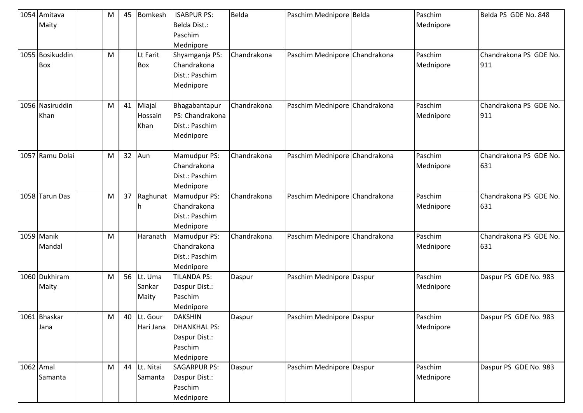|           | 1054 Amitava<br>Maity   | M | 45 | <b>Bomkesh</b>             | <b>ISABPUR PS:</b><br>Belda Dist.:<br>Paschim<br>Mednipore                     | Belda       | Paschim Mednipore Belda       | Paschim<br>Mednipore | Belda PS GDE No. 848          |
|-----------|-------------------------|---|----|----------------------------|--------------------------------------------------------------------------------|-------------|-------------------------------|----------------------|-------------------------------|
|           | 1055 Bosikuddin<br>Box  | M |    | Lt Farit<br><b>Box</b>     | Shyamganja PS:<br>Chandrakona<br>Dist.: Paschim<br>Mednipore                   | Chandrakona | Paschim Mednipore Chandrakona | Paschim<br>Mednipore | Chandrakona PS GDE No.<br>911 |
|           | 1056 Nasiruddin<br>Khan | M | 41 | Miajal<br>Hossain<br>Khan  | Bhagabantapur<br>PS: Chandrakona<br>Dist.: Paschim<br>Mednipore                | Chandrakona | Paschim Mednipore Chandrakona | Paschim<br>Mednipore | Chandrakona PS GDE No.<br>911 |
|           | 1057 Ramu Dolai         | M | 32 | Aun                        | Mamudpur PS:<br>Chandrakona<br>Dist.: Paschim<br>Mednipore                     | Chandrakona | Paschim Mednipore Chandrakona | Paschim<br>Mednipore | Chandrakona PS GDE No.<br>631 |
|           | 1058 Tarun Das          | M | 37 |                            | Raghunat   Mamudpur PS:<br>Chandrakona<br>Dist.: Paschim<br>Mednipore          | Chandrakona | Paschim Mednipore Chandrakona | Paschim<br>Mednipore | Chandrakona PS GDE No.<br>631 |
|           | 1059 Manik<br>Mandal    | M |    | Haranath                   | Mamudpur PS:<br>Chandrakona<br>Dist.: Paschim<br>Mednipore                     | Chandrakona | Paschim Mednipore Chandrakona | Paschim<br>Mednipore | Chandrakona PS GDE No.<br>631 |
|           | 1060 Dukhiram<br>Maity  | M | 56 | Lt. Uma<br>Sankar<br>Maity | <b>TILANDA PS:</b><br>Daspur Dist.:<br>Paschim<br>Mednipore                    | Daspur      | Paschim Mednipore Daspur      | Paschim<br>Mednipore | Daspur PS GDE No. 983         |
|           | 1061 Bhaskar<br>Jana    | M | 40 | Lt. Gour<br>Hari Jana      | <b>DAKSHIN</b><br><b>DHANKHAL PS:</b><br>Daspur Dist.:<br>Paschim<br>Mednipore | Daspur      | Paschim Mednipore Daspur      | Paschim<br>Mednipore | Daspur PS GDE No. 983         |
| 1062 Amal | Samanta                 | M |    | 44 Lt. Nitai<br>Samanta    | <b>SAGARPUR PS:</b><br>Daspur Dist.:<br>Paschim<br>Mednipore                   | Daspur      | Paschim Mednipore Daspur      | Paschim<br>Mednipore | Daspur PS GDE No. 983         |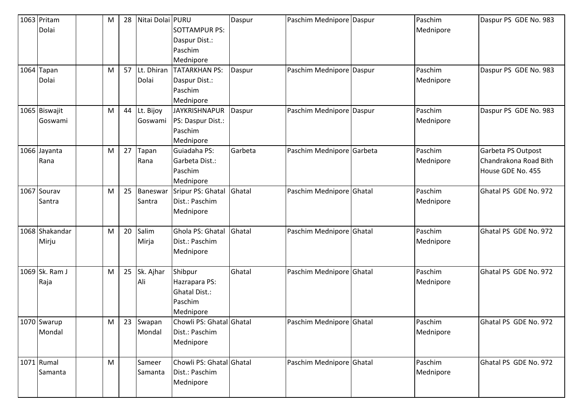| 1063 Pritam    | M | 28 | Nitai Dolai PURU |                          | Daspur  | Paschim Mednipore Daspur  | Paschim   | Daspur PS GDE No. 983 |
|----------------|---|----|------------------|--------------------------|---------|---------------------------|-----------|-----------------------|
| Dolai          |   |    |                  | <b>SOTTAMPUR PS:</b>     |         |                           | Mednipore |                       |
|                |   |    |                  | Daspur Dist.:            |         |                           |           |                       |
|                |   |    |                  | Paschim                  |         |                           |           |                       |
|                |   |    |                  | Mednipore                |         |                           |           |                       |
| 1064 Tapan     | M | 57 | Lt. Dhiran       | <b>TATARKHAN PS:</b>     | Daspur  | Paschim Mednipore Daspur  | Paschim   | Daspur PS GDE No. 983 |
| Dolai          |   |    | Dolai            | Daspur Dist.:            |         |                           | Mednipore |                       |
|                |   |    |                  | Paschim                  |         |                           |           |                       |
|                |   |    |                  | Mednipore                |         |                           |           |                       |
| 1065 Biswajit  | M | 44 | Lt. Bijoy        | <b>JAYKRISHNAPUR</b>     | Daspur  | Paschim Mednipore Daspur  | Paschim   | Daspur PS GDE No. 983 |
| Goswami        |   |    | Goswami          | PS: Daspur Dist.:        |         |                           | Mednipore |                       |
|                |   |    |                  | Paschim                  |         |                           |           |                       |
|                |   |    |                  | Mednipore                |         |                           |           |                       |
| 1066 Jayanta   | M | 27 | Tapan            | Guiadaha PS:             | Garbeta | Paschim Mednipore Garbeta | Paschim   | Garbeta PS Outpost    |
| Rana           |   |    | Rana             | Garbeta Dist.:           |         |                           | Mednipore | Chandrakona Road Bith |
|                |   |    |                  | Paschim                  |         |                           |           | House GDE No. 455     |
|                |   |    |                  | Mednipore                |         |                           |           |                       |
| 1067 Sourav    | M | 25 | Baneswar         | Sripur PS: Ghatal        | Ghatal  | Paschim Mednipore Ghatal  | Paschim   | Ghatal PS GDE No. 972 |
| Santra         |   |    | Santra           | Dist.: Paschim           |         |                           | Mednipore |                       |
|                |   |    |                  | Mednipore                |         |                           |           |                       |
|                |   |    |                  |                          |         |                           |           |                       |
| 1068 Shakandar | M | 20 | Salim            | Ghola PS: Ghatal         | Ghatal  | Paschim Mednipore Ghatal  | Paschim   | Ghatal PS GDE No. 972 |
| Mirju          |   |    | Mirja            | Dist.: Paschim           |         |                           | Mednipore |                       |
|                |   |    |                  | Mednipore                |         |                           |           |                       |
|                |   |    |                  |                          |         |                           |           |                       |
| 1069 Sk. Ram J | M | 25 | Sk. Ajhar        | Shibpur                  | Ghatal  | Paschim Mednipore Ghatal  | Paschim   | Ghatal PS GDE No. 972 |
| Raja           |   |    | Ali              | Hazrapara PS:            |         |                           | Mednipore |                       |
|                |   |    |                  | <b>Ghatal Dist.:</b>     |         |                           |           |                       |
|                |   |    |                  | Paschim                  |         |                           |           |                       |
|                |   |    |                  | Mednipore                |         |                           |           |                       |
| 1070 Swarup    | M | 23 | Swapan           | Chowli PS: Ghatal Ghatal |         | Paschim Mednipore Ghatal  | Paschim   | Ghatal PS GDE No. 972 |
| Mondal         |   |    | Mondal           | Dist.: Paschim           |         |                           | Mednipore |                       |
|                |   |    |                  | Mednipore                |         |                           |           |                       |
|                |   |    |                  |                          |         |                           |           |                       |
| 1071 Rumal     | M |    | Sameer           | Chowli PS: Ghatal Ghatal |         | Paschim Mednipore Ghatal  | Paschim   | Ghatal PS GDE No. 972 |
| Samanta        |   |    | Samanta          | Dist.: Paschim           |         |                           | Mednipore |                       |
|                |   |    |                  | Mednipore                |         |                           |           |                       |
|                |   |    |                  |                          |         |                           |           |                       |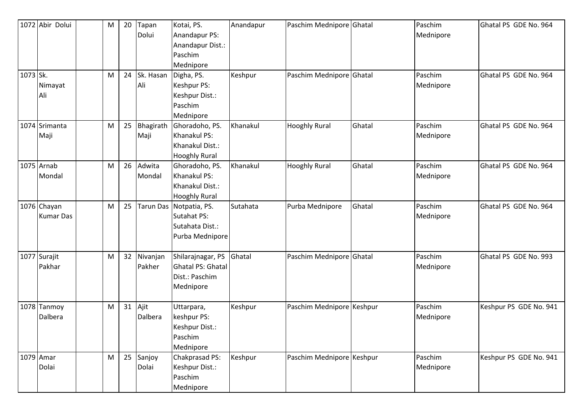| 1073 Sk. | 1072 Abir Dolui                 | M<br>M | 20<br>24 | Tapan<br>Dolui<br>Sk. Hasan | Kotai, PS.<br>Anandapur PS:<br>Anandapur Dist.:<br>Paschim<br>Mednipore<br>Digha, PS. | Anandapur<br>Keshpur | Paschim Mednipore Ghatal<br>Paschim Mednipore Ghatal |        | Paschim<br>Mednipore<br>Paschim | Ghatal PS GDE No. 964<br>Ghatal PS GDE No. 964 |
|----------|---------------------------------|--------|----------|-----------------------------|---------------------------------------------------------------------------------------|----------------------|------------------------------------------------------|--------|---------------------------------|------------------------------------------------|
|          | Nimayat<br>Ali                  |        |          | Ali                         | Keshpur PS:<br>Keshpur Dist.:<br>Paschim<br>Mednipore                                 |                      |                                                      |        | Mednipore                       |                                                |
|          | 1074 Srimanta<br>Maji           | M      | 25       | Bhagirath<br>Maji           | Ghoradoho, PS.<br>Khanakul PS:<br>Khanakul Dist.:<br><b>Hooghly Rural</b>             | Khanakul             | <b>Hooghly Rural</b>                                 | Ghatal | Paschim<br>Mednipore            | Ghatal PS GDE No. 964                          |
|          | 1075 Arnab<br>Mondal            | M      | 26       | Adwita<br>Mondal            | Ghoradoho, PS.<br>Khanakul PS:<br>Khanakul Dist.:<br><b>Hooghly Rural</b>             | Khanakul             | <b>Hooghly Rural</b>                                 | Ghatal | Paschim<br>Mednipore            | Ghatal PS GDE No. 964                          |
|          | 1076 Chayan<br><b>Kumar Das</b> | M      | 25       |                             | Tarun Das Notpatia, PS.<br><b>Sutahat PS:</b><br>Sutahata Dist.:<br>Purba Mednipore   | Sutahata             | Purba Mednipore                                      | Ghatal | Paschim<br>Mednipore            | Ghatal PS GDE No. 964                          |
|          | 1077 Surajit<br>Pakhar          | M      | 32       | Nivanjan<br>Pakher          | Shilarajnagar, PS<br><b>Ghatal PS: Ghatal</b><br>Dist.: Paschim<br>Mednipore          | Ghatal               | Paschim Mednipore Ghatal                             |        | Paschim<br>Mednipore            | Ghatal PS GDE No. 993                          |
|          | 1078 Tanmoy<br>Dalbera          | M      | 31       | Ajit<br>Dalbera             | Uttarpara,<br>keshpur PS:<br>Keshpur Dist.:<br>Paschim<br>Mednipore                   | Keshpur              | Paschim Mednipore Keshpur                            |        | Paschim<br>Mednipore            | Keshpur PS GDE No. 941                         |
|          | 1079 Amar<br>Dolai              | M      | 25       | Sanjoy<br>Dolai             | Chakprasad PS:<br>Keshpur Dist.:<br>Paschim<br>Mednipore                              | Keshpur              | Paschim Mednipore Keshpur                            |        | Paschim<br>Mednipore            | Keshpur PS GDE No. 941                         |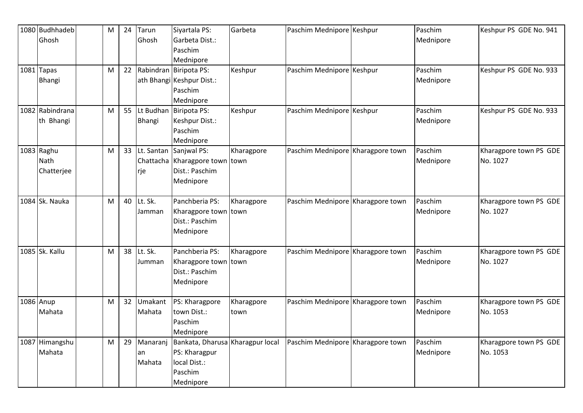| 1080 Budhhadeb<br>Ghosh | M | 24 | Tarun<br>Ghosh | Siyartala PS:<br>Garbeta Dist.:     | Garbeta    | Paschim Mednipore Keshpur         | Paschim<br>Mednipore | Keshpur PS GDE No. 941 |
|-------------------------|---|----|----------------|-------------------------------------|------------|-----------------------------------|----------------------|------------------------|
|                         |   |    |                | Paschim                             |            |                                   |                      |                        |
| $1081$ Tapas            | M | 22 |                | Mednipore<br>Rabindran Biripota PS: | Keshpur    | Paschim Mednipore Keshpur         | Paschim              | Keshpur PS GDE No. 933 |
| Bhangi                  |   |    |                | ath Bhangi Keshpur Dist.:           |            |                                   | Mednipore            |                        |
|                         |   |    |                | Paschim                             |            |                                   |                      |                        |
|                         |   |    |                | Mednipore                           |            |                                   |                      |                        |
| 1082 Rabindrana         | M |    |                | 55 Lt Budhan Biripota PS:           | Keshpur    | Paschim Mednipore Keshpur         | Paschim              | Keshpur PS GDE No. 933 |
| th Bhangi               |   |    | Bhangi         | Keshpur Dist.:                      |            |                                   | Mednipore            |                        |
|                         |   |    |                | Paschim                             |            |                                   |                      |                        |
|                         |   |    |                | Mednipore                           |            |                                   |                      |                        |
| 1083 Raghu              | M | 33 |                | Lt. Santan Sanjwal PS:              | Kharagpore | Paschim Mednipore Kharagpore town | Paschim              | Kharagpore town PS GDE |
| Nath                    |   |    |                | Chattacha Kharagpore town town      |            |                                   | Mednipore            | No. 1027               |
| Chatterjee              |   |    | rje            | Dist.: Paschim                      |            |                                   |                      |                        |
|                         |   |    |                | Mednipore                           |            |                                   |                      |                        |
| 1084 Sk. Nauka          | M | 40 | Lt. Sk.        | Panchberia PS:                      | Kharagpore | Paschim Mednipore Kharagpore town | Paschim              | Kharagpore town PS GDE |
|                         |   |    | Jamman         | Kharagpore town town                |            |                                   | Mednipore            | No. 1027               |
|                         |   |    |                | Dist.: Paschim                      |            |                                   |                      |                        |
|                         |   |    |                | Mednipore                           |            |                                   |                      |                        |
|                         |   |    |                |                                     |            |                                   |                      |                        |
| 1085 Sk. Kallu          | M | 38 | Lt. Sk.        | Panchberia PS:                      | Kharagpore | Paschim Mednipore Kharagpore town | Paschim              | Kharagpore town PS GDE |
|                         |   |    | Jumman         | Kharagpore town town                |            |                                   | Mednipore            | No. 1027               |
|                         |   |    |                | Dist.: Paschim                      |            |                                   |                      |                        |
|                         |   |    |                | Mednipore                           |            |                                   |                      |                        |
| 1086 Anup               | M | 32 | Umakant        | PS: Kharagpore                      | Kharagpore | Paschim Mednipore Kharagpore town | Paschim              | Kharagpore town PS GDE |
| Mahata                  |   |    | Mahata         | town Dist.:                         | town       |                                   | Mednipore            | No. 1053               |
|                         |   |    |                | Paschim                             |            |                                   |                      |                        |
|                         |   |    |                | Mednipore                           |            |                                   |                      |                        |
| 1087 Himangshu          | M | 29 | Manaranj       | Bankata, Dharusa Kharagpur local    |            | Paschim Mednipore Kharagpore town | Paschim              | Kharagpore town PS GDE |
| Mahata                  |   |    | lan            | PS: Kharagpur                       |            |                                   | Mednipore            | No. 1053               |
|                         |   |    | Mahata         | local Dist.:                        |            |                                   |                      |                        |
|                         |   |    |                | Paschim                             |            |                                   |                      |                        |
|                         |   |    |                | Mednipore                           |            |                                   |                      |                        |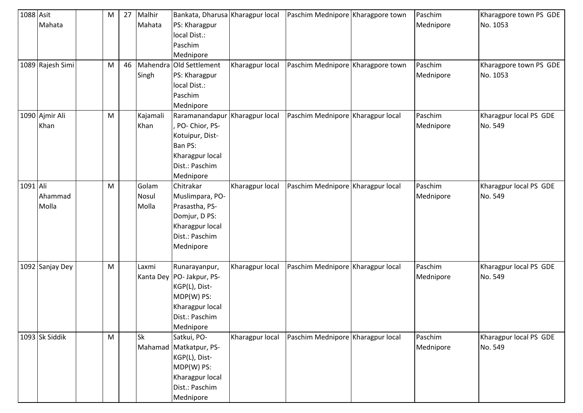| 1088 Asit |                  | M | 27 | Malhir    | Bankata, Dharusa Kharagpur local |                 | Paschim Mednipore Kharagpore town | Paschim   | Kharagpore town PS GDE |
|-----------|------------------|---|----|-----------|----------------------------------|-----------------|-----------------------------------|-----------|------------------------|
|           | Mahata           |   |    | Mahata    | PS: Kharagpur                    |                 |                                   | Mednipore | No. 1053               |
|           |                  |   |    |           | local Dist.:                     |                 |                                   |           |                        |
|           |                  |   |    |           | Paschim                          |                 |                                   |           |                        |
|           |                  |   |    |           | Mednipore                        |                 |                                   |           |                        |
|           | 1089 Rajesh Simi | M | 46 |           | Mahendra Old Settlement          | Kharagpur local | Paschim Mednipore Kharagpore town | Paschim   | Kharagpore town PS GDE |
|           |                  |   |    | Singh     | PS: Kharagpur                    |                 |                                   | Mednipore | No. 1053               |
|           |                  |   |    |           | local Dist.:                     |                 |                                   |           |                        |
|           |                  |   |    |           | Paschim                          |                 |                                   |           |                        |
|           |                  |   |    |           | Mednipore                        |                 |                                   |           |                        |
|           | 1090 Ajmir Ali   | M |    | Kajamali  | Raramanandapur                   | Kharagpur local | Paschim Mednipore Kharagpur local | Paschim   | Kharagpur local PS GDE |
|           | Khan             |   |    | Khan      | , PO- Chior, PS-                 |                 |                                   | Mednipore | No. 549                |
|           |                  |   |    |           | Kotuipur, Dist-                  |                 |                                   |           |                        |
|           |                  |   |    |           | Ban PS:                          |                 |                                   |           |                        |
|           |                  |   |    |           | Kharagpur local                  |                 |                                   |           |                        |
|           |                  |   |    |           | Dist.: Paschim                   |                 |                                   |           |                        |
|           |                  |   |    |           | Mednipore                        |                 |                                   |           |                        |
| 1091 Ali  |                  | M |    | Golam     | Chitrakar                        | Kharagpur local | Paschim Mednipore Kharagpur local | Paschim   | Kharagpur local PS GDE |
|           | Ahammad          |   |    | Nosul     | Muslimpara, PO-                  |                 |                                   | Mednipore | No. 549                |
|           | Molla            |   |    | Molla     | Prasastha, PS-                   |                 |                                   |           |                        |
|           |                  |   |    |           | Domjur, D PS:                    |                 |                                   |           |                        |
|           |                  |   |    |           | Kharagpur local                  |                 |                                   |           |                        |
|           |                  |   |    |           | Dist.: Paschim                   |                 |                                   |           |                        |
|           |                  |   |    |           | Mednipore                        |                 |                                   |           |                        |
|           |                  |   |    |           |                                  |                 |                                   |           |                        |
|           | 1092 Sanjay Dey  | M |    | Laxmi     | Runarayanpur,                    | Kharagpur local | Paschim Mednipore Kharagpur local | Paschim   | Kharagpur local PS GDE |
|           |                  |   |    |           | Kanta Dey PO- Jakpur, PS-        |                 |                                   | Mednipore | No. 549                |
|           |                  |   |    |           | KGP(L), Dist-                    |                 |                                   |           |                        |
|           |                  |   |    |           | MDP(W) PS:                       |                 |                                   |           |                        |
|           |                  |   |    |           | Kharagpur local                  |                 |                                   |           |                        |
|           |                  |   |    |           | Dist.: Paschim                   |                 |                                   |           |                        |
|           |                  |   |    |           | Mednipore                        |                 |                                   |           |                        |
|           | 1093 Sk Siddik   | M |    | <b>Sk</b> | Satkui, PO-                      | Kharagpur local | Paschim Mednipore Kharagpur local | Paschim   | Kharagpur local PS GDE |
|           |                  |   |    |           | Mahamad Matkatpur, PS-           |                 |                                   | Mednipore | No. 549                |
|           |                  |   |    |           | KGP(L), Dist-                    |                 |                                   |           |                        |
|           |                  |   |    |           | MDP(W) PS:                       |                 |                                   |           |                        |
|           |                  |   |    |           | Kharagpur local                  |                 |                                   |           |                        |
|           |                  |   |    |           | Dist.: Paschim                   |                 |                                   |           |                        |
|           |                  |   |    |           | Mednipore                        |                 |                                   |           |                        |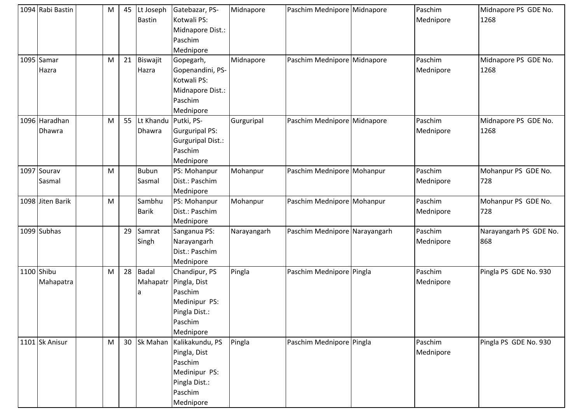| 1094 Rabi Bastin | M | 45 | Lt Joseph               | Gatebazar, PS-           | Midnapore   | Paschim Mednipore Midnapore   | Paschim   | Midnapore PS GDE No.   |
|------------------|---|----|-------------------------|--------------------------|-------------|-------------------------------|-----------|------------------------|
|                  |   |    | <b>Bastin</b>           | Kotwali PS:              |             |                               | Mednipore | 1268                   |
|                  |   |    |                         | Midnapore Dist.:         |             |                               |           |                        |
|                  |   |    |                         | Paschim                  |             |                               |           |                        |
|                  |   |    |                         | Mednipore                |             |                               |           |                        |
| 1095 Samar       | M | 21 | Biswajit                | Gopegarh,                | Midnapore   | Paschim Mednipore Midnapore   | Paschim   | Midnapore PS GDE No.   |
| Hazra            |   |    | Hazra                   | Gopenandini, PS-         |             |                               | Mednipore | 1268                   |
|                  |   |    |                         | Kotwali PS:              |             |                               |           |                        |
|                  |   |    |                         | Midnapore Dist.:         |             |                               |           |                        |
|                  |   |    |                         | Paschim                  |             |                               |           |                        |
|                  |   |    |                         | Mednipore                |             |                               |           |                        |
| 1096 Haradhan    | M |    | 55 Lt Khandu Putki, PS- |                          | Gurguripal  | Paschim Mednipore Midnapore   | Paschim   | Midnapore PS GDE No.   |
| Dhawra           |   |    | Dhawra                  | <b>Gurguripal PS:</b>    |             |                               | Mednipore | 1268                   |
|                  |   |    |                         | <b>Gurguripal Dist.:</b> |             |                               |           |                        |
|                  |   |    |                         | Paschim                  |             |                               |           |                        |
|                  |   |    |                         | Mednipore                |             |                               |           |                        |
| 1097 Sourav      | M |    | <b>Bubun</b>            | PS: Mohanpur             | Mohanpur    | Paschim Mednipore Mohanpur    | Paschim   | Mohanpur PS GDE No.    |
| Sasmal           |   |    | Sasmal                  | Dist.: Paschim           |             |                               | Mednipore | 728                    |
|                  |   |    |                         | Mednipore                |             |                               |           |                        |
| 1098 Jiten Barik | M |    | Sambhu                  | PS: Mohanpur             | Mohanpur    | Paschim Mednipore Mohanpur    | Paschim   | Mohanpur PS GDE No.    |
|                  |   |    | <b>Barik</b>            | Dist.: Paschim           |             |                               | Mednipore | 728                    |
|                  |   |    |                         | Mednipore                |             |                               |           |                        |
| 1099 Subhas      |   | 29 | Samrat                  | Sanganua PS:             | Narayangarh | Paschim Mednipore Narayangarh | Paschim   | Narayangarh PS GDE No. |
|                  |   |    | Singh                   | Narayangarh              |             |                               | Mednipore | 868                    |
|                  |   |    |                         | Dist.: Paschim           |             |                               |           |                        |
|                  |   |    |                         | Mednipore                |             |                               |           |                        |
| 1100 Shibu       | M | 28 | <b>Badal</b>            | Chandipur, PS            | Pingla      | Paschim Mednipore Pingla      | Paschim   | Pingla PS GDE No. 930  |
| Mahapatra        |   |    | Mahapatr                | Pingla, Dist             |             |                               | Mednipore |                        |
|                  |   |    | a                       | Paschim                  |             |                               |           |                        |
|                  |   |    |                         | Medinipur PS:            |             |                               |           |                        |
|                  |   |    |                         | Pingla Dist.:            |             |                               |           |                        |
|                  |   |    |                         | Paschim                  |             |                               |           |                        |
|                  |   |    |                         | Mednipore                |             |                               |           |                        |
| 1101 Sk Anisur   | M |    | 30 Sk Mahan             | Kalikakundu, PS          | Pingla      | Paschim Mednipore Pingla      | Paschim   | Pingla PS GDE No. 930  |
|                  |   |    |                         | Pingla, Dist             |             |                               | Mednipore |                        |
|                  |   |    |                         | Paschim                  |             |                               |           |                        |
|                  |   |    |                         | Medinipur PS:            |             |                               |           |                        |
|                  |   |    |                         | Pingla Dist.:            |             |                               |           |                        |
|                  |   |    |                         | Paschim                  |             |                               |           |                        |
|                  |   |    |                         | Mednipore                |             |                               |           |                        |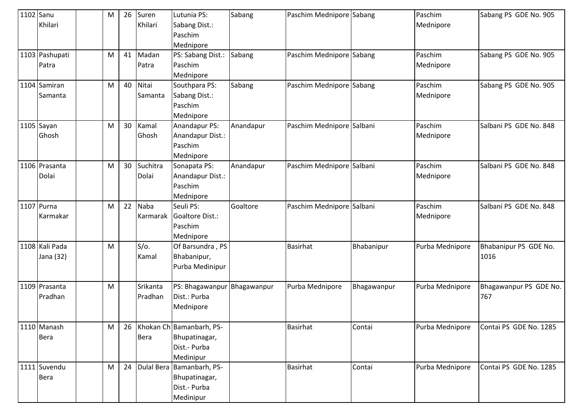| 1102 Sanu | Khilari                     | M | 26 | Suren<br>Khilari        | Lutunia PS:<br>Sabang Dist.:<br>Paschim<br>Mednipore                       | Sabang      | Paschim Mednipore Sabang  |             | Paschim<br>Mednipore | Sabang PS GDE No. 905         |
|-----------|-----------------------------|---|----|-------------------------|----------------------------------------------------------------------------|-------------|---------------------------|-------------|----------------------|-------------------------------|
|           | 1103 Pashupati<br>Patra     | M | 41 | Madan<br>Patra          | PS: Sabang Dist.:<br>Paschim<br>Mednipore                                  | Sabang      | Paschim Mednipore Sabang  |             | Paschim<br>Mednipore | Sabang PS GDE No. 905         |
|           | 1104 Samiran<br>Samanta     | M | 40 | Nitai<br>Samanta        | Southpara PS:<br>Sabang Dist.:<br>Paschim<br>Mednipore                     | Sabang      | Paschim Mednipore Sabang  |             | Paschim<br>Mednipore | Sabang PS GDE No. 905         |
|           | 1105 Sayan<br>Ghosh         | M | 30 | Kamal<br>Ghosh          | Anandapur PS:<br>Anandapur Dist.:<br>Paschim<br>Mednipore                  | Anandapur   | Paschim Mednipore Salbani |             | Paschim<br>Mednipore | Salbani PS GDE No. 848        |
|           | 1106 Prasanta<br>Dolai      | M | 30 | Suchitra<br>Dolai       | Sonapata PS:<br>Anandapur Dist.:<br>Paschim<br>Mednipore                   | Anandapur   | Paschim Mednipore Salbani |             | Paschim<br>Mednipore | Salbani PS GDE No. 848        |
|           | 1107 Purna<br>Karmakar      | M | 22 | <b>Naba</b><br>Karmarak | Seuli PS:<br>Goaltore Dist.:<br>Paschim<br>Mednipore                       | Goaltore    | Paschim Mednipore Salbani |             | Paschim<br>Mednipore | Salbani PS GDE No. 848        |
|           | 1108 Kali Pada<br>Jana (32) | M |    | $S/O$ .<br>Kamal        | Of Barsundra, PS<br>Bhabanipur,<br>Purba Medinipur                         |             | <b>Basirhat</b>           | Bhabanipur  | Purba Mednipore      | Bhabanipur PS GDE No.<br>1016 |
|           | 1109 Prasanta<br>Pradhan    | M |    | Srikanta<br>Pradhan     | PS: Bhagawanpur<br>Dist.: Purba<br>Mednipore                               | Bhagawanpur | Purba Mednipore           | Bhagawanpur | Purba Mednipore      | Bhagawanpur PS GDE No.<br>767 |
|           | 1110 Manash<br><b>Bera</b>  | M | 26 | Bera                    | Khokan Ch Bamanbarh, PS-<br>Bhupatinagar,<br>Dist .- Purba<br>Medinipur    |             | Basirhat                  | Contai      | Purba Mednipore      | Contai PS GDE No. 1285        |
|           | 1111 Suvendu<br><b>Bera</b> | M |    |                         | 24 Dulal Bera Bamanbarh, PS-<br>Bhupatinagar,<br>Dist.- Purba<br>Medinipur |             | <b>Basirhat</b>           | Contai      | Purba Mednipore      | Contai PS GDE No. 1285        |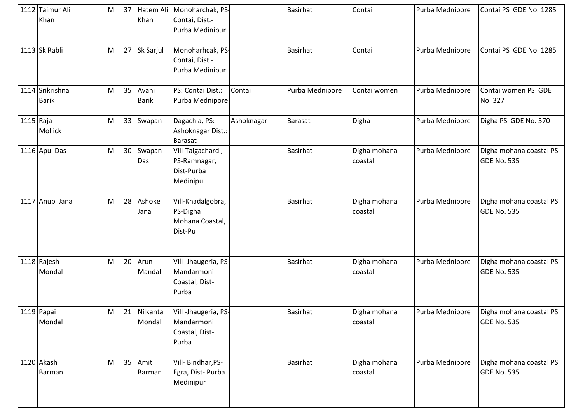|           | 1112 Taimur Ali<br>Khan         | M | 37              | Khan                  | Hatem Ali Monoharchak, PS-<br>Contai, Dist.-<br>Purba Medinipur |            | <b>Basirhat</b> | Contai                  | Purba Mednipore | Contai PS GDE No. 1285                        |
|-----------|---------------------------------|---|-----------------|-----------------------|-----------------------------------------------------------------|------------|-----------------|-------------------------|-----------------|-----------------------------------------------|
|           | 1113 Sk Rabli                   | M |                 | 27 Sk Sarjul          | Monoharhcak, PS-<br>Contai, Dist.-<br>Purba Medinipur           |            | <b>Basirhat</b> | Contai                  | Purba Mednipore | Contai PS GDE No. 1285                        |
|           | 1114 Srikrishna<br><b>Barik</b> | M | 35              | Avani<br><b>Barik</b> | PS: Contai Dist.:<br>Purba Mednipore                            | Contai     | Purba Mednipore | Contai women            | Purba Mednipore | Contai women PS GDE<br>No. 327                |
| 1115 Raja | Mollick                         | M |                 | 33 Swapan             | Dagachia, PS:<br>Ashoknagar Dist.:<br><b>Barasat</b>            | Ashoknagar | Barasat         | Digha                   | Purba Mednipore | Digha PS GDE No. 570                          |
|           | 1116 Apu Das                    | M | 30 <sup>°</sup> | Swapan<br>Das         | Vill-Talgachardi,<br>PS-Ramnagar,<br>Dist-Purba<br>Medinipu     |            | <b>Basirhat</b> | Digha mohana<br>coastal | Purba Mednipore | Digha mohana coastal PS<br><b>GDE No. 535</b> |
|           | 1117 Anup Jana                  | M | 28              | Ashoke<br>Jana        | Vill-Khadalgobra,<br>PS-Digha<br>Mohana Coastal,<br>Dist-Pu     |            | <b>Basirhat</b> | Digha mohana<br>coastal | Purba Mednipore | Digha mohana coastal PS<br><b>GDE No. 535</b> |
|           | 1118 Rajesh<br>Mondal           | M | 20              | Arun<br>Mandal        | Vill -Jhaugeria, PS-<br>Mandarmoni<br>Coastal, Dist-<br>Purba   |            | <b>Basirhat</b> | Digha mohana<br>coastal | Purba Mednipore | Digha mohana coastal PS<br><b>GDE No. 535</b> |
|           | 1119 Papai<br>Mondal            | M | 21              | Nilkanta<br>Mondal    | Vill -Jhaugeria, PS-<br>Mandarmoni<br>Coastal, Dist-<br>Purba   |            | <b>Basirhat</b> | Digha mohana<br>coastal | Purba Mednipore | Digha mohana coastal PS<br><b>GDE No. 535</b> |
|           | 1120 Akash<br>Barman            | M |                 | 35 Amit<br>Barman     | Vill-Bindhar, PS-<br>Egra, Dist-Purba<br>Medinipur              |            | <b>Basirhat</b> | Digha mohana<br>coastal | Purba Mednipore | Digha mohana coastal PS<br><b>GDE No. 535</b> |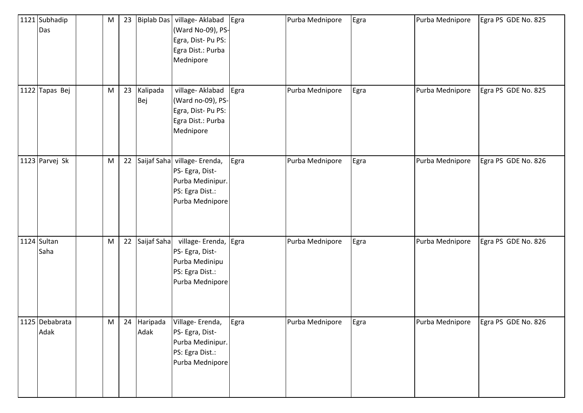| 1121 Subhadip<br>Das   | ${\sf M}$ | 23 | <b>Biplab Das</b>   | village- Aklabad<br>(Ward No-09), PS-<br>Egra, Dist-Pu PS:<br>Egra Dist.: Purba<br>Mednipore     | Egra | Purba Mednipore | Egra | Purba Mednipore | Egra PS GDE No. 825 |
|------------------------|-----------|----|---------------------|--------------------------------------------------------------------------------------------------|------|-----------------|------|-----------------|---------------------|
| 1122 Tapas Bej         | M         | 23 | Kalipada<br>Bej     | village- Aklabad<br>(Ward no-09), PS-<br>Egra, Dist-Pu PS:<br>Egra Dist.: Purba<br>Mednipore     | Egra | Purba Mednipore | Egra | Purba Mednipore | Egra PS GDE No. 825 |
| 1123 Parvej Sk         | M         | 22 | Saijaf Saha         | village-Erenda,<br>PS- Egra, Dist-<br>Purba Medinipur.<br>PS: Egra Dist.:<br>Purba Mednipore     | Egra | Purba Mednipore | Egra | Purba Mednipore | Egra PS GDE No. 826 |
| 1124 Sultan<br>Saha    | M         |    | 22 Saijaf Saha      | village- Erenda, Egra<br>PS- Egra, Dist-<br>Purba Medinipu<br>PS: Egra Dist.:<br>Purba Mednipore |      | Purba Mednipore | Egra | Purba Mednipore | Egra PS GDE No. 826 |
| 1125 Debabrata<br>Adak | M         |    | 24 Haripada<br>Adak | Village-Erenda,<br>PS- Egra, Dist-<br>Purba Medinipur.<br>PS: Egra Dist.:<br>Purba Mednipore     | Egra | Purba Mednipore | Egra | Purba Mednipore | Egra PS GDE No. 826 |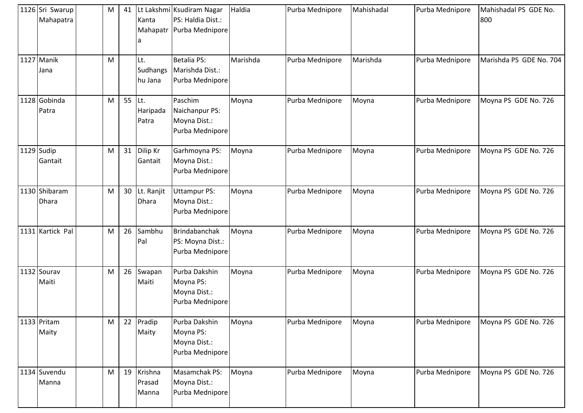| 1126 Sri Swarup<br>Mahapatra  | M | 41 | Kanta                             | Lt Lakshmi Ksudiram Nagar<br>PS: Haldia Dist.:<br>Mahapatr Purba Mednipore | Haldia   | Purba Mednipore | Mahishadal | Purba Mednipore | Mahishadal PS GDE No.<br>800 |
|-------------------------------|---|----|-----------------------------------|----------------------------------------------------------------------------|----------|-----------------|------------|-----------------|------------------------------|
| 1127 Manik<br>Jana            | M |    | Lt.<br><b>Sudhangs</b><br>hu Jana | <b>Betalia PS:</b><br>Marishda Dist.:<br>Purba Mednipore                   | Marishda | Purba Mednipore | Marishda   | Purba Mednipore | Marishda PS GDE No. 704      |
| 1128 Gobinda<br>Patra         | M | 55 | Lt.<br>Haripada<br>Patra          | Paschim<br>Naichanpur PS:<br>Moyna Dist.:<br>Purba Mednipore               | Moyna    | Purba Mednipore | Moyna      | Purba Mednipore | Moyna PS GDE No. 726         |
| 1129 Sudip<br>Gantait         | M | 31 | Dilip Kr<br>Gantait               | Garhmoyna PS:<br>Moyna Dist.:<br>Purba Mednipore                           | Moyna    | Purba Mednipore | Moyna      | Purba Mednipore | Moyna PS GDE No. 726         |
| 1130 Shibaram<br><b>Dhara</b> | M | 30 | Lt. Ranjit<br><b>Dhara</b>        | <b>Uttampur PS:</b><br>Moyna Dist.:<br>Purba Mednipore                     | Moyna    | Purba Mednipore | Moyna      | Purba Mednipore | Moyna PS GDE No. 726         |
| 1131 Kartick Pal              | M | 26 | Sambhu<br>Pal                     | Brindabanchak<br>PS: Moyna Dist.:<br>Purba Mednipore                       | Moyna    | Purba Mednipore | Moyna      | Purba Mednipore | Moyna PS GDE No. 726         |
| 1132 Sourav<br>Maiti          | M | 26 | Swapan<br>Maiti                   | Purba Dakshin<br>Moyna PS:<br>Moyna Dist.:<br>Purba Mednipore              | Moyna    | Purba Mednipore | Moyna      | Purba Mednipore | Moyna PS GDE No. 726         |
| 1133 Pritam<br>Maity          | M | 22 | Pradip<br>Maity                   | Purba Dakshin<br>Moyna PS:<br>Moyna Dist.:<br>Purba Mednipore              | Moyna    | Purba Mednipore | Moyna      | Purba Mednipore | Moyna PS GDE No. 726         |
| 1134 Suvendu<br>Manna         | M |    | 19 Krishna<br>Prasad<br>Manna     | Masamchak PS:<br>Moyna Dist.:<br>Purba Mednipore                           | Moyna    | Purba Mednipore | Moyna      | Purba Mednipore | Moyna PS GDE No. 726         |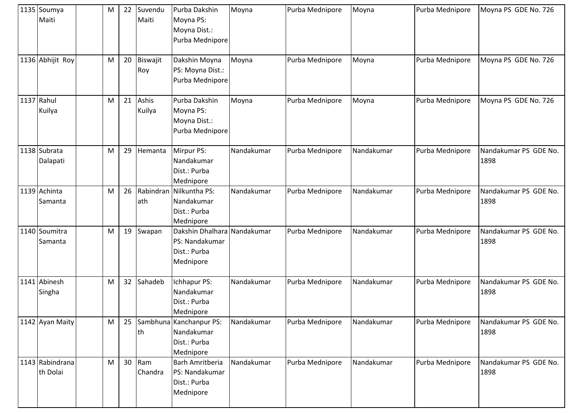| 1135 Soumya<br>Maiti        | M | 22 | Suvendu<br>Maiti    | Purba Dakshin<br>Moyna PS:<br>Moyna Dist.:<br>Purba Mednipore              | Moyna      | Purba Mednipore | Moyna      | Purba Mednipore | Moyna PS GDE No. 726          |
|-----------------------------|---|----|---------------------|----------------------------------------------------------------------------|------------|-----------------|------------|-----------------|-------------------------------|
| 1136 Abhijit Roy            | M | 20 | Biswajit<br>Roy     | Dakshin Moyna<br>PS: Moyna Dist.:<br>Purba Mednipore                       | Moyna      | Purba Mednipore | Moyna      | Purba Mednipore | Moyna PS GDE No. 726          |
| 1137 Rahul<br>Kuilya        | M | 21 | Ashis<br>Kuilya     | Purba Dakshin<br>Moyna PS:<br>Moyna Dist.:<br>Purba Mednipore              | Moyna      | Purba Mednipore | Moyna      | Purba Mednipore | Moyna PS GDE No. 726          |
| 1138 Subrata<br>Dalapati    | M | 29 | Hemanta             | Mirpur PS:<br>Nandakumar<br>Dist.: Purba<br>Mednipore                      | Nandakumar | Purba Mednipore | Nandakumar | Purba Mednipore | Nandakumar PS GDE No.<br>1898 |
| 1139 Achinta<br>Samanta     | M | 26 | Rabindran<br>ath    | Nilkuntha PS:<br>Nandakumar<br>Dist.: Purba<br>Mednipore                   | Nandakumar | Purba Mednipore | Nandakumar | Purba Mednipore | Nandakumar PS GDE No.<br>1898 |
| 1140 Soumitra<br>Samanta    | M | 19 | Swapan              | Dakshin Dhalhara Nandakumar<br>PS: Nandakumar<br>Dist.: Purba<br>Mednipore |            | Purba Mednipore | Nandakumar | Purba Mednipore | Nandakumar PS GDE No.<br>1898 |
| 1141 Abinesh<br>Singha      | M | 32 | Sahadeb             | Ichhapur PS:<br>Nandakumar<br>Dist.: Purba<br>Mednipore                    | Nandakumar | Purba Mednipore | Nandakumar | Purba Mednipore | Nandakumar PS GDE No.<br>1898 |
| 1142 Ayan Maity             | M | 25 | lth                 | Sambhuna Kanchanpur PS:<br>Nandakumar<br>Dist.: Purba<br>Mednipore         | Nandakumar | Purba Mednipore | Nandakumar | Purba Mednipore | Nandakumar PS GDE No.<br>1898 |
| 1143 Rabindrana<br>th Dolai | M |    | $30$ Ram<br>Chandra | <b>Barh Amritberia</b><br>PS: Nandakumar<br>Dist.: Purba<br>Mednipore      | Nandakumar | Purba Mednipore | Nandakumar | Purba Mednipore | Nandakumar PS GDE No.<br>1898 |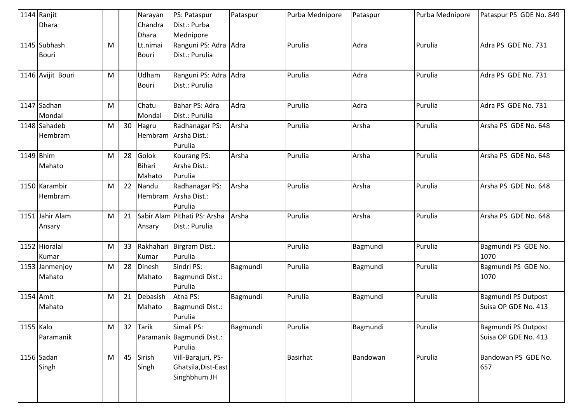|           | 1144 Ranjit       |   |    | Narayan      | PS: Pataspur                 | Pataspur | Purba Mednipore | Pataspur | Purba Mednipore | Pataspur PS GDE No. 849 |
|-----------|-------------------|---|----|--------------|------------------------------|----------|-----------------|----------|-----------------|-------------------------|
|           | Dhara             |   |    | Chandra      | Dist.: Purba                 |          |                 |          |                 |                         |
|           |                   |   |    | <b>Dhara</b> | Mednipore                    |          |                 |          |                 |                         |
|           | 1145 Subhash      | M |    | Lt.nimai     | Ranguni PS: Adra             | Adra     | Purulia         | Adra     | Purulia         | Adra PS GDE No. 731     |
|           | <b>Bouri</b>      |   |    | Bouri        | Dist.: Purulia               |          |                 |          |                 |                         |
|           |                   |   |    |              |                              |          |                 |          |                 |                         |
|           | 1146 Avijit Bouri | M |    | Udham        | Ranguni PS: Adra             | Adra     | Purulia         | Adra     | Purulia         | Adra PS GDE No. 731     |
|           |                   |   |    | Bouri        | Dist.: Purulia               |          |                 |          |                 |                         |
|           |                   |   |    |              |                              |          |                 |          |                 |                         |
|           | 1147 Sadhan       | M |    | Chatu        | Bahar PS: Adra               | Adra     | Purulia         | Adra     | Purulia         | Adra PS GDE No. 731     |
|           | Mondal            |   |    | Mondal       | Dist.: Purulia               |          |                 |          |                 |                         |
|           | 1148 Sahadeb      | M | 30 | Hagru        | Radhanagar PS:               | Arsha    | Purulia         | Arsha    | Purulia         | Arsha PS GDE No. 648    |
|           | Hembram           |   |    |              | Hembram Arsha Dist.:         |          |                 |          |                 |                         |
|           |                   |   |    |              | Purulia                      |          |                 |          |                 |                         |
| 1149 Bhim |                   | M | 28 | Golok        | Kourang PS:                  | Arsha    | Purulia         | Arsha    | Purulia         | Arsha PS GDE No. 648    |
|           | Mahato            |   |    | Bihari       | Arsha Dist.:                 |          |                 |          |                 |                         |
|           |                   |   |    | Mahato       | Purulia                      |          |                 |          |                 |                         |
|           | 1150 Karambir     | M | 22 | Nandu        | Radhanagar PS:               | Arsha    | Purulia         | Arsha    | Purulia         | Arsha PS GDE No. 648    |
|           | Hembram           |   |    |              | Hembram Arsha Dist.:         |          |                 |          |                 |                         |
|           |                   |   |    |              | Purulia                      |          |                 |          |                 |                         |
|           | 1151 Jahir Alam   | M | 21 |              | Sabir Alam Pithati PS: Arsha | Arsha    | Purulia         | Arsha    | Purulia         | Arsha PS GDE No. 648    |
|           | Ansary            |   |    | Ansary       | Dist.: Purulia               |          |                 |          |                 |                         |
|           |                   |   |    |              |                              |          |                 |          |                 |                         |
|           | 1152 Hioralal     | M | 33 |              | Rakhahari Birgram Dist.:     |          | Purulia         | Bagmundi | Purulia         | Bagmundi PS GDE No.     |
|           | Kumar             |   |    | Kumar        | Purulia                      |          |                 |          |                 | 1070                    |
|           | 1153 Janmenjoy    | M | 28 | Dinesh       | Sindri PS:                   | Bagmundi | Purulia         | Bagmundi | Purulia         | Bagmundi PS GDE No.     |
|           | Mahato            |   |    | Mahato       | Bagmundi Dist.:              |          |                 |          |                 | 1070                    |
|           |                   |   |    |              | Purulia                      |          |                 |          |                 |                         |
| 1154 Amit |                   | M | 21 | Debasish     | Atna PS:                     | Bagmundi | Purulia         | Bagmundi | Purulia         | Bagmundi PS Outpost     |
|           | Mahato            |   |    | Mahato       | Bagmundi Dist.:              |          |                 |          |                 | Suisa OP GDE No. 413    |
|           |                   |   |    |              | Purulia                      |          |                 |          |                 |                         |
| 1155 Kalo |                   | M | 32 | <b>Tarik</b> | Simali PS:                   | Bagmundi | Purulia         | Bagmundi | Purulia         | Bagmundi PS Outpost     |
|           | Paramanik         |   |    |              | Paramanik Bagmundi Dist.:    |          |                 |          |                 | Suisa OP GDE No. 413    |
|           |                   |   |    |              | Purulia                      |          |                 |          |                 |                         |
|           | 1156 Sadan        | M | 45 | Sirish       | Vill-Barajuri, PS-           |          | <b>Basirhat</b> | Bandowan | Purulia         | Bandowan PS GDE No.     |
|           | Singh             |   |    | Singh        | Ghatsila, Dist-East          |          |                 |          |                 | 657                     |
|           |                   |   |    |              | Singhbhum JH                 |          |                 |          |                 |                         |
|           |                   |   |    |              |                              |          |                 |          |                 |                         |
|           |                   |   |    |              |                              |          |                 |          |                 |                         |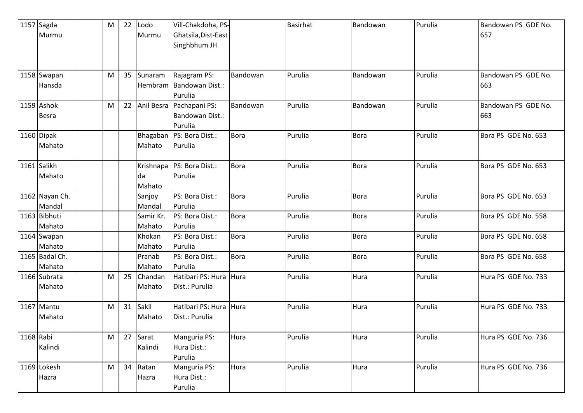|             | 1157 Sagda     | M         | 22 | Lodo      | Vill-Chakdoha, PS-          |             | Basirhat | Bandowan    | Purulia | Bandowan PS GDE No. |
|-------------|----------------|-----------|----|-----------|-----------------------------|-------------|----------|-------------|---------|---------------------|
|             | Murmu          |           |    | Murmu     | Ghatsila, Dist-East         |             |          |             |         | 657                 |
|             |                |           |    |           | Singhbhum JH                |             |          |             |         |                     |
|             |                |           |    |           |                             |             |          |             |         |                     |
|             |                |           |    |           |                             |             |          |             |         |                     |
|             | 1158 Swapan    | M         | 35 | Sunaram   | Rajagram PS:                | Bandowan    | Purulia  | Bandowan    | Purulia | Bandowan PS GDE No. |
|             | Hansda         |           |    |           | Hembram Bandowan Dist.:     |             |          |             |         | 663                 |
|             |                |           |    |           | Purulia                     |             |          |             |         |                     |
|             | 1159 Ashok     | M         | 22 |           | Anil Besra   Pachapani PS:  | Bandowan    | Purulia  | Bandowan    | Purulia | Bandowan PS GDE No. |
|             | Besra          |           |    |           | Bandowan Dist.:             |             |          |             |         | 663                 |
|             |                |           |    |           | Purulia                     |             |          |             |         |                     |
|             | 1160 Dipak     |           |    |           | Bhagaban   PS: Bora Dist.:  | <b>Bora</b> | Purulia  | <b>Bora</b> | Purulia | Bora PS GDE No. 653 |
|             | Mahato         |           |    | Mahato    | Purulia                     |             |          |             |         |                     |
|             |                |           |    |           |                             |             |          |             |         |                     |
|             | 1161 Salikh    |           |    |           | Krishnapa   PS: Bora Dist.: | <b>Bora</b> | Purulia  | <b>Bora</b> | Purulia | Bora PS GDE No. 653 |
|             | Mahato         |           |    | da        | Purulia                     |             |          |             |         |                     |
|             |                |           |    | Mahato    |                             |             |          |             |         |                     |
|             | 1162 Nayan Ch. |           |    | Sanjoy    | PS: Bora Dist.:             | <b>Bora</b> | Purulia  | <b>Bora</b> | Purulia | Bora PS GDE No. 653 |
|             | Mandal         |           |    | Mandal    | Purulia                     |             |          |             |         |                     |
|             | 1163 Bibhuti   |           |    | Samir Kr. | PS: Bora Dist.:             | <b>Bora</b> | Purulia  | <b>Bora</b> | Purulia | Bora PS GDE No. 558 |
|             | Mahato         |           |    | Mahato    | Purulia                     |             |          |             |         |                     |
|             | 1164 Swapan    |           |    | Khokan    | PS: Bora Dist.:             | <b>Bora</b> | Purulia  | <b>Bora</b> | Purulia | Bora PS GDE No. 658 |
|             | Mahato         |           |    | Mahato    | Purulia                     |             |          |             |         |                     |
|             | 1165 Badal Ch. |           |    | Pranab    | PS: Bora Dist.:             | <b>Bora</b> | Purulia  | <b>Bora</b> | Purulia | Bora PS GDE No. 658 |
|             | Mahato         |           |    | Mahato    | Purulia                     |             |          |             |         |                     |
|             | 1166 Subrata   | M         | 25 | Chandan   | Hatibari PS: Hura Hura      |             | Purulia  | Hura        | Purulia | Hura PS GDE No. 733 |
|             | Mahato         |           |    | Mahato    | Dist.: Purulia              |             |          |             |         |                     |
|             |                |           |    |           |                             |             |          |             |         |                     |
|             | 1167 Mantu     | M         | 31 | Sakil     | Hatibari PS: Hura Hura      |             | Purulia  | Hura        | Purulia | Hura PS GDE No. 733 |
|             | Mahato         |           |    | Mahato    | Dist.: Purulia              |             |          |             |         |                     |
|             |                |           |    |           |                             |             |          |             |         |                     |
| $1168$ Rabi |                | M         | 27 | Sarat     | Manguria PS:                | Hura        | Purulia  | Hura        | Purulia | Hura PS GDE No. 736 |
|             | Kalindi        |           |    | Kalindi   | Hura Dist.:                 |             |          |             |         |                     |
|             |                |           |    |           | Purulia                     |             |          |             |         |                     |
|             | 1169 Lokesh    | ${\sf M}$ | 34 | Ratan     | Manguria PS:                | Hura        | Purulia  | Hura        | Purulia | Hura PS GDE No. 736 |
|             | Hazra          |           |    | Hazra     | Hura Dist.:                 |             |          |             |         |                     |
|             |                |           |    |           | Purulia                     |             |          |             |         |                     |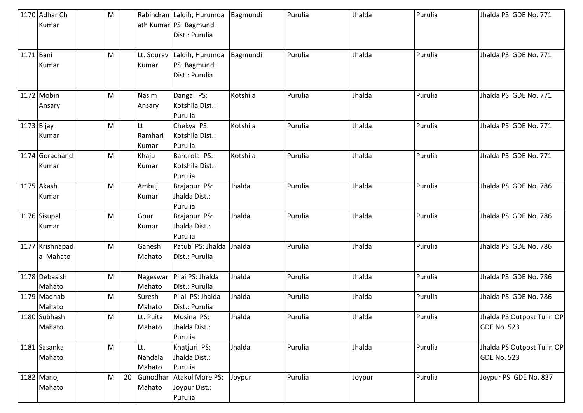|            | 1170 Adhar Ch<br>Kumar      | M         |    |                           | Rabindran Laldih, Hurumda<br>ath Kumar   PS: Bagmundi<br>Dist.: Purulia | Bagmundi | Purulia | Jhalda | Purulia | Jhalda PS GDE No. 771                            |
|------------|-----------------------------|-----------|----|---------------------------|-------------------------------------------------------------------------|----------|---------|--------|---------|--------------------------------------------------|
| 1171 Bani  | Kumar                       | M         |    | Kumar                     | Lt. Sourav Laldih, Hurumda<br>PS: Bagmundi<br>Dist.: Purulia            | Bagmundi | Purulia | Jhalda | Purulia | Jhalda PS GDE No. 771                            |
|            | 1172 Mobin<br>Ansary        | M         |    | Nasim<br>Ansary           | Dangal PS:<br>Kotshila Dist.:<br>Purulia                                | Kotshila | Purulia | Jhalda | Purulia | Jhalda PS GDE No. 771                            |
| 1173 Bijay | Kumar                       | M         |    | Lt<br>Ramhari<br>Kumar    | Chekya PS:<br>Kotshila Dist.:<br>Purulia                                | Kotshila | Purulia | Jhalda | Purulia | Jhalda PS GDE No. 771                            |
|            | 1174 Gorachand<br>Kumar     | M         |    | Khaju<br>Kumar            | Barorola PS:<br>Kotshila Dist.:<br>Purulia                              | Kotshila | Purulia | Jhalda | Purulia | Jhalda PS GDE No. 771                            |
|            | 1175 Akash<br>Kumar         | M         |    | Ambuj<br>Kumar            | Brajapur PS:<br>Jhalda Dist.:<br>Purulia                                | Jhalda   | Purulia | Jhalda | Purulia | Jhalda PS GDE No. 786                            |
|            | 1176 Sisupal<br>Kumar       | M         |    | Gour<br>Kumar             | Brajapur PS:<br>Jhalda Dist.:<br>Purulia                                | Jhalda   | Purulia | Jhalda | Purulia | Jhalda PS GDE No. 786                            |
|            | 1177 Krishnapad<br>a Mahato | M         |    | Ganesh<br>Mahato          | Patub PS: Jhalda<br>Dist.: Purulia                                      | Jhalda   | Purulia | Jhalda | Purulia | Jhalda PS GDE No. 786                            |
|            | 1178 Debasish<br>Mahato     | ${\sf M}$ |    | Nageswar<br>Mahato        | Pilai PS: Jhalda<br>Dist.: Purulia                                      | Jhalda   | Purulia | Jhalda | Purulia | Jhalda PS GDE No. 786                            |
|            | 1179 Madhab<br>Mahato       | M         |    | Suresh<br>Mahato          | Pilai PS: Jhalda<br>Dist.: Purulia                                      | Jhalda   | Purulia | Jhalda | Purulia | Jhalda PS GDE No. 786                            |
|            | 1180 Subhash<br>Mahato      | M         |    | Lt. Puita<br>Mahato       | Mosina PS:<br>Jhalda Dist.:<br>Purulia                                  | Jhalda   | Purulia | Jhalda | Purulia | Jhalda PS Outpost Tulin OP<br><b>GDE No. 523</b> |
|            | 1181 Sasanka<br>Mahato      | M         |    | Lt.<br>Nandalal<br>Mahato | Khatjuri PS:<br>Jhalda Dist.:<br>Purulia                                | Jhalda   | Purulia | Jhalda | Purulia | Jhalda PS Outpost Tulin OP<br><b>GDE No. 523</b> |
|            | 1182 Manoj<br>Mahato        | M         | 20 | Gunodhar<br>Mahato        | Atakol More PS:<br>Joypur Dist.:<br>Purulia                             | Joypur   | Purulia | Joypur | Purulia | Joypur PS GDE No. 837                            |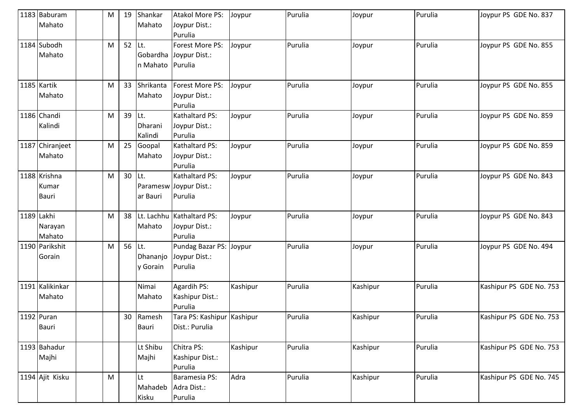|            | 1183 Baburam    | M         | 19 | Shankar   | <b>Atakol More PS:</b>     | Joypur   | Purulia | Joypur   | Purulia | Joypur PS GDE No. 837   |
|------------|-----------------|-----------|----|-----------|----------------------------|----------|---------|----------|---------|-------------------------|
|            | Mahato          |           |    | Mahato    | Joypur Dist.:              |          |         |          |         |                         |
|            |                 |           |    |           | Purulia                    |          |         |          |         |                         |
|            | 1184 Subodh     | M         | 52 | Lt.       | Forest More PS:            | Joypur   | Purulia | Joypur   | Purulia | Joypur PS GDE No. 855   |
|            | Mahato          |           |    |           | Gobardha Joypur Dist.:     |          |         |          |         |                         |
|            |                 |           |    | n Mahato  | Purulia                    |          |         |          |         |                         |
|            |                 |           |    |           |                            |          |         |          |         |                         |
|            | 1185 Kartik     | M         | 33 | Shrikanta | Forest More PS:            | Joypur   | Purulia | Joypur   | Purulia | Joypur PS GDE No. 855   |
|            | Mahato          |           |    | Mahato    | Joypur Dist.:              |          |         |          |         |                         |
|            |                 |           |    |           | Purulia                    |          |         |          |         |                         |
|            | 1186 Chandi     | M         | 39 | Lt.       | Kathaltard PS:             | Joypur   | Purulia | Joypur   | Purulia | Joypur PS GDE No. 859   |
|            | Kalindi         |           |    | Dharani   | Joypur Dist.:              |          |         |          |         |                         |
|            |                 |           |    | Kalindi   | Purulia                    |          |         |          |         |                         |
|            | 1187 Chiranjeet | M         | 25 | Goopal    | Kathaltard PS:             | Joypur   | Purulia | Joypur   | Purulia | Joypur PS GDE No. 859   |
|            | Mahato          |           |    | Mahato    | Joypur Dist.:              |          |         |          |         |                         |
|            |                 |           |    |           | Purulia                    |          |         |          |         |                         |
|            | 1188 Krishna    | M         | 30 | Lt.       | Kathaltard PS:             | Joypur   | Purulia | Joypur   | Purulia | Joypur PS GDE No. 843   |
|            | Kumar           |           |    |           | Paramesw Joypur Dist.:     |          |         |          |         |                         |
|            | <b>Bauri</b>    |           |    | ar Bauri  | Purulia                    |          |         |          |         |                         |
|            |                 |           |    |           |                            |          |         |          |         |                         |
| 1189 Lakhi |                 | M         | 38 |           | Lt. Lachhu Kathaltard PS:  | Joypur   | Purulia | Joypur   | Purulia | Joypur PS GDE No. 843   |
|            | Narayan         |           |    | Mahato    | Joypur Dist.:              |          |         |          |         |                         |
|            | Mahato          |           |    |           | Purulia                    |          |         |          |         |                         |
|            | 1190 Parikshit  | M         | 56 | Lt.       | Pundag Bazar PS: Joypur    |          | Purulia | Joypur   | Purulia | Joypur PS GDE No. 494   |
|            | Gorain          |           |    | Dhananjo  | Joypur Dist.:              |          |         |          |         |                         |
|            |                 |           |    | y Gorain  | Purulia                    |          |         |          |         |                         |
|            |                 |           |    |           |                            |          |         |          |         |                         |
|            | 1191 Kalikinkar |           |    | Nimai     | Agardih PS:                | Kashipur | Purulia | Kashipur | Purulia | Kashipur PS GDE No. 753 |
|            | Mahato          |           |    | Mahato    | Kashipur Dist.:            |          |         |          |         |                         |
|            |                 |           |    |           | Purulia                    |          |         |          |         |                         |
|            | 1192 Puran      |           |    | 30 Ramesh | Tara PS: Kashipur Kashipur |          | Purulia | Kashipur | Purulia | Kashipur PS GDE No. 753 |
|            | Bauri           |           |    | Bauri     | Dist.: Purulia             |          |         |          |         |                         |
|            |                 |           |    |           |                            |          |         |          |         |                         |
|            | 1193 Bahadur    |           |    | Lt Shibu  | Chitra PS:                 | Kashipur | Purulia | Kashipur | Purulia | Kashipur PS GDE No. 753 |
|            | Majhi           |           |    | Majhi     | Kashipur Dist.:            |          |         |          |         |                         |
|            |                 |           |    |           | Purulia                    |          |         |          |         |                         |
|            | 1194 Ajit Kisku | ${\sf M}$ |    | Lt        | Baramesia PS:              | Adra     | Purulia | Kashipur | Purulia | Kashipur PS GDE No. 745 |
|            |                 |           |    | Mahadeb   | Adra Dist.:                |          |         |          |         |                         |
|            |                 |           |    | Kisku     | Purulia                    |          |         |          |         |                         |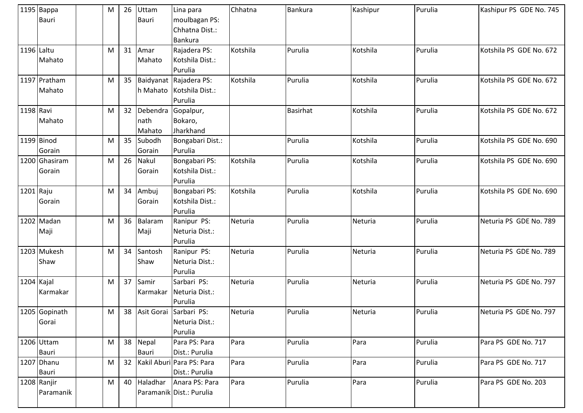|            | 1195 Bappa<br><b>Bauri</b> | М | 26 | Uttam<br><b>Bauri</b>      | Lina para<br>moulbagan PS:<br>Chhatna Dist.:<br>Bankura          | Chhatna  | <b>Bankura</b>  | Kashipur | Purulia | Kashipur PS GDE No. 745 |
|------------|----------------------------|---|----|----------------------------|------------------------------------------------------------------|----------|-----------------|----------|---------|-------------------------|
| 1196 Laltu | Mahato                     | M | 31 | Amar<br>Mahato             | Rajadera PS:<br>Kotshila Dist.:<br>Purulia                       | Kotshila | Purulia         | Kotshila | Purulia | Kotshila PS GDE No. 672 |
|            | 1197 Pratham<br>Mahato     | M |    |                            | 35 Baidyanat Rajadera PS:<br>h Mahato Kotshila Dist.:<br>Purulia | Kotshila | Purulia         | Kotshila | Purulia | Kotshila PS GDE No. 672 |
| 1198 Ravi  | Mahato                     | M | 32 | Debendra<br>nath<br>Mahato | Gopalpur,<br>Bokaro,<br>Jharkhand                                |          | <b>Basirhat</b> | Kotshila | Purulia | Kotshila PS GDE No. 672 |
|            | 1199 Binod<br>Gorain       | M | 35 | Subodh<br>Gorain           | Bongabari Dist.:<br>Purulia                                      |          | Purulia         | Kotshila | Purulia | Kotshila PS GDE No. 690 |
|            | 1200 Ghasiram<br>Gorain    | M | 26 | Nakul<br>Gorain            | Bongabari PS:<br>Kotshila Dist.:<br>Purulia                      | Kotshila | Purulia         | Kotshila | Purulia | Kotshila PS GDE No. 690 |
| 1201 Raju  | Gorain                     | M | 34 | Ambuj<br>Gorain            | Bongabari PS:<br>Kotshila Dist.:<br>Purulia                      | Kotshila | Purulia         | Kotshila | Purulia | Kotshila PS GDE No. 690 |
|            | 1202 Madan<br>Maji         | M | 36 | Balaram<br>Maji            | Ranipur PS:<br>Neturia Dist.:<br>Purulia                         | Neturia  | Purulia         | Neturia  | Purulia | Neturia PS GDE No. 789  |
|            | 1203 Mukesh<br>Shaw        | M | 34 | Santosh<br>Shaw            | Ranipur PS:<br>Neturia Dist.:<br>Purulia                         | Neturia  | Purulia         | Neturia  | Purulia | Neturia PS GDE No. 789  |
| 1204 Kajal | Karmakar                   | M | 37 | Samir<br>Karmakar          | Sarbari PS:<br>Neturia Dist.:<br>Purulia                         | Neturia  | Purulia         | Neturia  | Purulia | Neturia PS GDE No. 797  |
|            | 1205 Gopinath<br>Gorai     | M |    |                            | 38 Asit Gorai Sarbari PS:<br>Neturia Dist.:<br>Purulia           | Neturia  | Purulia         | Neturia  | Purulia | Neturia PS GDE No. 797  |
|            | 1206 Uttam<br>Bauri        | M |    | 38 Nepal<br><b>Bauri</b>   | Para PS: Para<br>Dist.: Purulia                                  | Para     | Purulia         | Para     | Purulia | Para PS GDE No. 717     |
|            | 1207 Dhanu<br>Bauri        | M |    |                            | 32 Kakil Aburi Para PS: Para<br>Dist.: Purulia                   | Para     | Purulia         | Para     | Purulia | Para PS GDE No. 717     |
|            | 1208 Ranjir<br>Paramanik   | M |    | 40 Haladhar                | Anara PS: Para<br>Paramanik Dist.: Purulia                       | Para     | Purulia         | Para     | Purulia | Para PS GDE No. 203     |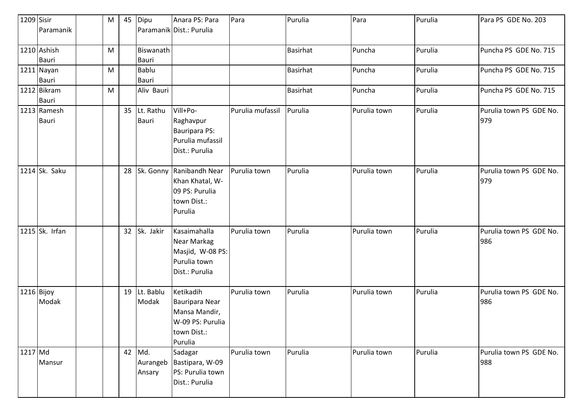| 1209 Sisir           |                             | M | 45 | Dipu                         | Anara PS: Para                                                                             | Para             | Purulia         | Para         | Purulia | Para PS GDE No. 203            |
|----------------------|-----------------------------|---|----|------------------------------|--------------------------------------------------------------------------------------------|------------------|-----------------|--------------|---------|--------------------------------|
|                      | Paramanik                   |   |    |                              | Paramanik Dist.: Purulia                                                                   |                  |                 |              |         |                                |
|                      | 1210 Ashish                 | M |    | Biswanath                    |                                                                                            |                  | <b>Basirhat</b> | Puncha       | Purulia | Puncha PS GDE No. 715          |
|                      | <b>Bauri</b>                |   |    | <b>Bauri</b>                 |                                                                                            |                  |                 |              |         |                                |
|                      | 1211 Nayan                  | M |    | <b>Bablu</b>                 |                                                                                            |                  | <b>Basirhat</b> | Puncha       | Purulia | Puncha PS GDE No. 715          |
|                      | Bauri                       |   |    | <b>Bauri</b>                 |                                                                                            |                  |                 |              |         |                                |
|                      | 1212 Bikram                 | M |    | Aliv Bauri                   |                                                                                            |                  | <b>Basirhat</b> | Puncha       | Purulia | Puncha PS GDE No. 715          |
|                      | <b>Bauri</b>                |   |    |                              |                                                                                            |                  |                 |              |         |                                |
|                      | 1213 Ramesh<br><b>Bauri</b> |   |    | 35 Lt. Rathu<br><b>Bauri</b> | Vill+Po-<br>Raghavpur<br><b>Bauripara PS:</b><br>Purulia mufassil<br>Dist.: Purulia        | Purulia mufassil | Purulia         | Purulia town | Purulia | Purulia town PS GDE No.<br>979 |
|                      | 1214 Sk. Saku               |   | 28 |                              | Sk. Gonny Ranibandh Near<br>Khan Khatal, W-<br>09 PS: Purulia<br>town Dist.:<br>Purulia    | Purulia town     | Purulia         | Purulia town | Purulia | Purulia town PS GDE No.<br>979 |
|                      | 1215 Sk. Irfan              |   |    | 32 Sk. Jakir                 | Kasaimahalla<br><b>Near Markag</b><br>Masjid, W-08 PS:<br>Purulia town<br>Dist.: Purulia   | Purulia town     | Purulia         | Purulia town | Purulia | Purulia town PS GDE No.<br>986 |
| 1216 Bijoy           | Modak                       |   |    | 19 Lt. Bablu<br>Modak        | Ketikadih<br>Bauripara Near<br>Mansa Mandir,<br>W-09 PS: Purulia<br>town Dist.:<br>Purulia | Purulia town     | Purulia         | Purulia town | Purulia | Purulia town PS GDE No.<br>986 |
| $\overline{1217}$ Md | Mansur                      |   |    | 42 Md.<br>Aurangeb<br>Ansary | Sadagar<br>Bastipara, W-09<br>PS: Purulia town<br>Dist.: Purulia                           | Purulia town     | Purulia         | Purulia town | Purulia | Purulia town PS GDE No.<br>988 |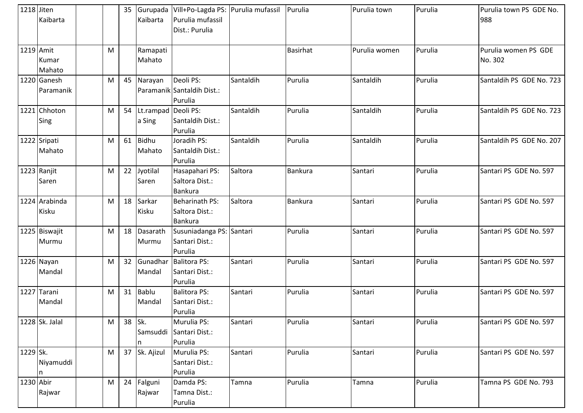| 1218 Jiten | Kaibarta                 |   |        | Kaibarta                         | 35 Gurupada   Vill+Po-Lagda PS: Purulia mufassil<br>Purulia mufassil<br>Dist.: Purulia |           | Purulia         | Purulia town  | Purulia | Purulia town PS GDE No.<br>988  |
|------------|--------------------------|---|--------|----------------------------------|----------------------------------------------------------------------------------------|-----------|-----------------|---------------|---------|---------------------------------|
| 1219 Amit  | Kumar<br>Mahato          | M |        | Ramapati<br>Mahato               |                                                                                        |           | <b>Basirhat</b> | Purulia women | Purulia | Purulia women PS GDE<br>No. 302 |
|            | 1220 Ganesh<br>Paramanik | M |        | 45 Narayan                       | Deoli PS:<br>Paramanik Santaldih Dist.:<br>Purulia                                     | Santaldih | Purulia         | Santaldih     | Purulia | Santaldih PS GDE No. 723        |
|            | 1221 Chhoton<br>Sing     | M |        | 54 Lt.rampad Deoli PS:<br>a Sing | Santaldih Dist.:<br>Purulia                                                            | Santaldih | Purulia         | Santaldih     | Purulia | Santaldih PS GDE No. 723        |
|            | 1222 Sripati<br>Mahato   | M |        | 61 Bidhu<br>Mahato               | Joradih PS:<br>Santaldih Dist.:<br>Purulia                                             | Santaldih | Purulia         | Santaldih     | Purulia | Santaldih PS GDE No. 207        |
|            | 1223 Ranjit<br>Saren     | M | 22     | Jyotilal<br>Saren                | Hasapahari PS:<br>Saltora Dist.:<br><b>Bankura</b>                                     | Saltora   | Bankura         | Santari       | Purulia | Santari PS GDE No. 597          |
|            | 1224 Arabinda<br>Kisku   | M | 18     | Sarkar<br>Kisku                  | Beharinath PS:<br>Saltora Dist.:<br><b>Bankura</b>                                     | Saltora   | Bankura         | Santari       | Purulia | Santari PS GDE No. 597          |
|            | 1225 Biswajit<br>Murmu   | M |        | 18 Dasarath<br>Murmu             | Susuniadanga PS: Santari<br>Santari Dist.:<br>Purulia                                  |           | Purulia         | Santari       | Purulia | Santari PS GDE No. 597          |
|            | 1226 Nayan<br>Mandal     | M |        | 32 Gunadhai<br>Mandal            | <b>Balitora PS:</b><br>Santari Dist.:<br>Purulia                                       | Santari   | Purulia         | Santari       | Purulia | Santari PS GDE No. 597          |
|            | 1227 Tarani<br>Mandal    | M |        | 31 Bablu<br>Mandal               | <b>Balitora PS:</b><br>Santari Dist.:<br>Purulia                                       | Santari   | Purulia         | Santari       | Purulia | Santari PS GDE No. 597          |
|            | 1228 Sk. Jalal           | M | 38 Sk. | Samsuddi                         | Murulia PS:<br>Santari Dist.:<br>Purulia                                               | Santari   | Purulia         | Santari       | Purulia | Santari PS GDE No. 597          |
| 1229 Sk.   | Niyamuddi<br>n           | M |        | 37 Sk. Ajizul                    | Murulia PS:<br>Santari Dist.:<br>Purulia                                               | Santari   | Purulia         | Santari       | Purulia | Santari PS GDE No. 597          |
| 1230 Abir  | Rajwar                   | M |        | 24 Falguni<br>Rajwar             | Damda PS:<br>Tamna Dist.:<br>Purulia                                                   | Tamna     | Purulia         | Tamna         | Purulia | Tamna PS GDE No. 793            |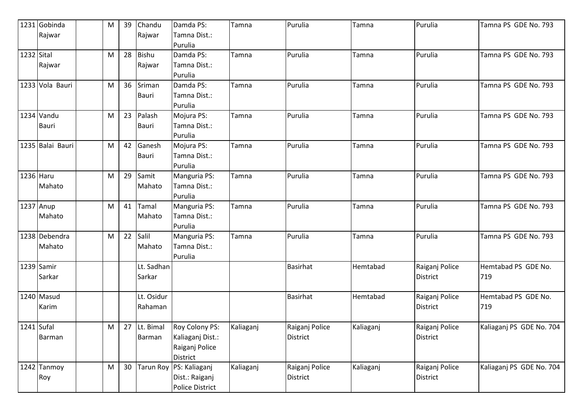|            | 1231 Gobinda     | M         | 39 | Chandu       | Damda PS:               | Tamna     | Purulia         | Tamna     | Purulia         | Tamna PS GDE No. 793     |
|------------|------------------|-----------|----|--------------|-------------------------|-----------|-----------------|-----------|-----------------|--------------------------|
|            | Rajwar           |           |    | Rajwar       | Tamna Dist.:            |           |                 |           |                 |                          |
|            |                  |           |    |              | Purulia                 |           |                 |           |                 |                          |
| 1232 Sital |                  | M         | 28 | <b>Bishu</b> | Damda PS:               | Tamna     | Purulia         | Tamna     | Purulia         | Tamna PS GDE No. 793     |
|            | Rajwar           |           |    | Rajwar       | Tamna Dist.:            |           |                 |           |                 |                          |
|            |                  |           |    |              | Purulia                 |           |                 |           |                 |                          |
|            | 1233 Vola Bauri  | M         | 36 | Sriman       | Damda PS:               | Tamna     | Purulia         | Tamna     | Purulia         | Tamna PS GDE No. 793     |
|            |                  |           |    | Bauri        | Tamna Dist.:            |           |                 |           |                 |                          |
|            |                  |           |    |              | Purulia                 |           |                 |           |                 |                          |
|            | 1234 Vandu       | M         | 23 | Palash       | Mojura PS:              | Tamna     | Purulia         | Tamna     | Purulia         | Tamna PS GDE No. 793     |
|            | <b>Bauri</b>     |           |    | Bauri        | Tamna Dist.:            |           |                 |           |                 |                          |
|            |                  |           |    |              | Purulia                 |           |                 |           |                 |                          |
|            | 1235 Balai Bauri | M         | 42 | Ganesh       | Mojura PS:              | Tamna     | Purulia         | Tamna     | Purulia         | Tamna PS GDE No. 793     |
|            |                  |           |    | Bauri        | Tamna Dist.:            |           |                 |           |                 |                          |
|            |                  |           |    |              | Purulia                 |           |                 |           |                 |                          |
| 1236 Haru  |                  | M         | 29 | Samit        | Manguria PS:            | Tamna     | Purulia         | Tamna     | Purulia         | Tamna PS GDE No. 793     |
|            | Mahato           |           |    | Mahato       | Tamna Dist.:            |           |                 |           |                 |                          |
|            |                  |           |    |              | Purulia                 |           |                 |           |                 |                          |
|            | 1237 Anup        | M         | 41 | Tamal        | Manguria PS:            | Tamna     | Purulia         | Tamna     | Purulia         | Tamna PS GDE No. 793     |
|            | Mahato           |           |    | Mahato       | Tamna Dist.:            |           |                 |           |                 |                          |
|            |                  |           |    |              | Purulia                 |           |                 |           |                 |                          |
|            | 1238 Debendra    | M         | 22 | Salil        | Manguria PS:            | Tamna     | Purulia         | Tamna     | Purulia         | Tamna PS GDE No. 793     |
|            | Mahato           |           |    | Mahato       | Tamna Dist.:            |           |                 |           |                 |                          |
|            |                  |           |    |              | Purulia                 |           |                 |           |                 |                          |
|            | 1239 Samir       |           |    | Lt. Sadhan   |                         |           | <b>Basirhat</b> | Hemtabad  | Raiganj Police  | Hemtabad PS GDE No.      |
|            | Sarkar           |           |    | Sarkar       |                         |           |                 |           | District        | 719                      |
|            |                  |           |    |              |                         |           |                 |           |                 |                          |
|            | 1240 Masud       |           |    | Lt. Osidur   |                         |           | <b>Basirhat</b> | Hemtabad  | Raiganj Police  | Hemtabad PS GDE No.      |
|            | Karim            |           |    | Rahaman      |                         |           |                 |           | <b>District</b> | 719                      |
|            |                  |           |    |              |                         |           |                 |           |                 |                          |
| 1241 Sufal |                  | M         | 27 | Lt. Bimal    | Roy Colony PS:          | Kaliaganj | Raiganj Police  | Kaliaganj | Raiganj Police  | Kaliaganj PS GDE No. 704 |
|            | <b>Barman</b>    |           |    | Barman       | Kaliaganj Dist.:        |           | District        |           | District        |                          |
|            |                  |           |    |              | Raiganj Police          |           |                 |           |                 |                          |
|            |                  |           |    |              | District                |           |                 |           |                 |                          |
|            | 1242 Tanmoy      | ${\sf M}$ | 30 |              | Tarun Roy PS: Kaliaganj | Kaliaganj | Raiganj Police  | Kaliaganj | Raiganj Police  | Kaliaganj PS GDE No. 704 |
|            | Roy              |           |    |              | Dist.: Raiganj          |           | District        |           | District        |                          |
|            |                  |           |    |              | <b>Police District</b>  |           |                 |           |                 |                          |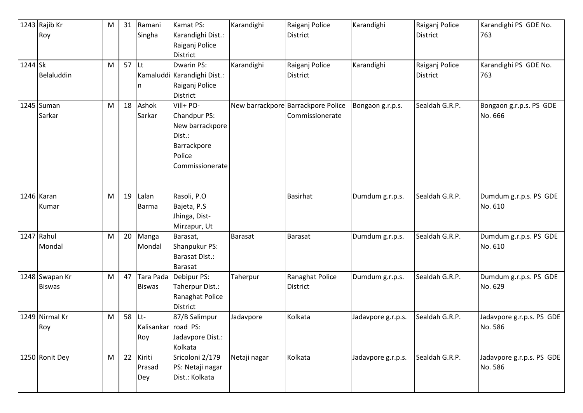|         | 1243 Rajib Kr  | M | 31      | Ramani              | Kamat PS:                   | Karandighi     | Raiganj Police                     | Karandighi         | Raiganj Police  | Karandighi PS GDE No.     |
|---------|----------------|---|---------|---------------------|-----------------------------|----------------|------------------------------------|--------------------|-----------------|---------------------------|
|         | Roy            |   |         | Singha              | Karandighi Dist.:           |                | <b>District</b>                    |                    | <b>District</b> | 763                       |
|         |                |   |         |                     | Raiganj Police              |                |                                    |                    |                 |                           |
|         |                |   |         |                     | <b>District</b>             |                |                                    |                    |                 |                           |
| 1244 Sk |                | M | $57$ Lt |                     | <b>Dwarin PS:</b>           | Karandighi     | Raiganj Police                     | Karandighi         | Raiganj Police  | Karandighi PS GDE No.     |
|         | Belaluddin     |   |         |                     | Kamaluddi Karandighi Dist.: |                | <b>District</b>                    |                    | <b>District</b> | 763                       |
|         |                |   |         | In                  | Raiganj Police              |                |                                    |                    |                 |                           |
|         |                |   |         |                     | <b>District</b>             |                |                                    |                    |                 |                           |
|         | 1245 Suman     | M | 18      | Ashok               | Vill+ PO-                   |                | New barrackpore Barrackpore Police | Bongaon g.r.p.s.   | Sealdah G.R.P.  | Bongaon g.r.p.s. PS GDE   |
|         | Sarkar         |   |         | Sarkar              | Chandpur PS:                |                | Commissionerate                    |                    |                 | No. 666                   |
|         |                |   |         |                     | New barrackpore             |                |                                    |                    |                 |                           |
|         |                |   |         |                     | Dist.:                      |                |                                    |                    |                 |                           |
|         |                |   |         |                     | Barrackpore                 |                |                                    |                    |                 |                           |
|         |                |   |         |                     | Police                      |                |                                    |                    |                 |                           |
|         |                |   |         |                     | Commissionerate             |                |                                    |                    |                 |                           |
|         |                |   |         |                     |                             |                |                                    |                    |                 |                           |
|         |                |   |         |                     |                             |                |                                    |                    |                 |                           |
|         | 1246 Karan     | M | 19      | Lalan               | Rasoli, P.O                 |                | Basirhat                           | Dumdum g.r.p.s.    | Sealdah G.R.P.  | Dumdum g.r.p.s. PS GDE    |
|         | Kumar          |   |         | <b>Barma</b>        | Bajeta, P.S                 |                |                                    |                    |                 | No. 610                   |
|         |                |   |         |                     | Jhinga, Dist-               |                |                                    |                    |                 |                           |
|         |                |   |         |                     | Mirzapur, Ut                |                |                                    |                    |                 |                           |
|         | 1247 Rahul     | M | 20      | Manga               | Barasat,                    | <b>Barasat</b> | Barasat                            | Dumdum g.r.p.s.    | Sealdah G.R.P.  | Dumdum g.r.p.s. PS GDE    |
|         | Mondal         |   |         | Mondal              | Shanpukur PS:               |                |                                    |                    |                 | No. 610                   |
|         |                |   |         |                     | Barasat Dist.:              |                |                                    |                    |                 |                           |
|         |                |   |         |                     | <b>Barasat</b>              |                |                                    |                    |                 |                           |
|         | 1248 Swapan Kr | M | 47      |                     | Tara Pada Debipur PS:       | Taherpur       | Ranaghat Police                    | Dumdum g.r.p.s.    | Sealdah G.R.P.  | Dumdum g.r.p.s. PS GDE    |
|         | <b>Biswas</b>  |   |         | <b>Biswas</b>       | Taherpur Dist.:             |                | <b>District</b>                    |                    |                 | No. 629                   |
|         |                |   |         |                     | Ranaghat Police             |                |                                    |                    |                 |                           |
|         |                |   |         |                     | <b>District</b>             |                |                                    |                    |                 |                           |
|         | 1249 Nirmal Kr | M | 58 Lt-  |                     | 87/B Salimpur               | Jadavpore      | Kolkata                            | Jadavpore g.r.p.s. | Sealdah G.R.P.  | Jadavpore g.r.p.s. PS GDE |
|         | Roy            |   |         | Kalisankar road PS: |                             |                |                                    |                    |                 | No. 586                   |
|         |                |   |         | Roy                 | Jadavpore Dist.:            |                |                                    |                    |                 |                           |
|         |                |   |         |                     | Kolkata                     |                |                                    |                    |                 |                           |
|         | 1250 Ronit Dey | M |         | 22 Kiriti           | Sricoloni 2/179             | Netaji nagar   | Kolkata                            | Jadavpore g.r.p.s. | Sealdah G.R.P.  | Jadavpore g.r.p.s. PS GDE |
|         |                |   |         | Prasad              | PS: Netaji nagar            |                |                                    |                    |                 | No. 586                   |
|         |                |   |         | Dey                 | Dist.: Kolkata              |                |                                    |                    |                 |                           |
|         |                |   |         |                     |                             |                |                                    |                    |                 |                           |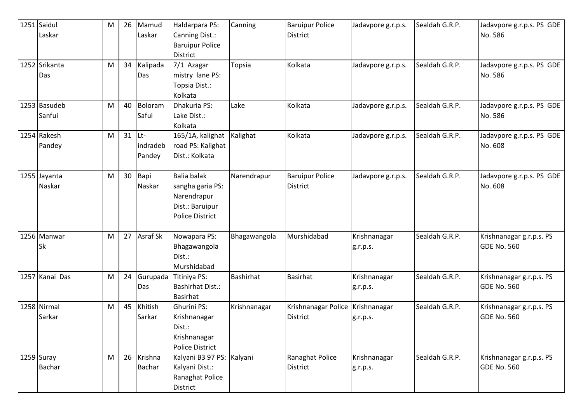| 1251 Saidul    | M | 26              | Mamud           | Haldarpara PS:            | Canning      | <b>Baruipur Police</b>             | Jadavpore g.r.p.s. | Sealdah G.R.P. | Jadavpore g.r.p.s. PS GDE |
|----------------|---|-----------------|-----------------|---------------------------|--------------|------------------------------------|--------------------|----------------|---------------------------|
| Laskar         |   |                 | Laskar          | Canning Dist.:            |              | <b>District</b>                    |                    |                | No. 586                   |
|                |   |                 |                 | <b>Baruipur Police</b>    |              |                                    |                    |                |                           |
|                |   |                 |                 | <b>District</b>           |              |                                    |                    |                |                           |
| 1252 Srikanta  | M | 34              | Kalipada        | 7/1 Azagar                | Topsia       | Kolkata                            | Jadavpore g.r.p.s. | Sealdah G.R.P. | Jadavpore g.r.p.s. PS GDE |
| Das            |   |                 | Das             | mistry lane PS:           |              |                                    |                    |                | No. 586                   |
|                |   |                 |                 | Topsia Dist.:             |              |                                    |                    |                |                           |
|                |   |                 |                 | Kolkata                   |              |                                    |                    |                |                           |
| 1253 Basudeb   | M | 40              | Boloram         | Dhakuria PS:              | Lake         | Kolkata                            | Jadavpore g.r.p.s. | Sealdah G.R.P. | Jadavpore g.r.p.s. PS GDE |
| Sanfui         |   |                 | Safui           | Lake Dist.:               |              |                                    |                    |                | No. 586                   |
|                |   |                 |                 | Kolkata                   |              |                                    |                    |                |                           |
| 1254 Rakesh    | M | 31              | $ $ Lt-         | 165/1A, kalighat          | Kalighat     | Kolkata                            | Jadavpore g.r.p.s. | Sealdah G.R.P. | Jadavpore g.r.p.s. PS GDE |
| Pandey         |   |                 | indradeb        | road PS: Kalighat         |              |                                    |                    |                | No. 608                   |
|                |   |                 | Pandey          | Dist.: Kolkata            |              |                                    |                    |                |                           |
|                |   |                 |                 |                           |              |                                    |                    |                |                           |
| 1255 Jayanta   | M | 30 <sup>°</sup> | Bapi            | <b>Balia balak</b>        | Narendrapur  | <b>Baruipur Police</b>             | Jadavpore g.r.p.s. | Sealdah G.R.P. | Jadavpore g.r.p.s. PS GDE |
| Naskar         |   |                 | Naskar          | sangha garia PS:          |              | District                           |                    |                | No. 608                   |
|                |   |                 |                 | Narendrapur               |              |                                    |                    |                |                           |
|                |   |                 |                 | Dist.: Baruipur           |              |                                    |                    |                |                           |
|                |   |                 |                 | <b>Police District</b>    |              |                                    |                    |                |                           |
|                |   |                 |                 |                           |              |                                    |                    |                |                           |
| 1256 Manwar    | M | 27              | <b>Asraf Sk</b> | Nowapara PS:              | Bhagawangola | Murshidabad                        | Krishnanagar       | Sealdah G.R.P. | Krishnanagar g.r.p.s. PS  |
| Sk             |   |                 |                 | Bhagawangola              |              |                                    | g.r.p.s.           |                | GDE No. 560               |
|                |   |                 |                 | Dist.:                    |              |                                    |                    |                |                           |
|                |   |                 |                 | Murshidabad               |              |                                    |                    |                |                           |
| 1257 Kanai Das | M | 24              |                 | Gurupada Titiniya PS:     | Bashirhat    | <b>Basirhat</b>                    | Krishnanagar       | Sealdah G.R.P. | Krishnanagar g.r.p.s. PS  |
|                |   |                 | Das             | <b>Bashirhat Dist.:</b>   |              |                                    | g.r.p.s.           |                | <b>GDE No. 560</b>        |
|                |   |                 |                 | <b>Basirhat</b>           |              |                                    |                    |                |                           |
| 1258 Nirmal    | M | 45              | Khitish         | Ghurini PS:               | Krishnanagar | Krishnanagar Police   Krishnanagar |                    | Sealdah G.R.P. | Krishnanagar g.r.p.s. PS  |
| Sarkar         |   |                 | Sarkar          | Krishnanagar              |              | District                           | g.r.p.s.           |                | <b>GDE No. 560</b>        |
|                |   |                 |                 | Dist.:                    |              |                                    |                    |                |                           |
|                |   |                 |                 | Krishnanagar              |              |                                    |                    |                |                           |
|                |   |                 |                 | <b>Police District</b>    |              |                                    |                    |                |                           |
| 1259 Suray     | M |                 | 26 Krishna      | Kalyani B3 97 PS: Kalyani |              | Ranaghat Police                    | Krishnanagar       | Sealdah G.R.P. | Krishnanagar g.r.p.s. PS  |
| <b>Bachar</b>  |   |                 | <b>Bachar</b>   | Kalyani Dist.:            |              | <b>District</b>                    | g.r.p.s.           |                | GDE No. 560               |
|                |   |                 |                 | Ranaghat Police           |              |                                    |                    |                |                           |
|                |   |                 |                 | District                  |              |                                    |                    |                |                           |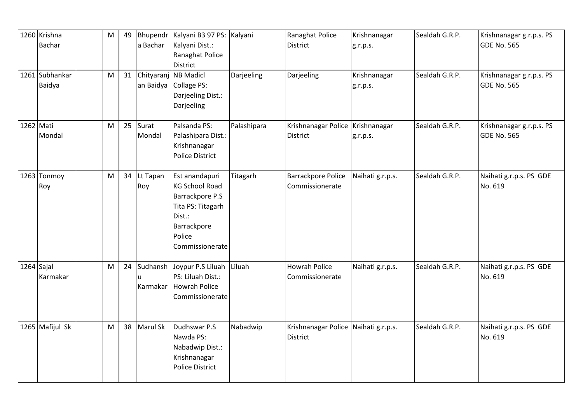|              | 1260 Krishna<br><b>Bachar</b> | M | 49 | Bhupendr<br>a Bachar | Kalyani B3 97 PS: Kalyani<br>Kalyani Dist.:<br>Ranaghat Police<br>District                                                            |             | Ranaghat Police<br><b>District</b>                      | Krishnanagar<br>g.r.p.s. | Sealdah G.R.P. | Krishnanagar g.r.p.s. PS<br><b>GDE No. 565</b> |
|--------------|-------------------------------|---|----|----------------------|---------------------------------------------------------------------------------------------------------------------------------------|-------------|---------------------------------------------------------|--------------------------|----------------|------------------------------------------------|
|              | 1261 Subhankar<br>Baidya      | M | 31 | Chityaranj NB Madicl | an Baidya Collage PS:<br>Darjeeling Dist.:<br>Darjeeling                                                                              | Darjeeling  | Darjeeling                                              | Krishnanagar<br>g.r.p.s. | Sealdah G.R.P. | Krishnanagar g.r.p.s. PS<br><b>GDE No. 565</b> |
| 1262 Mati    | Mondal                        | M | 25 | Surat<br>Mondal      | Palsanda PS:<br>Palashipara Dist.:<br>Krishnanagar<br><b>Police District</b>                                                          | Palashipara | Krishnanagar Police Krishnanagar<br><b>District</b>     | g.r.p.s.                 | Sealdah G.R.P. | Krishnanagar g.r.p.s. PS<br><b>GDE No. 565</b> |
|              | 1263 Tonmoy<br>Roy            | M |    | 34 Lt Tapan<br>Roy   | Est anandapuri<br><b>KG School Road</b><br>Barrackpore P.S<br>Tita PS: Titagarh<br>Dist.:<br>Barrackpore<br>Police<br>Commissionerate | Titagarh    | Barrackpore Police<br>Commissionerate                   | Naihati g.r.p.s.         | Sealdah G.R.P. | Naihati g.r.p.s. PS GDE<br>No. 619             |
| $1264$ Sajal | Karmakar                      | M | 24 | Sudhansh<br>Karmakar | Joypur P.S Liluah<br>PS: Liluah Dist.:<br>Howrah Police<br>Commissionerate                                                            | Liluah      | <b>Howrah Police</b><br>Commissionerate                 | Naihati g.r.p.s.         | Sealdah G.R.P. | Naihati g.r.p.s. PS GDE<br>No. 619             |
|              | 1265 Mafijul Sk               | M |    | 38 Marul Sk          | Dudhswar P.S<br>Nawda PS:<br>Nabadwip Dist.:<br>Krishnanagar<br><b>Police District</b>                                                | Nabadwip    | Krishnanagar Police Naihati g.r.p.s.<br><b>District</b> |                          | Sealdah G.R.P. | Naihati g.r.p.s. PS GDE<br>No. 619             |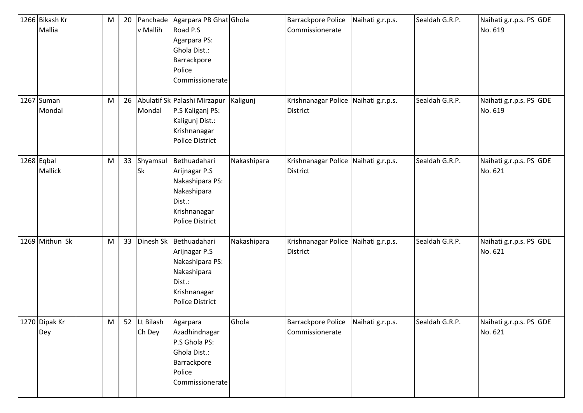| 1266 Bikash Kr<br>Mallia       | M | 20 | Panchade<br>v Mallih   | Agarpara PB Ghat Ghola<br>Road P.S<br>Agarpara PS:<br>Ghola Dist.:<br>Barrackpore<br>Police<br>Commissionerate      |             | <b>Barrackpore Police</b><br>Commissionerate            | Naihati g.r.p.s. | Sealdah G.R.P. | Naihati g.r.p.s. PS GDE<br>No. 619 |
|--------------------------------|---|----|------------------------|---------------------------------------------------------------------------------------------------------------------|-------------|---------------------------------------------------------|------------------|----------------|------------------------------------|
| 1267 Suman<br>Mondal           | M | 26 | Mondal                 | Abulatif Sk Palashi Mirzapur<br>P.S Kaliganj PS:<br>Kaligunj Dist.:<br>Krishnanagar<br>Police District              | Kaligunj    | Krishnanagar Police Naihati g.r.p.s.<br><b>District</b> |                  | Sealdah G.R.P. | Naihati g.r.p.s. PS GDE<br>No. 619 |
| $1268$ Eqbal<br><b>Mallick</b> | M | 33 | Shyamsul<br><b>Sk</b>  | Bethuadahari<br>Arijnagar P.S<br>Nakashipara PS:<br>Nakashipara<br>Dist.:<br>Krishnanagar<br>Police District        | Nakashipara | Krishnanagar Police Naihati g.r.p.s.<br><b>District</b> |                  | Sealdah G.R.P. | Naihati g.r.p.s. PS GDE<br>No. 621 |
| 1269 Mithun Sk                 | M | 33 | Dinesh Sk              | Bethuadahari<br>Arijnagar P.S<br>Nakashipara PS:<br>Nakashipara<br>Dist.:<br>Krishnanagar<br><b>Police District</b> | Nakashipara | Krishnanagar Police Naihati g.r.p.s.<br><b>District</b> |                  | Sealdah G.R.P. | Naihati g.r.p.s. PS GDE<br>No. 621 |
| 1270 Dipak Kr<br>Dey           | M |    | 52 Lt Bilash<br>Ch Dey | Agarpara<br>Azadhindnagar<br>P.S Ghola PS:<br>Ghola Dist.:<br>Barrackpore<br>Police<br>Commissionerate              | Ghola       | Barrackpore Police<br>Commissionerate                   | Naihati g.r.p.s. | Sealdah G.R.P. | Naihati g.r.p.s. PS GDE<br>No. 621 |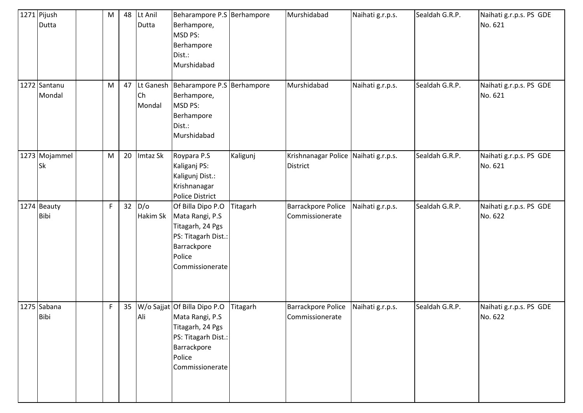| 1271 Pijush<br>Dutta       | M         | 48 | Lt Anil<br>Dutta | Beharampore P.S Berhampore<br>Berhampore,<br>MSD PS:<br>Berhampore<br>Dist.:<br>Murshidabad                                            |          | Murshidabad                                             | Naihati g.r.p.s. | Sealdah G.R.P. | Naihati g.r.p.s. PS GDE<br>No. 621 |
|----------------------------|-----------|----|------------------|----------------------------------------------------------------------------------------------------------------------------------------|----------|---------------------------------------------------------|------------------|----------------|------------------------------------|
| 1272 Santanu<br>Mondal     | M         | 47 | Ch<br>Mondal     | Lt Ganesh   Beharampore P.S   Berhampore<br>Berhampore,<br>MSD PS:<br>Berhampore<br>Dist.:<br>Murshidabad                              |          | Murshidabad                                             | Naihati g.r.p.s. | Sealdah G.R.P. | Naihati g.r.p.s. PS GDE<br>No. 621 |
| 1273 Mojammel<br>Sk        | ${\sf M}$ | 20 | Imtaz Sk         | Roypara P.S<br>Kaliganj PS:<br>Kaligunj Dist.:<br>Krishnanagar<br><b>Police District</b>                                               | Kaligunj | Krishnanagar Police Naihati g.r.p.s.<br><b>District</b> |                  | Sealdah G.R.P. | Naihati g.r.p.s. PS GDE<br>No. 621 |
| 1274 Beauty<br><b>Bibi</b> | F         | 32 | D/O<br>Hakim Sk  | Of Billa Dipo P.O<br>Mata Rangi, P.S<br>Titagarh, 24 Pgs<br>PS: Titagarh Dist.:<br>Barrackpore<br>Police<br>Commissionerate            | Titagarh | <b>Barrackpore Police</b><br>Commissionerate            | Naihati g.r.p.s. | Sealdah G.R.P. | Naihati g.r.p.s. PS GDE<br>No. 622 |
| 1275 Sabana<br><b>Bibi</b> | F         | 35 | Ali              | W/o Sajjat Of Billa Dipo P.O<br>Mata Rangi, P.S<br>Titagarh, 24 Pgs<br>PS: Titagarh Dist.:<br>Barrackpore<br>Police<br>Commissionerate | Titagarh | Barrackpore Police<br>Commissionerate                   | Naihati g.r.p.s. | Sealdah G.R.P. | Naihati g.r.p.s. PS GDE<br>No. 622 |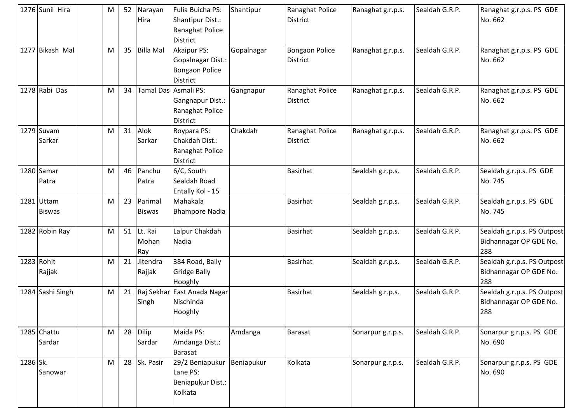|          | 1276 Sunil Hira             | M |    | 52 Narayan<br>Hira         | Fulia Buicha PS:<br>Shantipur Dist.:<br>Ranaghat Police<br><b>District</b>      | Shantipur  | Ranaghat Police<br><b>District</b>       | Ranaghat g.r.p.s. | Sealdah G.R.P. | Ranaghat g.r.p.s. PS GDE<br>No. 662                          |
|----------|-----------------------------|---|----|----------------------------|---------------------------------------------------------------------------------|------------|------------------------------------------|-------------------|----------------|--------------------------------------------------------------|
|          | 1277 Bikash Mal             | M | 35 | <b>Billa Mal</b>           | Akaipur PS:<br><b>Gopalnagar Dist.:</b><br>Bongaon Police<br><b>District</b>    | Gopalnagar | <b>Bongaon Police</b><br><b>District</b> | Ranaghat g.r.p.s. | Sealdah G.R.P. | Ranaghat g.r.p.s. PS GDE<br>No. 662                          |
|          | 1278 Rabi Das               | M | 34 |                            | Tamal Das  Asmali PS:<br>Gangnapur Dist.:<br>Ranaghat Police<br><b>District</b> | Gangnapur  | Ranaghat Police<br><b>District</b>       | Ranaghat g.r.p.s. | Sealdah G.R.P. | Ranaghat g.r.p.s. PS GDE<br>No. 662                          |
|          | $1279$ Suvam<br>Sarkar      | M | 31 | Alok<br>Sarkar             | Roypara PS:<br>Chakdah Dist.:<br>Ranaghat Police<br><b>District</b>             | Chakdah    | Ranaghat Police<br><b>District</b>       | Ranaghat g.r.p.s. | Sealdah G.R.P. | Ranaghat g.r.p.s. PS GDE<br>No. 662                          |
|          | 1280 Samar<br>Patra         | м | 46 | Panchu<br>Patra            | 6/C, South<br>Sealdah Road<br>Entally Kol - 15                                  |            | Basirhat                                 | Sealdah g.r.p.s.  | Sealdah G.R.P. | Sealdah g.r.p.s. PS GDE<br>No. 745                           |
|          | 1281 Uttam<br><b>Biswas</b> | M | 23 | Parimal<br><b>Biswas</b>   | Mahakala<br><b>Bhampore Nadia</b>                                               |            | <b>Basirhat</b>                          | Sealdah g.r.p.s.  | Sealdah G.R.P. | Sealdah g.r.p.s. PS GDE<br>No. 745                           |
|          | 1282 Robin Ray              | M |    | 51 Lt. Rai<br>Mohan<br>Ray | Lalpur Chakdah<br>Nadia                                                         |            | Basirhat                                 | Sealdah g.r.p.s.  | Sealdah G.R.P. | Sealdah g.r.p.s. PS Outpost<br>Bidhannagar OP GDE No.<br>288 |
|          | 1283 Rohit<br>Rajjak        | M | 21 | Jitendra<br>Rajjak         | 384 Road, Bally<br><b>Gridge Bally</b><br>Hooghly                               |            | <b>Basirhat</b>                          | Sealdah g.r.p.s.  | Sealdah G.R.P. | Sealdah g.r.p.s. PS Outpost<br>Bidhannagar OP GDE No.<br>288 |
|          | 1284 Sashi Singh            | M | 21 | Singh                      | Raj Sekhar East Anada Nagar<br>Nischinda<br>Hooghly                             |            | Basirhat                                 | Sealdah g.r.p.s.  | Sealdah G.R.P. | Sealdah g.r.p.s. PS Outpost<br>Bidhannagar OP GDE No.<br>288 |
|          | 1285 Chattu<br>Sardar       | M | 28 | Dilip<br>Sardar            | Maida PS:<br>Amdanga Dist.:<br>Barasat                                          | Amdanga    | Barasat                                  | Sonarpur g.r.p.s. | Sealdah G.R.P. | Sonarpur g.r.p.s. PS GDE<br>No. 690                          |
| 1286 Sk. | Sanowar                     | M |    | 28 Sk. Pasir               | 29/2 Beniapukur<br>Lane PS:<br>Beniapukur Dist.:<br>Kolkata                     | Beniapukur | Kolkata                                  | Sonarpur g.r.p.s. | Sealdah G.R.P. | Sonarpur g.r.p.s. PS GDE<br>No. 690                          |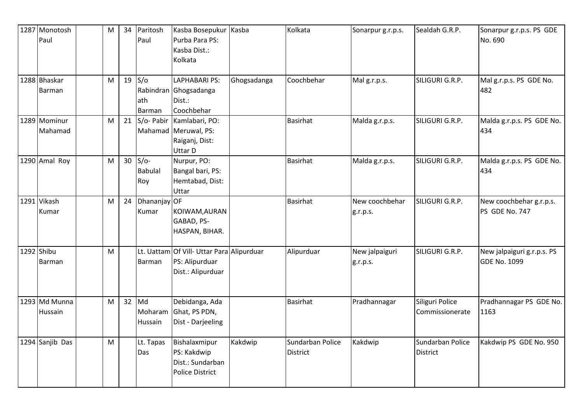| 1287 Monotosh<br>Paul    | M | 34              | Paritosh<br>Paul                | Kasba Bosepukur<br>Purba Para PS:<br>Kasba Dist.:<br>Kolkata                     | Kasba       | Kolkata                      | Sonarpur g.r.p.s.          | Sealdah G.R.P.                      | Sonarpur g.r.p.s. PS GDE<br>No. 690               |
|--------------------------|---|-----------------|---------------------------------|----------------------------------------------------------------------------------|-------------|------------------------------|----------------------------|-------------------------------------|---------------------------------------------------|
| 1288 Bhaskar<br>Barman   | M | 19              | S/O<br>lath<br>Barman           | <b>LAPHABARI PS:</b><br>Rabindran Ghogsadanga<br>Dist.:<br>Coochbehar            | Ghogsadanga | Coochbehar                   | Mal g.r.p.s.               | SILIGURI G.R.P.                     | Mal g.r.p.s. PS GDE No.<br>482                    |
| 1289 Mominur<br>Mahamad  | M | 21              |                                 | S/o- Pabir Kamlabari, PO:<br>Mahamad Meruwal, PS:<br>Raiganj, Dist:<br>Uttar D   |             | <b>Basirhat</b>              | Malda g.r.p.s.             | SILIGURI G.R.P.                     | Malda g.r.p.s. PS GDE No.<br>434                  |
| 1290 Amal Roy            | M | 30 <sup>°</sup> | $S/O-$<br><b>Babulal</b><br>Roy | Nurpur, PO:<br>Bangal bari, PS:<br>Hemtabad, Dist:<br>Uttar                      |             | <b>Basirhat</b>              | Malda g.r.p.s.             | SILIGURI G.R.P.                     | Malda g.r.p.s. PS GDE No.<br>434                  |
| 1291 Vikash<br>Kumar     | M | 24              | Dhananjay OF<br>Kumar           | KOIWAM, AURAN<br>GABAD, PS-<br>HASPAN, BIHAR.                                    |             | <b>Basirhat</b>              | New coochbehar<br>g.r.p.s. | SILIGURI G.R.P.                     | New coochbehar g.r.p.s.<br>PS GDE No. 747         |
| 1292 Shibu<br>Barman     | M |                 | Barman                          | Lt. Uattam Of Vill- Uttar Para Alipurduar<br>PS: Alipurduar<br>Dist.: Alipurduar |             | Alipurduar                   | New jalpaiguri<br>g.r.p.s. | SILIGURI G.R.P.                     | New jalpaiguri g.r.p.s. PS<br><b>GDE No. 1099</b> |
| 1293 Md Munna<br>Hussain | M | 32              | Md<br>Moharam<br>Hussain        | Debidanga, Ada<br>Ghat, PS PDN,<br>Dist - Darjeeling                             |             | <b>Basirhat</b>              | Pradhannagar               | Siliguri Police<br>Commissionerate  | Pradhannagar PS GDE No.<br>1163                   |
| 1294 Sanjib Das          | M |                 | Lt. Tapas<br>Das                | Bishalaxmipur<br>PS: Kakdwip<br>Dist.: Sundarban<br><b>Police District</b>       | Kakdwip     | Sundarban Police<br>District | Kakdwip                    | Sundarban Police<br><b>District</b> | Kakdwip PS GDE No. 950                            |